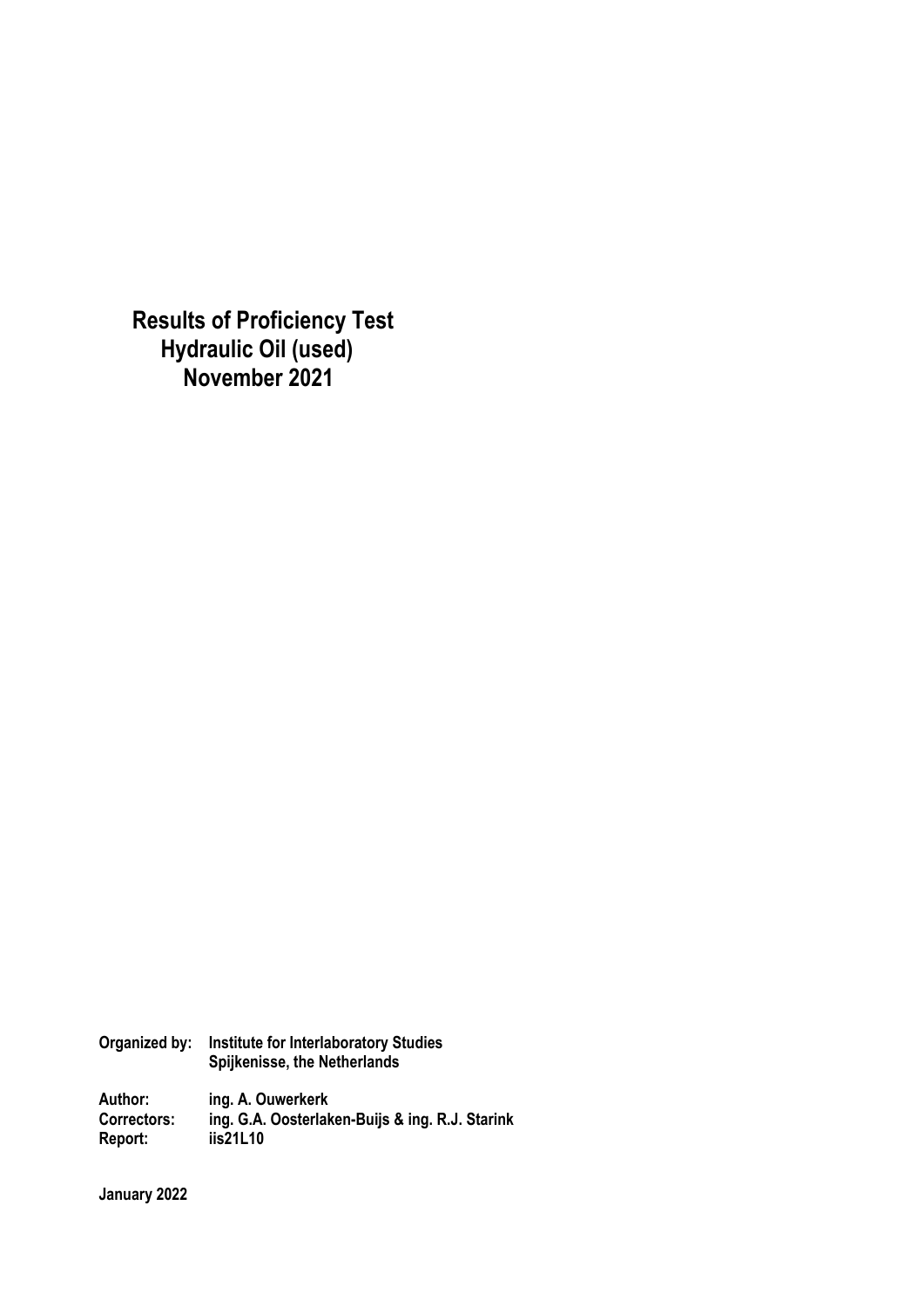**Results of Proficiency Test Hydraulic Oil (used) November 2021** 

| Organized by: | <b>Institute for Interlaboratory Studies</b><br>Spijkenisse, the Netherlands |
|---------------|------------------------------------------------------------------------------|
| Author:       | ing. A. Ouwerkerk                                                            |
| Correctors:   | ing. G.A. Oosterlaken-Buijs & ing. R.J. Starink                              |
| Report:       | iis21L10                                                                     |

**January 2022**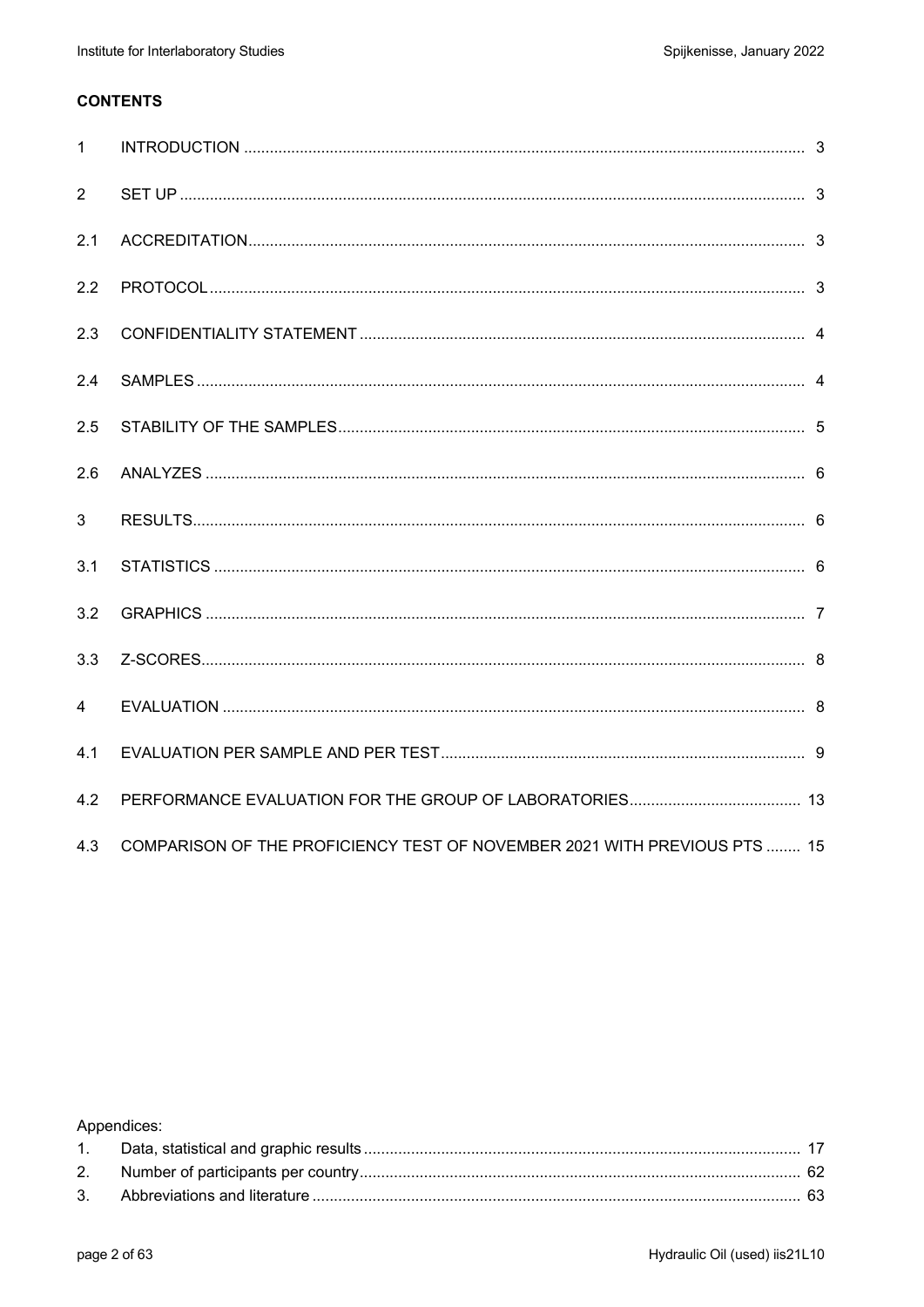### **CONTENTS**

| $\mathbf{1}$   |                                                                           |  |
|----------------|---------------------------------------------------------------------------|--|
| 2              |                                                                           |  |
| 2.1            |                                                                           |  |
| 2.2            |                                                                           |  |
| 2.3            |                                                                           |  |
| 2.4            |                                                                           |  |
| 2.5            |                                                                           |  |
| 2.6            |                                                                           |  |
| 3              |                                                                           |  |
| 3.1            |                                                                           |  |
| 3.2            |                                                                           |  |
| 3.3            |                                                                           |  |
| $\overline{4}$ |                                                                           |  |
| 4.1            |                                                                           |  |
| 4.2            |                                                                           |  |
| 4.3            | COMPARISON OF THE PROFICIENCY TEST OF NOVEMBER 2021 WITH PREVIOUS PTS  15 |  |

Appendices: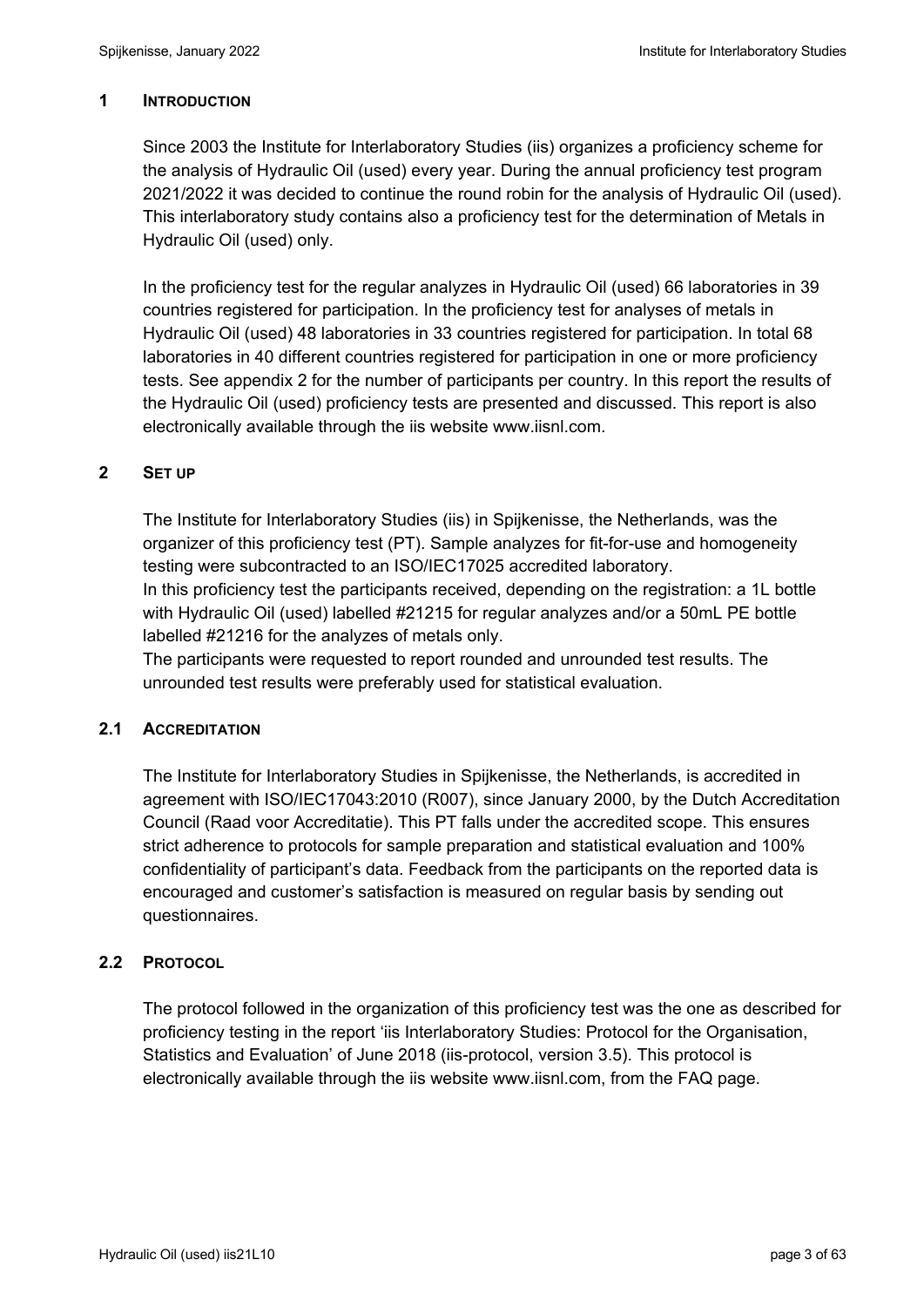### **1 INTRODUCTION**

Since 2003 the Institute for Interlaboratory Studies (iis) organizes a proficiency scheme for the analysis of Hydraulic Oil (used) every year. During the annual proficiency test program 2021/2022 it was decided to continue the round robin for the analysis of Hydraulic Oil (used). This interlaboratory study contains also a proficiency test for the determination of Metals in Hydraulic Oil (used) only.

In the proficiency test for the regular analyzes in Hydraulic Oil (used) 66 laboratories in 39 countries registered for participation. In the proficiency test for analyses of metals in Hydraulic Oil (used) 48 laboratories in 33 countries registered for participation. In total 68 laboratories in 40 different countries registered for participation in one or more proficiency tests. See appendix 2 for the number of participants per country. In this report the results of the Hydraulic Oil (used) proficiency tests are presented and discussed. This report is also electronically available through the iis website www.iisnl.com.

### **2 SET UP**

The Institute for Interlaboratory Studies (iis) in Spijkenisse, the Netherlands, was the organizer of this proficiency test (PT). Sample analyzes for fit-for-use and homogeneity testing were subcontracted to an ISO/IEC17025 accredited laboratory. In this proficiency test the participants received, depending on the registration: a 1L bottle

with Hydraulic Oil (used) labelled #21215 for regular analyzes and/or a 50mL PE bottle labelled #21216 for the analyzes of metals only.

The participants were requested to report rounded and unrounded test results. The unrounded test results were preferably used for statistical evaluation.

#### **2.1 ACCREDITATION**

The Institute for Interlaboratory Studies in Spijkenisse, the Netherlands, is accredited in agreement with ISO/IEC17043:2010 (R007), since January 2000, by the Dutch Accreditation Council (Raad voor Accreditatie). This PT falls under the accredited scope. This ensures strict adherence to protocols for sample preparation and statistical evaluation and 100% confidentiality of participant's data. Feedback from the participants on the reported data is encouraged and customer's satisfaction is measured on regular basis by sending out questionnaires.

### **2.2 PROTOCOL**

The protocol followed in the organization of this proficiency test was the one as described for proficiency testing in the report 'iis Interlaboratory Studies: Protocol for the Organisation, Statistics and Evaluation' of June 2018 (iis-protocol, version 3.5). This protocol is electronically available through the iis website www.iisnl.com, from the FAQ page.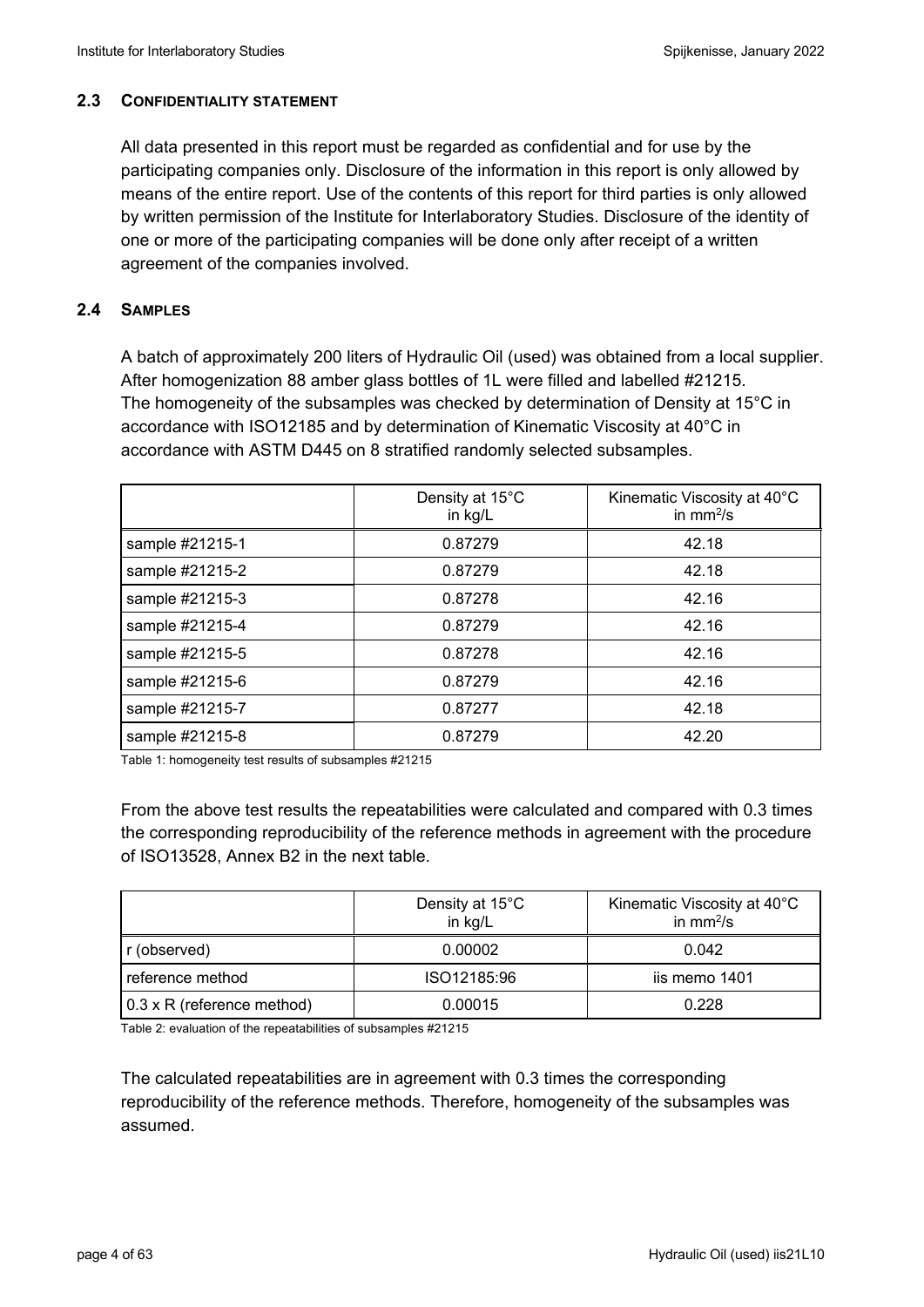#### **2.3 CONFIDENTIALITY STATEMENT**

All data presented in this report must be regarded as confidential and for use by the participating companies only. Disclosure of the information in this report is only allowed by means of the entire report. Use of the contents of this report for third parties is only allowed by written permission of the Institute for Interlaboratory Studies. Disclosure of the identity of one or more of the participating companies will be done only after receipt of a written agreement of the companies involved.

### **2.4 SAMPLES**

A batch of approximately 200 liters of Hydraulic Oil (used) was obtained from a local supplier. After homogenization 88 amber glass bottles of 1L were filled and labelled #21215. The homogeneity of the subsamples was checked by determination of Density at 15°C in accordance with ISO12185 and by determination of Kinematic Viscosity at 40°C in accordance with ASTM D445 on 8 stratified randomly selected subsamples.

|                 | Density at 15°C<br>Kinematic Viscosity at 40°C<br>in $mm^2/s$<br>in kg/L |       |  |
|-----------------|--------------------------------------------------------------------------|-------|--|
| sample #21215-1 | 0.87279                                                                  | 42.18 |  |
| sample #21215-2 | 0.87279                                                                  | 42.18 |  |
| sample #21215-3 | 0.87278                                                                  | 42.16 |  |
| sample #21215-4 | 0.87279                                                                  | 42.16 |  |
| sample #21215-5 | 0.87278                                                                  | 42.16 |  |
| sample #21215-6 | 0.87279                                                                  | 42.16 |  |
| sample #21215-7 | 0.87277                                                                  | 42.18 |  |
| sample #21215-8 | 0.87279                                                                  | 42.20 |  |

Table 1: homogeneity test results of subsamples #21215

From the above test results the repeatabilities were calculated and compared with 0.3 times the corresponding reproducibility of the reference methods in agreement with the procedure of ISO13528, Annex B2 in the next table.

|                                   | Density at 15°C<br>in kg/L | Kinematic Viscosity at 40°C<br>in $mm^2/s$ |
|-----------------------------------|----------------------------|--------------------------------------------|
| r (observed)                      | 0.00002                    | 0.042                                      |
| reference method                  | ISO12185:96                | iis memo 1401                              |
| $0.3 \times R$ (reference method) | 0.00015                    | 0.228                                      |

Table 2: evaluation of the repeatabilities of subsamples #21215

The calculated repeatabilities are in agreement with 0.3 times the corresponding reproducibility of the reference methods. Therefore, homogeneity of the subsamples was assumed.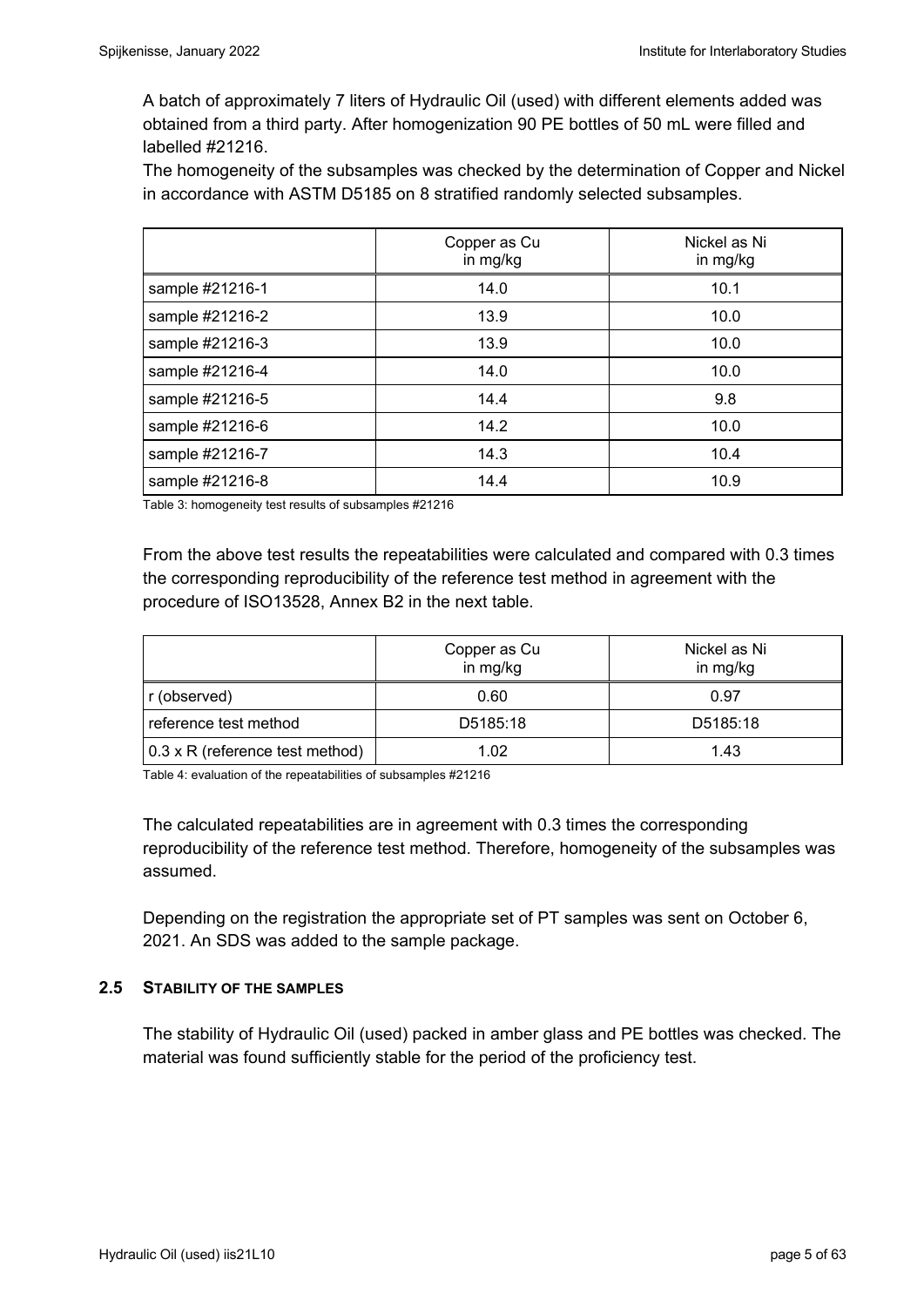A batch of approximately 7 liters of Hydraulic Oil (used) with different elements added was obtained from a third party. After homogenization 90 PE bottles of 50 mL were filled and labelled #21216.

The homogeneity of the subsamples was checked by the determination of Copper and Nickel in accordance with ASTM D5185 on 8 stratified randomly selected subsamples.

|                 | Copper as Cu<br>in mg/kg | Nickel as Ni<br>in mg/kg |
|-----------------|--------------------------|--------------------------|
| sample #21216-1 | 14.0                     | 10.1                     |
| sample #21216-2 | 13.9                     | 10.0                     |
| sample #21216-3 | 13.9                     | 10.0                     |
| sample #21216-4 | 14.0                     | 10.0                     |
| sample #21216-5 | 14.4                     | 9.8                      |
| sample #21216-6 | 14.2                     | 10.0                     |
| sample #21216-7 | 14.3                     | 10.4                     |
| sample #21216-8 | 14.4                     | 10.9                     |

Table 3: homogeneity test results of subsamples #21216

From the above test results the repeatabilities were calculated and compared with 0.3 times the corresponding reproducibility of the reference test method in agreement with the procedure of ISO13528, Annex B2 in the next table.

|                                 | Copper as Cu<br>in mg/kg | Nickel as Ni<br>in mg/kg |  |  |
|---------------------------------|--------------------------|--------------------------|--|--|
| r (observed)                    | 0.60                     | 0.97                     |  |  |
| reference test method           | D5185:18                 | D5185:18                 |  |  |
| 0.3 x R (reference test method) | 1.02                     | 1.43                     |  |  |

Table 4: evaluation of the repeatabilities of subsamples #21216

The calculated repeatabilities are in agreement with 0.3 times the corresponding reproducibility of the reference test method. Therefore, homogeneity of the subsamples was assumed.

Depending on the registration the appropriate set of PT samples was sent on October 6, 2021. An SDS was added to the sample package.

#### **2.5 STABILITY OF THE SAMPLES**

The stability of Hydraulic Oil (used) packed in amber glass and PE bottles was checked. The material was found sufficiently stable for the period of the proficiency test.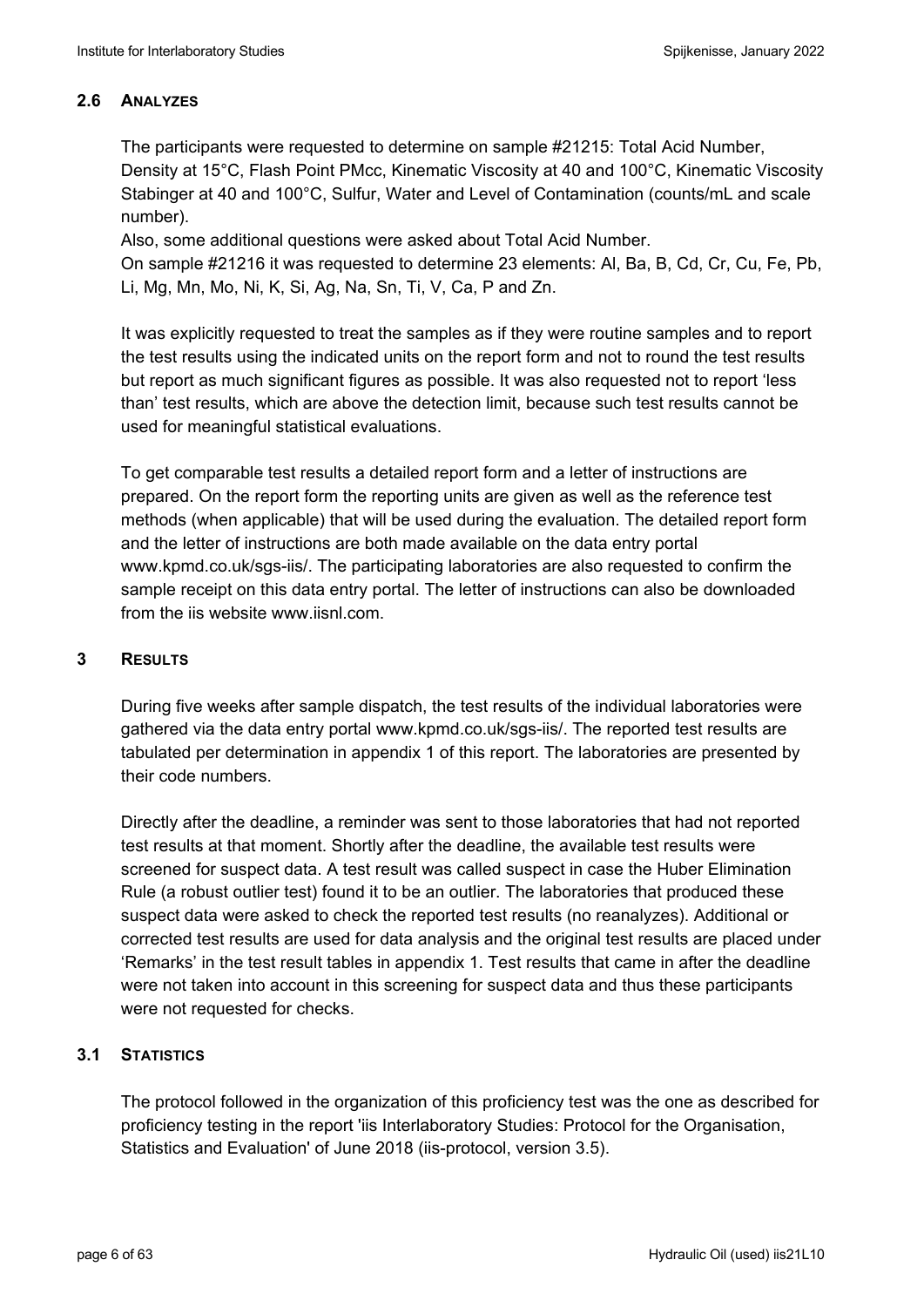### **2.6 ANALYZES**

The participants were requested to determine on sample #21215: Total Acid Number, Density at 15°C, Flash Point PMcc, Kinematic Viscosity at 40 and 100°C, Kinematic Viscosity Stabinger at 40 and 100°C, Sulfur, Water and Level of Contamination (counts/mL and scale number).

Also, some additional questions were asked about Total Acid Number.

On sample #21216 it was requested to determine 23 elements: Al, Ba, B, Cd, Cr, Cu, Fe, Pb, Li, Mg, Mn, Mo, Ni, K, Si, Ag, Na, Sn, Ti, V, Ca, P and Zn.

It was explicitly requested to treat the samples as if they were routine samples and to report the test results using the indicated units on the report form and not to round the test results but report as much significant figures as possible. It was also requested not to report 'less than' test results, which are above the detection limit, because such test results cannot be used for meaningful statistical evaluations.

To get comparable test results a detailed report form and a letter of instructions are prepared. On the report form the reporting units are given as well as the reference test methods (when applicable) that will be used during the evaluation. The detailed report form and the letter of instructions are both made available on the data entry portal www.kpmd.co.uk/sgs-iis/. The participating laboratories are also requested to confirm the sample receipt on this data entry portal. The letter of instructions can also be downloaded from the iis website www.iisnl.com.

### **3 RESULTS**

During five weeks after sample dispatch, the test results of the individual laboratories were gathered via the data entry portal www.kpmd.co.uk/sgs-iis/. The reported test results are tabulated per determination in appendix 1 of this report. The laboratories are presented by their code numbers.

Directly after the deadline, a reminder was sent to those laboratories that had not reported test results at that moment. Shortly after the deadline, the available test results were screened for suspect data. A test result was called suspect in case the Huber Elimination Rule (a robust outlier test) found it to be an outlier. The laboratories that produced these suspect data were asked to check the reported test results (no reanalyzes). Additional or corrected test results are used for data analysis and the original test results are placed under 'Remarks' in the test result tables in appendix 1. Test results that came in after the deadline were not taken into account in this screening for suspect data and thus these participants were not requested for checks.

### **3.1 STATISTICS**

The protocol followed in the organization of this proficiency test was the one as described for proficiency testing in the report 'iis Interlaboratory Studies: Protocol for the Organisation, Statistics and Evaluation' of June 2018 (iis-protocol, version 3.5).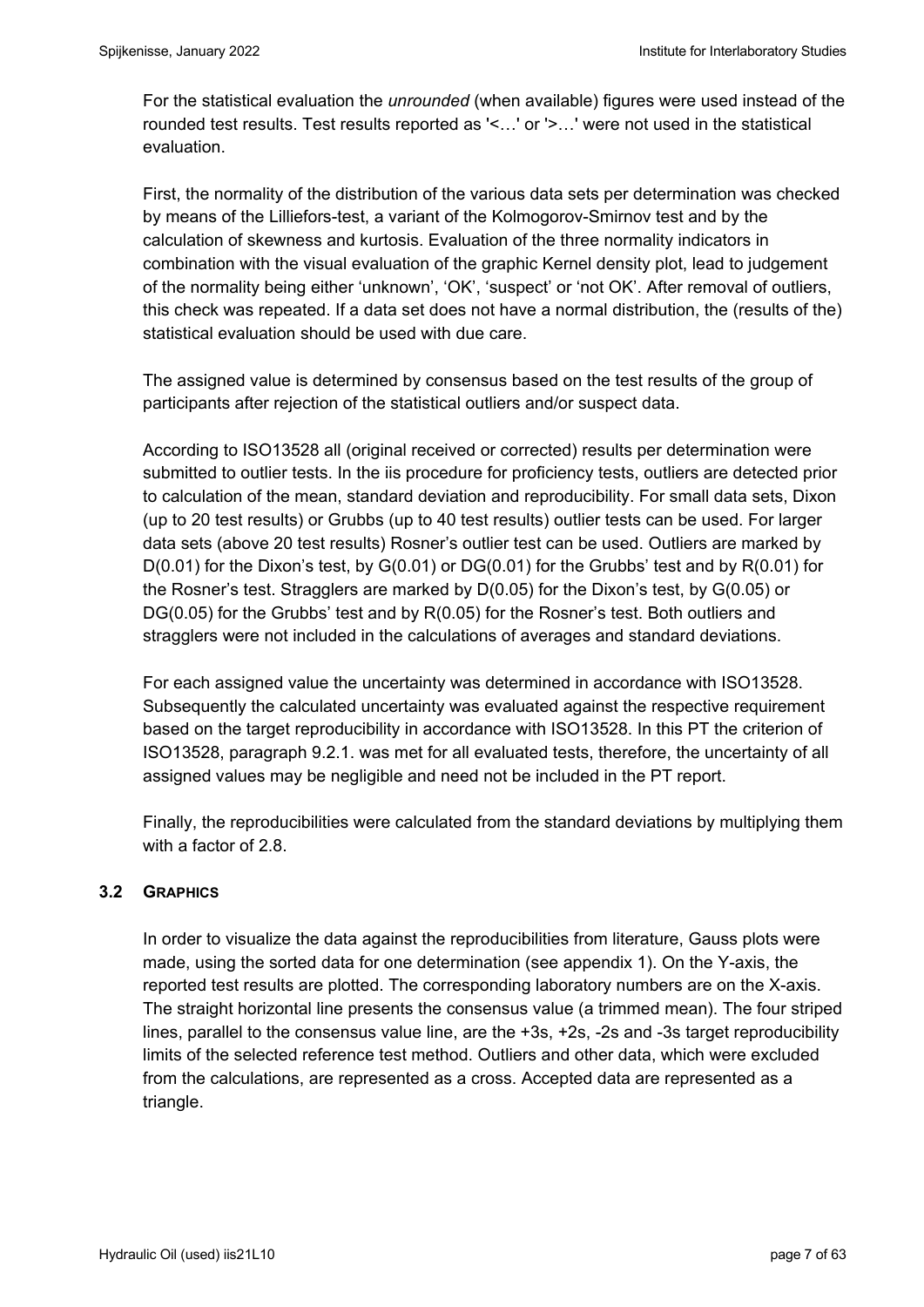For the statistical evaluation the *unrounded* (when available) figures were used instead of the rounded test results. Test results reported as '<…' or '>…' were not used in the statistical evaluation.

First, the normality of the distribution of the various data sets per determination was checked by means of the Lilliefors-test, a variant of the Kolmogorov-Smirnov test and by the calculation of skewness and kurtosis. Evaluation of the three normality indicators in combination with the visual evaluation of the graphic Kernel density plot, lead to judgement of the normality being either 'unknown', 'OK', 'suspect' or 'not OK'. After removal of outliers, this check was repeated. If a data set does not have a normal distribution, the (results of the) statistical evaluation should be used with due care.

The assigned value is determined by consensus based on the test results of the group of participants after rejection of the statistical outliers and/or suspect data.

According to ISO13528 all (original received or corrected) results per determination were submitted to outlier tests. In the iis procedure for proficiency tests, outliers are detected prior to calculation of the mean, standard deviation and reproducibility. For small data sets, Dixon (up to 20 test results) or Grubbs (up to 40 test results) outlier tests can be used. For larger data sets (above 20 test results) Rosner's outlier test can be used. Outliers are marked by D(0.01) for the Dixon's test, by G(0.01) or DG(0.01) for the Grubbs' test and by R(0.01) for the Rosner's test. Stragglers are marked by D(0.05) for the Dixon's test, by G(0.05) or DG(0.05) for the Grubbs' test and by R(0.05) for the Rosner's test. Both outliers and stragglers were not included in the calculations of averages and standard deviations.

For each assigned value the uncertainty was determined in accordance with ISO13528. Subsequently the calculated uncertainty was evaluated against the respective requirement based on the target reproducibility in accordance with ISO13528. In this PT the criterion of ISO13528, paragraph 9.2.1. was met for all evaluated tests, therefore, the uncertainty of all assigned values may be negligible and need not be included in the PT report.

Finally, the reproducibilities were calculated from the standard deviations by multiplying them with a factor of 2.8

### **3.2 GRAPHICS**

In order to visualize the data against the reproducibilities from literature, Gauss plots were made, using the sorted data for one determination (see appendix 1). On the Y-axis, the reported test results are plotted. The corresponding laboratory numbers are on the X-axis. The straight horizontal line presents the consensus value (a trimmed mean). The four striped lines, parallel to the consensus value line, are the +3s, +2s, -2s and -3s target reproducibility limits of the selected reference test method. Outliers and other data, which were excluded from the calculations, are represented as a cross. Accepted data are represented as a triangle.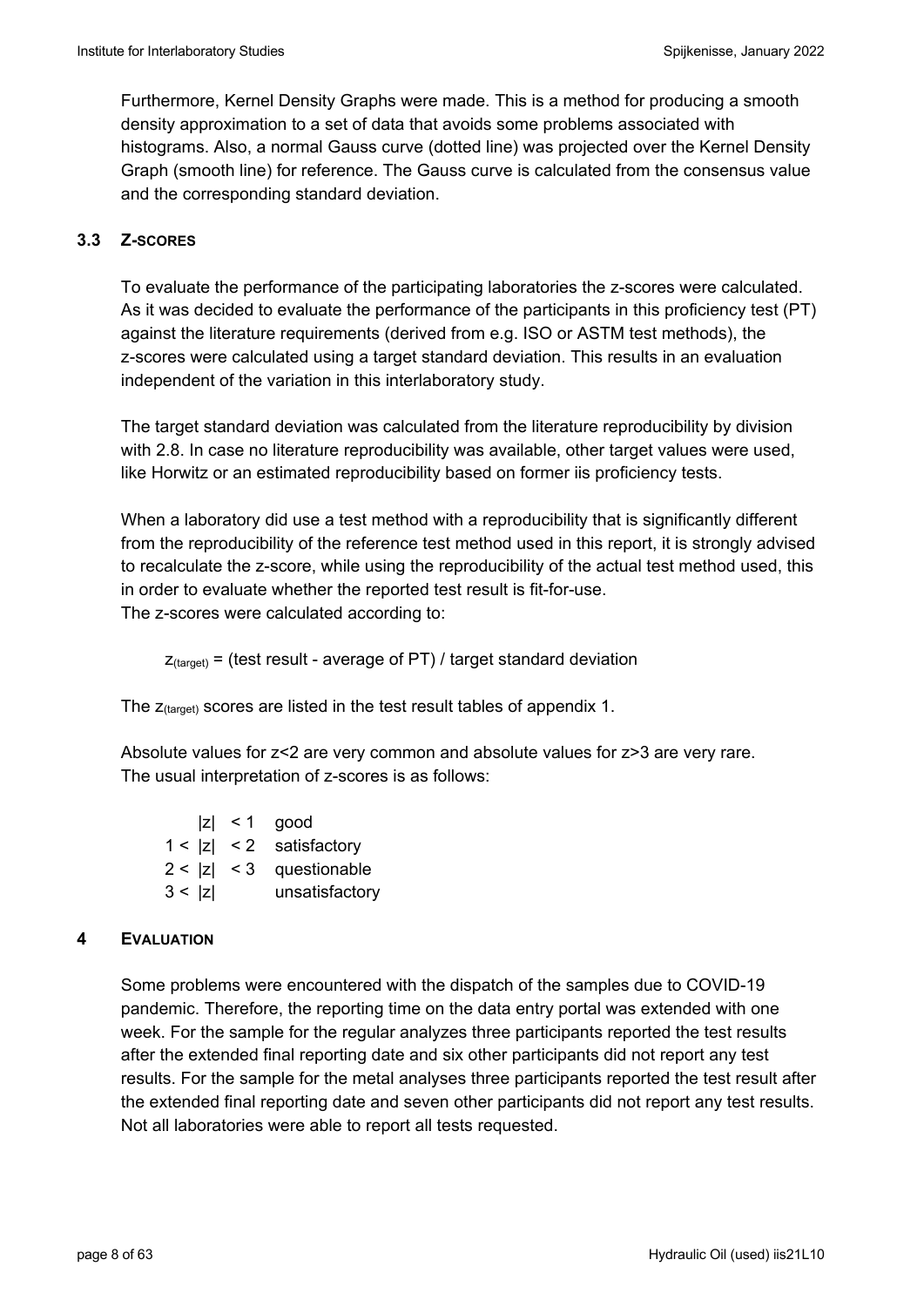Furthermore, Kernel Density Graphs were made. This is a method for producing a smooth density approximation to a set of data that avoids some problems associated with histograms. Also, a normal Gauss curve (dotted line) was projected over the Kernel Density Graph (smooth line) for reference. The Gauss curve is calculated from the consensus value and the corresponding standard deviation.

#### **3.3 Z-SCORES**

To evaluate the performance of the participating laboratories the z-scores were calculated. As it was decided to evaluate the performance of the participants in this proficiency test (PT) against the literature requirements (derived from e.g. ISO or ASTM test methods), the z-scores were calculated using a target standard deviation. This results in an evaluation independent of the variation in this interlaboratory study.

The target standard deviation was calculated from the literature reproducibility by division with 2.8. In case no literature reproducibility was available, other target values were used, like Horwitz or an estimated reproducibility based on former iis proficiency tests.

When a laboratory did use a test method with a reproducibility that is significantly different from the reproducibility of the reference test method used in this report, it is strongly advised to recalculate the z-score, while using the reproducibility of the actual test method used, this in order to evaluate whether the reported test result is fit-for-use. The z-scores were calculated according to:

 $Z_{\text{target}}$  = (test result - average of PT) / target standard deviation

The  $z$ <sub>(target)</sub> scores are listed in the test result tables of appendix 1.

Absolute values for z<2 are very common and absolute values for z>3 are very rare. The usual interpretation of z-scores is as follows:

|        | $ z  < 1$ good             |
|--------|----------------------------|
|        | $1 <  z  < 2$ satisfactory |
|        | $2 <  z  < 3$ questionable |
| 3 <  z | unsatisfactory             |

#### **4 EVALUATION**

Some problems were encountered with the dispatch of the samples due to COVID-19 pandemic. Therefore, the reporting time on the data entry portal was extended with one week. For the sample for the regular analyzes three participants reported the test results after the extended final reporting date and six other participants did not report any test results. For the sample for the metal analyses three participants reported the test result after the extended final reporting date and seven other participants did not report any test results. Not all laboratories were able to report all tests requested.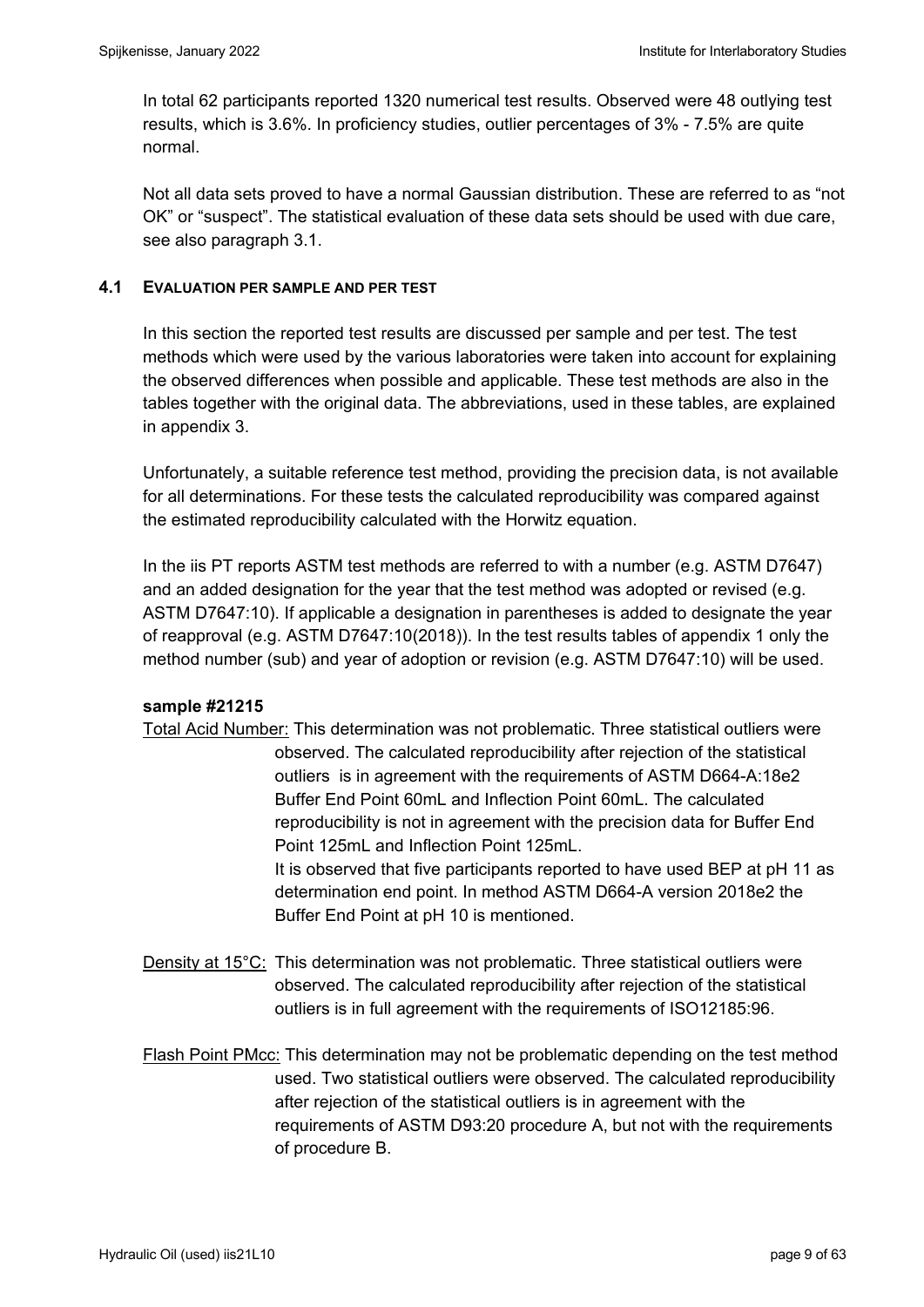In total 62 participants reported 1320 numerical test results. Observed were 48 outlying test results, which is 3.6%. In proficiency studies, outlier percentages of 3% - 7.5% are quite normal.

Not all data sets proved to have a normal Gaussian distribution. These are referred to as "not OK" or "suspect". The statistical evaluation of these data sets should be used with due care, see also paragraph 3.1.

### **4.1 EVALUATION PER SAMPLE AND PER TEST**

In this section the reported test results are discussed per sample and per test. The test methods which were used by the various laboratories were taken into account for explaining the observed differences when possible and applicable. These test methods are also in the tables together with the original data. The abbreviations, used in these tables, are explained in appendix 3.

Unfortunately, a suitable reference test method, providing the precision data, is not available for all determinations. For these tests the calculated reproducibility was compared against the estimated reproducibility calculated with the Horwitz equation.

In the iis PT reports ASTM test methods are referred to with a number (e.g. ASTM D7647) and an added designation for the year that the test method was adopted or revised (e.g. ASTM D7647:10). If applicable a designation in parentheses is added to designate the year of reapproval (e.g. ASTM D7647:10(2018)). In the test results tables of appendix 1 only the method number (sub) and year of adoption or revision (e.g. ASTM D7647:10) will be used.

#### **sample #21215**

- Total Acid Number: This determination was not problematic. Three statistical outliers were observed. The calculated reproducibility after rejection of the statistical outliers is in agreement with the requirements of ASTM D664-A:18e2 Buffer End Point 60mL and Inflection Point 60mL. The calculated reproducibility is not in agreement with the precision data for Buffer End Point 125mL and Inflection Point 125mL. It is observed that five participants reported to have used BEP at pH 11 as determination end point. In method ASTM D664-A version 2018e2 the Buffer End Point at pH 10 is mentioned.
- Density at 15°C: This determination was not problematic. Three statistical outliers were observed. The calculated reproducibility after rejection of the statistical outliers is in full agreement with the requirements of ISO12185:96.
- Flash Point PMcc: This determination may not be problematic depending on the test method used. Two statistical outliers were observed. The calculated reproducibility after rejection of the statistical outliers is in agreement with the requirements of ASTM D93:20 procedure A, but not with the requirements of procedure B.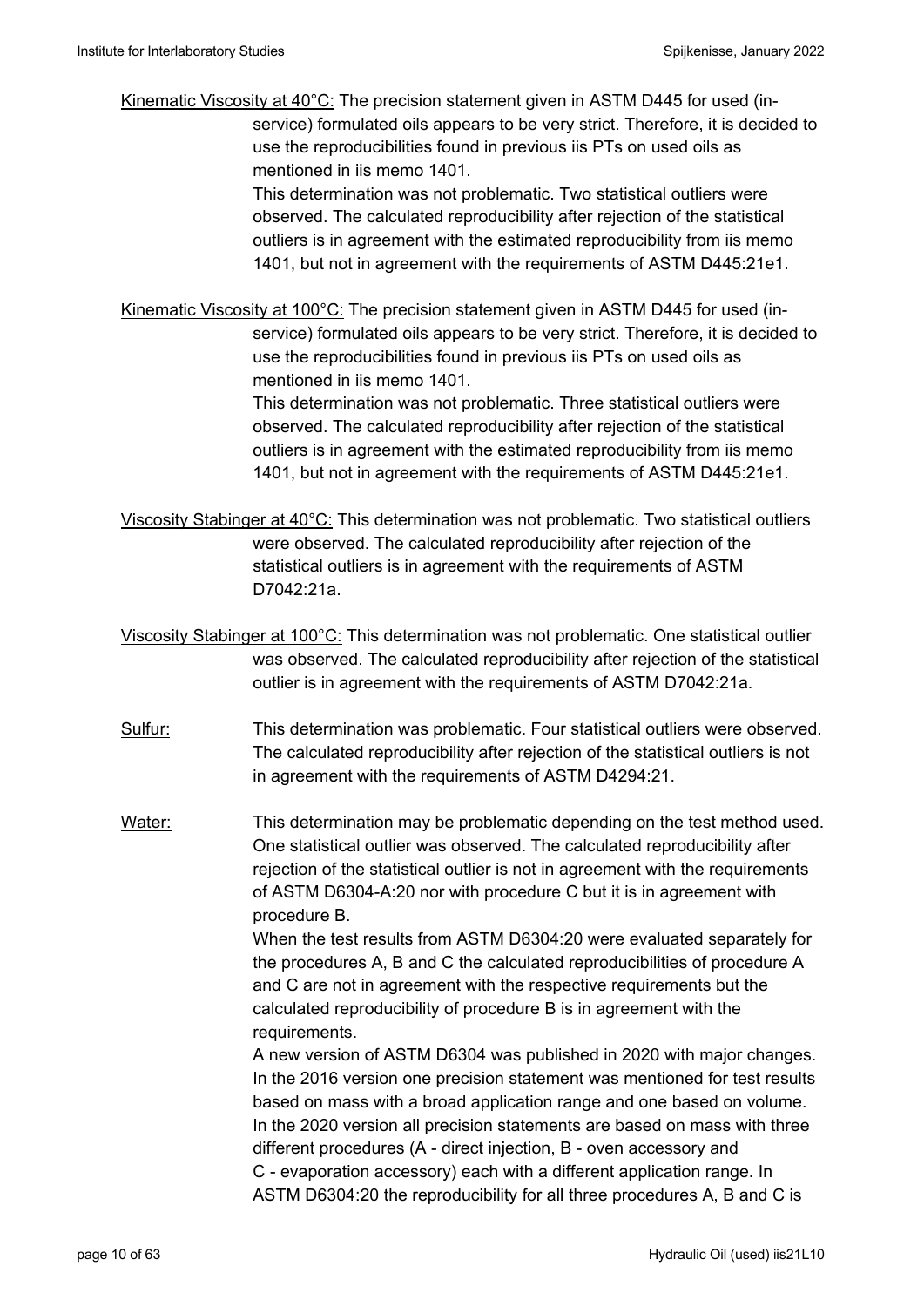Kinematic Viscosity at 40°C: The precision statement given in ASTM D445 for used (inservice) formulated oils appears to be very strict. Therefore, it is decided to use the reproducibilities found in previous iis PTs on used oils as mentioned in iis memo 1401.

> This determination was not problematic. Two statistical outliers were observed. The calculated reproducibility after rejection of the statistical outliers is in agreement with the estimated reproducibility from iis memo 1401, but not in agreement with the requirements of ASTM D445:21e1.

Kinematic Viscosity at 100°C: The precision statement given in ASTM D445 for used (inservice) formulated oils appears to be very strict. Therefore, it is decided to use the reproducibilities found in previous iis PTs on used oils as mentioned in iis memo 1401.

> This determination was not problematic. Three statistical outliers were observed. The calculated reproducibility after rejection of the statistical outliers is in agreement with the estimated reproducibility from iis memo 1401, but not in agreement with the requirements of ASTM D445:21e1.

Viscosity Stabinger at 40°C: This determination was not problematic. Two statistical outliers were observed. The calculated reproducibility after rejection of the statistical outliers is in agreement with the requirements of ASTM D7042:21a.

Viscosity Stabinger at 100°C: This determination was not problematic. One statistical outlier was observed. The calculated reproducibility after rejection of the statistical outlier is in agreement with the requirements of ASTM D7042:21a.

- Sulfur: This determination was problematic. Four statistical outliers were observed. The calculated reproducibility after rejection of the statistical outliers is not in agreement with the requirements of ASTM D4294:21.
- Water: This determination may be problematic depending on the test method used. One statistical outlier was observed. The calculated reproducibility after rejection of the statistical outlier is not in agreement with the requirements of ASTM D6304-A:20 nor with procedure C but it is in agreement with procedure B.

 When the test results from ASTM D6304:20 were evaluated separately for the procedures A, B and C the calculated reproducibilities of procedure A and C are not in agreement with the respective requirements but the calculated reproducibility of procedure B is in agreement with the requirements.

 A new version of ASTM D6304 was published in 2020 with major changes. In the 2016 version one precision statement was mentioned for test results based on mass with a broad application range and one based on volume. In the 2020 version all precision statements are based on mass with three different procedures (A - direct injection, B - oven accessory and C - evaporation accessory) each with a different application range. In ASTM D6304:20 the reproducibility for all three procedures A, B and C is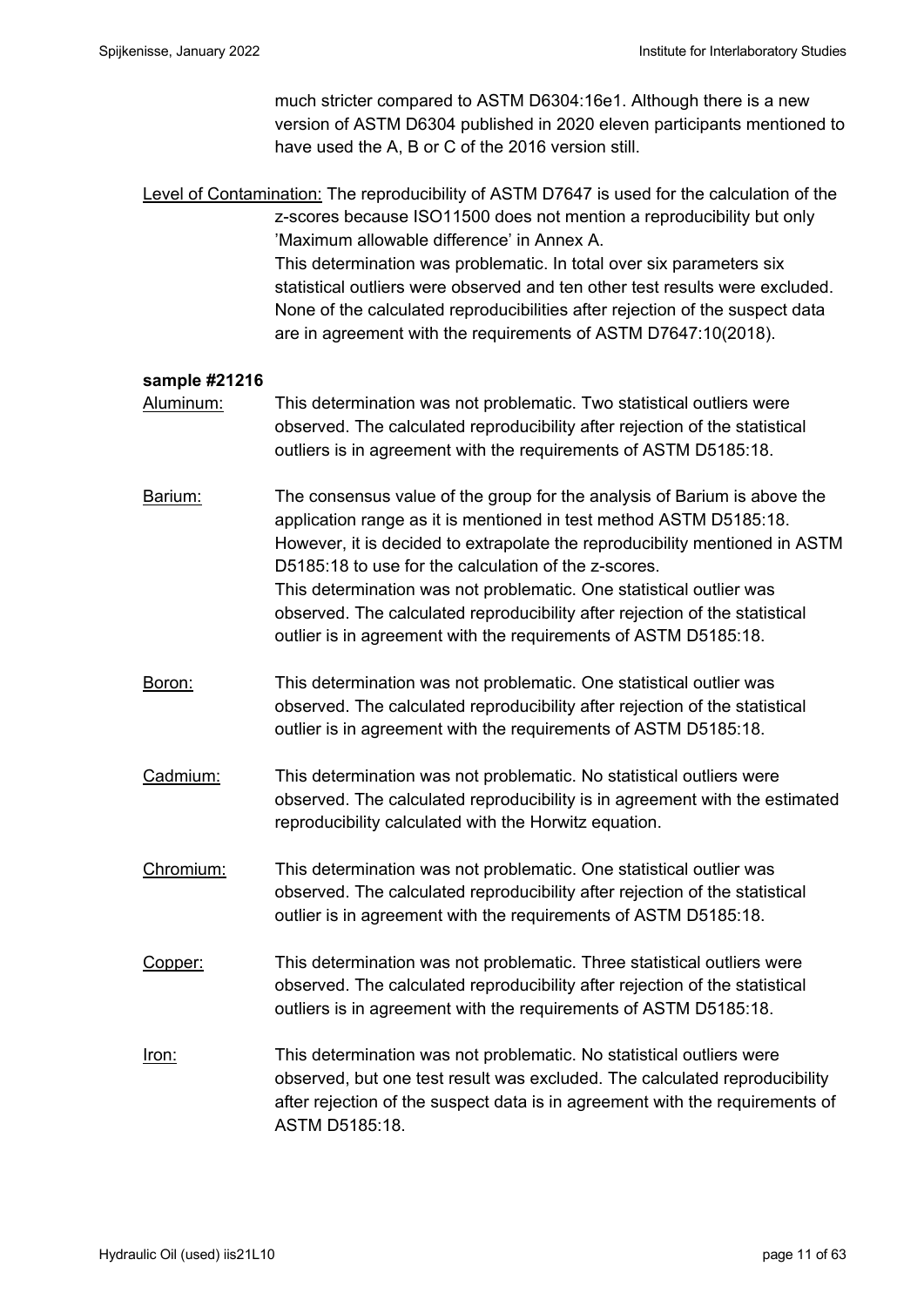much stricter compared to ASTM D6304:16e1. Although there is a new version of ASTM D6304 published in 2020 eleven participants mentioned to have used the A, B or C of the 2016 version still.

Level of Contamination: The reproducibility of ASTM D7647 is used for the calculation of the z-scores because ISO11500 does not mention a reproducibility but only 'Maximum allowable difference' in Annex A. This determination was problematic. In total over six parameters six statistical outliers were observed and ten other test results were excluded. None of the calculated reproducibilities after rejection of the suspect data are in agreement with the requirements of ASTM D7647:10(2018).

#### **sample #21216**

Aluminum: This determination was not problematic. Two statistical outliers were observed. The calculated reproducibility after rejection of the statistical outliers is in agreement with the requirements of ASTM D5185:18.

Barium: The consensus value of the group for the analysis of Barium is above the application range as it is mentioned in test method ASTM D5185:18. However, it is decided to extrapolate the reproducibility mentioned in ASTM D5185:18 to use for the calculation of the z-scores. This determination was not problematic. One statistical outlier was observed. The calculated reproducibility after rejection of the statistical outlier is in agreement with the requirements of ASTM D5185:18.

Boron: This determination was not problematic. One statistical outlier was observed. The calculated reproducibility after rejection of the statistical outlier is in agreement with the requirements of ASTM D5185:18.

Cadmium: This determination was not problematic. No statistical outliers were observed. The calculated reproducibility is in agreement with the estimated reproducibility calculated with the Horwitz equation.

Chromium: This determination was not problematic. One statistical outlier was observed. The calculated reproducibility after rejection of the statistical outlier is in agreement with the requirements of ASTM D5185:18.

Copper: This determination was not problematic. Three statistical outliers were observed. The calculated reproducibility after rejection of the statistical outliers is in agreement with the requirements of ASTM D5185:18.

Iron: This determination was not problematic. No statistical outliers were observed, but one test result was excluded. The calculated reproducibility after rejection of the suspect data is in agreement with the requirements of ASTM D5185:18.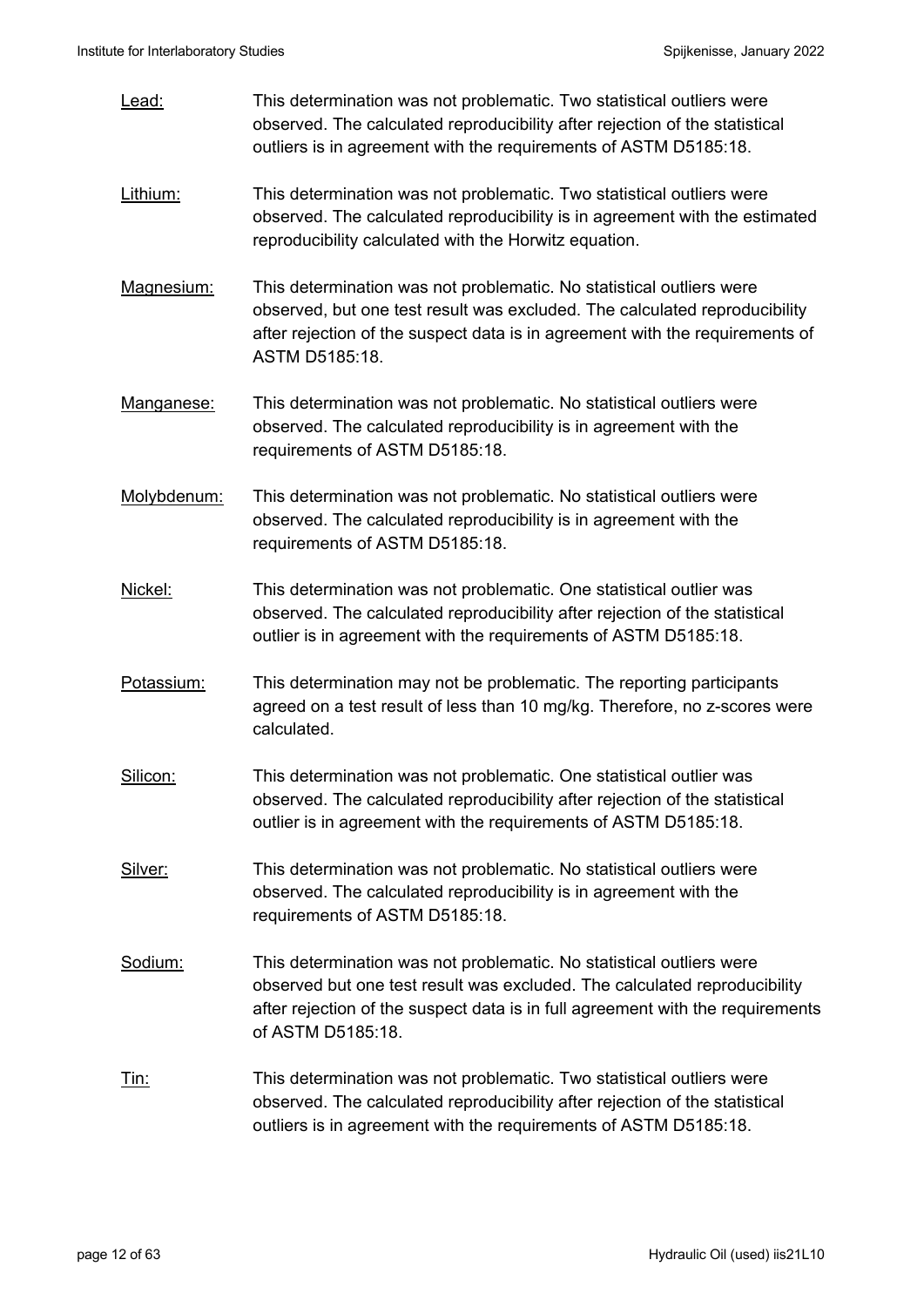| Lead:       | This determination was not problematic. Two statistical outliers were<br>observed. The calculated reproducibility after rejection of the statistical<br>outliers is in agreement with the requirements of ASTM D5185:18.                                 |
|-------------|----------------------------------------------------------------------------------------------------------------------------------------------------------------------------------------------------------------------------------------------------------|
| Lithium:    | This determination was not problematic. Two statistical outliers were<br>observed. The calculated reproducibility is in agreement with the estimated<br>reproducibility calculated with the Horwitz equation.                                            |
| Magnesium:  | This determination was not problematic. No statistical outliers were<br>observed, but one test result was excluded. The calculated reproducibility<br>after rejection of the suspect data is in agreement with the requirements of<br>ASTM D5185:18.     |
| Manganese:  | This determination was not problematic. No statistical outliers were<br>observed. The calculated reproducibility is in agreement with the<br>requirements of ASTM D5185:18.                                                                              |
| Molybdenum: | This determination was not problematic. No statistical outliers were<br>observed. The calculated reproducibility is in agreement with the<br>requirements of ASTM D5185:18.                                                                              |
| Nickel:     | This determination was not problematic. One statistical outlier was<br>observed. The calculated reproducibility after rejection of the statistical<br>outlier is in agreement with the requirements of ASTM D5185:18.                                    |
| Potassium:  | This determination may not be problematic. The reporting participants<br>agreed on a test result of less than 10 mg/kg. Therefore, no z-scores were<br>calculated.                                                                                       |
| Silicon:    | This determination was not problematic. One statistical outlier was<br>observed. The calculated reproducibility after rejection of the statistical<br>outlier is in agreement with the requirements of ASTM D5185:18.                                    |
| Silver:     | This determination was not problematic. No statistical outliers were<br>observed. The calculated reproducibility is in agreement with the<br>requirements of ASTM D5185:18.                                                                              |
| Sodium:     | This determination was not problematic. No statistical outliers were<br>observed but one test result was excluded. The calculated reproducibility<br>after rejection of the suspect data is in full agreement with the requirements<br>of ASTM D5185:18. |
| <u>Tin:</u> | This determination was not problematic. Two statistical outliers were<br>observed. The calculated reproducibility after rejection of the statistical<br>outliers is in agreement with the requirements of ASTM D5185:18.                                 |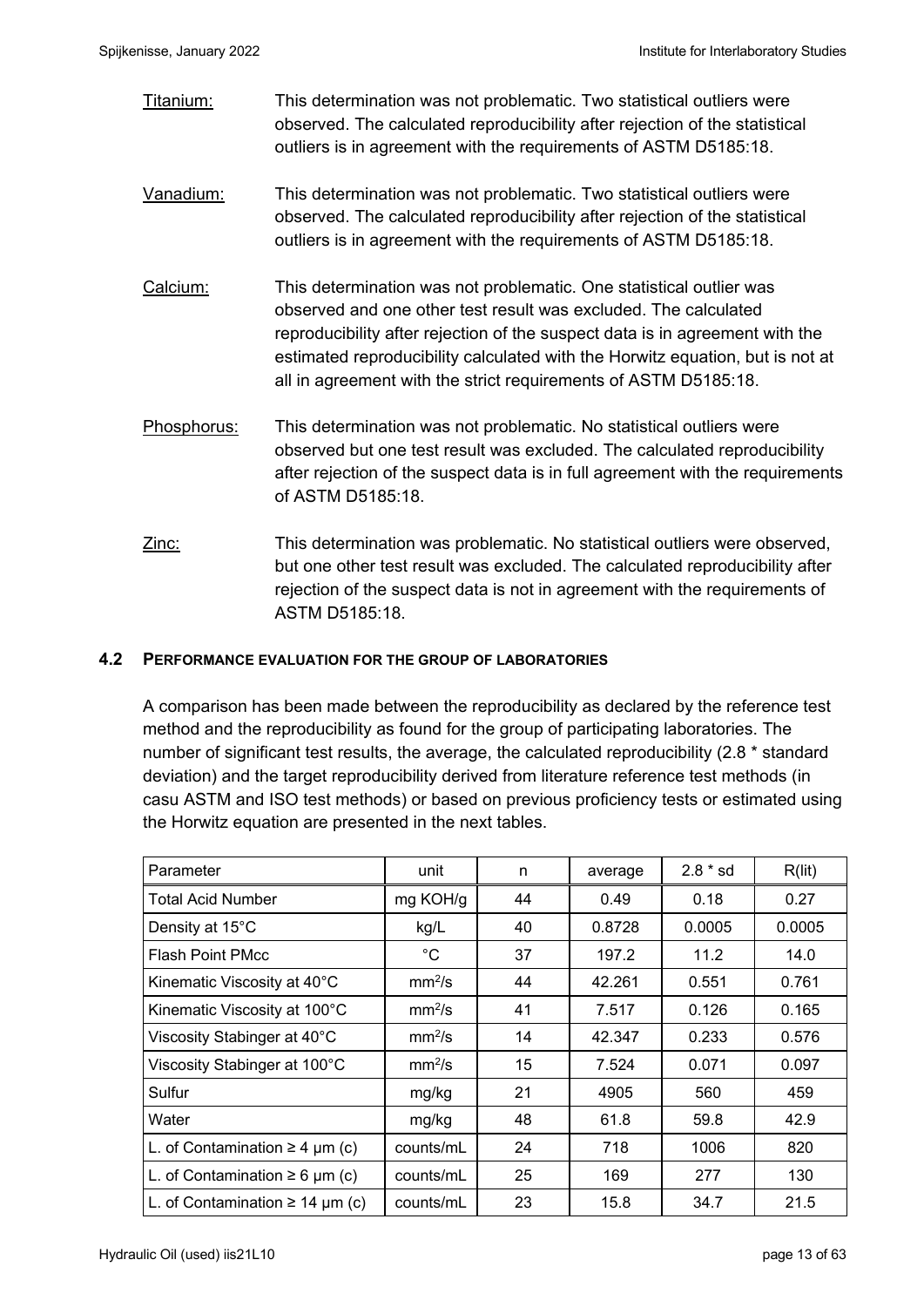Titanium: This determination was not problematic. Two statistical outliers were observed. The calculated reproducibility after rejection of the statistical outliers is in agreement with the requirements of ASTM D5185:18.

- Vanadium: This determination was not problematic. Two statistical outliers were observed. The calculated reproducibility after rejection of the statistical outliers is in agreement with the requirements of ASTM D5185:18.
- Calcium: This determination was not problematic. One statistical outlier was observed and one other test result was excluded. The calculated reproducibility after rejection of the suspect data is in agreement with the estimated reproducibility calculated with the Horwitz equation, but is not at all in agreement with the strict requirements of ASTM D5185:18.
- Phosphorus: This determination was not problematic. No statistical outliers were observed but one test result was excluded. The calculated reproducibility after rejection of the suspect data is in full agreement with the requirements of ASTM D5185:18.
- Zinc: This determination was problematic. No statistical outliers were observed, but one other test result was excluded. The calculated reproducibility after rejection of the suspect data is not in agreement with the requirements of ASTM D5185:18.

### **4.2 PERFORMANCE EVALUATION FOR THE GROUP OF LABORATORIES**

A comparison has been made between the reproducibility as declared by the reference test method and the reproducibility as found for the group of participating laboratories. The number of significant test results, the average, the calculated reproducibility (2.8 \* standard deviation) and the target reproducibility derived from literature reference test methods (in casu ASTM and ISO test methods) or based on previous proficiency tests or estimated using the Horwitz equation are presented in the next tables.

| Parameter                            | unit               | n  | average | $2.8 * sd$ | R(lit) |
|--------------------------------------|--------------------|----|---------|------------|--------|
| <b>Total Acid Number</b>             | mg KOH/g           | 44 | 0.49    | 0.18       | 0.27   |
| Density at 15°C                      | kg/L               | 40 | 0.8728  | 0.0005     | 0.0005 |
| <b>Flash Point PMcc</b>              | $^{\circ}C$        | 37 | 197.2   | 11.2       | 14.0   |
| Kinematic Viscosity at 40°C          | mm <sup>2</sup> /s | 44 | 42.261  | 0.551      | 0.761  |
| Kinematic Viscosity at 100°C         | mm <sup>2</sup> /s | 41 | 7.517   | 0.126      | 0.165  |
| Viscosity Stabinger at 40°C          | mm <sup>2</sup> /s | 14 | 42.347  | 0.233      | 0.576  |
| Viscosity Stabinger at 100°C         | mm <sup>2</sup> /s | 15 | 7.524   | 0.071      | 0.097  |
| Sulfur                               | mg/kg              | 21 | 4905    | 560        | 459    |
| Water                                | mg/kg              | 48 | 61.8    | 59.8       | 42.9   |
| L. of Contamination $\geq 4$ µm (c)  | counts/mL          | 24 | 718     | 1006       | 820    |
| L. of Contamination $\geq 6$ µm (c)  | counts/mL          | 25 | 169     | 277        | 130    |
| L. of Contamination $\geq 14$ µm (c) | counts/mL          | 23 | 15.8    | 34.7       | 21.5   |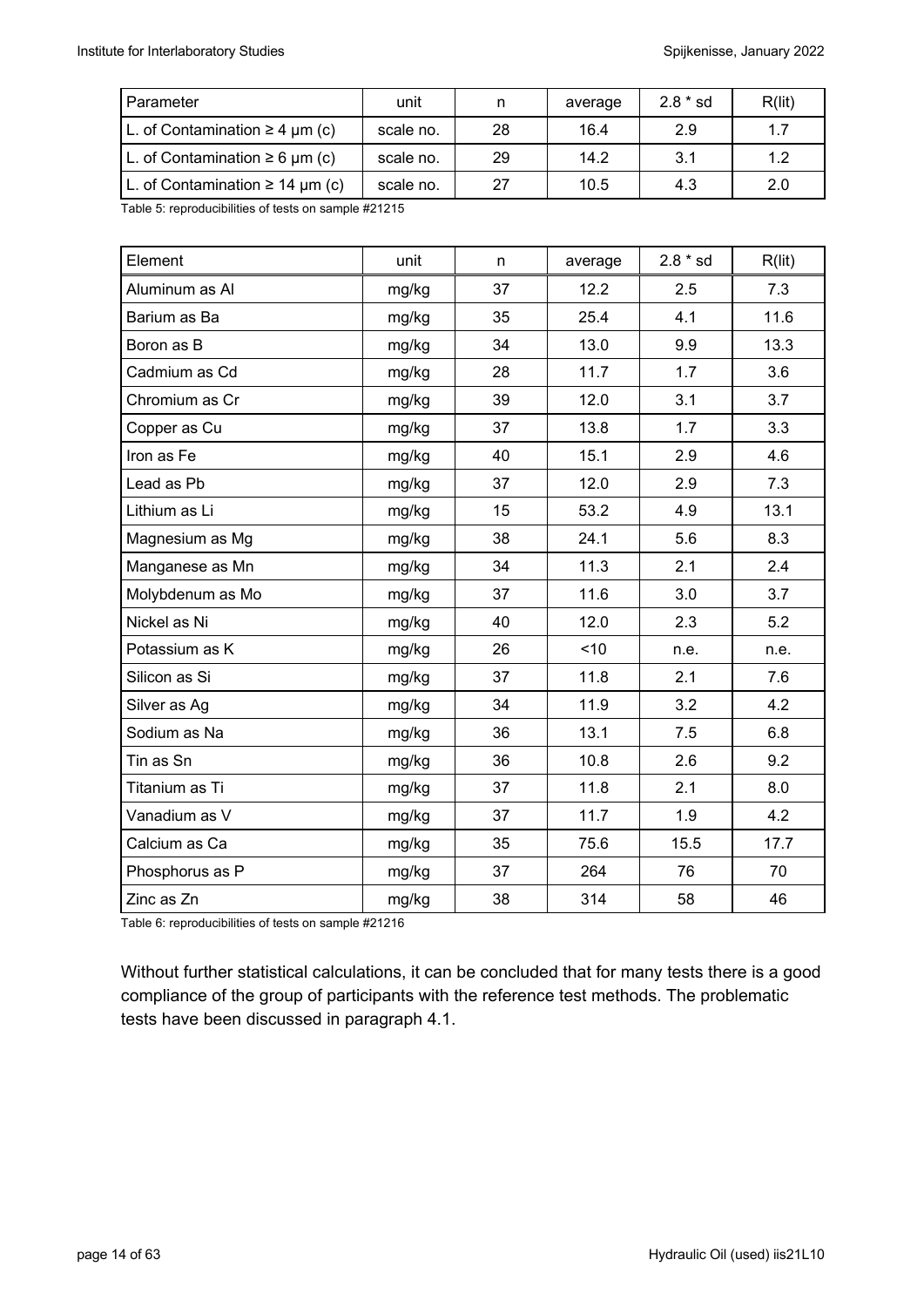| Parameter                            | unit      | n  | average | $2.8 * sd$ | R(lit) |
|--------------------------------------|-----------|----|---------|------------|--------|
| L. of Contamination $\geq 4$ µm (c)  | scale no. | 28 | 16.4    | 2.9        | 1.7    |
| L. of Contamination $\geq 6$ µm (c)  | scale no. | 29 | 14.2    | 3.1        | 1.2    |
| L. of Contamination $\geq 14$ µm (c) | scale no. | 27 | 10.5    | 4.3        | 2.0    |

Table 5: reproducibilities of tests on sample #21215

| Element          | unit  | n  | average | $2.8 * sd$ | R(lit) |
|------------------|-------|----|---------|------------|--------|
| Aluminum as Al   | mg/kg | 37 | 12.2    | 2.5        | 7.3    |
| Barium as Ba     | mg/kg | 35 | 25.4    | 4.1        | 11.6   |
| Boron as B       | mg/kg | 34 | 13.0    | 9.9        | 13.3   |
| Cadmium as Cd    | mg/kg | 28 | 11.7    | 1.7        | 3.6    |
| Chromium as Cr   | mg/kg | 39 | 12.0    | 3.1        | 3.7    |
| Copper as Cu     | mg/kg | 37 | 13.8    | 1.7        | 3.3    |
| Iron as Fe       | mg/kg | 40 | 15.1    | 2.9        | 4.6    |
| Lead as Pb       | mg/kg | 37 | 12.0    | 2.9        | 7.3    |
| Lithium as Li    | mg/kg | 15 | 53.2    | 4.9        | 13.1   |
| Magnesium as Mg  | mg/kg | 38 | 24.1    | 5.6        | 8.3    |
| Manganese as Mn  | mg/kg | 34 | 11.3    | 2.1        | 2.4    |
| Molybdenum as Mo | mg/kg | 37 | 11.6    | 3.0        | 3.7    |
| Nickel as Ni     | mg/kg | 40 | 12.0    | 2.3        | 5.2    |
| Potassium as K   | mg/kg | 26 | ~10     | n.e.       | n.e.   |
| Silicon as Si    | mg/kg | 37 | 11.8    | 2.1        | 7.6    |
| Silver as Ag     | mg/kg | 34 | 11.9    | 3.2        | 4.2    |
| Sodium as Na     | mg/kg | 36 | 13.1    | 7.5        | 6.8    |
| Tin as Sn        | mg/kg | 36 | 10.8    | 2.6        | 9.2    |
| Titanium as Ti   | mg/kg | 37 | 11.8    | 2.1        | 8.0    |
| Vanadium as V    | mg/kg | 37 | 11.7    | 1.9        | 4.2    |
| Calcium as Ca    | mg/kg | 35 | 75.6    | 15.5       | 17.7   |
| Phosphorus as P  | mg/kg | 37 | 264     | 76         | 70     |
| Zinc as Zn       | mg/kg | 38 | 314     | 58         | 46     |

Table 6: reproducibilities of tests on sample #21216

Without further statistical calculations, it can be concluded that for many tests there is a good compliance of the group of participants with the reference test methods. The problematic tests have been discussed in paragraph 4.1.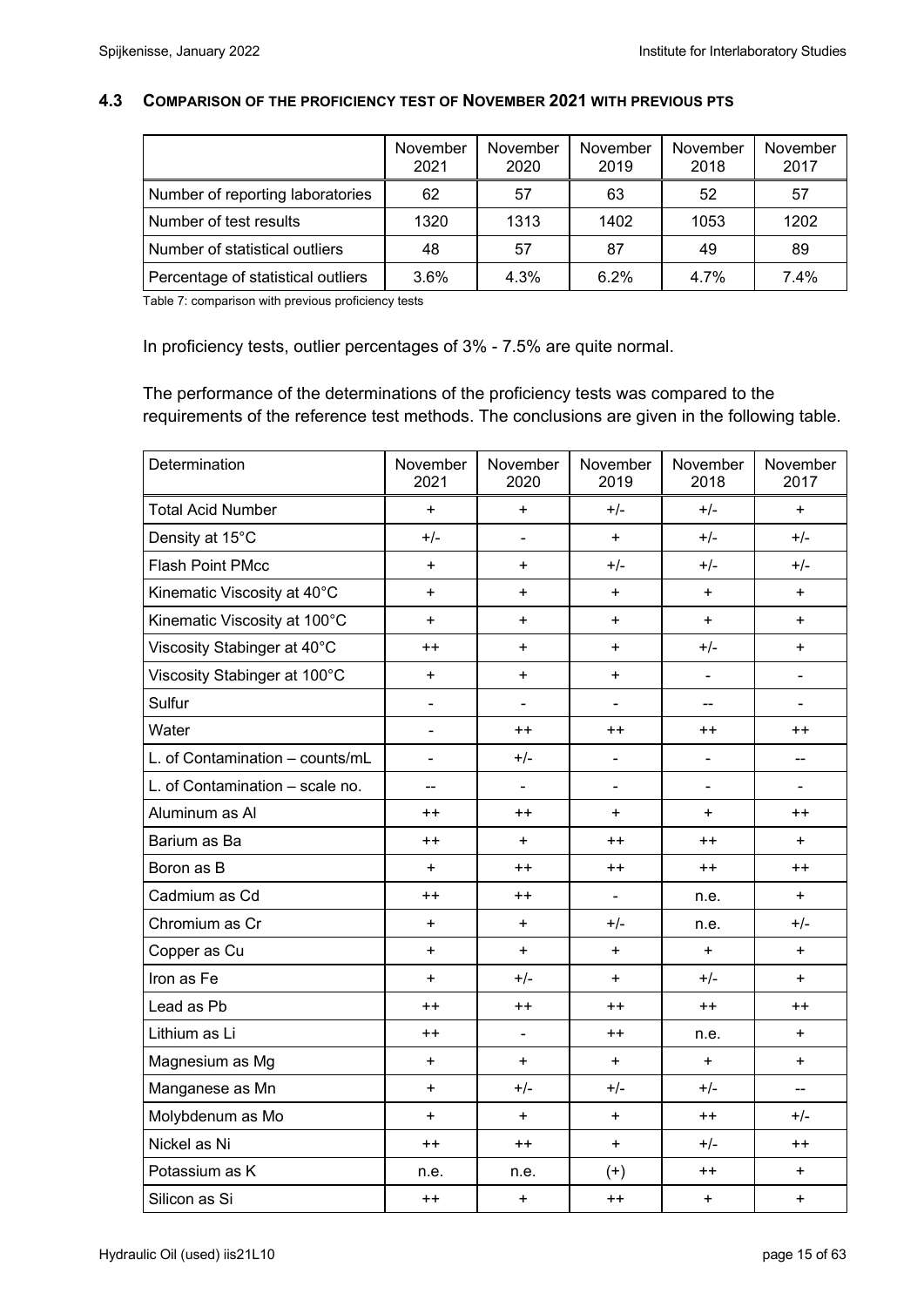#### **4.3 COMPARISON OF THE PROFICIENCY TEST OF NOVEMBER 2021 WITH PREVIOUS PTS**

|                                    | November<br>2021 | November<br>2020 | November<br>2019 | November<br>2018 | November<br>2017 |
|------------------------------------|------------------|------------------|------------------|------------------|------------------|
| Number of reporting laboratories   | 62               | 57               | 63               | 52               | 57               |
| Number of test results             | 1320             | 1313             | 1402             | 1053             | 1202             |
| Number of statistical outliers     | 48               | 57               | 87               | 49               | 89               |
| Percentage of statistical outliers | 3.6%             | 4.3%             | 6.2%             | 4.7%             | 7.4%             |

Table 7: comparison with previous proficiency tests

In proficiency tests, outlier percentages of 3% - 7.5% are quite normal.

The performance of the determinations of the proficiency tests was compared to the requirements of the reference test methods. The conclusions are given in the following table.

| Determination                   | November<br>2021             | November<br>2020             | November<br>2019             | November<br>2018         | November<br>2017 |
|---------------------------------|------------------------------|------------------------------|------------------------------|--------------------------|------------------|
| <b>Total Acid Number</b>        | $\ddot{}$                    | $\ddot{}$                    | $+/-$                        | $+/-$                    | $\ddot{}$        |
| Density at 15°C                 | $+/-$                        | $\blacksquare$               | $\ddot{}$                    | $+/-$                    | $+/-$            |
| <b>Flash Point PMcc</b>         | $\ddot{}$                    | $\ddot{}$                    | $+/-$                        | $+/-$                    | $+/-$            |
| Kinematic Viscosity at 40°C     | $\ddot{}$                    | $\ddot{}$                    | $\ddot{}$                    | $\ddot{}$                | $\ddot{}$        |
| Kinematic Viscosity at 100°C    | $\ddot{}$                    | $\ddot{}$                    | $+$                          | $+$                      | $+$              |
| Viscosity Stabinger at 40°C     | $++$                         | $\ddot{}$                    | $\ddot{}$                    | $+/-$                    | $+$              |
| Viscosity Stabinger at 100°C    | $\ddot{}$                    | $\ddot{}$                    | $\ddot{}$                    | $\overline{\phantom{a}}$ | $\blacksquare$   |
| Sulfur                          | $\qquad \qquad \blacksquare$ | $\overline{a}$               | $\blacksquare$               | $\rightarrow$            |                  |
| Water                           | ÷,                           | $++$                         | $^{++}$                      | $++$                     | $++$             |
| L. of Contamination - counts/mL | $\blacksquare$               | $+/-$                        | $\blacksquare$               | $\blacksquare$           | --               |
| L. of Contamination - scale no. | --                           | $\blacksquare$               | $\blacksquare$               | $\blacksquare$           | $\blacksquare$   |
| Aluminum as Al                  | $++$                         | $++$                         | $\ddot{}$                    | $+$                      | $++$             |
| Barium as Ba                    | $++$                         | $\ddot{}$                    | $++$                         | $++$                     | $+$              |
| Boron as B                      | $\ddot{}$                    | $^{++}$                      | $^{\mathrm{+}}$              | $++$                     | $++$             |
| Cadmium as Cd                   | $++$                         | $++$                         | $\qquad \qquad \blacksquare$ | n.e.                     | $\ddot{}$        |
| Chromium as Cr                  | $\ddot{}$                    | $\ddot{}$                    | $+/-$                        | n.e.                     | $+/-$            |
| Copper as Cu                    | $\ddot{}$                    | $\ddot{}$                    | +                            | $\ddot{}$                | $\ddot{}$        |
| Iron as Fe                      | $\ddot{}$                    | $+/-$                        | $\ddot{}$                    | $+/-$                    | $\ddot{}$        |
| Lead as Pb                      | $++$                         | $++$                         | $++$                         | $++$                     | $++$             |
| Lithium as Li                   | $++$                         | $\qquad \qquad \blacksquare$ | $++$                         | n.e.                     | $\ddot{}$        |
| Magnesium as Mg                 | +                            | $\ddot{}$                    | $\ddot{}$                    | $\ddot{}$                | $\ddot{}$        |
| Manganese as Mn                 | $\ddot{}$                    | $+/-$                        | $+/-$                        | $+/-$                    |                  |
| Molybdenum as Mo                | $\ddot{}$                    | $\ddot{}$                    | $\ddot{}$                    | $^{++}$                  | $+/-$            |
| Nickel as Ni                    | $++$                         | $++$                         | $\ddot{}$                    | $+/-$                    | $++$             |
| Potassium as K                  | n.e.                         | n.e.                         | $^{(+)}$                     | $++$                     | $\ddot{}$        |
| Silicon as Si                   | $++$                         | $\ddot{}$                    | $++$                         | $\ddot{}$                | $\ddot{}$        |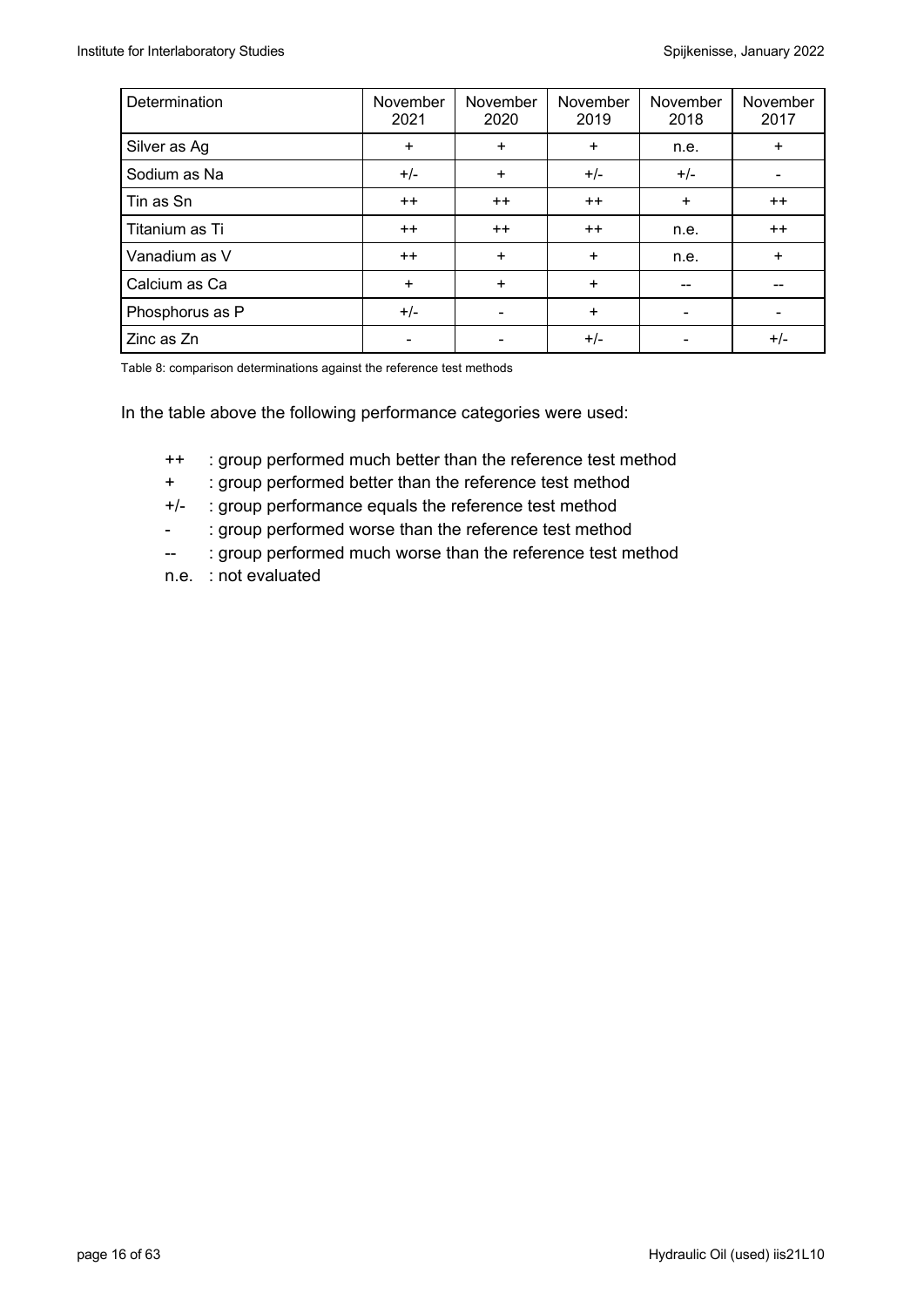| Determination   | November<br>2021         | November<br>2020 | November<br>2019 | November<br>2018 | November<br>2017 |
|-----------------|--------------------------|------------------|------------------|------------------|------------------|
| Silver as Ag    | $+$                      | $\ddot{}$        | $\ddot{}$        | n.e.             | $\ddot{}$        |
| Sodium as Na    | $+/-$                    | $\ddot{}$        | $+/-$            | $+/-$            |                  |
| Tin as Sn       | $++$                     | $++$             | $++$             | $\ddot{}$        | $++$             |
| Titanium as Ti  | $++$                     | $++$             | $++$             | n.e.             | $++$             |
| Vanadium as V   | $++$                     | $\ddot{}$        | $\ddot{}$        | n.e.             | $+$              |
| Calcium as Ca   | $\ddot{}$                | $\ddot{}$        | $\ddot{}$        | --               |                  |
| Phosphorus as P | $+/-$                    |                  | $\ddot{}$        |                  |                  |
| Zinc as Zn      | $\overline{\phantom{a}}$ |                  | $+/-$            |                  | $+/-$            |

Table 8: comparison determinations against the reference test methods

In the table above the following performance categories were used:

- ++ : group performed much better than the reference test method
- + : group performed better than the reference test method
- +/- : group performance equals the reference test method
- : group performed worse than the reference test method
- -- : group performed much worse than the reference test method
- n.e. : not evaluated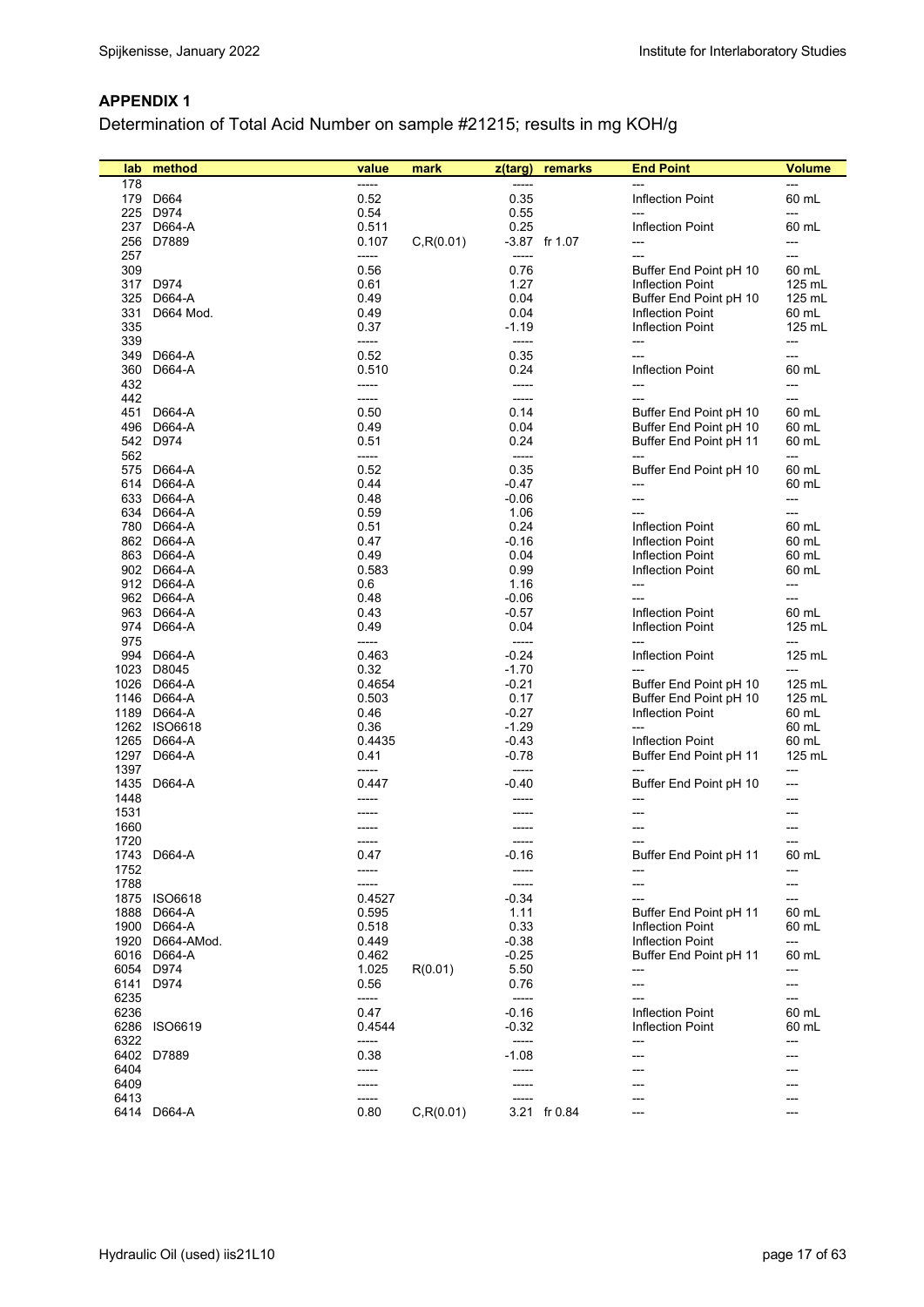#### **APPENDIX 1**

Determination of Total Acid Number on sample #21215; results in mg KOH/g

| lab  | method         | value          | mark       | z(targ) | remarks       | <b>End Point</b>                                  | Volume |
|------|----------------|----------------|------------|---------|---------------|---------------------------------------------------|--------|
| 178  |                | -----          |            | -----   |               |                                                   | ---    |
|      | 179 D664       | 0.52           |            | 0.35    |               | <b>Inflection Point</b>                           | 60 mL  |
|      | 225 D974       | 0.54           |            | 0.55    |               |                                                   | ---    |
| 237  | D664-A         | 0.511          |            | 0.25    |               | <b>Inflection Point</b>                           | 60 mL  |
| 256  | D7889          | 0.107          | C, R(0.01) |         | -3.87 fr 1.07 | ---                                               | ---    |
| 257  |                | -----          |            | -----   |               | $---$                                             | ---    |
| 309  |                | 0.56           |            | 0.76    |               | Buffer End Point pH 10                            | 60 mL  |
|      | 317 D974       | 0.61           |            | 1.27    |               | Inflection Point                                  | 125 mL |
|      | D664-A         |                |            | 0.04    |               |                                                   | 125 mL |
| 325  |                | 0.49           |            | 0.04    |               | Buffer End Point pH 10<br><b>Inflection Point</b> |        |
| 331  | D664 Mod.      | 0.49           |            |         |               |                                                   | 60 mL  |
| 335  |                | 0.37           |            | $-1.19$ |               | <b>Inflection Point</b>                           | 125 mL |
| 339  |                | -----          |            | -----   |               | ---                                               | ---    |
|      | 349 D664-A     | 0.52           |            | 0.35    |               | ---                                               | ---    |
| 360  | D664-A         | 0.510          |            | 0.24    |               | <b>Inflection Point</b>                           | 60 mL  |
| 432  |                | -----          |            | -----   |               | $\qquad \qquad \cdots$                            | $---$  |
| 442  |                | -----          |            | -----   |               |                                                   | $---$  |
|      | 451 D664-A     | 0.50           |            | 0.14    |               | Buffer End Point pH 10                            | 60 mL  |
| 496  | D664-A         | 0.49           |            | 0.04    |               | Buffer End Point pH 10                            | 60 mL  |
|      | 542 D974       | 0.51           |            | 0.24    |               | Buffer End Point pH 11                            | 60 mL  |
| 562  |                | -----          |            | $-----$ |               |                                                   | ---    |
|      | 575 D664-A     | 0.52           |            | 0.35    |               | Buffer End Point pH 10                            | 60 mL  |
|      | 614 D664-A     | 0.44           |            | $-0.47$ |               |                                                   | 60 mL  |
|      | 633 D664-A     | 0.48           |            | $-0.06$ |               | ---                                               | ---    |
|      | 634 D664-A     | 0.59           |            | 1.06    |               | ---                                               | ---    |
|      | 780 D664-A     | 0.51           |            | 0.24    |               | <b>Inflection Point</b>                           | 60 mL  |
|      | 862 D664-A     | 0.47           |            | $-0.16$ |               | <b>Inflection Point</b>                           | 60 mL  |
|      | 863 D664-A     | 0.49           |            | 0.04    |               | Inflection Point                                  | 60 mL  |
|      | 902 D664-A     | 0.583          |            | 0.99    |               | <b>Inflection Point</b>                           | 60 mL  |
|      | 912 D664-A     | 0.6            |            | 1.16    |               | ---                                               | ---    |
|      | 962 D664-A     | 0.48           |            | $-0.06$ |               |                                                   | ---    |
|      | 963 D664-A     | 0.43           |            | $-0.57$ |               | <b>Inflection Point</b>                           | 60 mL  |
|      | 974 D664-A     | 0.49           |            | 0.04    |               | <b>Inflection Point</b>                           | 125 mL |
| 975  |                | -----          |            | -----   |               |                                                   | ---    |
| 994  | D664-A         | 0.463          |            | $-0.24$ |               | <b>Inflection Point</b>                           | 125 mL |
|      | 1023 D8045     | 0.32           |            | $-1.70$ |               |                                                   | $---$  |
|      | 1026 D664-A    | 0.4654         |            | $-0.21$ |               | Buffer End Point pH 10                            | 125 mL |
|      | 1146 D664-A    | 0.503          |            | 0.17    |               | Buffer End Point pH 10                            | 125 mL |
|      | 1189 D664-A    | 0.46           |            | $-0.27$ |               | <b>Inflection Point</b>                           | 60 mL  |
|      | 1262 ISO6618   | 0.36           |            | $-1.29$ |               | $---$                                             | 60 mL  |
|      | 1265 D664-A    | 0.4435         |            | $-0.43$ |               | <b>Inflection Point</b>                           | 60 mL  |
| 1297 | D664-A         | 0.41           |            | $-0.78$ |               | Buffer End Point pH 11                            | 125 mL |
| 1397 |                | -----          |            | -----   |               |                                                   | ---    |
|      | 1435 D664-A    |                |            |         |               |                                                   |        |
| 1448 |                | 0.447<br>----- |            | $-0.40$ |               | Buffer End Point pH 10                            | $---$  |
|      |                |                |            |         |               |                                                   | ---    |
| 1531 |                |                |            |         |               |                                                   |        |
| 1660 |                |                |            |         |               |                                                   |        |
| 1720 |                | -----          |            | -----   |               |                                                   |        |
|      | 1743 D664-A    | 0.47           |            | $-0.16$ |               | Buffer End Point pH 11                            | 60 mL  |
| 1752 |                | -----          |            | ------  |               |                                                   | ---    |
| 1788 |                | ------         |            | -----   |               |                                                   | ---    |
| 1875 | <b>ISO6618</b> | 0.4527         |            | $-0.34$ |               |                                                   | $---$  |
| 1888 | D664-A         | 0.595          |            | 1.11    |               | Buffer End Point pH 11                            | 60 mL  |
| 1900 | D664-A         | 0.518          |            | 0.33    |               | <b>Inflection Point</b>                           | 60 mL  |
| 1920 | D664-AMod.     | 0.449          |            | $-0.38$ |               | <b>Inflection Point</b>                           | ---    |
|      | 6016 D664-A    | 0.462          |            | $-0.25$ |               | Buffer End Point pH 11                            | 60 mL  |
|      | 6054 D974      | 1.025          | R(0.01)    | 5.50    |               |                                                   | ---    |
| 6141 | D974           | 0.56           |            | 0.76    |               | ---                                               | $---$  |
| 6235 |                | -----          |            | -----   |               |                                                   | $---$  |
| 6236 |                | 0.47           |            | $-0.16$ |               | <b>Inflection Point</b>                           | 60 mL  |
| 6286 | <b>ISO6619</b> | 0.4544         |            | $-0.32$ |               | <b>Inflection Point</b>                           | 60 mL  |
| 6322 |                | -----          |            | -----   |               | ---                                               | ---    |
|      | 6402 D7889     | 0.38           |            | $-1.08$ |               | ---                                               | ---    |
| 6404 |                | -----          |            |         |               |                                                   |        |
| 6409 |                | -----          |            |         |               |                                                   |        |
| 6413 |                | ------         |            |         |               |                                                   | ---    |
|      | 6414 D664-A    | 0.80           | C, R(0.01) |         | 3.21 fr 0.84  | ---                                               | $---$  |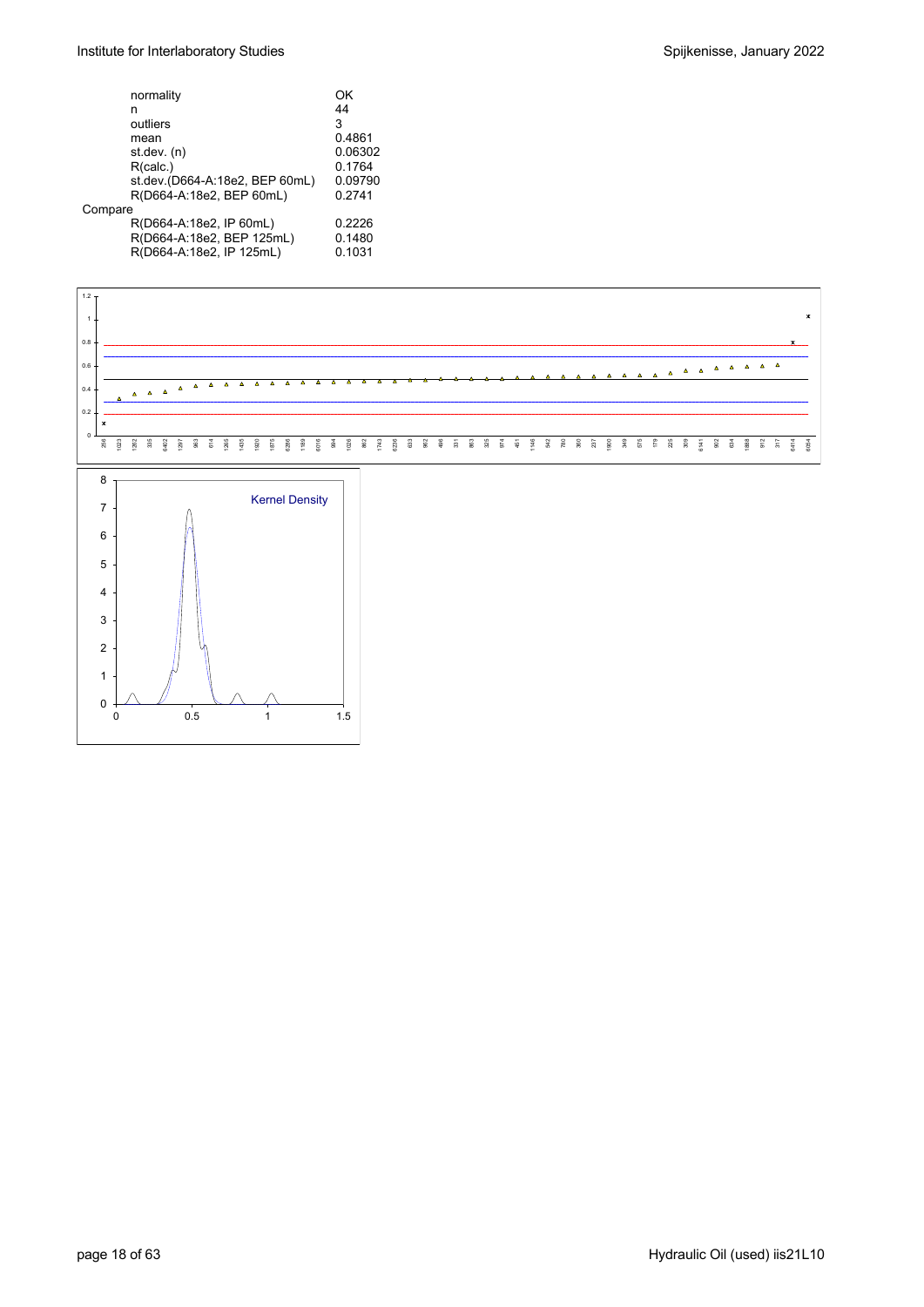| normality                      | ΩK      |
|--------------------------------|---------|
| n                              | 44      |
| outliers                       | 3       |
| mean                           | 0.4861  |
| st.dev. (n)                    | 0.06302 |
| R(calc.)                       | 0.1764  |
| st.dev.(D664-A:18e2, BEP 60mL) | 0.09790 |
| R(D664-A:18e2, BEP 60mL)       | 0.2741  |
| Compare                        |         |
| R(D664-A:18e2, IP 60mL)        | 0.2226  |
| R(D664-A:18e2, BEP 125mL)      | 0.1480  |
| R(D664-A:18e2, IP 125mL)       | 0.1031  |
|                                |         |

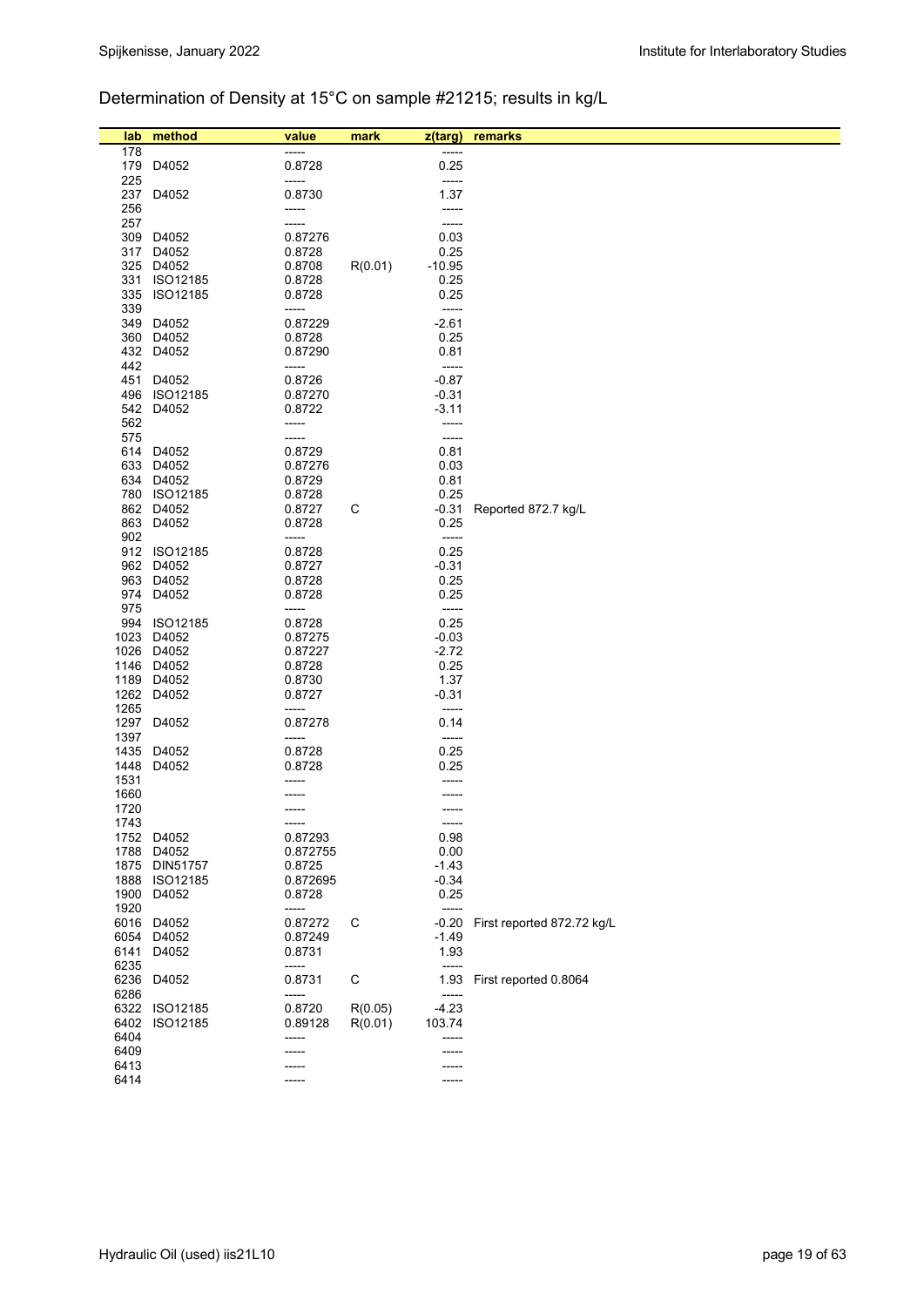## Determination of Density at 15°C on sample #21215; results in kg/L

| lab  | method                      | value              | mark    | z(targ)            | remarks                    |
|------|-----------------------------|--------------------|---------|--------------------|----------------------------|
| 178  |                             | -----              |         |                    |                            |
|      | 179 D4052                   | 0.8728             |         | 0.25               |                            |
| 225  |                             | -----              |         | $-----$            |                            |
|      | 237 D4052                   | 0.8730             |         | 1.37               |                            |
| 256  |                             | -----              |         | -----              |                            |
| 257  |                             |                    |         | -----              |                            |
|      | 309 D4052<br>317 D4052      | 0.87276<br>0.8728  |         | 0.03<br>0.25       |                            |
|      | 325 D4052                   | 0.8708             | R(0.01) | $-10.95$           |                            |
|      | 331 ISO12185                | 0.8728             |         | 0.25               |                            |
|      | 335 ISO12185                | 0.8728             |         | 0.25               |                            |
| 339  |                             | -----              |         | -----              |                            |
|      | 349 D4052                   | 0.87229            |         | $-2.61$            |                            |
|      | 360 D4052                   | 0.8728             |         | 0.25               |                            |
|      | 432 D4052                   | 0.87290            |         | 0.81               |                            |
| 442  |                             | -----              |         | -----              |                            |
|      | 451 D4052                   | 0.8726             |         | $-0.87$            |                            |
|      | 496 ISO12185<br>542 D4052   | 0.87270<br>0.8722  |         | $-0.31$<br>$-3.11$ |                            |
| 562  |                             | -----              |         | -----              |                            |
| 575  |                             | -----              |         | -----              |                            |
|      | 614 D4052                   | 0.8729             |         | 0.81               |                            |
|      | 633 D4052                   | 0.87276            |         | 0.03               |                            |
|      | 634 D4052                   | 0.8729             |         | 0.81               |                            |
|      | 780 ISO12185                | 0.8728             |         | 0.25               |                            |
|      | 862 D4052                   | 0.8727             | С       | -0.31              | Reported 872.7 kg/L        |
|      | 863 D4052                   | 0.8728             |         | 0.25               |                            |
| 902  |                             | -----              |         | -----              |                            |
|      | 912 ISO12185<br>962 D4052   | 0.8728             |         | 0.25               |                            |
|      | 963 D4052                   | 0.8727<br>0.8728   |         | $-0.31$<br>0.25    |                            |
|      | 974 D4052                   | 0.8728             |         | 0.25               |                            |
| 975  |                             | -----              |         | $-----1$           |                            |
|      | 994 ISO12185                | 0.8728             |         | 0.25               |                            |
|      | 1023 D4052                  | 0.87275            |         | $-0.03$            |                            |
|      | 1026 D4052                  | 0.87227            |         | $-2.72$            |                            |
|      | 1146 D4052                  | 0.8728             |         | 0.25               |                            |
|      | 1189 D4052                  | 0.8730             |         | 1.37               |                            |
|      | 1262 D4052                  | 0.8727             |         | $-0.31$            |                            |
| 1265 | 1297 D4052                  | -----<br>0.87278   |         | -----<br>0.14      |                            |
| 1397 |                             | -----              |         | -----              |                            |
| 1435 | D4052                       | 0.8728             |         | 0.25               |                            |
| 1448 | D4052                       | 0.8728             |         | 0.25               |                            |
| 1531 |                             |                    |         |                    |                            |
| 1660 |                             |                    |         |                    |                            |
| 1720 |                             |                    |         |                    |                            |
| 1743 |                             | -----              |         | -----              |                            |
|      | 1752 D4052                  | 0.87293            |         | 0.98               |                            |
|      | 1788 D4052<br>1875 DIN51757 | 0.872755<br>0.8725 |         | 0.00<br>$-1.43$    |                            |
|      | 1888 ISO12185               | 0.872695           |         | $-0.34$            |                            |
|      | 1900 D4052                  | 0.8728             |         | 0.25               |                            |
| 1920 |                             | -----              |         | -----              |                            |
|      | 6016 D4052                  | 0.87272            | С       | $-0.20$            | First reported 872.72 kg/L |
|      | 6054 D4052                  | 0.87249            |         | $-1.49$            |                            |
|      | 6141 D4052                  | 0.8731             |         | 1.93               |                            |
| 6235 |                             | -----              |         | -----              |                            |
| 6286 | 6236 D4052                  | 0.8731             | С       | 1.93               | First reported 0.8064      |
|      | 6322 ISO12185               | -----<br>0.8720    | R(0.05) | -----<br>$-4.23$   |                            |
|      | 6402 ISO12185               | 0.89128            | R(0.01) | 103.74             |                            |
| 6404 |                             | -----              |         | -----              |                            |
| 6409 |                             |                    |         |                    |                            |
| 6413 |                             |                    |         |                    |                            |
| 6414 |                             |                    |         | -----              |                            |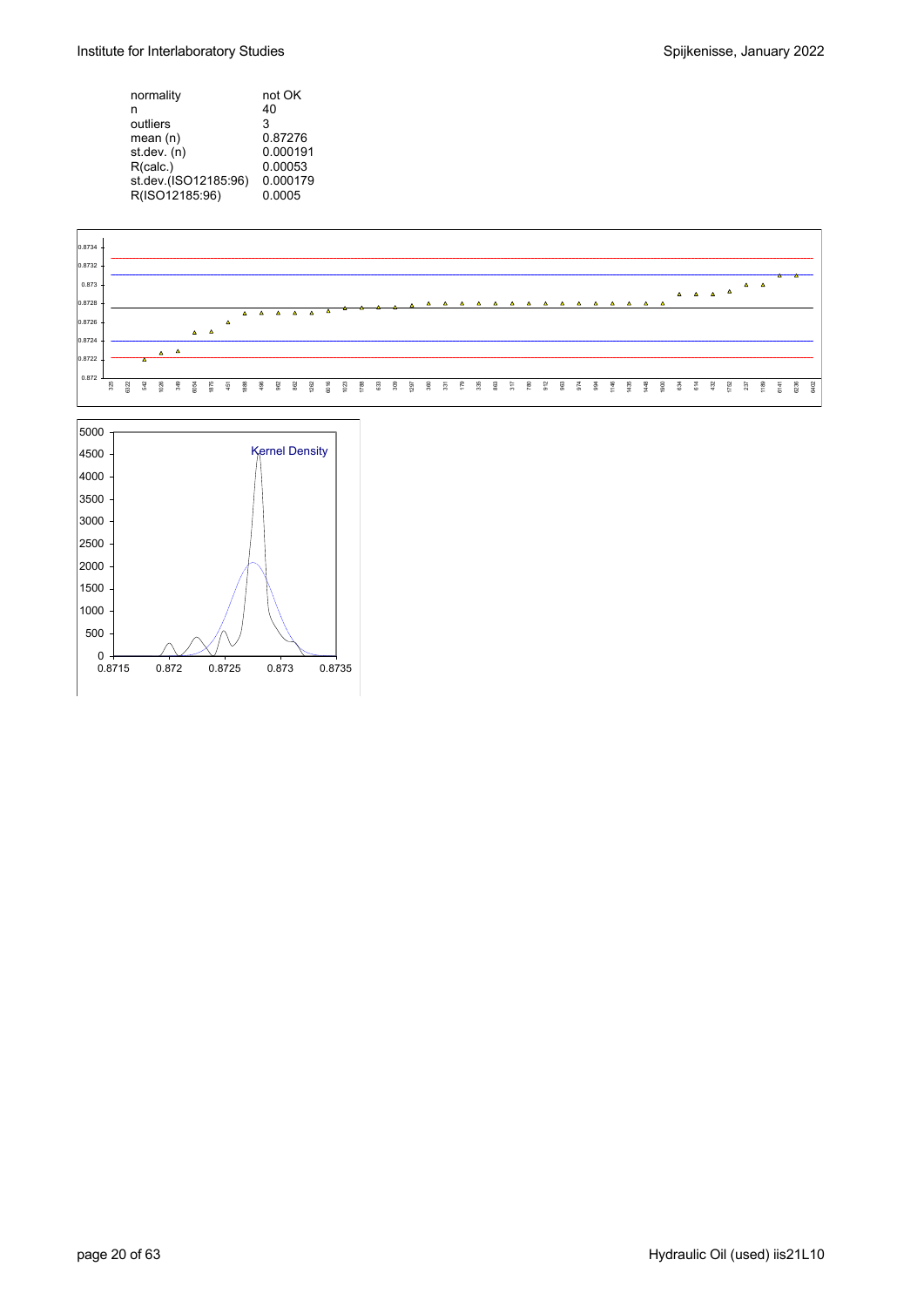| normality            | not OK   |
|----------------------|----------|
| n                    | 40       |
| outliers             | 3        |
| mean $(n)$           | 0.87276  |
| st.dev. (n)          | 0.000191 |
| R(calc.)             | 0.00053  |
| st.dev.(ISO12185.96) | 0.000179 |
| R(ISO12185:96)       | 0.0005   |



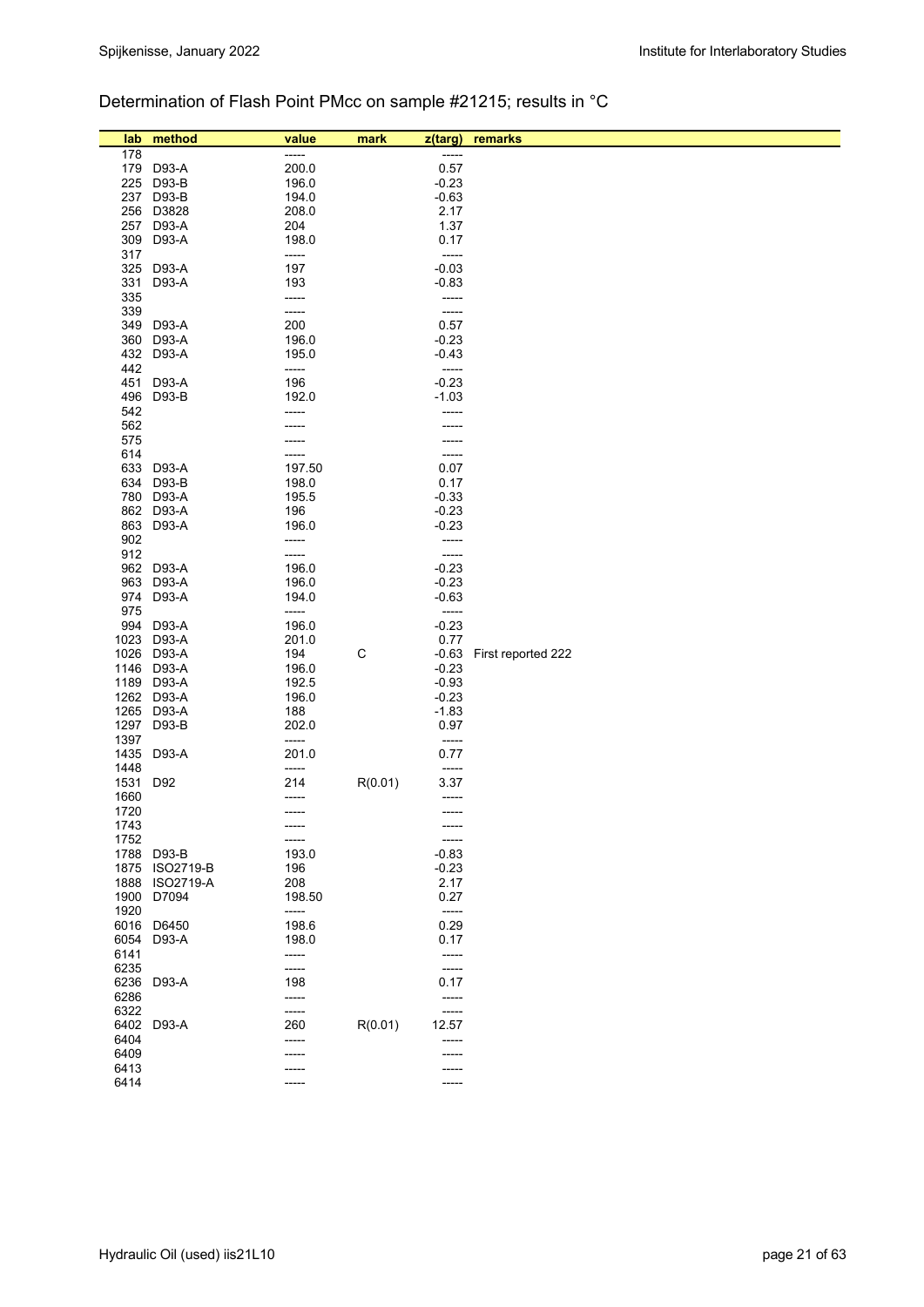### Determination of Flash Point PMcc on sample #21215; results in °C

| lab          | method                               | value<br>----- | mark    | z(targ)          | remarks            |
|--------------|--------------------------------------|----------------|---------|------------------|--------------------|
| 178          | 179 D93-A                            | 200.0          |         | -----<br>0.57    |                    |
| 225          | D93-B                                | 196.0          |         | $-0.23$          |                    |
| 237          | D93-B                                | 194.0          |         | $-0.63$          |                    |
| 256          | D3828                                | 208.0          |         | 2.17             |                    |
| 257          | D93-A                                | 204            |         | 1.37             |                    |
| 309          | D93-A                                | 198.0          |         | 0.17             |                    |
| 317          |                                      | -----          |         | -----            |                    |
| 325          | D93-A                                | 197            |         | $-0.03$          |                    |
| 331          | D93-A                                | 193            |         | $-0.83$          |                    |
| 335          |                                      | -----          |         | -----            |                    |
| 339          |                                      | -----          |         | -----            |                    |
| 349          | D93-A                                | 200            |         | 0.57             |                    |
| 360          | D93-A                                | 196.0          |         | $-0.23$          |                    |
| 432<br>442   | D93-A                                | 195.0<br>----- |         | $-0.43$<br>----- |                    |
| 451          | D93-A                                | 196            |         | $-0.23$          |                    |
| 496          | D93-B                                | 192.0          |         | $-1.03$          |                    |
| 542          |                                      | -----          |         | -----            |                    |
| 562          |                                      |                |         |                  |                    |
| 575          |                                      |                |         |                  |                    |
| 614          |                                      | -----          |         | -----            |                    |
| 633          | D93-A                                | 197.50         |         | 0.07             |                    |
| 634          | D93-B                                | 198.0          |         | 0.17             |                    |
| 780          | D93-A                                | 195.5          |         | $-0.33$          |                    |
|              | 862 D93-A                            | 196            |         | $-0.23$          |                    |
| 863<br>902   | D93-A                                | 196.0<br>----- |         | $-0.23$<br>----- |                    |
| 912          |                                      | -----          |         | -----            |                    |
| 962          | D93-A                                | 196.0          |         | $-0.23$          |                    |
| 963          | D93-A                                | 196.0          |         | $-0.23$          |                    |
| 974          | D93-A                                | 194.0          |         | $-0.63$          |                    |
| 975          |                                      | -----          |         | -----            |                    |
| 994          | D93-A                                | 196.0          |         | $-0.23$          |                    |
| 1023         | D93-A                                | 201.0          |         | 0.77             |                    |
| 1026         | D93-A                                | 194            | С       | $-0.63$          | First reported 222 |
| 1146         | D93-A                                | 196.0          |         | $-0.23$          |                    |
|              | 1189 D93-A                           | 192.5          |         | $-0.93$          |                    |
|              | 1262 D93-A                           | 196.0          |         | $-0.23$          |                    |
| 1265<br>1297 | D93-A<br>D93-B                       | 188<br>202.0   |         | $-1.83$<br>0.97  |                    |
| 1397         |                                      | -----          |         | -----            |                    |
| 1435         | D93-A                                | 201.0          |         | 0.77             |                    |
| 1448         |                                      | -----          |         | -----            |                    |
| 1531         | D92                                  | 214            | R(0.01) | 3.37             |                    |
| 1660         |                                      | -----          |         | -----            |                    |
| 1720         |                                      | -----          |         | -----            |                    |
| 1743         |                                      |                |         |                  |                    |
| 1752         |                                      | -----          |         |                  |                    |
| 1788         | D93-B                                | 193.0          |         | $-0.83$          |                    |
| 1875<br>1888 | <b>ISO2719-B</b><br><b>ISO2719-A</b> | 196<br>208     |         | $-0.23$<br>2.17  |                    |
| 1900         | D7094                                | 198.50         |         | 0.27             |                    |
| 1920         |                                      | -----          |         | -----            |                    |
| 6016         | D6450                                | 198.6          |         | 0.29             |                    |
| 6054         | D93-A                                | 198.0          |         | 0.17             |                    |
| 6141         |                                      | -----          |         | -----            |                    |
| 6235         |                                      | -----          |         | -----            |                    |
| 6236         | D93-A                                | 198            |         | 0.17             |                    |
| 6286         |                                      | -----          |         | -----            |                    |
| 6322         |                                      | -----          |         | -----            |                    |
|              | 6402 D93-A                           | 260            | R(0.01) | 12.57            |                    |
| 6404<br>6409 |                                      | -----          |         | -----            |                    |
| 6413         |                                      |                |         |                  |                    |
| 6414         |                                      | -----          |         | -----            |                    |
|              |                                      |                |         |                  |                    |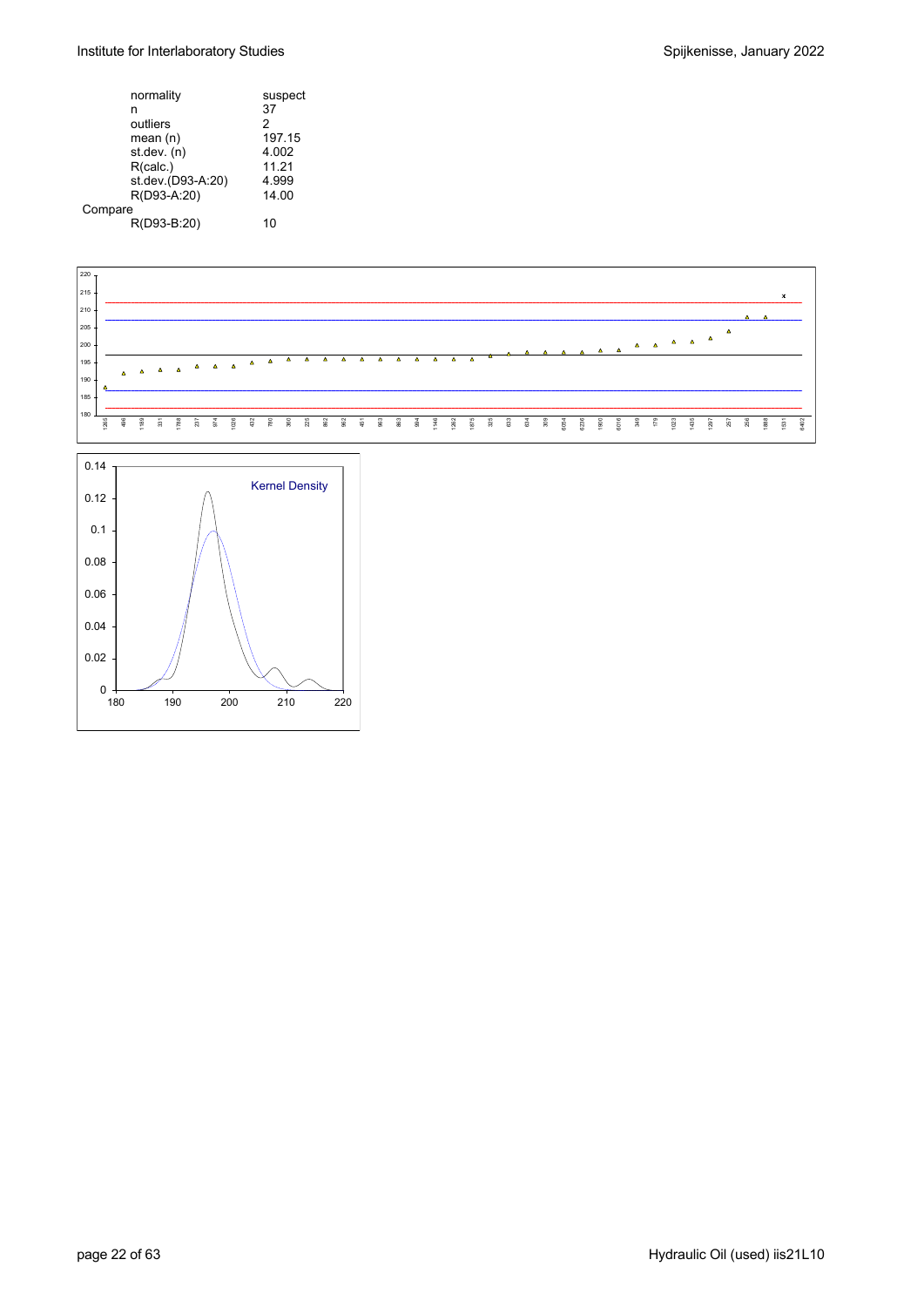#### Institute for Interlaboratory Studies and Spijkenisse, January 2022

| normality         | suspect       |
|-------------------|---------------|
| n                 | 37            |
| outliers          | $\mathcal{P}$ |
| mean(n)           | 197.15        |
| st.dev. (n)       | 4.002         |
| R(calc.)          | 11.21         |
| st.dev.(D93-A:20) | 4.999         |
| R(D93-A:20)       | 14.00         |
| Compare           |               |
| R(D93-B:20)       | 10            |
|                   |               |



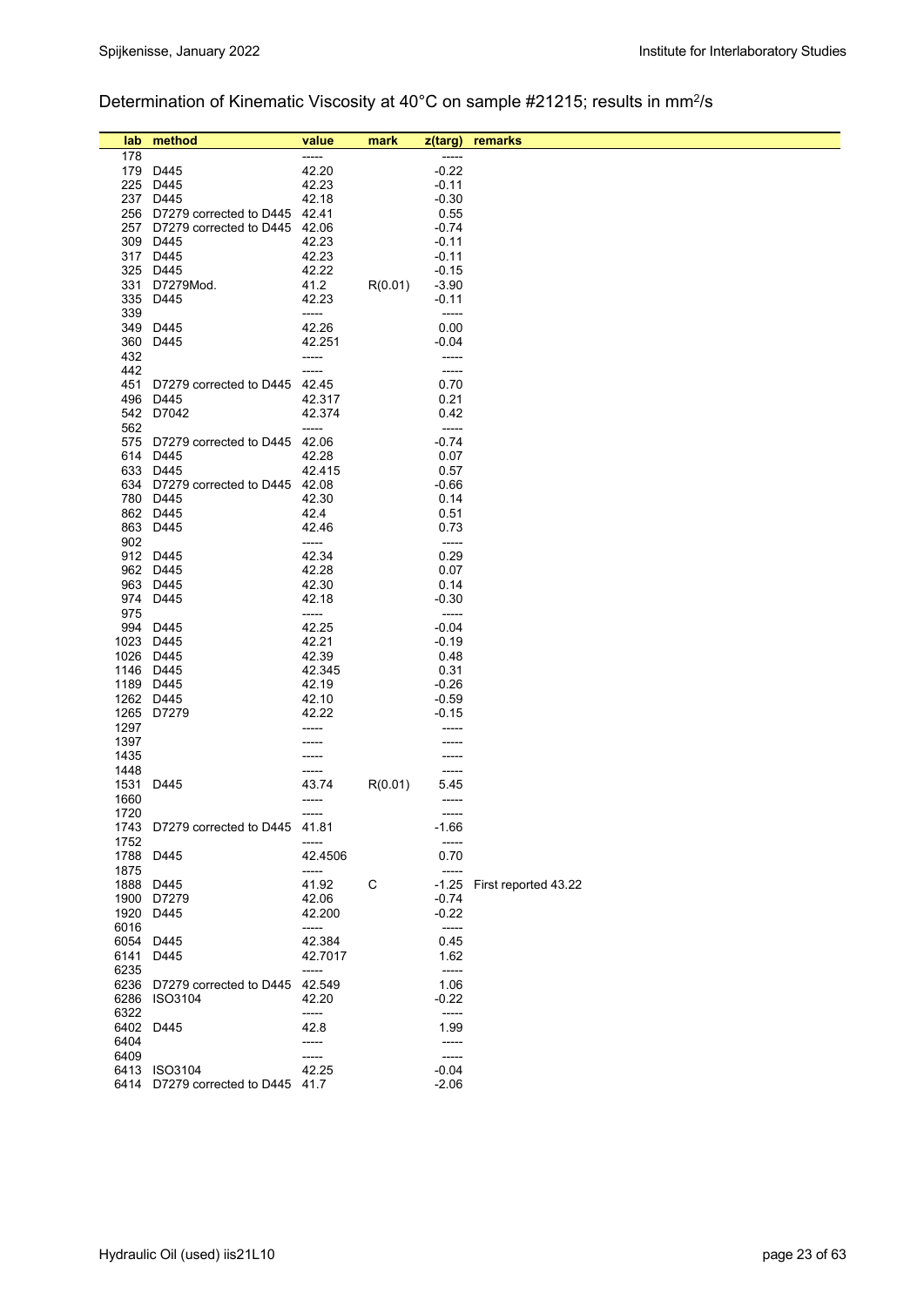# Determination of Kinematic Viscosity at 40°C on sample #21215; results in mm2/s

| lab<br>178 | method                                        | value<br>-----  | mark    | z(targ)            | remarks              |
|------------|-----------------------------------------------|-----------------|---------|--------------------|----------------------|
|            | 179 D445                                      | 42.20           |         | $-0.22$            |                      |
|            | 225 D445                                      | 42.23           |         | $-0.11$            |                      |
|            | 237 D445                                      | 42.18           |         | $-0.30$            |                      |
|            | 256 D7279 corrected to D445 42.41             |                 |         | 0.55               |                      |
|            | 257 D7279 corrected to D445 42.06             |                 |         | $-0.74$            |                      |
|            | 309 D445                                      | 42.23           |         | $-0.11$            |                      |
|            | 317 D445                                      | 42.23           |         | $-0.11$            |                      |
|            | 325 D445                                      | 42.22           |         | $-0.15$            |                      |
|            | 331 D7279Mod.                                 | 41.2            | R(0.01) | $-3.90$            |                      |
|            | 335 D445                                      | 42.23           |         | $-0.11$            |                      |
| 339        |                                               | -----           |         | -----              |                      |
|            | 349 D445                                      | 42.26           |         | 0.00               |                      |
|            | 360 D445                                      | 42.251          |         | $-0.04$            |                      |
| 432        |                                               | -----           |         | -----              |                      |
| 442        |                                               | -----           |         | $-----$            |                      |
| 451        | D7279 corrected to D445                       | 42.45           |         | 0.70               |                      |
|            | 496 D445                                      | 42.317          |         | 0.21               |                      |
|            | 542 D7042                                     | 42.374          |         | 0.42               |                      |
| 562        |                                               | -----           |         | $-----$            |                      |
|            | 575 D7279 corrected to D445                   | 42.06           |         | $-0.74$            |                      |
|            | 614 D445                                      | 42.28           |         | 0.07               |                      |
|            | 633 D445<br>634 D7279 corrected to D445 42.08 | 42.415          |         | 0.57<br>$-0.66$    |                      |
|            | 780 D445                                      | 42.30           |         | 0.14               |                      |
|            | 862 D445                                      | 42.4            |         | 0.51               |                      |
|            | 863 D445                                      | 42.46           |         | 0.73               |                      |
| 902        |                                               | -----           |         | -----              |                      |
|            | 912 D445                                      | 42.34           |         | 0.29               |                      |
|            | 962 D445                                      | 42.28           |         | 0.07               |                      |
|            | 963 D445                                      | 42.30           |         | 0.14               |                      |
|            | 974 D445                                      | 42.18           |         | $-0.30$            |                      |
| 975        |                                               | -----           |         | $-----$            |                      |
|            | 994 D445                                      | 42.25           |         | $-0.04$            |                      |
|            | 1023 D445                                     | 42.21           |         | $-0.19$            |                      |
|            | 1026 D445                                     | 42.39           |         | 0.48               |                      |
|            | 1146 D445                                     | 42.345          |         | 0.31               |                      |
|            | 1189 D445                                     | 42.19           |         | $-0.26$            |                      |
|            | 1262 D445<br>1265 D7279                       | 42.10           |         | $-0.59$            |                      |
| 1297       |                                               | 42.22           |         | $-0.15$            |                      |
| 1397       |                                               |                 |         |                    |                      |
| 1435       |                                               |                 |         |                    |                      |
| 1448       |                                               |                 |         |                    |                      |
| 1531       | D445                                          | 43.74           | R(0.01) | 5.45               |                      |
| 1660       |                                               | ----            |         | -----              |                      |
| 1720       |                                               | -----           |         | -----              |                      |
|            | 1743 D7279 corrected to D445 41.81            |                 |         | $-1.66$            |                      |
| 1752       |                                               | -----           |         | $-----$            |                      |
| 1788       | D445                                          | 42.4506         |         | 0.70               |                      |
| 1875       |                                               | -----           |         | $-----$            |                      |
|            | 1888 D445                                     | 41.92           | C       | $-1.25$            | First reported 43.22 |
|            | 1900 D7279<br>1920 D445                       | 42.06           |         | $-0.74$<br>$-0.22$ |                      |
| 6016       |                                               | 42.200<br>----- |         | -----              |                      |
|            | 6054 D445                                     | 42.384          |         | 0.45               |                      |
|            | 6141 D445                                     | 42.7017         |         | 1.62               |                      |
| 6235       |                                               | -----           |         | $-----$            |                      |
|            | 6236 D7279 corrected to D445                  | 42.549          |         | 1.06               |                      |
|            | 6286 ISO3104                                  | 42.20           |         | $-0.22$            |                      |
| 6322       |                                               | -----           |         | -----              |                      |
|            | 6402 D445                                     | 42.8            |         | 1.99               |                      |
| 6404       |                                               | -----           |         | -----              |                      |
| 6409       |                                               | -----           |         | $-----$            |                      |
|            | 6413 ISO3104                                  | 42.25           |         | $-0.04$            |                      |
|            | 6414 D7279 corrected to D445 41.7             |                 |         | $-2.06$            |                      |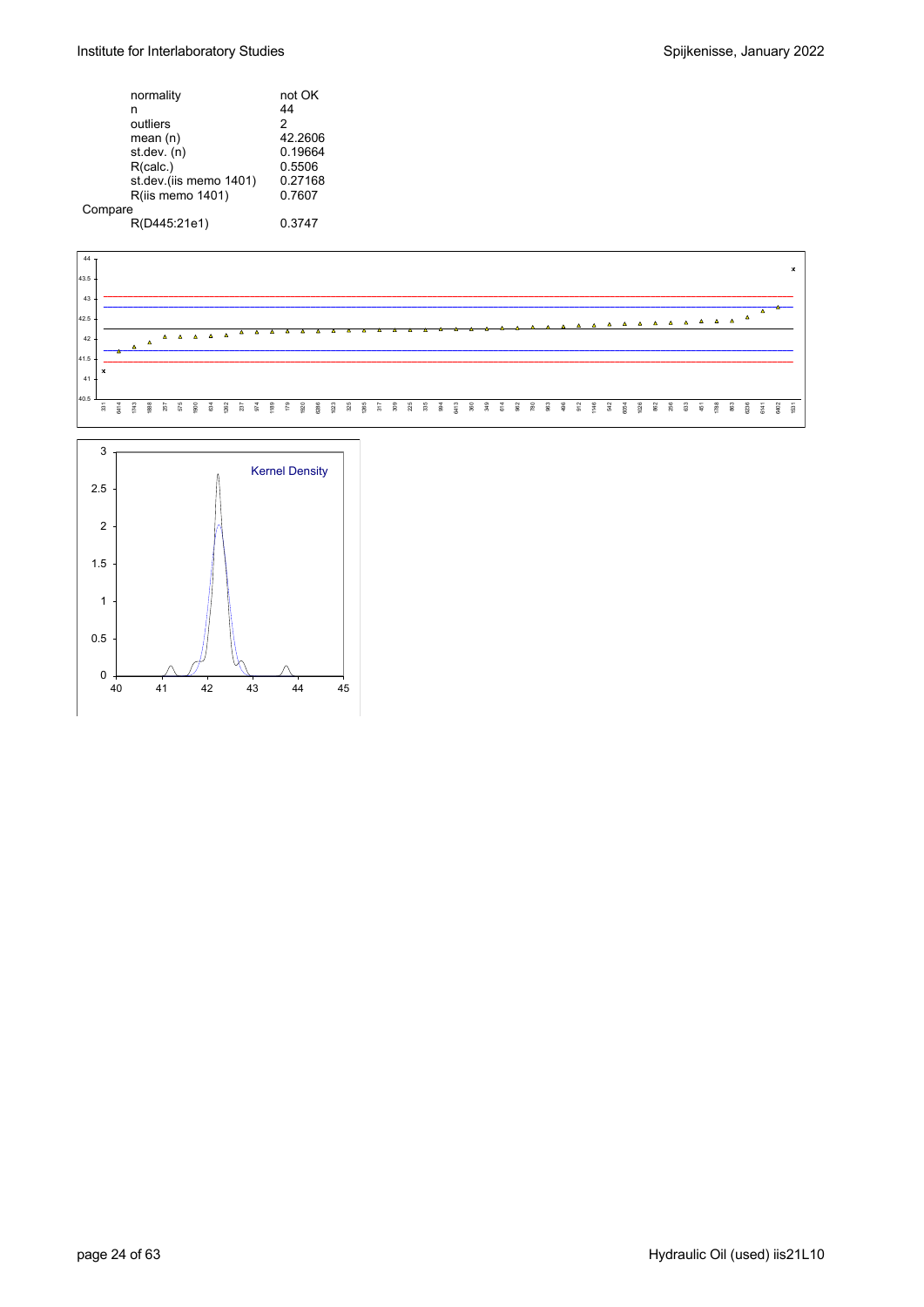#### Institute for Interlaboratory Studies **Spice Accord Engineering** Spijkenisse, January 2022

|         | normality              | not OK        |
|---------|------------------------|---------------|
|         | n                      | 44            |
|         | outliers               | $\mathcal{P}$ |
|         | mean $(n)$             | 42.2606       |
|         | st.dev. (n)            | 0.19664       |
|         | R(calc.)               | 0.5506        |
|         | st.dev.(iis memo 1401) | 0.27168       |
|         | R(iis memo 1401)       | 0.7607        |
| Compare |                        |               |
|         | R(D445:21e1)           | 0.3747        |



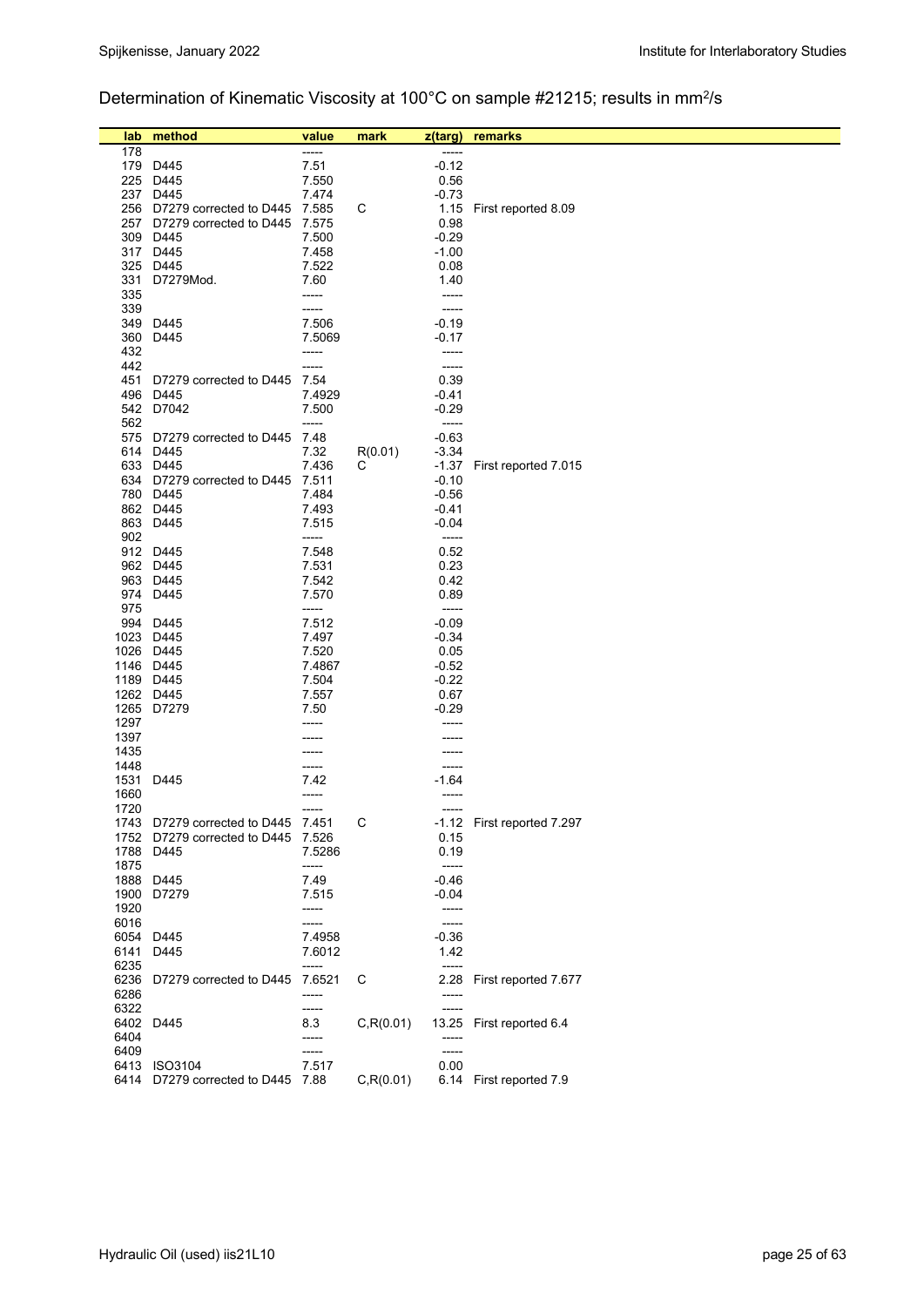### Determination of Kinematic Viscosity at 100°C on sample #21215; results in mm<sup>2</sup>/s

| lab          | method                             | value          | mark       | z(targ)        | remarks                    |
|--------------|------------------------------------|----------------|------------|----------------|----------------------------|
| 178          |                                    | -----          |            | -----          |                            |
|              | 179 D445                           | 7.51           |            | $-0.12$        |                            |
|              | 225 D445                           | 7.550          |            | 0.56           |                            |
|              | 237 D445                           | 7.474          |            | $-0.73$        |                            |
|              | 256 D7279 corrected to D445        | 7.585          | С          | 1.15           | First reported 8.09        |
|              | 257 D7279 corrected to D445 7.575  |                |            | 0.98           |                            |
|              | 309 D445                           | 7.500          |            | $-0.29$        |                            |
|              | 317 D445                           | 7.458          |            | $-1.00$        |                            |
|              | 325 D445                           | 7.522          |            | 0.08           |                            |
| 331          | D7279Mod.                          | 7.60           |            | 1.40           |                            |
| 335          |                                    | -----          |            | -----          |                            |
| 339          |                                    | -----          |            | -----          |                            |
|              | 349 D445                           | 7.506          |            | $-0.19$        |                            |
| 360          | D445                               | 7.5069         |            | $-0.17$        |                            |
| 432<br>442   |                                    | -----<br>----- |            | -----<br>----- |                            |
| 451          | D7279 corrected to D445 7.54       |                |            | 0.39           |                            |
|              | 496 D445                           | 7.4929         |            | -0.41          |                            |
|              | 542 D7042                          | 7.500          |            | $-0.29$        |                            |
| 562          |                                    | -----          |            | -----          |                            |
| 575          | D7279 corrected to D445            | 7.48           |            | $-0.63$        |                            |
|              | 614 D445                           | 7.32           | R(0.01)    | $-3.34$        |                            |
|              | 633 D445                           | 7.436          | С          | $-1.37$        | First reported 7.015       |
|              | 634 D7279 corrected to D445 7.511  |                |            | $-0.10$        |                            |
|              | 780 D445                           | 7.484          |            | $-0.56$        |                            |
|              | 862 D445                           | 7.493          |            | $-0.41$        |                            |
|              | 863 D445                           | 7.515          |            | $-0.04$        |                            |
| 902          |                                    | -----          |            | -----          |                            |
|              | 912 D445<br>962 D445               | 7.548<br>7.531 |            | 0.52<br>0.23   |                            |
|              | 963 D445                           | 7.542          |            | 0.42           |                            |
|              | 974 D445                           | 7.570          |            | 0.89           |                            |
| 975          |                                    | -----          |            | $-----1$       |                            |
|              | 994 D445                           | 7.512          |            | $-0.09$        |                            |
|              | 1023 D445                          | 7.497          |            | $-0.34$        |                            |
|              | 1026 D445                          | 7.520          |            | 0.05           |                            |
|              | 1146 D445                          | 7.4867         |            | $-0.52$        |                            |
|              | 1189 D445                          | 7.504          |            | $-0.22$        |                            |
|              | 1262 D445                          | 7.557          |            | 0.67           |                            |
|              | 1265 D7279                         | 7.50           |            | $-0.29$        |                            |
| 1297<br>1397 |                                    | -----          |            | -----          |                            |
| 1435         |                                    |                |            |                |                            |
| 1448         |                                    | -----          |            |                |                            |
| 1531         | D445                               | 7.42           |            | -1.64          |                            |
| 1660         |                                    | -----          |            |                |                            |
| 1720         |                                    | -----          |            |                |                            |
|              | 1743 D7279 corrected to D445 7.451 |                | С          |                | -1.12 First reported 7.297 |
| 1752         | D7279 corrected to D445            | 7.526          |            | 0.15           |                            |
| 1788         | D445                               | 7.5286         |            | 0.19           |                            |
| 1875         |                                    | -----          |            | -----          |                            |
|              | 1888 D445                          | 7.49           |            | -0.46          |                            |
| 1900         | D7279                              | 7.515          |            | $-0.04$        |                            |
| 1920<br>6016 |                                    | -----<br>----- |            | -----<br>----- |                            |
| 6054         | D445                               | 7.4958         |            | $-0.36$        |                            |
| 6141         | D445                               | 7.6012         |            | 1.42           |                            |
| 6235         |                                    | -----          |            | -----          |                            |
| 6236         | D7279 corrected to D445            | 7.6521         | С          | 2.28           | First reported 7.677       |
| 6286         |                                    | -----          |            | -----          |                            |
| 6322         |                                    | -----          |            | -----          |                            |
|              | 6402 D445                          | 8.3            | C, R(0.01) |                | 13.25 First reported 6.4   |
| 6404         |                                    | -----          |            | -----          |                            |
| 6409         |                                    | -----          |            | -----          |                            |
|              | 6413 ISO3104                       | 7.517          |            | 0.00           |                            |
|              | 6414 D7279 corrected to D445 7.88  |                | C, R(0.01) |                | 6.14 First reported 7.9    |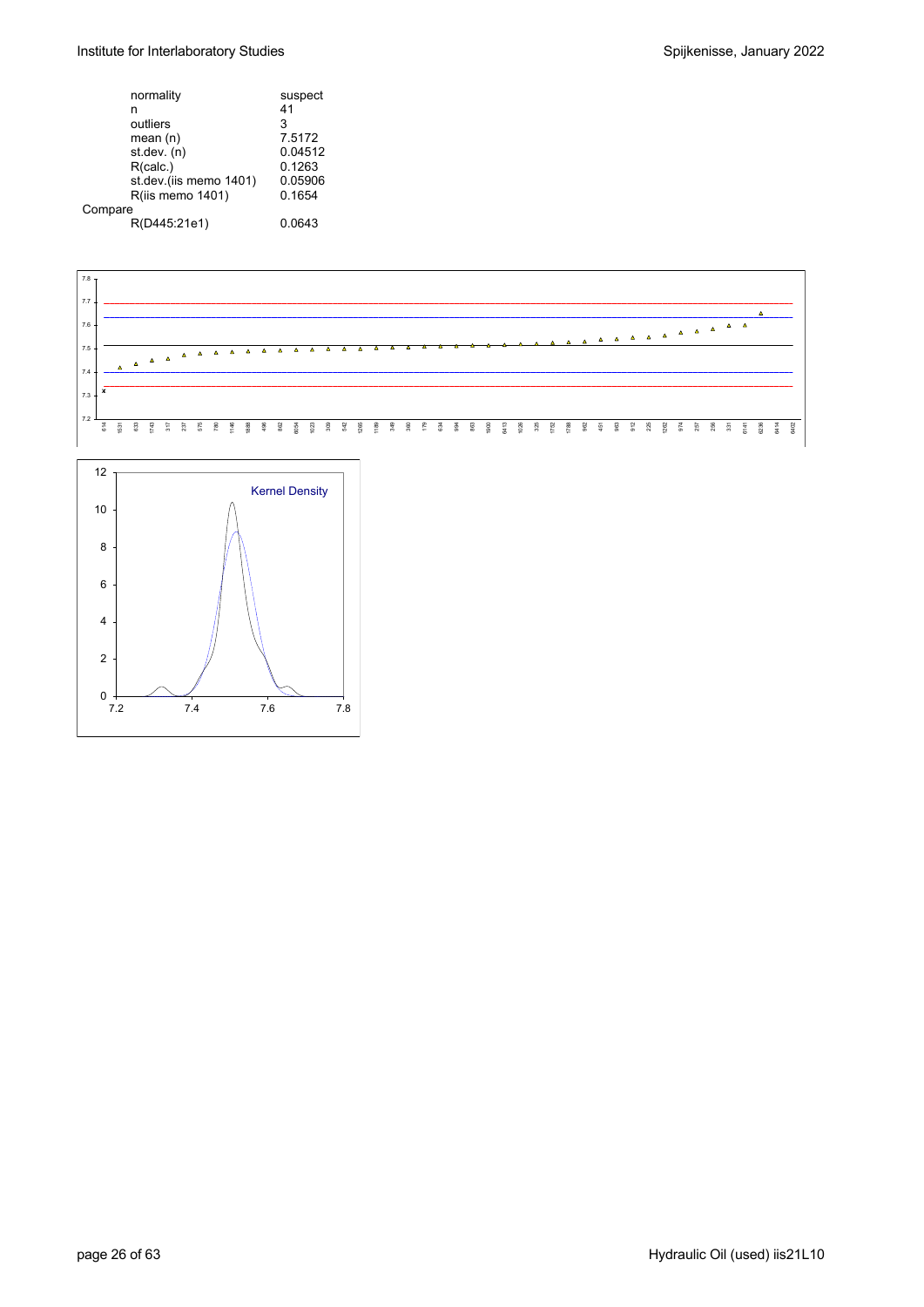#### Institute for Interlaboratory Studies and Spijkenisse, January 2022

|         | normality              | suspect |
|---------|------------------------|---------|
|         | n                      | 41      |
|         | outliers               | 3       |
|         | mean $(n)$             | 7.5172  |
|         | st.dev. (n)            | 0.04512 |
|         | R(calc.)               | 0.1263  |
|         | st.dev.(iis memo 1401) | 0.05906 |
|         | R(iis memo 1401)       | 0.1654  |
| Compare |                        |         |
|         | R(D445:21e1)           | 0.0643  |
|         |                        |         |



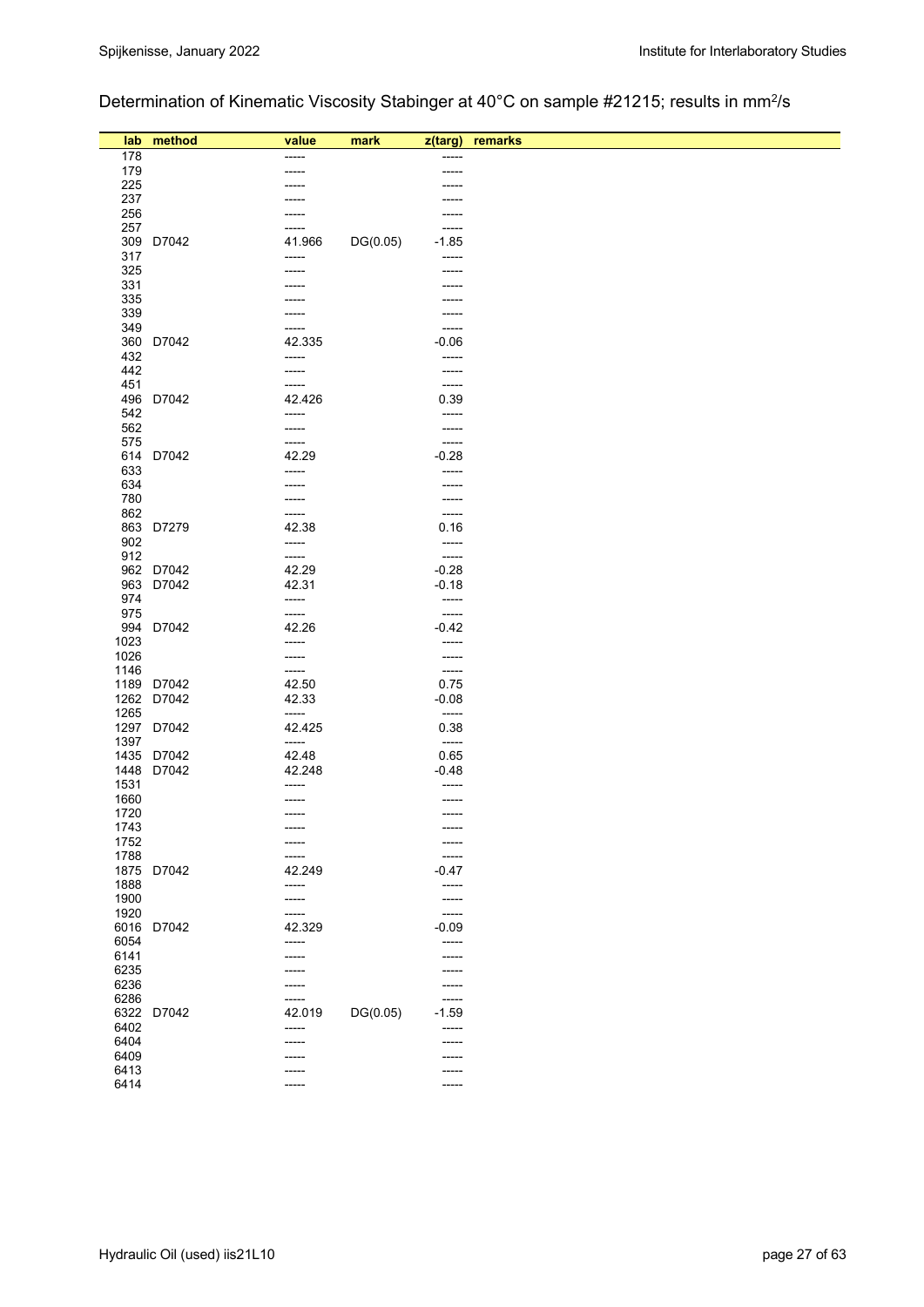# Determination of Kinematic Viscosity Stabinger at 40°C on sample #21215; results in mm<sup>2</sup>/s

|              | lab method | value<br>-----  | mark     | z(targ)          | remarks |
|--------------|------------|-----------------|----------|------------------|---------|
| 178<br>179   |            |                 |          | -----            |         |
| 225          |            | -----           |          | -----            |         |
| 237          |            |                 |          | -----            |         |
| 256          |            | -----           |          | -----            |         |
| 257          |            | -----           |          | -----            |         |
| 309          | D7042      | 41.966          | DG(0.05) | $-1.85$          |         |
| 317          |            | -----           |          | -----            |         |
| 325          |            |                 |          | -----            |         |
| 331          |            |                 |          |                  |         |
| 335          |            |                 |          | -----            |         |
| 339          |            |                 |          | -----            |         |
| 349          |            | -----           |          | -----            |         |
|              | 360 D7042  | 42.335          |          | $-0.06$          |         |
| 432          |            | -----           |          | -----            |         |
| 442          |            | -----           |          | -----            |         |
| 451          |            | -----           |          | -----            |         |
| 542          | 496 D7042  | 42.426<br>----- |          | 0.39<br>-----    |         |
| 562          |            | -----           |          | -----            |         |
| 575          |            | -----           |          | -----            |         |
|              | 614 D7042  | 42.29           |          | $-0.28$          |         |
| 633          |            | -----           |          | -----            |         |
| 634          |            |                 |          | -----            |         |
| 780          |            |                 |          | -----            |         |
| 862          |            | -----           |          | -----            |         |
|              | 863 D7279  | 42.38           |          | 0.16             |         |
| 902          |            | -----           |          | $-----$          |         |
| 912          |            | -----           |          | -----            |         |
|              | 962 D7042  | 42.29           |          | $-0.28$          |         |
| 974          | 963 D7042  | 42.31<br>-----  |          | $-0.18$<br>----- |         |
| 975          |            | -----           |          | -----            |         |
|              | 994 D7042  | 42.26           |          | $-0.42$          |         |
| 1023         |            | -----           |          | -----            |         |
| 1026         |            | -----           |          | -----            |         |
| 1146         |            | -----           |          | $-----$          |         |
|              | 1189 D7042 | 42.50           |          | 0.75             |         |
|              | 1262 D7042 | 42.33           |          | $-0.08$          |         |
| 1265         |            | -----           |          | -----            |         |
|              | 1297 D7042 | 42.425<br>----- |          | 0.38             |         |
| 1397         | 1435 D7042 | 42.48           |          | -----<br>0.65    |         |
|              | 1448 D7042 | 42.248          |          | $-0.48$          |         |
| 1531         |            | -----           |          | -----            |         |
| 1660         |            | -----           |          | $-----1$         |         |
| 1720         |            | -----           |          | -----            |         |
| 1743         |            | -----           |          | -----            |         |
| 1752         |            |                 |          | -----            |         |
| 1788         |            | -----           |          | -----            |         |
| 1875         | D7042      | 42.249          |          | $-0.47$          |         |
| 1888         |            | -----           |          | -----            |         |
| 1900         |            | -----           |          | $-----1$         |         |
| 1920<br>6016 | D7042      | -----<br>42.329 |          | -----<br>$-0.09$ |         |
| 6054         |            | -----           |          | -----            |         |
| 6141         |            |                 |          | -----            |         |
| 6235         |            |                 |          | -----            |         |
| 6236         |            | -----           |          | -----            |         |
| 6286         |            | -----           |          | -----            |         |
|              | 6322 D7042 | 42.019          | DG(0.05) | $-1.59$          |         |
| 6402         |            | -----           |          | -----            |         |
| 6404         |            | -----           |          | -----            |         |
| 6409         |            |                 |          | -----            |         |
| 6413<br>6414 |            |                 |          | -----            |         |
|              |            | -----           |          | -----            |         |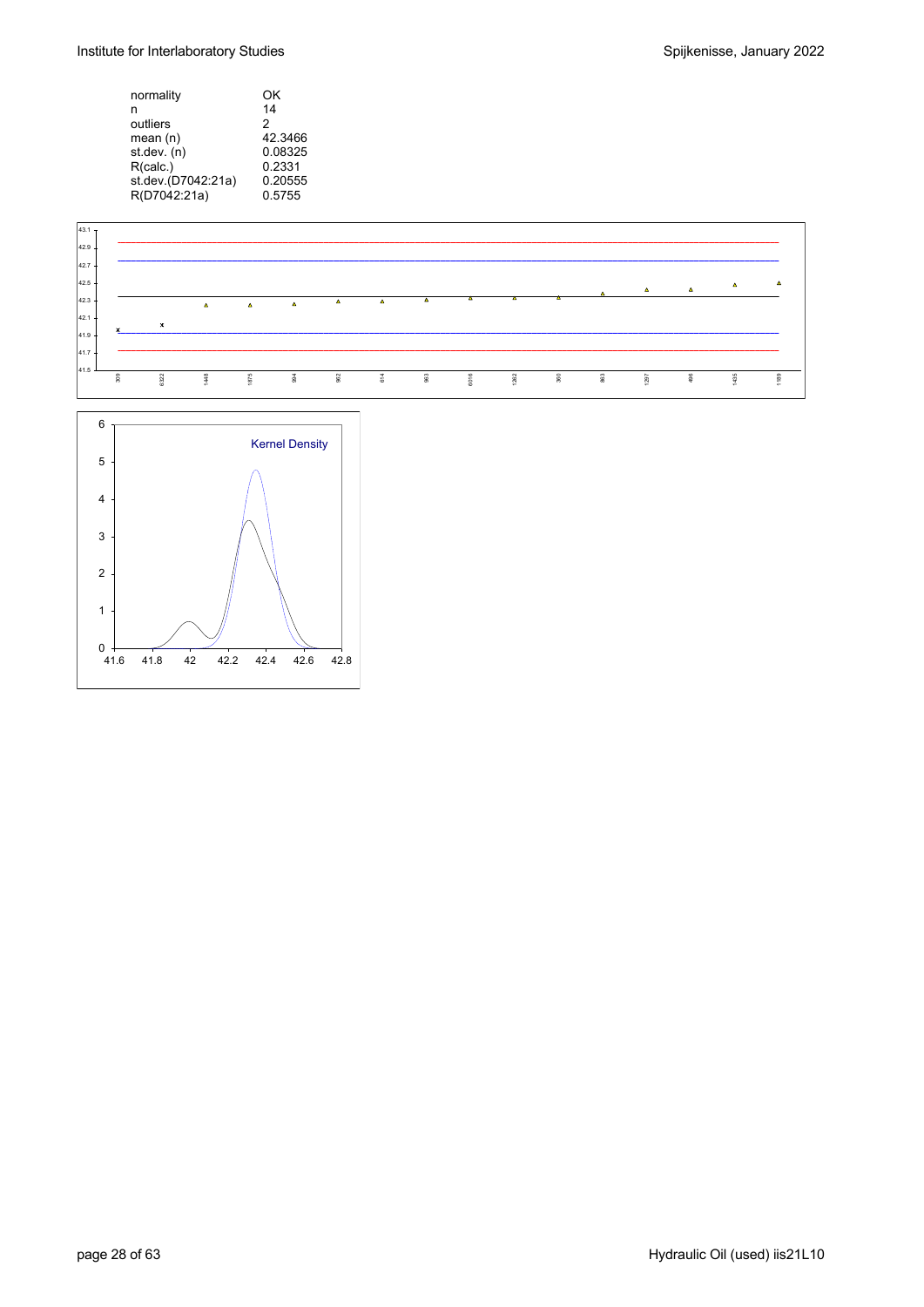Institute for Interlaboratory Studies and Spijkenisse, January 2022

| OK      |
|---------|
| 14      |
| 2       |
| 42.3466 |
| 0.08325 |
| 0.2331  |
| 0.20555 |
| 0.5755  |
|         |

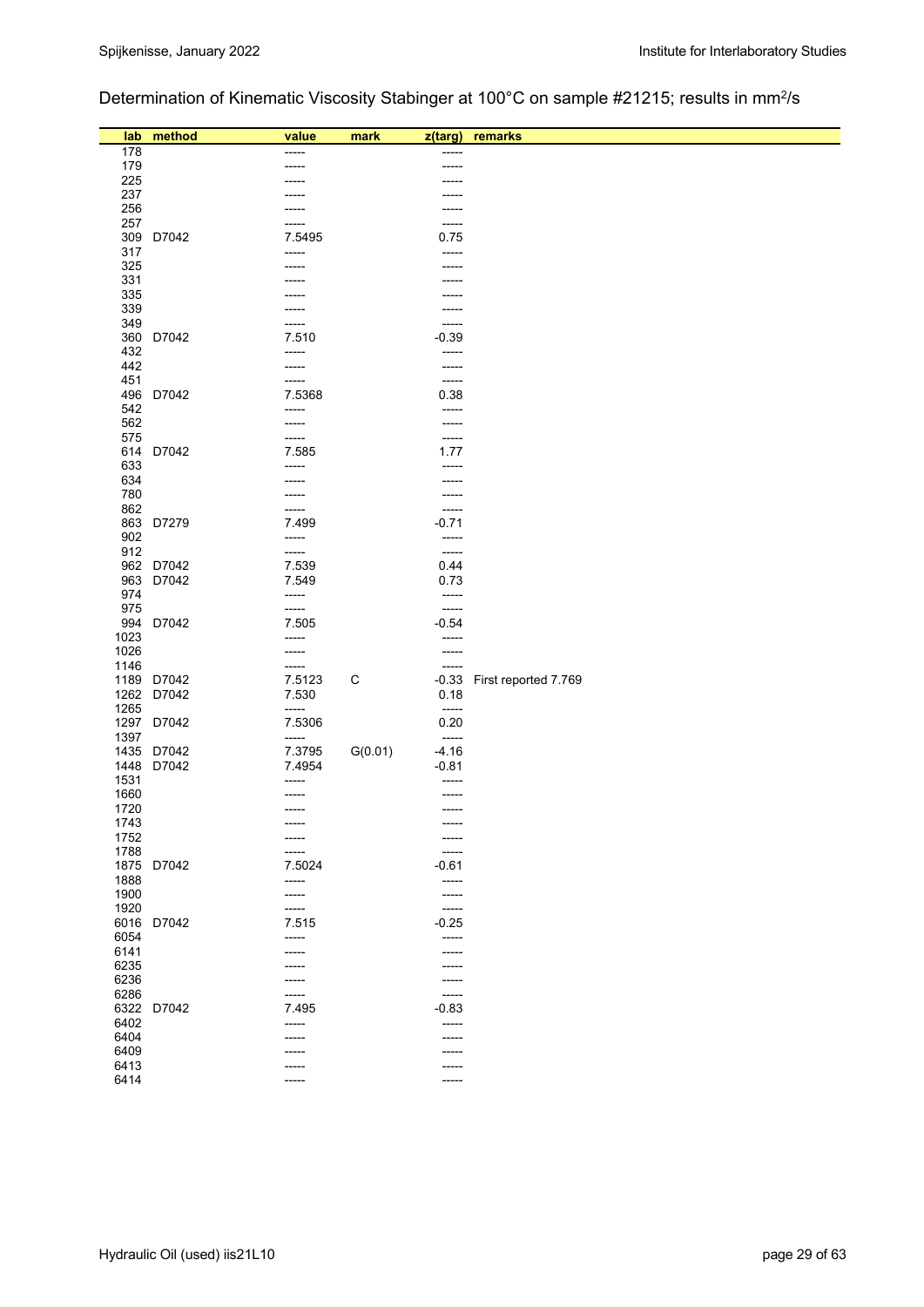## Determination of Kinematic Viscosity Stabinger at 100°C on sample #21215; results in mm2/s

|              | lab method | value           | mark    | z(targ)              | remarks              |
|--------------|------------|-----------------|---------|----------------------|----------------------|
| 178          |            |                 |         |                      |                      |
| 179          |            |                 |         | -----                |                      |
| 225          |            |                 |         |                      |                      |
| 237          |            |                 |         | -----                |                      |
| 256          |            |                 |         | -----                |                      |
| 257          |            |                 |         | -----                |                      |
| 309          | D7042      | 7.5495          |         | 0.75                 |                      |
| 317          |            | -----           |         | -----                |                      |
| 325          |            |                 |         |                      |                      |
| 331          |            |                 |         |                      |                      |
| 335          |            |                 |         |                      |                      |
| 339          |            |                 |         |                      |                      |
| 349          |            |                 |         | -----                |                      |
|              | 360 D7042  | 7.510           |         | $-0.39$              |                      |
| 432          |            | -----           |         | -----                |                      |
| 442          |            | -----<br>-----  |         | -----                |                      |
| 451          | 496 D7042  | 7.5368          |         | -----<br>0.38        |                      |
| 542          |            | -----           |         | -----                |                      |
| 562          |            | -----           |         | -----                |                      |
| 575          |            |                 |         | -----                |                      |
|              | 614 D7042  | 7.585           |         | 1.77                 |                      |
| 633          |            | -----           |         | -----                |                      |
| 634          |            |                 |         |                      |                      |
| 780          |            |                 |         |                      |                      |
| 862          |            | -----           |         | -----                |                      |
|              | 863 D7279  | 7.499           |         | $-0.71$              |                      |
| 902          |            | -----           |         | -----                |                      |
| 912          |            | -----           |         | $-----$              |                      |
|              | 962 D7042  | 7.539           |         | 0.44                 |                      |
|              | 963 D7042  | 7.549           |         | 0.73                 |                      |
| 974          |            | -----           |         | -----                |                      |
| 975          |            | -----           |         | $-----$              |                      |
|              | 994 D7042  | 7.505           |         | $-0.54$              |                      |
| 1023         |            | -----           |         | -----                |                      |
| 1026         |            | -----           |         | -----                |                      |
| 1146         |            | -----           |         | -----                |                      |
|              | 1189 D7042 | 7.5123          | C       | $-0.33$              | First reported 7.769 |
|              | 1262 D7042 | 7.530           |         | 0.18                 |                      |
| 1265         | 1297 D7042 | -----<br>7.5306 |         | $-----1$<br>0.20     |                      |
| 1397         |            | -----           |         | $-----$              |                      |
|              | 1435 D7042 | 7.3795          | G(0.01) | $-4.16$              |                      |
|              | 1448 D7042 | 7.4954          |         | $-0.81$              |                      |
| 1531         |            | -----           |         | -----                |                      |
| 1660         |            |                 |         | -----                |                      |
| 1720         |            |                 |         | -----                |                      |
| 1743         |            |                 |         |                      |                      |
| 1752         |            | -----           |         | -----                |                      |
| 1788         |            | -----           |         | -----                |                      |
|              | 1875 D7042 | 7.5024          |         | $-0.61$              |                      |
| 1888         |            | $-----$         |         | -----                |                      |
| 1900         |            | -----           |         | -----                |                      |
| 1920         |            | -----           |         | -----                |                      |
|              | 6016 D7042 | 7.515           |         | $-0.25$              |                      |
| 6054         |            | -----           |         | -----                |                      |
| 6141         |            | ----            |         | -----                |                      |
| 6235         |            |                 |         | -----                |                      |
| 6236<br>6286 |            | -----<br>-----  |         | -----<br>$- - - - -$ |                      |
|              | 6322 D7042 | 7.495           |         | $-0.83$              |                      |
| 6402         |            | -----           |         | -----                |                      |
| 6404         |            |                 |         | -----                |                      |
| 6409         |            |                 |         | -----                |                      |
| 6413         |            |                 |         | -----                |                      |
| 6414         |            | $---$           |         | -----                |                      |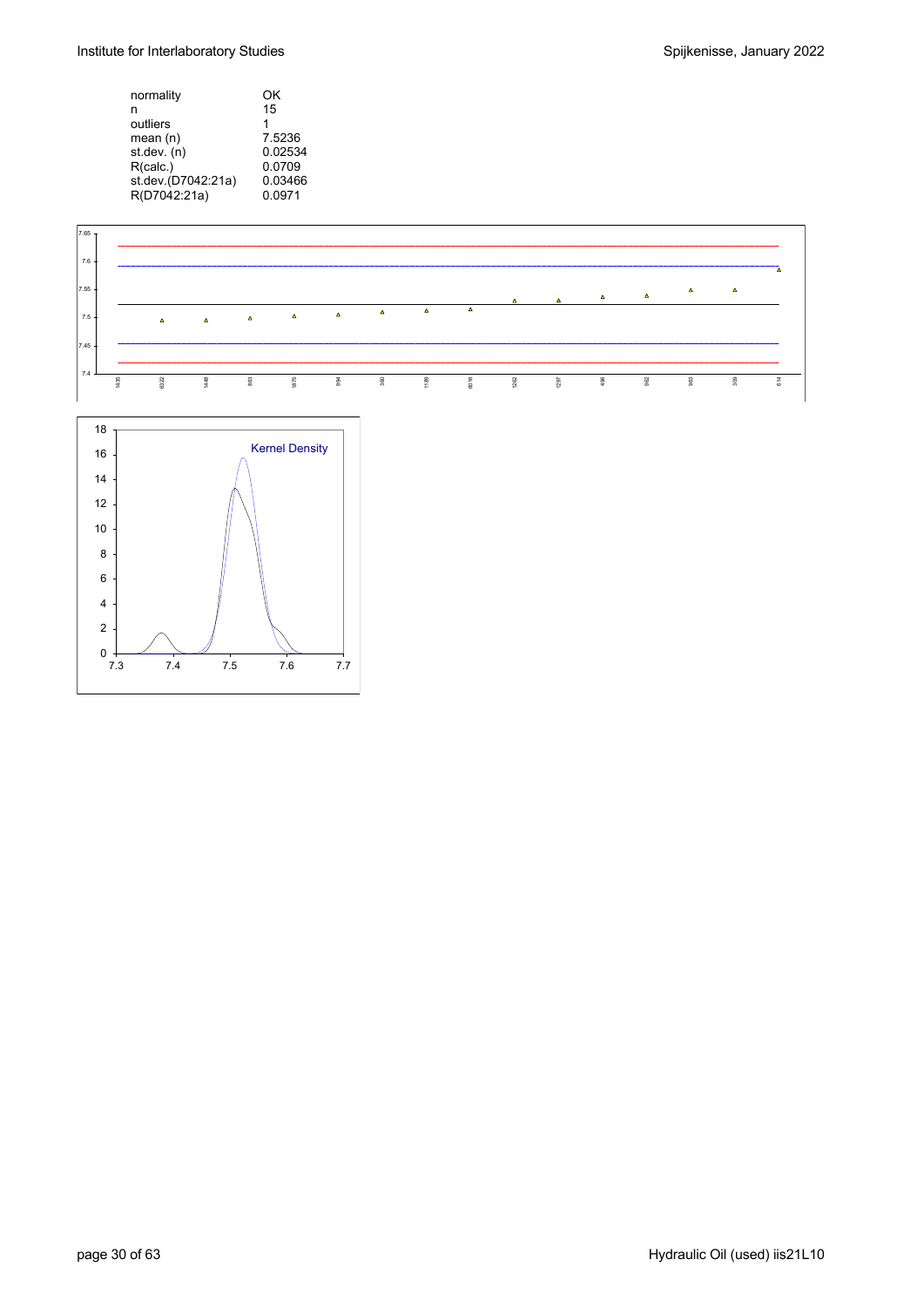Institute for Interlaboratory Studies and Spijkenisse, January 2022

| normality          | ΟK      |
|--------------------|---------|
| n                  | 15      |
| outliers           | 1       |
| mean(n)            | 7.5236  |
| st.dev. (n)        | 0.02534 |
| R(calc.)           | 0.0709  |
| st.dev.(D7042:21a) | 0.03466 |
| R(D7042:21a)       | 0.0971  |

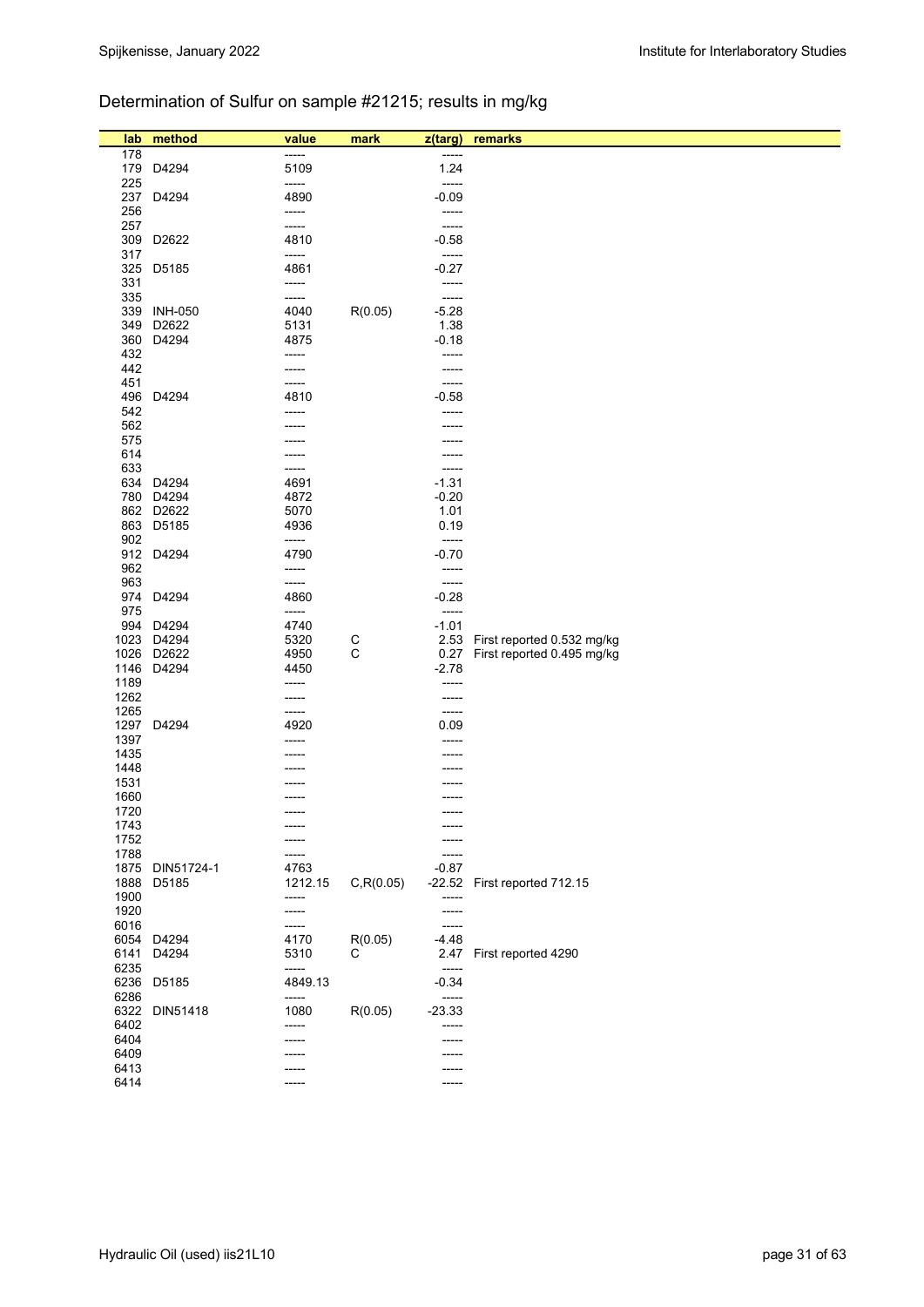## Determination of Sulfur on sample #21215; results in mg/kg

| lab          | method                   | value          | mark              | z(targ)          | remarks                    |
|--------------|--------------------------|----------------|-------------------|------------------|----------------------------|
| 178          |                          | -----          |                   | -----            |                            |
|              | 179 D4294                | 5109           |                   | 1.24             |                            |
| 225          |                          | -----          |                   | -----            |                            |
|              | 237 D4294                | 4890           |                   | $-0.09$          |                            |
| 256          |                          | -----          |                   | -----            |                            |
| 257          |                          | -----          |                   | -----            |                            |
| 309          | D2622                    | 4810           |                   | $-0.58$          |                            |
| 317<br>325   | D5185                    | -----<br>4861  |                   | -----<br>$-0.27$ |                            |
| 331          |                          | -----          |                   | $-----$          |                            |
| 335          |                          | -----          |                   | -----            |                            |
| 339          | <b>INH-050</b>           | 4040           | R(0.05)           | $-5.28$          |                            |
| 349          | D2622                    | 5131           |                   | 1.38             |                            |
|              | 360 D4294                | 4875           |                   | $-0.18$          |                            |
| 432          |                          | -----          |                   | -----            |                            |
| 442          |                          | -----          |                   | -----            |                            |
| 451<br>496   | D4294                    | -----<br>4810  |                   | -----<br>$-0.58$ |                            |
| 542          |                          | -----          |                   | -----            |                            |
| 562          |                          |                |                   |                  |                            |
| 575          |                          |                |                   |                  |                            |
| 614          |                          |                |                   | -----            |                            |
| 633          |                          | -----          |                   | -----            |                            |
|              | 634 D4294                | 4691           |                   | $-1.31$          |                            |
|              | 780 D4294                | 4872           |                   | $-0.20$          |                            |
|              | 862 D2622                | 5070           |                   | 1.01             |                            |
| 902          | 863 D5185                | 4936<br>-----  |                   | 0.19<br>-----    |                            |
|              | 912 D4294                | 4790           |                   | $-0.70$          |                            |
| 962          |                          | -----          |                   | -----            |                            |
| 963          |                          | -----          |                   | -----            |                            |
|              | 974 D4294                | 4860           |                   | $-0.28$          |                            |
| 975          |                          | -----          |                   | -----            |                            |
| 994          | D4294                    | 4740           |                   | $-1.01$          |                            |
| 1023         | D4294                    | 5320           | C<br>$\mathsf{C}$ | 2.53             | First reported 0.532 mg/kg |
|              | 1026 D2622<br>1146 D4294 | 4950<br>4450   |                   | 0.27<br>$-2.78$  | First reported 0.495 mg/kg |
| 1189         |                          | -----          |                   | -----            |                            |
| 1262         |                          | -----          |                   | -----            |                            |
| 1265         |                          | -----          |                   | -----            |                            |
|              | 1297 D4294               | 4920           |                   | 0.09             |                            |
| 1397         |                          | -----          |                   | -----            |                            |
| 1435         |                          |                |                   |                  |                            |
| 1448         |                          |                |                   |                  |                            |
| 1531<br>1660 |                          |                |                   |                  |                            |
| 1720         |                          | $- - - - -$    |                   | $-----1$         |                            |
| 1743         |                          |                |                   |                  |                            |
| 1752         |                          |                |                   |                  |                            |
| 1788         |                          |                |                   |                  |                            |
| 1875         | DIN51724-1               | 4763           |                   | $-0.87$          |                            |
| 1888         | D5185                    | 1212.15        | C, R(0.05)        | $-22.52$         | First reported 712.15      |
| 1900         |                          | -----<br>----- |                   | -----            |                            |
| 1920<br>6016 |                          | -----          |                   | -----<br>$-----$ |                            |
|              | 6054 D4294               | 4170           | R(0.05)           | $-4.48$          |                            |
| 6141         | D4294                    | 5310           | С                 | 2.47             | First reported 4290        |
| 6235         |                          | -----          |                   | $-----$          |                            |
|              | 6236 D5185               | 4849.13        |                   | $-0.34$          |                            |
| 6286         |                          | -----          |                   | -----            |                            |
| 6322         | DIN51418                 | 1080           | R(0.05)           | $-23.33$         |                            |
| 6402<br>6404 |                          | -----          |                   | -----            |                            |
| 6409         |                          |                |                   | -----            |                            |
| 6413         |                          |                |                   |                  |                            |
| 6414         |                          |                |                   | -----            |                            |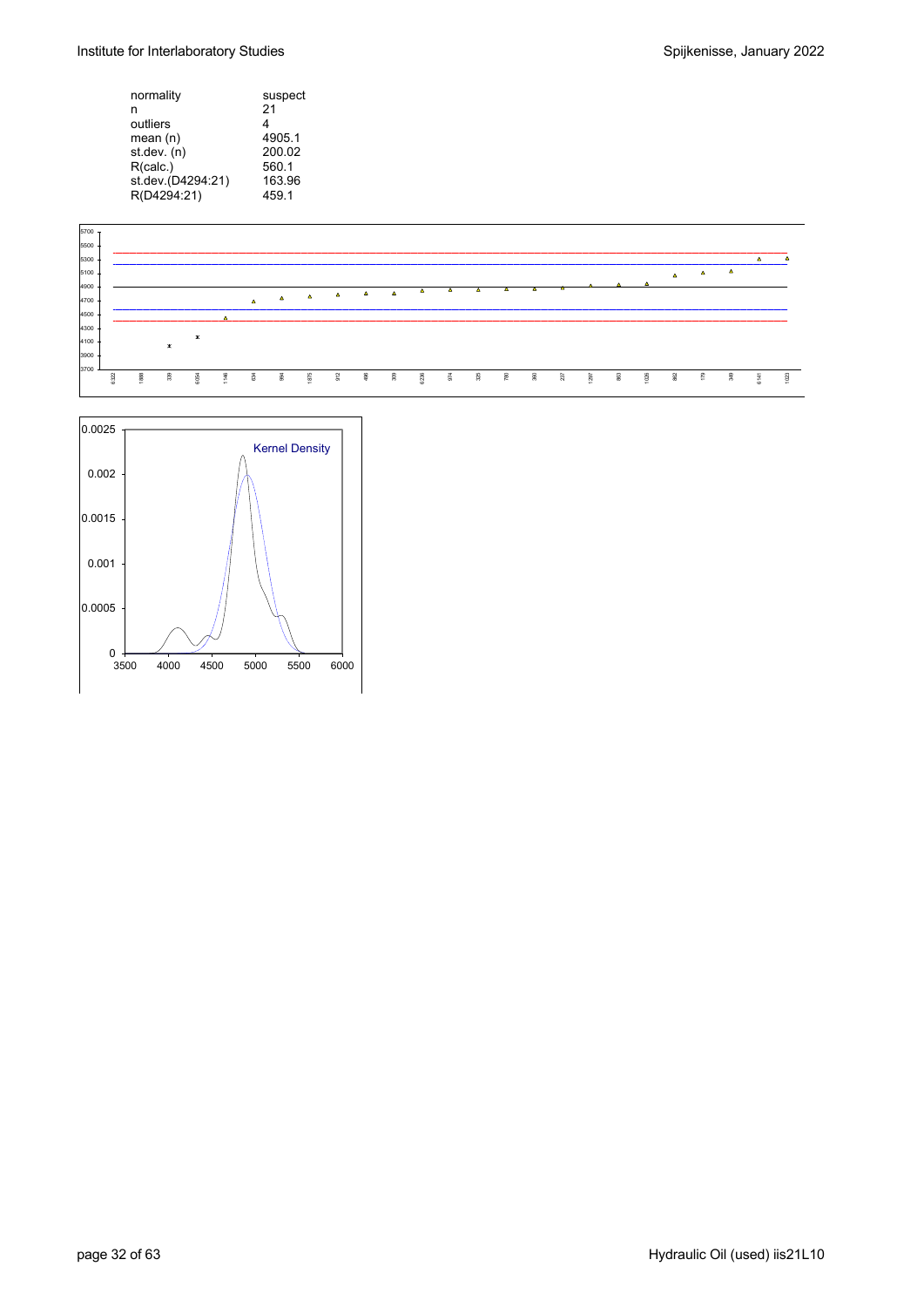| normality         | suspect |
|-------------------|---------|
| n                 | 21      |
| outliers          | 4       |
| mean (n)          | 4905.1  |
| st.dev. (n)       | 200.02  |
| R(calc.)          | 560.1   |
| st.dev.(D4294:21) | 163.96  |
| R(D4294:21)       | 459.1   |



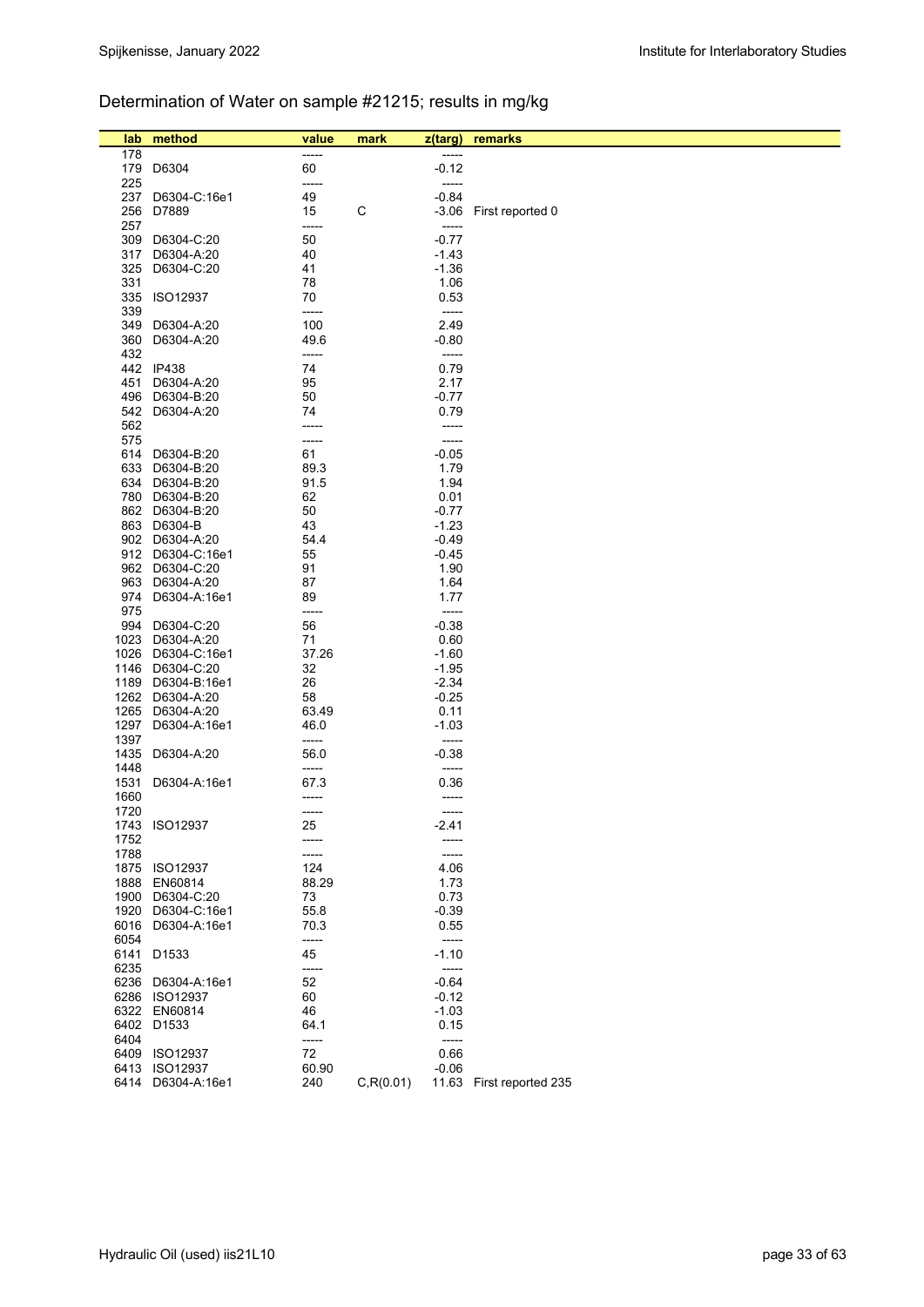### Determination of Water on sample #21215; results in mg/kg

| lab          | method            | value         | mark       | z(targ)          | remarks                  |
|--------------|-------------------|---------------|------------|------------------|--------------------------|
| 178          |                   | -----         |            |                  |                          |
|              | 179 D6304         | 60            |            | $-0.12$          |                          |
| 225          |                   | -----         |            | -----            |                          |
| 237          | D6304-C:16e1      | 49            |            | $-0.84$          |                          |
|              | 256 D7889         | 15            | C          | -3.06            | First reported 0         |
| 257          |                   | -----         |            | -----            |                          |
| 309          | D6304-C:20        | 50            |            | $-0.77$          |                          |
| 317          | D6304-A:20        | 40            |            | $-1.43$          |                          |
| 325          | D6304-C:20        | 41            |            | $-1.36$          |                          |
| 331          |                   | 78            |            | 1.06             |                          |
|              | 335 ISO12937      | 70            |            | 0.53             |                          |
| 339          |                   | -----         |            | -----            |                          |
| 349          | D6304-A:20        | 100           |            | 2.49             |                          |
| 360          | D6304-A:20        | 49.6          |            | $-0.80$          |                          |
| 432          |                   | -----         |            | -----            |                          |
|              | 442 IP438         | 74            |            | 0.79             |                          |
|              | 451 D6304-A:20    | 95            |            | 2.17             |                          |
|              | 496 D6304-B:20    | 50            |            | -0.77            |                          |
|              | 542 D6304-A:20    | 74            |            | 0.79             |                          |
| 562          |                   | -----         |            | -----            |                          |
| 575          |                   | -----         |            | -----            |                          |
|              | 614 D6304-B:20    | 61            |            | $-0.05$          |                          |
|              | 633 D6304-B:20    | 89.3          |            | 1.79             |                          |
|              | 634 D6304-B:20    | 91.5          |            | 1.94             |                          |
|              | 780 D6304-B:20    | 62            |            | 0.01             |                          |
|              | 862 D6304-B:20    | 50            |            | $-0.77$          |                          |
|              | 863 D6304-B       | 43            |            | $-1.23$          |                          |
|              | 902 D6304-A:20    | 54.4          |            | -0.49            |                          |
|              | 912 D6304-C:16e1  | 55            |            | $-0.45$          |                          |
|              | 962 D6304-C:20    | 91            |            | 1.90             |                          |
|              | 963 D6304-A:20    | 87            |            | 1.64             |                          |
|              | 974 D6304-A:16e1  | 89            |            | 1.77             |                          |
| 975          |                   | -----         |            | $-----$          |                          |
|              | 994 D6304-C:20    | 56            |            | $-0.38$          |                          |
|              | 1023 D6304-A:20   | 71            |            | 0.60             |                          |
|              | 1026 D6304-C:16e1 | 37.26         |            | $-1.60$          |                          |
|              | 1146 D6304-C:20   | 32            |            | $-1.95$          |                          |
|              | 1189 D6304-B:16e1 | 26            |            | $-2.34$          |                          |
|              | 1262 D6304-A:20   | 58            |            | $-0.25$          |                          |
| 1265         | D6304-A:20        | 63.49         |            | 0.11             |                          |
| 1297         | D6304-A:16e1      | 46.0          |            | $-1.03$          |                          |
| 1397         |                   | -----         |            | -----            |                          |
| 1435<br>1448 | D6304-A:20        | 56.0<br>----- |            | $-0.38$<br>----- |                          |
| 1531         | D6304-A:16e1      | 67.3          |            | 0.36             |                          |
| 1660         |                   | -----         |            | -----            |                          |
| 1720         |                   | -----         |            | -----            |                          |
|              | 1743 ISO12937     | 25            |            | $-2.41$          |                          |
| 1752         |                   | -----         |            | -----            |                          |
| 1788         |                   | -----         |            | -----            |                          |
|              | 1875 ISO12937     | 124           |            | 4.06             |                          |
| 1888         | EN60814           | 88.29         |            | 1.73             |                          |
| 1900         | D6304-C:20        | 73            |            | 0.73             |                          |
| 1920         | D6304-C:16e1      | 55.8          |            | $-0.39$          |                          |
| 6016         | D6304-A:16e1      | 70.3          |            | 0.55             |                          |
| 6054         |                   | -----         |            | -----            |                          |
| 6141         | D <sub>1533</sub> | 45            |            | $-1.10$          |                          |
| 6235         |                   | -----         |            | -----            |                          |
| 6236         | D6304-A:16e1      | 52            |            | $-0.64$          |                          |
|              | 6286 ISO12937     | 60            |            | $-0.12$          |                          |
|              | 6322 EN60814      | 46            |            | $-1.03$          |                          |
|              | 6402 D1533        | 64.1          |            | 0.15             |                          |
| 6404         |                   | -----         |            | -----            |                          |
|              | 6409 ISO12937     | 72            |            | 0.66             |                          |
|              | 6413 ISO12937     | 60.90         |            | $-0.06$          |                          |
| 6414         | D6304-A:16e1      | 240           | C, R(0.01) |                  | 11.63 First reported 235 |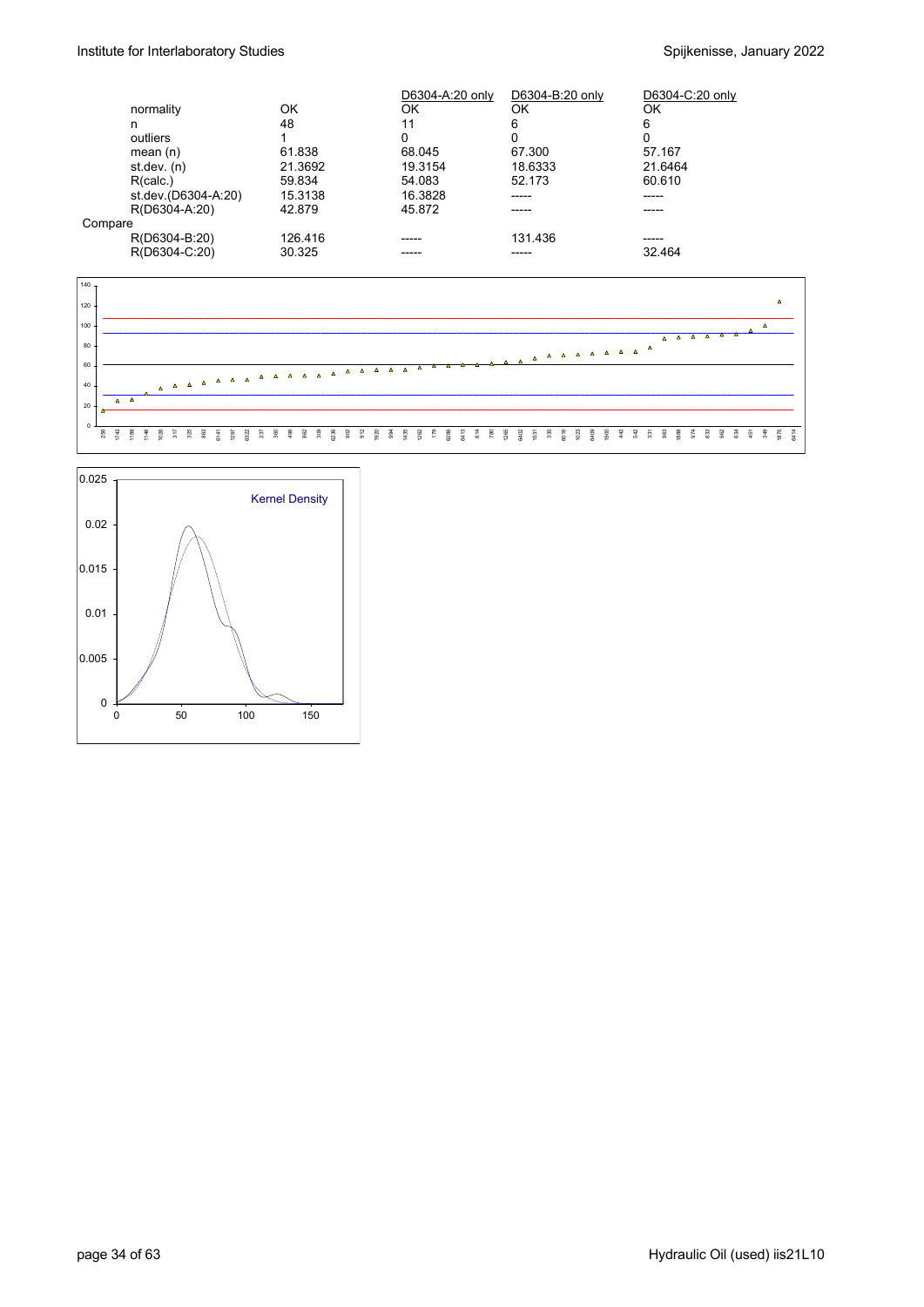|         |                     |         | D6304-A:20 only | D6304-B:20 only | D6304-C:20 only |
|---------|---------------------|---------|-----------------|-----------------|-----------------|
|         | normality           | OK      | ΟK              | ΟK              | ΟK              |
|         | n                   | 48      | 11              | 6               | 6               |
|         | outliers            |         | 0               | 0               | Ω               |
|         | mean $(n)$          | 61.838  | 68.045          | 67.300          | 57.167          |
|         | st dev. $(n)$       | 21.3692 | 19.3154         | 18.6333         | 21.6464         |
|         | R(calc.)            | 59.834  | 54.083          | 52.173          | 60.610          |
|         | st.dev.(D6304-A:20) | 15.3138 | 16.3828         |                 | -----           |
|         | R(D6304-A:20)       | 42.879  | 45.872          |                 | -----           |
| Compare |                     |         |                 |                 |                 |
|         | R(D6304-B:20)       | 126.416 | ----            | 131.436         | -----           |
|         | R(D6304-C:20)       | 30.325  |                 |                 | 32.464          |



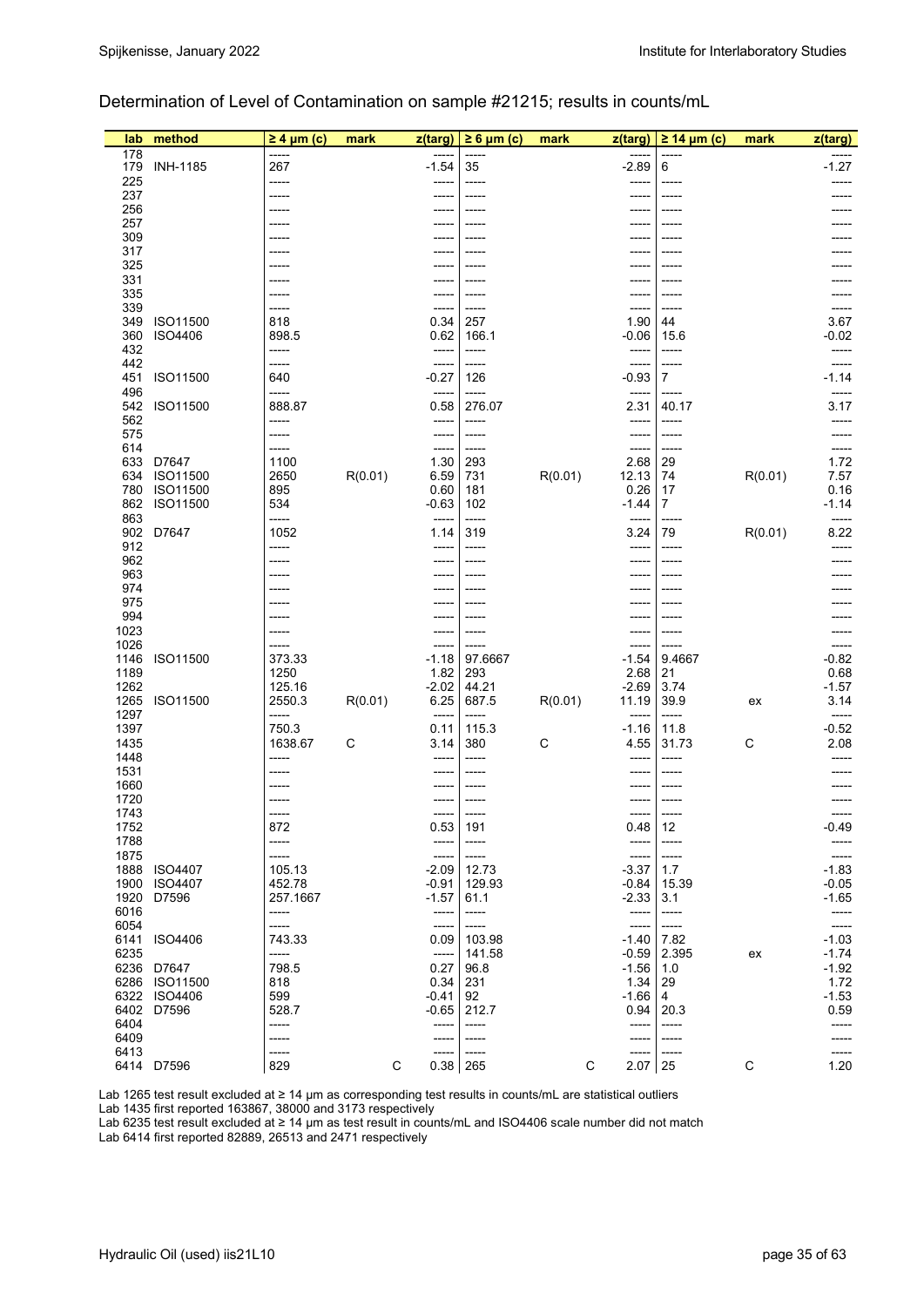#### Determination of Level of Contamination on sample #21215; results in counts/mL

| lab          | method                  | $\geq 4$ µm (c)  | mark    | z(targ)          | $\geq 6 \mu m$ (c) | mark    | z(targ)          | $\geq$ 14 µm (c) | mark    | z(targ)            |
|--------------|-------------------------|------------------|---------|------------------|--------------------|---------|------------------|------------------|---------|--------------------|
| 178          |                         |                  |         |                  |                    |         |                  |                  |         |                    |
| 179<br>225   | <b>INH-1185</b>         | 267<br>-----     |         | $-1.54$          | 35                 |         | $-2.89$          | 6                |         | $-1.27$            |
| 237          |                         | -----            |         |                  |                    |         |                  |                  |         |                    |
| 256          |                         |                  |         |                  |                    |         |                  |                  |         |                    |
| 257          |                         |                  |         |                  |                    |         |                  |                  |         |                    |
| 309<br>317   |                         |                  |         |                  |                    |         |                  |                  |         |                    |
| 325          |                         |                  |         |                  |                    |         |                  |                  |         |                    |
| 331          |                         |                  |         |                  |                    |         |                  |                  |         |                    |
| 335<br>339   |                         |                  |         |                  |                    |         |                  |                  |         |                    |
| 349          | ISO11500                | -----<br>818     |         | 0.34             | 257                |         | 1.90             | -----<br>44      |         | 3.67               |
| 360          | <b>ISO4406</b>          | 898.5            |         | 0.62             | 166.1              |         | $-0.06$          | 15.6             |         | $-0.02$            |
| 432          |                         | -----            |         | -----            | -----              |         | -----            | -----            |         | -----              |
| 442          |                         | -----            |         | -----            | -----              |         |                  | -----            |         | $-1.14$            |
| 451<br>496   | ISO11500                | 640<br>-----     |         | $-0.27$<br>----- | 126<br>-----       |         | $-0.93$<br>----- | $\overline{7}$   |         |                    |
| 542          | ISO11500                | 888.87           |         | 0.58             | 276.07             |         | 2.31             | 40.17            |         | 3.17               |
| 562          |                         | -----            |         | -----            | -----              |         |                  | -----            |         |                    |
| 575          |                         | -----            |         | -----            | -----              |         | -----            | -----            |         |                    |
| 614<br>633   | D7647                   | -----<br>1100    |         | -----<br>1.30    | -----<br>293       |         | -----<br>2.68    | -----<br>29      |         | 1.72               |
| 634          | ISO11500                | 2650             | R(0.01) | 6.59             | 731                | R(0.01) | 12.13            | 74               | R(0.01) | 7.57               |
| 780          | ISO11500                | 895              |         | 0.60             | 181                |         | 0.26             | 17               |         | 0.16               |
| 862          | ISO11500                | 534              |         | $-0.63$          | 102                |         | $-1.44$          | 7                |         | $-1.14$            |
| 863<br>902   | D7647                   | -----<br>1052    |         | -----<br>1.14    | -----<br>319       |         | 3.24             | 79               | R(0.01) | 8.22               |
| 912          |                         | -----            |         | -----            | -----              |         | -----            | -----            |         |                    |
| 962          |                         | -----            |         |                  |                    |         |                  | -----            |         |                    |
| 963          |                         |                  |         |                  |                    |         |                  |                  |         |                    |
| 974<br>975   |                         | -----            |         |                  |                    |         |                  |                  |         |                    |
| 994          |                         | -----            |         |                  |                    |         |                  |                  |         |                    |
| 1023         |                         |                  |         |                  |                    |         |                  |                  |         |                    |
| 1026         |                         | -----            |         |                  | -----              |         |                  | -----            |         |                    |
| 1146<br>1189 | ISO11500                | 373.33<br>1250   |         | $-1.18$<br>1.82  | 97.6667<br>293     |         | $-1.54$<br>2.68  | 9.4667<br>21     |         | $-0.82$<br>0.68    |
| 1262         |                         | 125.16           |         | $-2.02$          | 44.21              |         | $-2.69$          | 3.74             |         | $-1.57$            |
| 1265         | ISO11500                | 2550.3           | R(0.01) | 6.25             | 687.5              | R(0.01) | 11.19            | 39.9             | ex      | 3.14               |
| 1297         |                         |                  |         |                  |                    |         |                  |                  |         | -----              |
| 1397<br>1435 |                         | 750.3<br>1638.67 | C       | 0.11<br>3.14     | 115.3<br>380       | C       | $-1.16$<br>4.55  | 11.8<br>31.73    | C       | $-0.52$<br>2.08    |
| 1448         |                         | -----            |         |                  | -----              |         |                  | -----            |         |                    |
| 1531         |                         | -----            |         | ----             | -----              |         |                  | -----            |         |                    |
| 1660         |                         |                  |         |                  |                    |         |                  |                  |         |                    |
| 1720<br>1743 |                         | -----            |         | -----            | $- - - - -$        |         | -----            | -----            |         |                    |
| 1752         |                         | 872              |         | 0.53 191         |                    |         | $0.48$ 12        |                  |         | $-0.49$            |
| 1788         |                         | -----            |         | -----            | ------             |         | -----            |                  |         | -----              |
| 1875         |                         | -----            |         | -----            | -----              |         | $--- - -$        | -----            |         | -----              |
| 1888         | <b>ISO4407</b>          | 105.13<br>452.78 |         | $-2.09$          | 12.73<br>129.93    |         | $-3.37$ 1.7      | $-0.84$ 15.39    |         | $-1.83$            |
| 1900<br>1920 | <b>ISO4407</b><br>D7596 | 257.1667         |         | -0.91<br>$-1.57$ | 61.1               |         | $-2.33$          | 3.1              |         | $-0.05$<br>$-1.65$ |
| 6016         |                         | -----            |         | -----            | -----              |         | -----            | -----            |         | -----              |
| 6054         |                         | -----            |         | -----            | -----              |         | -----            | -----            |         | -----              |
| 6141         | <b>ISO4406</b>          | 743.33<br>-----  |         | 0.09<br>-----    | 103.98<br>141.58   |         | $-1.40$          | 7.82             |         | $-1.03$            |
| 6235         | 6236 D7647              | 798.5            |         | 0.27             | 96.8               |         | -0.59<br>$-1.56$ | 2.395<br>1.0     | ex      | $-1.74$<br>$-1.92$ |
|              | 6286 ISO11500           | 818              |         | 0.34             | 231                |         | 1.34             | 29               |         | 1.72               |
|              | 6322 ISO4406            | 599              |         | -0.41            | 92                 |         | -1.66            | 4                |         | $-1.53$            |
| 6402         | D7596                   | 528.7            |         | -0.65            | 212.7              |         | 0.94             | 20.3             |         | 0.59               |
| 6404<br>6409 |                         | -----<br>-----   |         | -----            | $-----$            |         | -----<br>-----   | -----            |         | -----<br>-----     |
| 6413         |                         | -----            |         | -----            | -----              |         | -----            | -----            |         | -----              |
|              | 6414 D7596              | 829              |         | C<br>0.38        | 265                |         | 2.07<br>С        | 25               | C       | 1.20               |

Lab 1265 test result excluded at ≥ 14 µm as corresponding test results in counts/mL are statistical outliers Lab 1435 first reported 163867, 38000 and 3173 respectively

Lab 6235 test result excluded at ≥ 14 µm as test result in counts/mL and ISO4406 scale number did not match

Lab 6414 first reported 82889, 26513 and 2471 respectively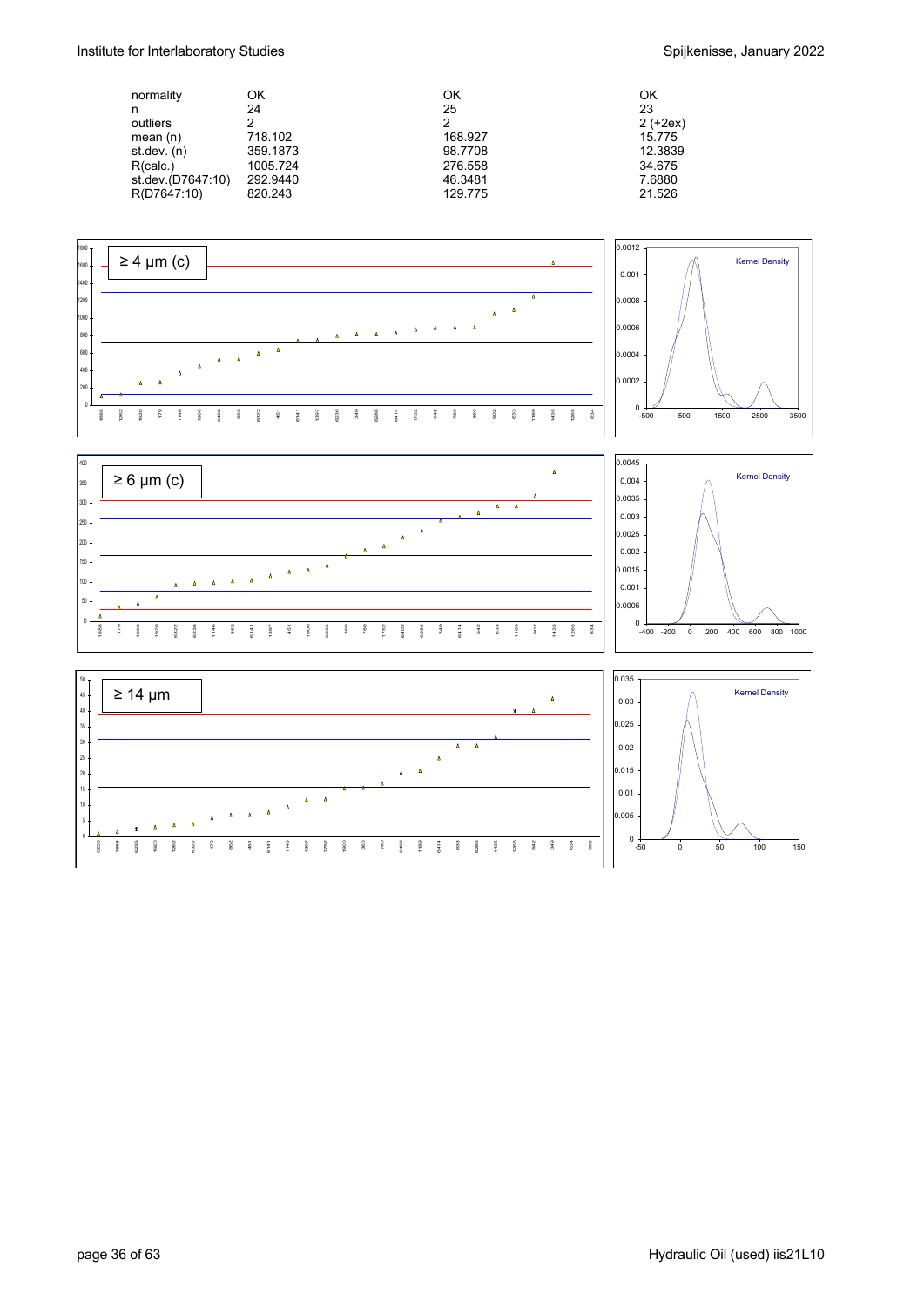| normality         | OK       | ΟK      | OK         |
|-------------------|----------|---------|------------|
| n                 | 24       | 25      | 23         |
| outliers          | 2        | າ       | $2 (+2ex)$ |
| mean $(n)$        | 718.102  | 168.927 | 15.775     |
| st dev. (n)       | 359.1873 | 98.7708 | 12.3839    |
| R(calc.)          | 1005.724 | 276.558 | 34.675     |
| st.dev.(D7647:10) | 292.9440 | 46.3481 | 7.6880     |
| R(D7647:10)       | 820.243  | 129.775 | 21.526     |







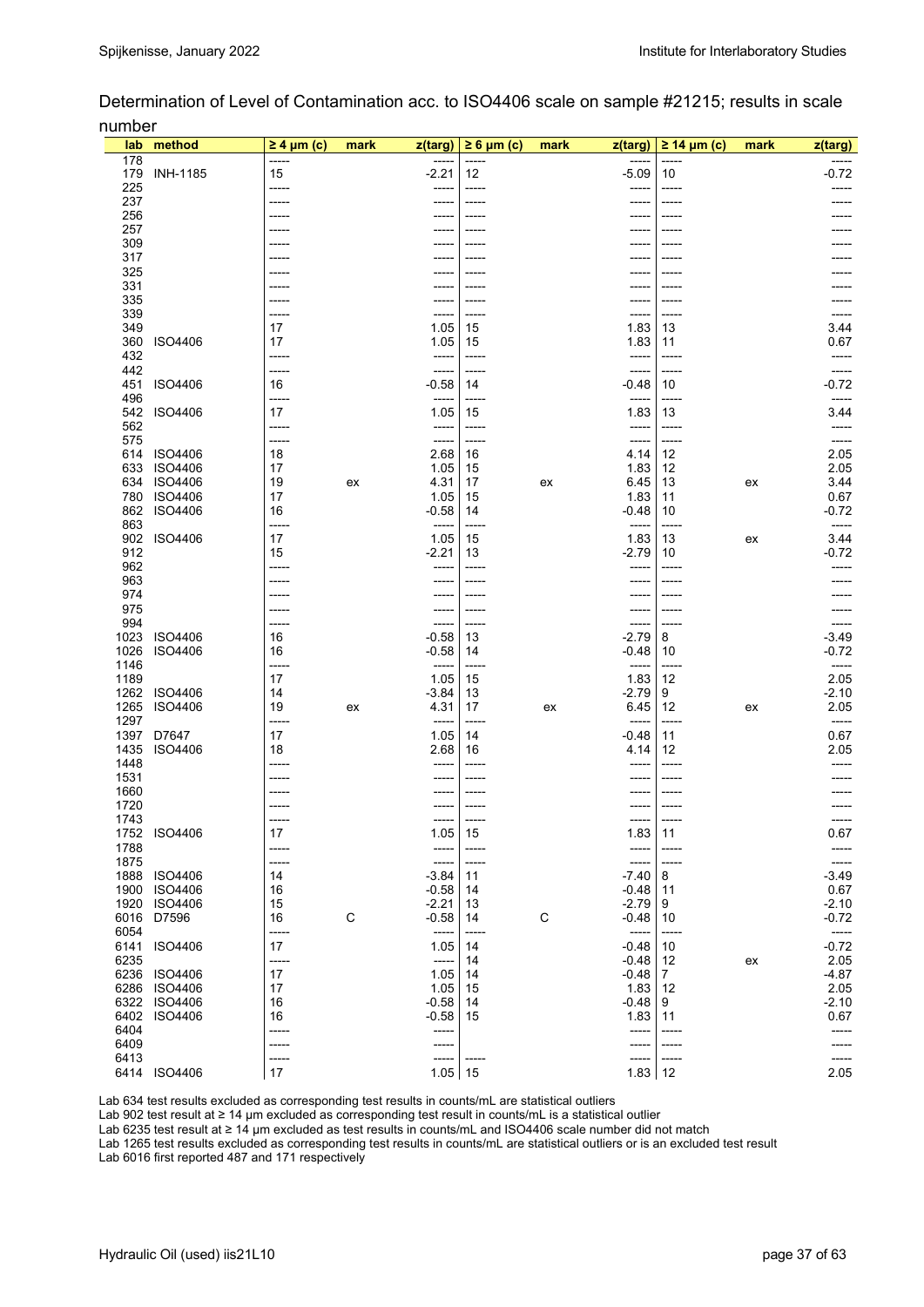Determination of Level of Contamination acc. to ISO4406 scale on sample #21215; results in scale number

| lab          | method                           | $\geq 4$ µm (c) | mark | z(targ)            | $\geq 6$ µm (c) | mark        | $z$ (targ)          | $\geq$ 14 µm (c) | mark | z(targ)          |
|--------------|----------------------------------|-----------------|------|--------------------|-----------------|-------------|---------------------|------------------|------|------------------|
| 178          |                                  | -----           |      | -----              | -----           |             |                     |                  |      |                  |
| 179<br>225   | <b>INH-1185</b>                  | 15<br>-----     |      | $-2.21$<br>-----   | 12<br>-----     |             | $-5.09$<br>-----    | 10<br>-----      |      | $-0.72$          |
| 237          |                                  | -----           |      | -----              | -----           |             | -----               | -----            |      |                  |
| 256          |                                  | -----           |      |                    |                 |             |                     |                  |      |                  |
| 257          |                                  | -----           |      | -----              | -----           |             | -----               |                  |      |                  |
| 309<br>317   |                                  | ----            |      |                    |                 |             |                     |                  |      |                  |
| 325          |                                  |                 |      |                    |                 |             |                     |                  |      |                  |
| 331          |                                  |                 |      | -----              |                 |             |                     |                  |      |                  |
| 335<br>339   |                                  | -----           |      |                    |                 |             |                     |                  |      |                  |
| 349          |                                  | 17              |      | 1.05               | 15              |             | 1.83                | 13               |      | 3.44             |
| 360          | ISO4406                          | 17              |      | 1.05               | 15              |             | 1.83                | 11               |      | 0.67             |
| 432          |                                  | -----           |      | -----              | -----           |             | -----               | -----            |      | -----            |
| 442          |                                  | -----           |      | -----              | -----           |             | -----               | -----            |      | -----            |
| 451<br>496   | ISO4406                          | 16<br>-----     |      | $-0.58$<br>-----   | 14<br>-----     |             | $-0.48$<br>-----    | 10<br>-----      |      | $-0.72$<br>----- |
| 542          | ISO4406                          | 17              |      | 1.05               | 15              |             | 1.83                | 13               |      | 3.44             |
| 562          |                                  | -----           |      | -----              | -----           |             | -----               | -----            |      | -----            |
| 575          |                                  | -----           |      | -----              |                 |             | -----               | -----            |      |                  |
| 614<br>633   | ISO4406                          | 18<br>17        |      | 2.68<br>1.05       | 16<br>15        |             | 4.14<br>1.83        | 12<br>12         |      | 2.05<br>2.05     |
| 634          | <b>ISO4406</b><br>ISO4406        | 19              | ex   | 4.31               | 17              | ex          | 6.45                | 13               | ex   | 3.44             |
| 780          | <b>ISO4406</b>                   | 17              |      | 1.05               | 15              |             | 1.83                | 11               |      | 0.67             |
| 862          | <b>ISO4406</b>                   | 16              |      | $-0.58$            | 14              |             | $-0.48$             | 10               |      | $-0.72$          |
| 863          |                                  | -----           |      | -----              | -----           |             | -----               | -----            |      | -----            |
| 912          | 902 ISO4406                      | 17<br>15        |      | 1.05<br>$-2.21$    | 15<br>13        |             | 1.83<br>$-2.79$     | 13<br>10         | ex   | 3.44<br>$-0.72$  |
| 962          |                                  | -----           |      | -----              | -----           |             | -----               | -----            |      |                  |
| 963          |                                  | -----           |      | -----              | -----           |             | -----               | -----            |      |                  |
| 974          |                                  | -----           |      | -----              | -----           |             | -----               | -----            |      |                  |
| 975<br>994   |                                  | -----<br>-----  |      | -----              | -----<br>-----  |             | -----<br>-----      | -----            |      |                  |
| 1023         | <b>ISO4406</b>                   | 16              |      | -----<br>$-0.58$   | 13              |             | $-2.79$             | -----<br>8       |      | $-3.49$          |
| 1026         | <b>ISO4406</b>                   | 16              |      | $-0.58$            | 14              |             | $-0.48$             | 10               |      | -0.72            |
| 1146         |                                  | -----           |      | -----              | -----           |             | -----               | -----            |      | -----            |
| 1189         |                                  | 17              |      | 1.05               | 15              |             | 1.83                | 12               |      | 2.05             |
| 1262<br>1265 | <b>ISO4406</b><br><b>ISO4406</b> | 14<br>19        | ex   | $-3.84$<br>4.31    | 13<br>17        | ex          | $-2.79$<br>6.45     | 9<br>12          | ex   | $-2.10$<br>2.05  |
| 1297         |                                  | -----           |      | -----              |                 |             | -----               |                  |      | -----            |
| 1397         | D7647                            | 17              |      | 1.05               | 14              |             | $-0.48$             | 11               |      | 0.67             |
| 1435         | ISO4406                          | 18              |      | 2.68               | 16              |             | 4.14                | 12               |      | 2.05             |
| 1448<br>1531 |                                  | -----           |      | -----              | -----           |             | -----               | -----            |      |                  |
| 1660         |                                  | -----           |      | -----              |                 |             | -----               |                  |      |                  |
| 1720         |                                  |                 |      |                    |                 |             |                     |                  |      |                  |
| 1743         |                                  | -----           |      | -----              | -----           |             | -----               |                  |      |                  |
|              | 1752 ISO4406                     | 17              |      | 1.05               | 15              |             | $1.83$ 11           |                  |      | 0.67             |
| 1788<br>1875 |                                  | -----<br>-----  |      | -----<br>-----     | -----<br>-----  |             | -----<br>-----      |                  |      | -----            |
| 1888         | <b>ISO4406</b>                   | 14              |      | $-3.84$            | 11              |             | $-7.40$             | 8                |      | $-3.49$          |
| 1900         | <b>ISO4406</b>                   | 16              |      | $-0.58$            | 14              |             | $-0.48$ 11          |                  |      | 0.67             |
| 1920         | ISO4406                          | 15              |      | $-2.21$            | 13              |             | $-2.79$             | 9                |      | $-2.10$          |
| 6016<br>6054 | D7596                            | 16<br>-----     | C    | $-0.58$<br>-----   | 14<br>-----     | $\mathsf C$ | $-0.48$ 10<br>----- | -----            |      | $-0.72$<br>----- |
| 6141         | <b>ISO4406</b>                   | 17              |      | 1.05               | 14              |             | $-0.48$             | 10               |      | $-0.72$          |
| 6235         |                                  | -----           |      | -----              | 14              |             | $-0.48$   12        |                  | ex   | 2.05             |
| 6236         | <b>ISO4406</b>                   | 17              |      | 1.05               | 14              |             | -0.48               | $\overline{7}$   |      | $-4.87$          |
| 6286         | <b>ISO4406</b>                   | 17              |      | 1.05               | 15              |             | 1.83 12             |                  |      | 2.05             |
| 6322<br>6402 | ISO4406<br><b>ISO4406</b>        | 16<br>16        |      | $-0.58$<br>$-0.58$ | 14<br>15        |             | -0.48<br>1.83       | 9<br>11          |      | -2.10<br>0.67    |
| 6404         |                                  | -----           |      | -----              |                 |             | -----               | -----            |      | -----            |
| 6409         |                                  | -----           |      |                    |                 |             |                     |                  |      |                  |
| 6413         |                                  | -----           |      |                    |                 |             | -----               |                  |      | -----            |
|              | 6414 ISO4406                     | $17\,$          |      | $1.05$ 15          |                 |             | 1.83 12             |                  |      | 2.05             |

Lab 634 test results excluded as corresponding test results in counts/mL are statistical outliers

Lab 902 test result at ≥ 14 µm excluded as corresponding test result in counts/mL is a statistical outlier

Lab 6235 test result at ≥ 14 µm excluded as test results in counts/mL and ISO4406 scale number did not match

Lab 1265 test results excluded as corresponding test results in counts/mL are statistical outliers or is an excluded test result Lab 6016 first reported 487 and 171 respectively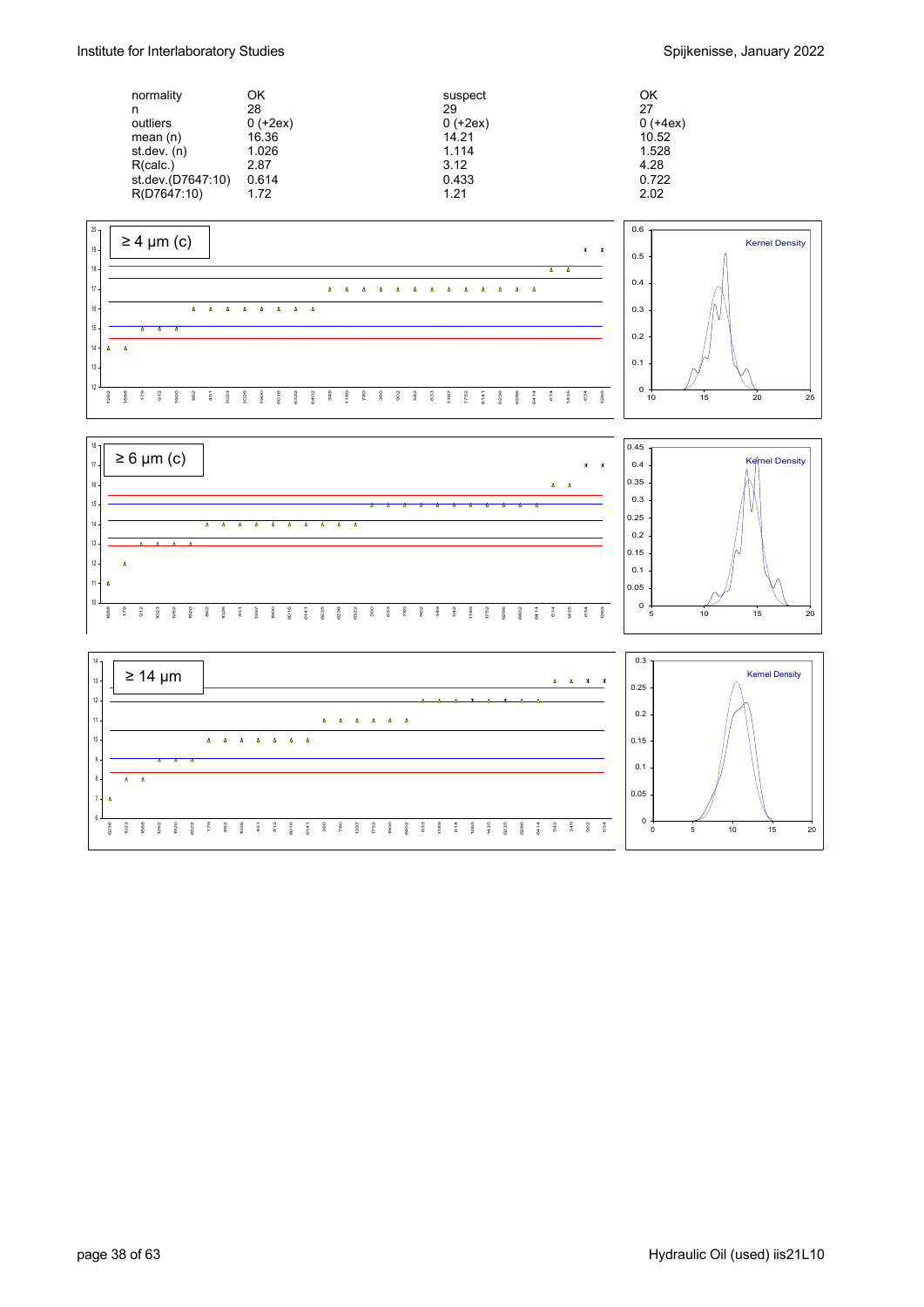| normality         | ΟK         | suspect    | OK         |
|-------------------|------------|------------|------------|
| n                 | 28         | 29         | 27         |
| outliers          | $0 (+2ex)$ | $0 (+2ex)$ | $0 (+4ex)$ |
| mean $(n)$        | 16.36      | 14.21      | 10.52      |
| st.dev. (n)       | 1.026      | 1.114      | 1.528      |
| R(calc.)          | 2.87       | 3.12       | 4.28       |
| st.dev.(D7647:10) | 0.614      | 0.433      | 0.722      |
| R(D7647:10)       | 1.72       | 1.21       | 2.02       |





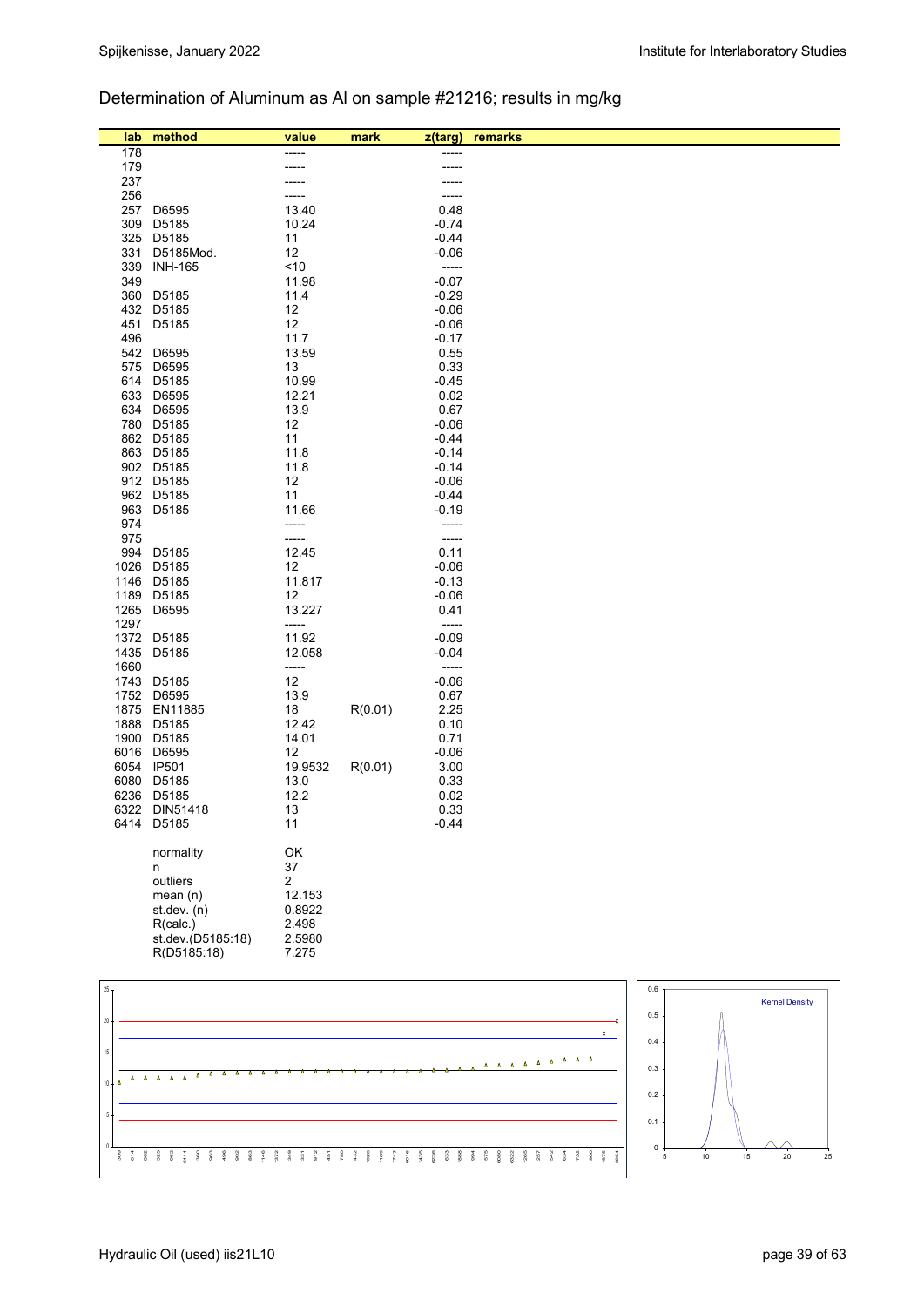## Determination of Aluminum as Al on sample #21216; results in mg/kg

| lab             | method                      | value          | mark    | z(targ)                             | remarks                                                                                   |     |                       |
|-----------------|-----------------------------|----------------|---------|-------------------------------------|-------------------------------------------------------------------------------------------|-----|-----------------------|
| 178             |                             |                |         |                                     |                                                                                           |     |                       |
| 179             |                             |                |         |                                     |                                                                                           |     |                       |
| 237             |                             |                |         |                                     |                                                                                           |     |                       |
| 256             |                             |                |         |                                     |                                                                                           |     |                       |
| 257             | D6595                       | 13.40          |         | 0.48                                |                                                                                           |     |                       |
| 309             | D5185                       | 10.24          |         | $-0.74$                             |                                                                                           |     |                       |
|                 | 325 D5185                   | 11             |         | $-0.44$                             |                                                                                           |     |                       |
| 331<br>339      | D5185Mod.                   | 12<br>~10      |         | $-0.06$<br>$\overline{\phantom{a}}$ |                                                                                           |     |                       |
| 349             | <b>INH-165</b>              | 11.98          |         | $-0.07$                             |                                                                                           |     |                       |
|                 | 360 D5185                   | 11.4           |         | $-0.29$                             |                                                                                           |     |                       |
|                 | 432 D5185                   | 12             |         | $-0.06$                             |                                                                                           |     |                       |
| 451             | D5185                       | 12             |         | $-0.06$                             |                                                                                           |     |                       |
| 496             |                             | 11.7           |         | $-0.17$                             |                                                                                           |     |                       |
|                 | 542 D6595                   | 13.59          |         | 0.55                                |                                                                                           |     |                       |
| 575             | D6595                       | 13             |         | 0.33                                |                                                                                           |     |                       |
|                 | 614 D5185                   | 10.99          |         | $-0.45$                             |                                                                                           |     |                       |
|                 | 633 D6595                   | 12.21          |         | 0.02                                |                                                                                           |     |                       |
|                 | 634 D6595                   | 13.9           |         | 0.67                                |                                                                                           |     |                       |
|                 | 780 D5185                   | 12             |         | $-0.06$                             |                                                                                           |     |                       |
|                 | 862 D5185<br>863 D5185      | 11             |         | $-0.44$<br>$-0.14$                  |                                                                                           |     |                       |
|                 | 902 D5185                   | 11.8<br>11.8   |         | $-0.14$                             |                                                                                           |     |                       |
|                 | 912 D5185                   | 12             |         | $-0.06$                             |                                                                                           |     |                       |
|                 | 962 D5185                   | 11             |         | $-0.44$                             |                                                                                           |     |                       |
| 963             | D5185                       | 11.66          |         | $-0.19$                             |                                                                                           |     |                       |
| 974             |                             | -----          |         | -----                               |                                                                                           |     |                       |
| 975             |                             | -----          |         | -----                               |                                                                                           |     |                       |
|                 | 994 D5185                   | 12.45          |         | 0.11                                |                                                                                           |     |                       |
|                 | 1026 D5185                  | 12             |         | $-0.06$                             |                                                                                           |     |                       |
|                 | 1146 D5185                  | 11.817         |         | $-0.13$                             |                                                                                           |     |                       |
|                 | 1189 D5185                  | 12             |         | $-0.06$                             |                                                                                           |     |                       |
| 1265            | D6595                       | 13.227         |         | 0.41<br>-----                       |                                                                                           |     |                       |
| 1297            | 1372 D5185                  | -----<br>11.92 |         | $-0.09$                             |                                                                                           |     |                       |
|                 | 1435 D5185                  | 12.058         |         | $-0.04$                             |                                                                                           |     |                       |
| 1660            |                             | -----          |         | -----                               |                                                                                           |     |                       |
|                 | 1743 D5185                  | 12             |         | $-0.06$                             |                                                                                           |     |                       |
| 1752            | D6595                       | 13.9           |         | 0.67                                |                                                                                           |     |                       |
|                 | 1875 EN11885                | 18             | R(0.01) | 2.25                                |                                                                                           |     |                       |
| 1888            | D5185                       | 12.42          |         | 0.10                                |                                                                                           |     |                       |
|                 | 1900 D5185                  | 14.01          |         | 0.71                                |                                                                                           |     |                       |
|                 | 6016 D6595                  | 12             |         | $-0.06$                             |                                                                                           |     |                       |
|                 | 6054 IP501                  | 19.9532        | R(0.01) | 3.00                                |                                                                                           |     |                       |
|                 | 6080 D5185                  | 13.0<br>12.2   |         | 0.33<br>0.02                        |                                                                                           |     |                       |
|                 | 6236 D5185<br>6322 DIN51418 | 13             |         | 0.33                                |                                                                                           |     |                       |
|                 | 6414 D5185                  | 11             |         | $-0.44$                             |                                                                                           |     |                       |
|                 |                             |                |         |                                     |                                                                                           |     |                       |
|                 | normality                   | OK             |         |                                     |                                                                                           |     |                       |
|                 | n                           | 37             |         |                                     |                                                                                           |     |                       |
|                 | outliers                    | $\mathbf{2}$   |         |                                     |                                                                                           |     |                       |
|                 | mean(n)                     | 12.153         |         |                                     |                                                                                           |     |                       |
|                 | st.dev. (n)                 | 0.8922         |         |                                     |                                                                                           |     |                       |
|                 | R(calc.)                    | 2.498          |         |                                     |                                                                                           |     |                       |
|                 | st.dev.(D5185:18)           | 2.5980         |         |                                     |                                                                                           |     |                       |
|                 | R(D5185:18)                 | 7.275          |         |                                     |                                                                                           |     |                       |
|                 |                             |                |         |                                     |                                                                                           |     |                       |
| 25 <sub>1</sub> |                             |                |         |                                     |                                                                                           | 0.6 | <b>Kernel Density</b> |
|                 |                             |                |         |                                     |                                                                                           | 0.5 |                       |
| $20\,$          |                             |                |         |                                     | $\mathbf{x}$                                                                              |     |                       |
| $15\,$          |                             |                |         |                                     |                                                                                           | 0.4 |                       |
|                 |                             |                |         |                                     | - 4<br>Δ<br>$\Delta$<br>$\Delta$<br>$\Delta = \Delta = \Delta = \Delta = \Delta = \Delta$ |     |                       |
| Δ               |                             |                |         |                                     |                                                                                           | 0.3 |                       |

 309 614 862 325 962 6414 360 963 496 902 863 1146 1372 349 331 912 451 780 432 1026 1189 1743 6016 1435 6236 633 1888 994 575 6080 6322 1265 257 542 634 1752<br>1900<br>1975<br>1984



0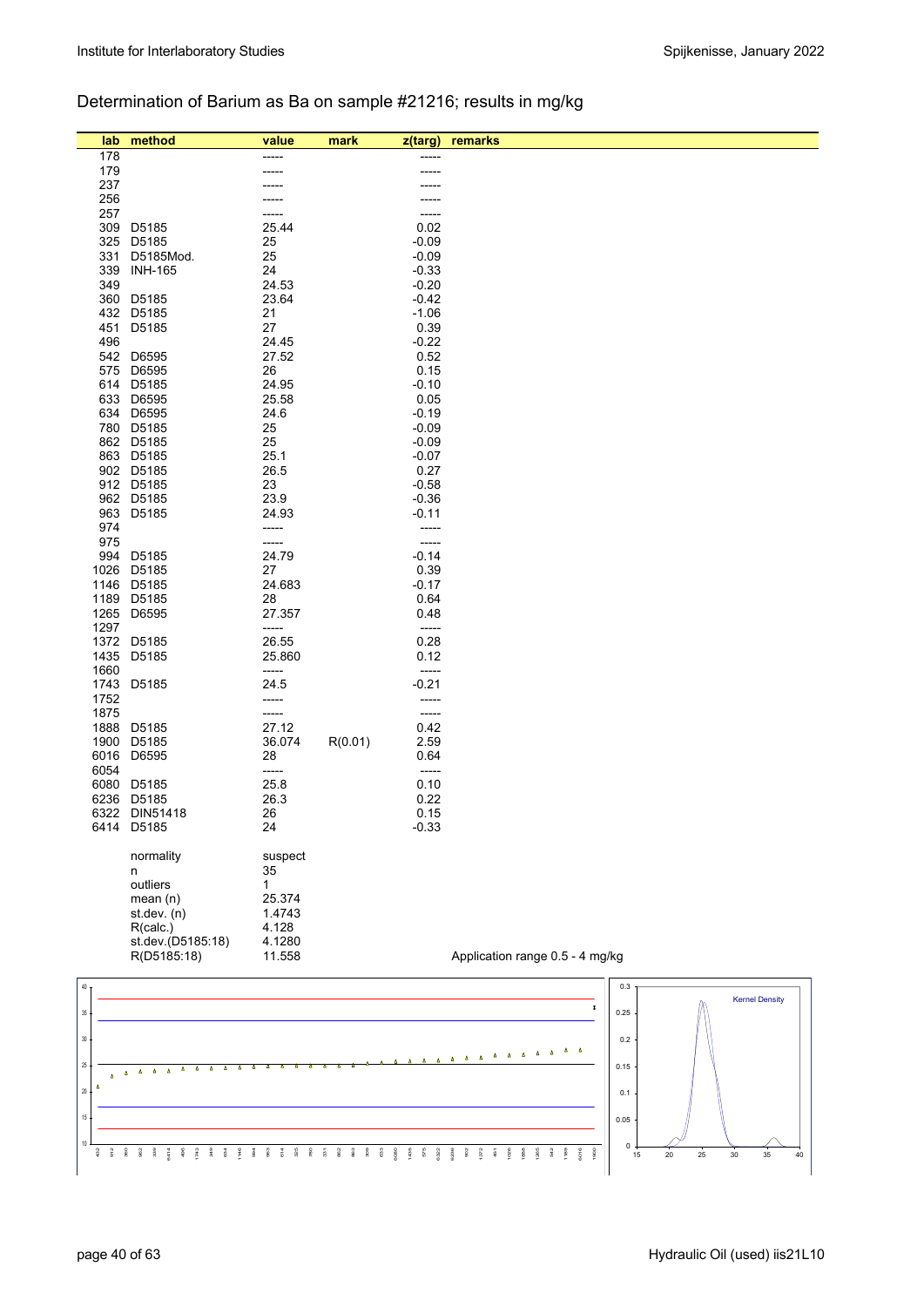### Determination of Barium as Ba on sample #21216; results in mg/kg

| lab          | method                    | value           | mark    | z(targ)            | remarks                         |
|--------------|---------------------------|-----------------|---------|--------------------|---------------------------------|
| 178          |                           |                 |         |                    |                                 |
| 179          |                           |                 |         |                    |                                 |
| 237          |                           |                 |         |                    |                                 |
| 256          |                           |                 |         |                    |                                 |
| 257          |                           |                 |         | -----              |                                 |
| 309          | D5185                     | 25.44           |         | 0.02               |                                 |
| 325          | D5185                     | 25              |         | $-0.09$            |                                 |
| 331          | D5185Mod.                 | 25              |         | $-0.09$            |                                 |
| 339<br>349   | <b>INH-165</b>            | 24<br>24.53     |         | $-0.33$<br>$-0.20$ |                                 |
| 360          | D5185                     | 23.64           |         | $-0.42$            |                                 |
| 432          | D5185                     | 21              |         | $-1.06$            |                                 |
| 451          | D5185                     | 27              |         | 0.39               |                                 |
| 496          |                           | 24.45           |         | $-0.22$            |                                 |
| 542          | D6595                     | 27.52           |         | 0.52               |                                 |
| 575          | D6595                     | 26              |         | 0.15               |                                 |
| 614          | D5185                     | 24.95           |         | $-0.10$            |                                 |
| 633          | D6595                     | 25.58           |         | 0.05               |                                 |
| 634          | D6595                     | 24.6            |         | $-0.19$            |                                 |
|              | 780 D5185                 | 25              |         | $-0.09$            |                                 |
|              | 862 D5185                 | 25              |         | $-0.09$            |                                 |
|              | 863 D5185                 | 25.1            |         | $-0.07$<br>0.27    |                                 |
|              | 902 D5185<br>912 D5185    | 26.5<br>23      |         | $-0.58$            |                                 |
|              | 962 D5185                 | 23.9            |         | $-0.36$            |                                 |
| 963          | D5185                     | 24.93           |         | $-0.11$            |                                 |
| 974          |                           | -----           |         | -----              |                                 |
| 975          |                           | -----           |         | -----              |                                 |
| 994          | D5185                     | 24.79           |         | $-0.14$            |                                 |
| 1026         | D5185                     | 27              |         | 0.39               |                                 |
| 1146         | D5185                     | 24.683          |         | $-0.17$            |                                 |
| 1189         | D5185                     | 28              |         | 0.64               |                                 |
| 1265         | D6595                     | 27.357          |         | 0.48               |                                 |
| 1297         |                           | -----           |         | -----              |                                 |
| 1372         | D5185                     | 26.55           |         | 0.28               |                                 |
| 1435<br>1660 | D5185                     | 25.860<br>----- |         | 0.12               |                                 |
| 1743         | D5185                     | 24.5            |         | -----<br>$-0.21$   |                                 |
| 1752         |                           |                 |         | -----              |                                 |
| 1875         |                           | -----           |         | -----              |                                 |
| 1888         | D5185                     | 27.12           |         | 0.42               |                                 |
| 1900         | D5185                     | 36.074          | R(0.01) | 2.59               |                                 |
| 6016         | D6595                     | 28              |         | 0.64               |                                 |
| 6054         |                           | -----           |         | -----              |                                 |
| 6080         | D5185                     | 25.8            |         | 0.10               |                                 |
|              | 6236 D5185                | 26.3            |         | 0.22               |                                 |
|              | 6322 DIN51418             | 26              |         | 0.15               |                                 |
|              | 6414 D5185                | 24              |         | $-0.33$            |                                 |
|              | normality                 | suspect         |         |                    |                                 |
|              | n                         | 35              |         |                    |                                 |
|              | outliers                  | $\mathbf{1}$    |         |                    |                                 |
|              | mean(n)                   | 25.374          |         |                    |                                 |
|              | st.dev. (n)               | 1.4743          |         |                    |                                 |
|              | R(calc.)                  | 4.128           |         |                    |                                 |
|              | st.dev.(D5185:18)         | 4.1280          |         |                    |                                 |
|              | R(D5185:18)               | 11.558          |         |                    | Application range 0.5 - 4 mg/kg |
|              |                           |                 |         |                    |                                 |
| $40\,$       |                           |                 |         |                    | 0.3                             |
| 35           |                           |                 |         |                    | <b>Kernel Density</b><br>0.25   |
|              |                           |                 |         |                    |                                 |
| 30           |                           |                 |         |                    | 0.2                             |
|              |                           |                 |         |                    |                                 |
| 25           | Δ<br>$\Delta$<br>$\Delta$ |                 |         |                    | 0.15                            |

 1888 1265 542 1189 6016 1900

 $0 + \frac{1}{15}$  $0.05$ 0.1

92<br> 930 931 942 952 953 963 963 963 974 9

<sub>10</sub> 15 20

15 20 25 30 35 40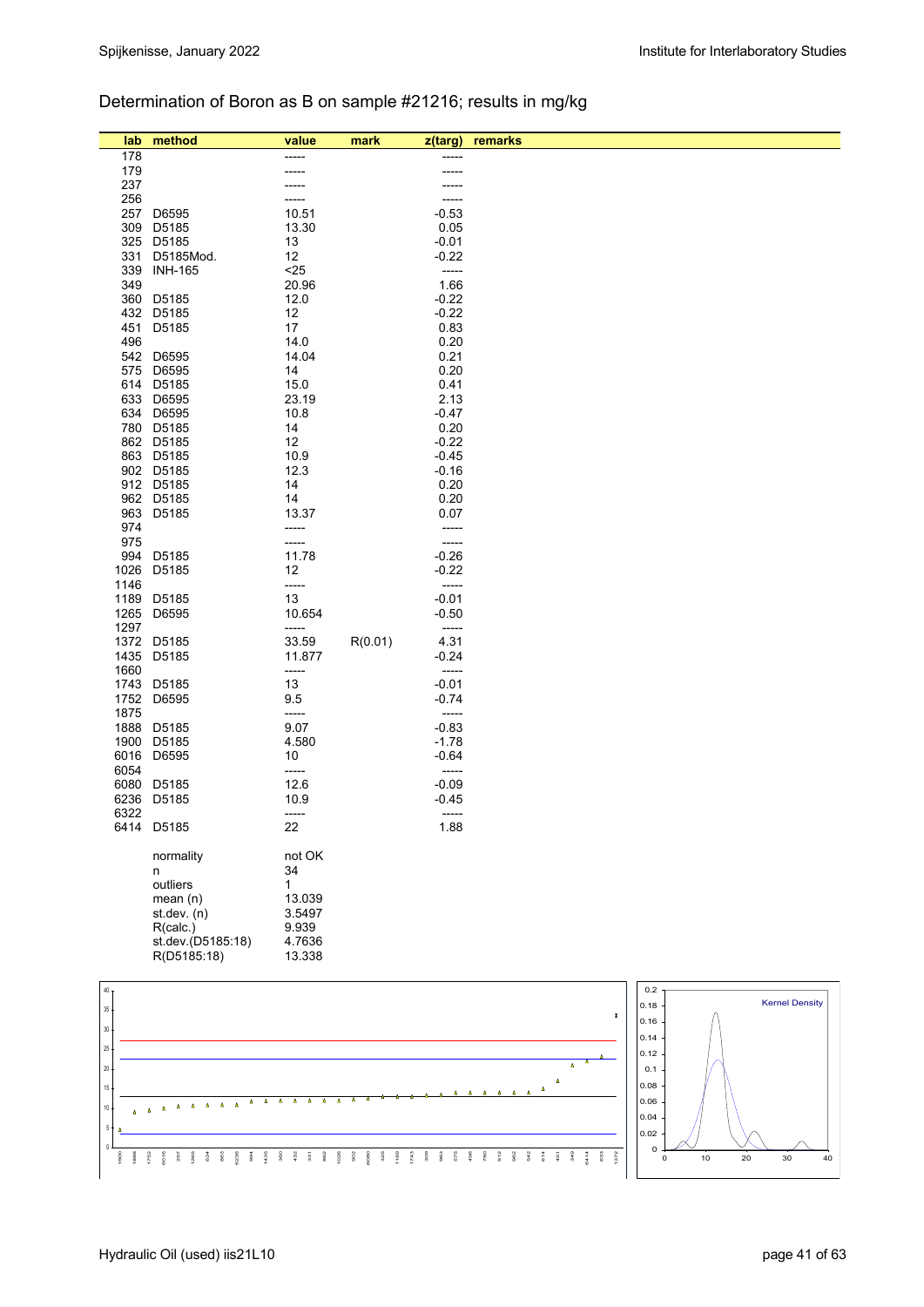## Determination of Boron as B on sample #21216; results in mg/kg

| lab             | method                   | value           | mark    | z(targ)            | remarks            |                |                       |
|-----------------|--------------------------|-----------------|---------|--------------------|--------------------|----------------|-----------------------|
| 178             |                          | ----            |         | ----               |                    |                |                       |
| 179             |                          |                 |         |                    |                    |                |                       |
| 237             |                          |                 |         |                    |                    |                |                       |
| 256             |                          |                 |         |                    |                    |                |                       |
| 257             | D6595                    | 10.51           |         | $-0.53$            |                    |                |                       |
| 309             | D5185                    | 13.30           |         | 0.05               |                    |                |                       |
| 325             | D5185                    | 13              |         | $-0.01$            |                    |                |                       |
| 331<br>339      | D5185Mod.                | 12              |         | $-0.22$            |                    |                |                       |
| 349             | <b>INH-165</b>           | $25$<br>20.96   |         | -----<br>1.66      |                    |                |                       |
|                 | 360 D5185                | 12.0            |         | $-0.22$            |                    |                |                       |
|                 | 432 D5185                | 12              |         | $-0.22$            |                    |                |                       |
| 451             | D5185                    | 17              |         | 0.83               |                    |                |                       |
| 496             |                          | 14.0            |         | 0.20               |                    |                |                       |
| 542             | D6595                    | 14.04           |         | 0.21               |                    |                |                       |
| 575             | D6595                    | 14              |         | 0.20               |                    |                |                       |
| 614             | D5185                    | 15.0            |         | 0.41               |                    |                |                       |
| 633             | D6595                    | 23.19           |         | 2.13               |                    |                |                       |
|                 | 634 D6595                | 10.8            |         | $-0.47$            |                    |                |                       |
|                 | 780 D5185                | 14              |         | 0.20               |                    |                |                       |
|                 | 862 D5185                | 12              |         | $-0.22$            |                    |                |                       |
|                 | 863 D5185<br>902 D5185   | 10.9<br>12.3    |         | $-0.45$<br>$-0.16$ |                    |                |                       |
|                 | 912 D5185                | 14              |         | 0.20               |                    |                |                       |
|                 | 962 D5185                | 14              |         | 0.20               |                    |                |                       |
| 963             | D5185                    | 13.37           |         | 0.07               |                    |                |                       |
| 974             |                          | -----           |         | -----              |                    |                |                       |
| 975             |                          | -----           |         | -----              |                    |                |                       |
| 994             | D5185                    | 11.78           |         | $-0.26$            |                    |                |                       |
| 1026            | D5185                    | 12              |         | $-0.22$            |                    |                |                       |
| 1146            |                          | -----           |         | -----              |                    |                |                       |
| 1189            | D5185                    | 13              |         | $-0.01$            |                    |                |                       |
| 1265            | D6595                    | 10.654          |         | $-0.50$            |                    |                |                       |
| 1297            |                          | -----           |         | -----              |                    |                |                       |
|                 | 1372 D5185<br>1435 D5185 | 33.59<br>11.877 | R(0.01) | 4.31<br>$-0.24$    |                    |                |                       |
| 1660            |                          | -----           |         | -----              |                    |                |                       |
|                 | 1743 D5185               | 13              |         | $-0.01$            |                    |                |                       |
|                 | 1752 D6595               | 9.5             |         | $-0.74$            |                    |                |                       |
| 1875            |                          | -----           |         | -----              |                    |                |                       |
| 1888            | D5185                    | 9.07            |         | $-0.83$            |                    |                |                       |
| 1900            | D5185                    | 4.580           |         | $-1.78$            |                    |                |                       |
| 6016            | D6595                    | 10              |         | $-0.64$            |                    |                |                       |
| 6054            |                          | -----           |         | -----              |                    |                |                       |
| 6080            | D5185                    | 12.6            |         | $-0.09$            |                    |                |                       |
| 6236            | D5185                    | 10.9            |         | -0.45              |                    |                |                       |
| 6322            | 6414 D5185               | -----           |         | -----              |                    |                |                       |
|                 |                          | 22              |         | 1.88               |                    |                |                       |
|                 | normality                | not OK          |         |                    |                    |                |                       |
|                 | n                        | 34              |         |                    |                    |                |                       |
|                 | outliers                 | 1               |         |                    |                    |                |                       |
|                 | mean(n)                  | 13.039          |         |                    |                    |                |                       |
|                 | st.dev. (n)              | 3.5497          |         |                    |                    |                |                       |
|                 | R(calc.)                 | 9.939           |         |                    |                    |                |                       |
|                 | st.dev.(D5185:18)        | 4.7636          |         |                    |                    |                |                       |
|                 | R(D5185:18)              | 13.338          |         |                    |                    |                |                       |
|                 |                          |                 |         |                    |                    | 0.2            |                       |
| 40 <sub>1</sub> |                          |                 |         |                    |                    | 0.18           | <b>Kernel Density</b> |
| $35 -$          |                          |                 |         |                    | $\pmb{\mathsf{x}}$ | 0.16           |                       |
| $30\,$          |                          |                 |         |                    |                    | 0.14           |                       |
| $25\,$          |                          |                 |         |                    |                    | 0.12           |                       |
| $\infty$        |                          |                 |         |                    | $\pmb{\Delta}$     | 0 <sub>1</sub> |                       |

1752 6016 257 1265 634 863 6236 994 1435 360 432 331 862 1026 902 6080 325 1189 1743 309 963 575 496 780 912 962 542 614 451 349 6414 633 1372



 $\lambda$  $\Delta$  $\Delta$  $\overline{\mathbf{A}}$ 

 $\Delta$  $\lambda$ 

0

1900 1888

10 15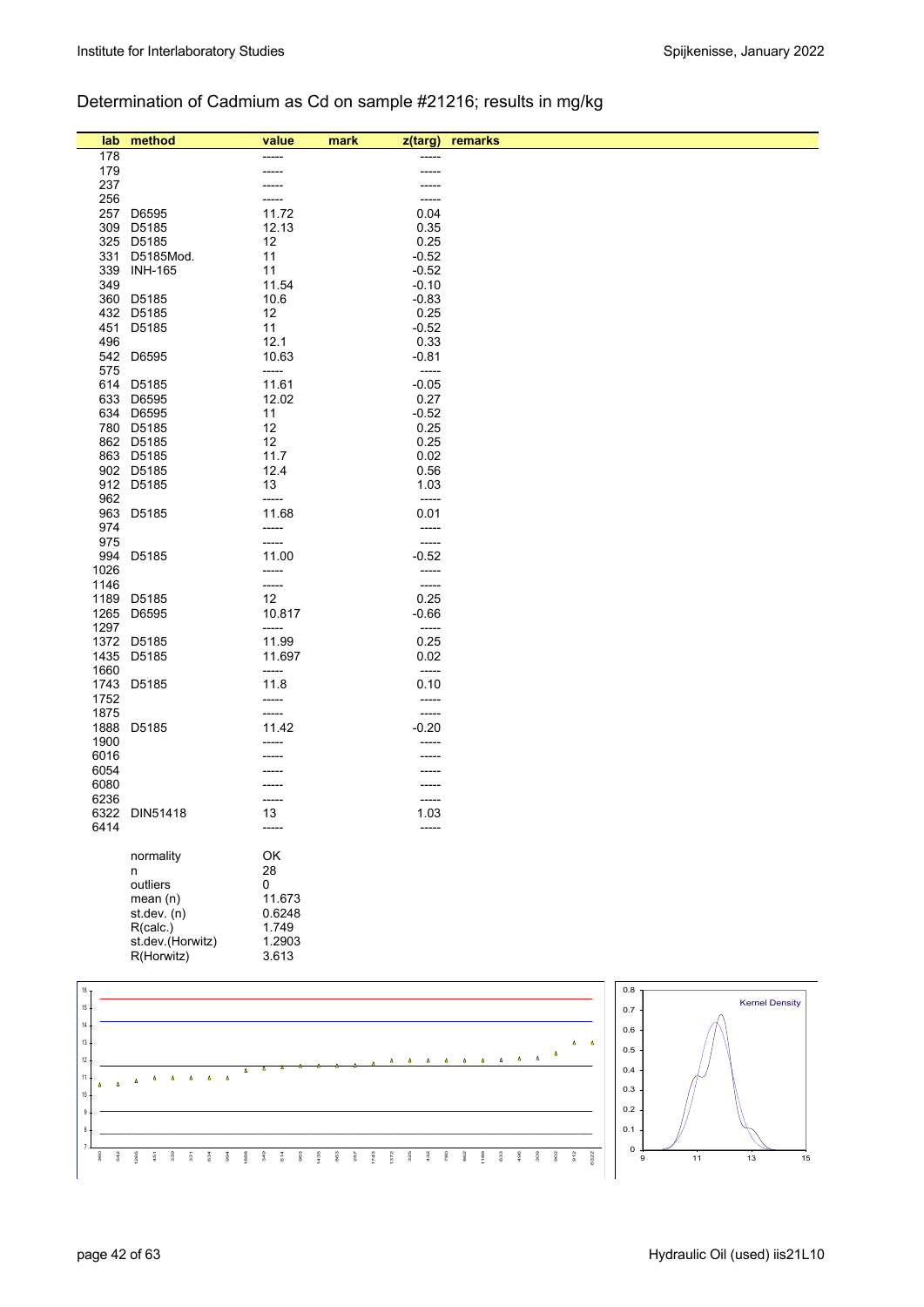## Determination of Cadmium as Cd on sample #21216; results in mg/kg

| lab        | method           | value          | mark<br>z(targ)  | remarks |                       |
|------------|------------------|----------------|------------------|---------|-----------------------|
| 178        |                  |                | -----            |         |                       |
| 179        |                  |                | -----            |         |                       |
| 237        |                  |                |                  |         |                       |
| 256        |                  |                | -----            |         |                       |
| 257        | D6595            | 11.72          | 0.04             |         |                       |
| 309        | D5185            | 12.13          | 0.35             |         |                       |
|            | 325 D5185        | 12             | 0.25             |         |                       |
| 331        | D5185Mod.        | 11             | $-0.52$          |         |                       |
| 339        | <b>INH-165</b>   | 11             | $-0.52$          |         |                       |
| 349        |                  | 11.54          | $-0.10$          |         |                       |
|            | 360 D5185        | 10.6           | $-0.83$          |         |                       |
|            | 432 D5185        | 12             | 0.25             |         |                       |
| 451        | D5185            | 11             | $-0.52$          |         |                       |
| 496        |                  | 12.1           | 0.33             |         |                       |
| 542<br>575 | D6595            | 10.63          | $-0.81$<br>----- |         |                       |
|            | 614 D5185        | -----<br>11.61 | $-0.05$          |         |                       |
|            | 633 D6595        | 12.02          | 0.27             |         |                       |
|            | 634 D6595        | 11             | $-0.52$          |         |                       |
|            | 780 D5185        | 12             | 0.25             |         |                       |
|            | 862 D5185        | 12             | 0.25             |         |                       |
|            | 863 D5185        | 11.7           | $0.02\,$         |         |                       |
|            | 902 D5185        | 12.4           | 0.56             |         |                       |
|            | 912 D5185        | 13             | 1.03             |         |                       |
| 962        |                  | -----          | $-----$          |         |                       |
| 963        | D5185            | 11.68          | 0.01             |         |                       |
| 974        |                  | -----          | -----            |         |                       |
| 975        |                  | -----          | -----            |         |                       |
| 994        | D5185            | 11.00          | $-0.52$          |         |                       |
| 1026       |                  | -----          | -----            |         |                       |
| 1146       |                  | -----          | $-----1$         |         |                       |
| 1189       | D5185            | 12             | 0.25             |         |                       |
| 1265       | D6595            | 10.817         | $-0.66$          |         |                       |
| 1297       |                  | -----          | $-----$          |         |                       |
|            | 1372 D5185       | 11.99          | 0.25             |         |                       |
|            | 1435 D5185       | 11.697         | 0.02             |         |                       |
| 1660       |                  | -----          | -----            |         |                       |
|            | 1743 D5185       | 11.8           | 0.10             |         |                       |
| 1752       |                  | -----          | -----            |         |                       |
| 1875       |                  | -----          | -----            |         |                       |
| 1888       | D5185            | 11.42          | $-0.20$          |         |                       |
| 1900       |                  |                |                  |         |                       |
| 6016       |                  |                |                  |         |                       |
| 6054       |                  |                |                  |         |                       |
| 6080       |                  |                |                  |         |                       |
| 6236       |                  | -----          | -----            |         |                       |
|            | 6322 DIN51418    | 13             | 1.03             |         |                       |
| 6414       |                  |                |                  |         |                       |
|            |                  |                |                  |         |                       |
|            | normality        | OK             |                  |         |                       |
|            | n                | 28             |                  |         |                       |
|            | outliers         | 0              |                  |         |                       |
|            | mean(n)          | 11.673         |                  |         |                       |
|            | st. dev. (n)     | 0.6248         |                  |         |                       |
|            | R(calc.)         | 1.749          |                  |         |                       |
|            | st.dev.(Horwitz) | 1.2903         |                  |         |                       |
|            | R(Horwitz)       | 3.613          |                  |         |                       |
|            |                  |                |                  |         |                       |
| 16         |                  |                |                  | $0.8\,$ |                       |
| 15         |                  |                |                  | 0.7     | <b>Kernel Density</b> |

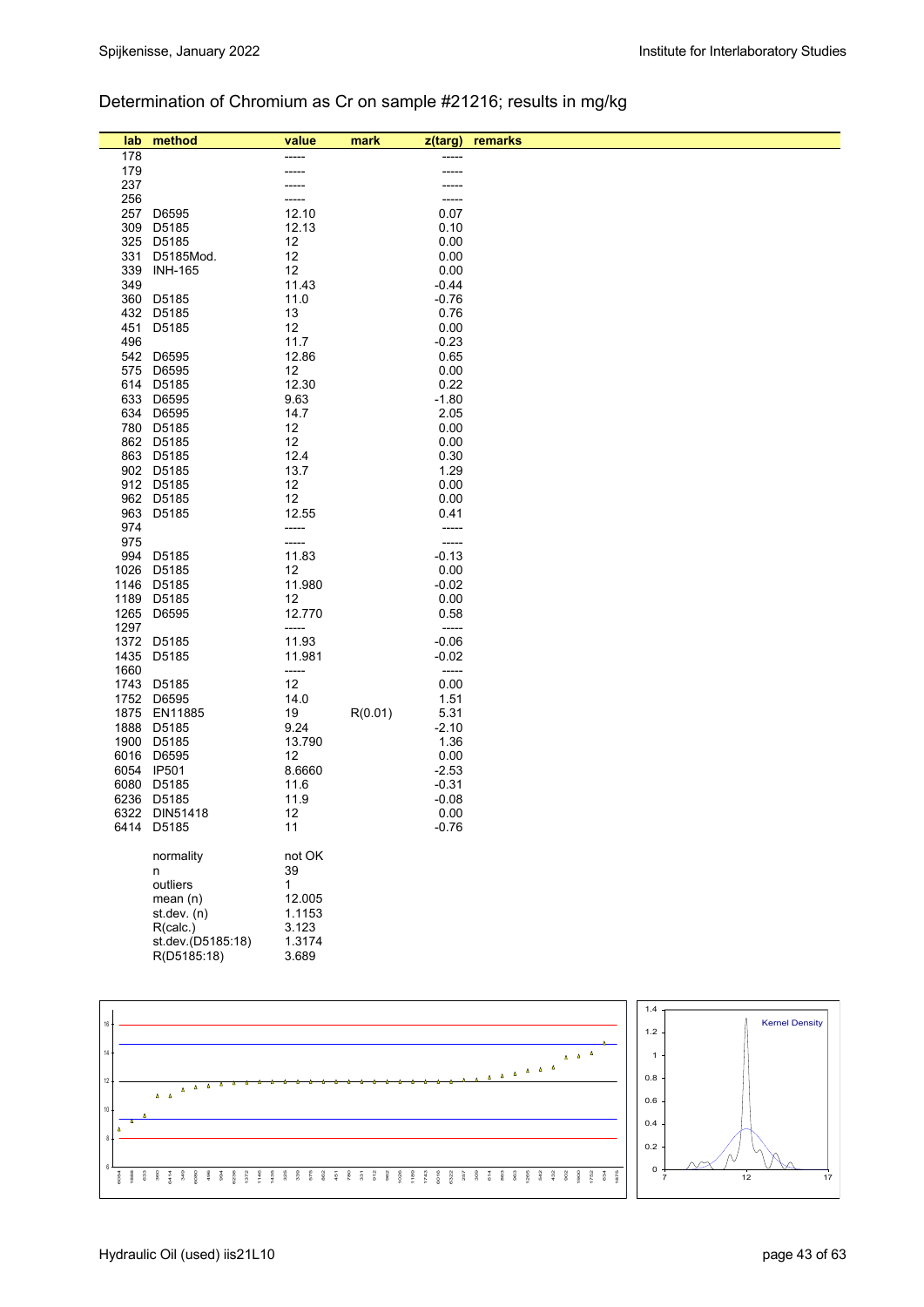## Determination of Chromium as Cr on sample #21216; results in mg/kg

| lab  | method                           | value           | mark    | z(targ)            | remarks                        |
|------|----------------------------------|-----------------|---------|--------------------|--------------------------------|
| 178  |                                  |                 |         |                    |                                |
| 179  |                                  |                 |         | -----              |                                |
| 237  |                                  |                 |         |                    |                                |
| 256  |                                  |                 |         |                    |                                |
| 257  | D6595                            | 12.10           |         | 0.07               |                                |
| 309  | D5185                            | 12.13           |         | 0.10               |                                |
|      | 325 D5185                        | 12              |         | 0.00               |                                |
| 331  | D5185Mod.                        | 12              |         | 0.00               |                                |
|      | 339 INH-165                      | 12              |         | 0.00               |                                |
| 349  |                                  | 11.43           |         | $-0.44$            |                                |
|      | 360 D5185                        | 11.0            |         | $-0.76$            |                                |
|      | 432 D5185                        | 13              |         | 0.76               |                                |
| 451  | D5185                            | 12              |         | 0.00               |                                |
| 496  | 542 D6595                        | 11.7<br>12.86   |         | $-0.23$<br>0.65    |                                |
| 575  | D6595                            | 12              |         | 0.00               |                                |
|      | 614 D5185                        | 12.30           |         | 0.22               |                                |
| 633  | D6595                            | 9.63            |         | $-1.80$            |                                |
| 634  | D6595                            | 14.7            |         | 2.05               |                                |
|      | 780 D5185                        | 12              |         | 0.00               |                                |
|      | 862 D5185                        | 12              |         | 0.00               |                                |
|      | 863 D5185                        | 12.4            |         | 0.30               |                                |
|      | 902 D5185                        | 13.7            |         | 1.29               |                                |
|      | 912 D5185                        | 12              |         | 0.00               |                                |
|      | 962 D5185                        | 12              |         | 0.00               |                                |
|      | 963 D5185                        | 12.55           |         | 0.41               |                                |
| 974  |                                  | -----           |         | -----              |                                |
| 975  | 994 D5185                        | -----           |         | -----              |                                |
|      | 1026 D5185                       | 11.83<br>12     |         | $-0.13$<br>0.00    |                                |
|      | 1146 D5185                       | 11.980          |         | $-0.02$            |                                |
|      | 1189 D5185                       | 12              |         | 0.00               |                                |
| 1265 | D6595                            | 12.770          |         | 0.58               |                                |
| 1297 |                                  | -----           |         | -----              |                                |
|      | 1372 D5185                       | 11.93           |         | $-0.06$            |                                |
|      | 1435 D5185                       | 11.981          |         | $-0.02$            |                                |
| 1660 |                                  | -----           |         | -----              |                                |
|      | 1743 D5185                       | 12              |         | 0.00               |                                |
|      | 1752 D6595                       | 14.0            |         | 1.51               |                                |
|      | 1875 EN11885                     | 19              | R(0.01) | 5.31               |                                |
|      | 1888 D5185                       | 9.24            |         | $-2.10$            |                                |
|      | 1900 D5185                       | 13.790          |         | 1.36               |                                |
|      | 6016 D6595<br>6054 IP501         | 12<br>8.6660    |         | 0.00               |                                |
| 6080 | D5185                            | 11.6            |         | $-2.53$<br>$-0.31$ |                                |
|      | 6236 D5185                       | 11.9            |         | $-0.08$            |                                |
|      | 6322 DIN51418                    | 12              |         | 0.00               |                                |
|      | 6414 D5185                       | 11              |         | $-0.76$            |                                |
|      |                                  |                 |         |                    |                                |
|      | normality                        | not OK          |         |                    |                                |
|      | n                                | 39              |         |                    |                                |
|      | outliers                         | $\mathbf{1}$    |         |                    |                                |
|      | mean $(n)$                       | 12.005          |         |                    |                                |
|      | st.dev. (n)                      | 1.1153          |         |                    |                                |
|      | R(calc.)                         | 3.123           |         |                    |                                |
|      | st.dev.(D5185:18)<br>R(D5185:18) | 1.3174<br>3.689 |         |                    |                                |
|      |                                  |                 |         |                    |                                |
|      |                                  |                 |         |                    |                                |
|      |                                  |                 |         |                    |                                |
| 16   |                                  |                 |         |                    | $1.4$<br><b>Kernel Density</b> |
|      |                                  |                 |         |                    | $1.2$                          |



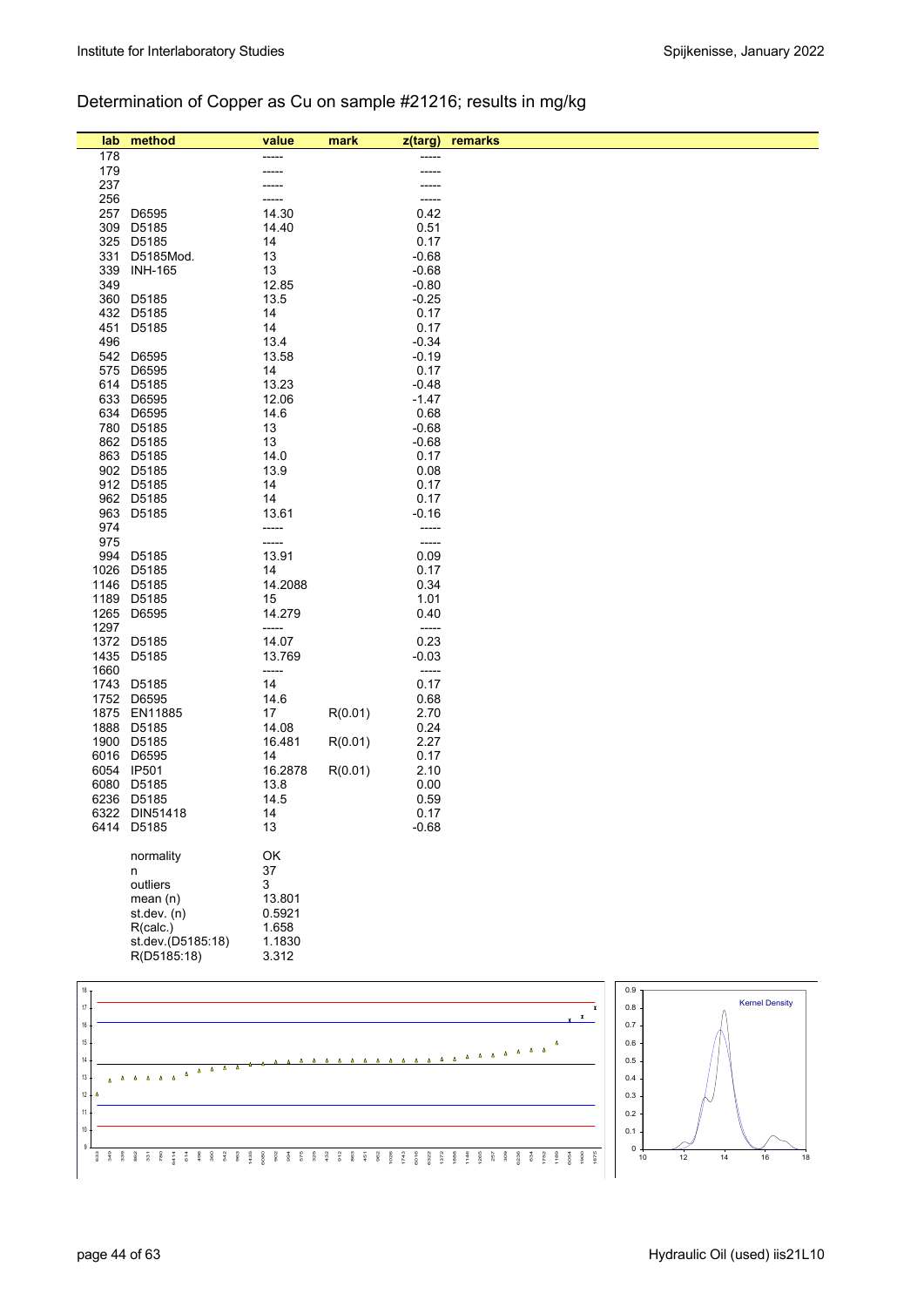## Determination of Copper as Cu on sample #21216; results in mg/kg

| 178<br>179<br>-----<br>237<br>256<br>-----<br>257<br>D6595<br>14.30<br>0.42<br>309<br>D5185<br>0.51<br>14.40<br>D5185<br>14<br>0.17<br>325<br>$-0.68$<br>331<br>D5185Mod.<br>13<br>339<br><b>INH-165</b><br>13<br>$-0.68$<br>349<br>12.85<br>$-0.80$<br>$-0.25$<br>360<br>D5185<br>13.5<br>432<br>D5185<br>14<br>0.17<br>14<br>451<br>D5185<br>0.17<br>$-0.34$<br>496<br>13.4<br>542<br>D6595<br>13.58<br>$-0.19$<br>575<br>D6595<br>14<br>0.17<br>614 D5185<br>13.23<br>$-0.48$<br>633 D6595<br>12.06<br>$-1.47$<br>634 D6595<br>14.6<br>0.68<br>780 D5185<br>13<br>$-0.68$<br>862 D5185<br>13<br>$-0.68$<br>863 D5185<br>14.0<br>0.17<br>902 D5185<br>0.08<br>13.9<br>912 D5185<br>14<br>0.17<br>962 D5185<br>14<br>0.17<br>963<br>D5185<br>13.61<br>$-0.16$<br>974<br>-----<br>-----<br>975<br>-----<br>-----<br>994<br>13.91<br>0.09<br>D5185<br>1026<br>D5185<br>14<br>0.17<br>1146<br>D5185<br>14.2088<br>0.34<br>1189 D5185<br>1.01<br>15<br>1265<br>D6595<br>14.279<br>0.40<br>1297<br>-----<br>-----<br>1372 D5185<br>14.07<br>0.23<br>1435 D5185<br>$-0.03$<br>13.769<br>1660<br>-----<br>-----<br>14<br>0.17<br>1743<br>D5185<br>1752<br>D6595<br>14.6<br>0.68<br>1875 EN11885<br>17<br>R(0.01)<br>2.70<br>1888<br>D5185<br>14.08<br>0.24<br>1900 D5185<br>2.27<br>R(0.01)<br>16.481<br>6016 D6595<br>0.17<br>14<br>6054 IP501<br>R(0.01)<br>2.10<br>16.2878<br>6080<br>D5185<br>0.00<br>13.8<br>6236 D5185<br>14.5<br>0.59<br>6322 DIN51418<br>14<br>0.17<br>$-0.68$<br>6414 D5185<br>13<br>OK<br>normality<br>37<br>n<br>outliers<br>3<br>mean(n)<br>13.801<br>st.dev. (n)<br>0.5921<br>R(calc.)<br>1.658<br>st.dev.(D5185:18)<br>1.1830<br>R(D5185:18)<br>3.312 | lab | method | value | mark | z(targ) | remarks |
|-------------------------------------------------------------------------------------------------------------------------------------------------------------------------------------------------------------------------------------------------------------------------------------------------------------------------------------------------------------------------------------------------------------------------------------------------------------------------------------------------------------------------------------------------------------------------------------------------------------------------------------------------------------------------------------------------------------------------------------------------------------------------------------------------------------------------------------------------------------------------------------------------------------------------------------------------------------------------------------------------------------------------------------------------------------------------------------------------------------------------------------------------------------------------------------------------------------------------------------------------------------------------------------------------------------------------------------------------------------------------------------------------------------------------------------------------------------------------------------------------------------------------------------------------------------------------------------------------------------------------------------------------------------------------------|-----|--------|-------|------|---------|---------|
|                                                                                                                                                                                                                                                                                                                                                                                                                                                                                                                                                                                                                                                                                                                                                                                                                                                                                                                                                                                                                                                                                                                                                                                                                                                                                                                                                                                                                                                                                                                                                                                                                                                                               |     |        |       |      |         |         |
|                                                                                                                                                                                                                                                                                                                                                                                                                                                                                                                                                                                                                                                                                                                                                                                                                                                                                                                                                                                                                                                                                                                                                                                                                                                                                                                                                                                                                                                                                                                                                                                                                                                                               |     |        |       |      |         |         |
|                                                                                                                                                                                                                                                                                                                                                                                                                                                                                                                                                                                                                                                                                                                                                                                                                                                                                                                                                                                                                                                                                                                                                                                                                                                                                                                                                                                                                                                                                                                                                                                                                                                                               |     |        |       |      |         |         |
|                                                                                                                                                                                                                                                                                                                                                                                                                                                                                                                                                                                                                                                                                                                                                                                                                                                                                                                                                                                                                                                                                                                                                                                                                                                                                                                                                                                                                                                                                                                                                                                                                                                                               |     |        |       |      |         |         |
|                                                                                                                                                                                                                                                                                                                                                                                                                                                                                                                                                                                                                                                                                                                                                                                                                                                                                                                                                                                                                                                                                                                                                                                                                                                                                                                                                                                                                                                                                                                                                                                                                                                                               |     |        |       |      |         |         |
|                                                                                                                                                                                                                                                                                                                                                                                                                                                                                                                                                                                                                                                                                                                                                                                                                                                                                                                                                                                                                                                                                                                                                                                                                                                                                                                                                                                                                                                                                                                                                                                                                                                                               |     |        |       |      |         |         |
|                                                                                                                                                                                                                                                                                                                                                                                                                                                                                                                                                                                                                                                                                                                                                                                                                                                                                                                                                                                                                                                                                                                                                                                                                                                                                                                                                                                                                                                                                                                                                                                                                                                                               |     |        |       |      |         |         |
|                                                                                                                                                                                                                                                                                                                                                                                                                                                                                                                                                                                                                                                                                                                                                                                                                                                                                                                                                                                                                                                                                                                                                                                                                                                                                                                                                                                                                                                                                                                                                                                                                                                                               |     |        |       |      |         |         |
|                                                                                                                                                                                                                                                                                                                                                                                                                                                                                                                                                                                                                                                                                                                                                                                                                                                                                                                                                                                                                                                                                                                                                                                                                                                                                                                                                                                                                                                                                                                                                                                                                                                                               |     |        |       |      |         |         |
|                                                                                                                                                                                                                                                                                                                                                                                                                                                                                                                                                                                                                                                                                                                                                                                                                                                                                                                                                                                                                                                                                                                                                                                                                                                                                                                                                                                                                                                                                                                                                                                                                                                                               |     |        |       |      |         |         |
|                                                                                                                                                                                                                                                                                                                                                                                                                                                                                                                                                                                                                                                                                                                                                                                                                                                                                                                                                                                                                                                                                                                                                                                                                                                                                                                                                                                                                                                                                                                                                                                                                                                                               |     |        |       |      |         |         |
|                                                                                                                                                                                                                                                                                                                                                                                                                                                                                                                                                                                                                                                                                                                                                                                                                                                                                                                                                                                                                                                                                                                                                                                                                                                                                                                                                                                                                                                                                                                                                                                                                                                                               |     |        |       |      |         |         |
|                                                                                                                                                                                                                                                                                                                                                                                                                                                                                                                                                                                                                                                                                                                                                                                                                                                                                                                                                                                                                                                                                                                                                                                                                                                                                                                                                                                                                                                                                                                                                                                                                                                                               |     |        |       |      |         |         |
|                                                                                                                                                                                                                                                                                                                                                                                                                                                                                                                                                                                                                                                                                                                                                                                                                                                                                                                                                                                                                                                                                                                                                                                                                                                                                                                                                                                                                                                                                                                                                                                                                                                                               |     |        |       |      |         |         |
|                                                                                                                                                                                                                                                                                                                                                                                                                                                                                                                                                                                                                                                                                                                                                                                                                                                                                                                                                                                                                                                                                                                                                                                                                                                                                                                                                                                                                                                                                                                                                                                                                                                                               |     |        |       |      |         |         |
|                                                                                                                                                                                                                                                                                                                                                                                                                                                                                                                                                                                                                                                                                                                                                                                                                                                                                                                                                                                                                                                                                                                                                                                                                                                                                                                                                                                                                                                                                                                                                                                                                                                                               |     |        |       |      |         |         |
|                                                                                                                                                                                                                                                                                                                                                                                                                                                                                                                                                                                                                                                                                                                                                                                                                                                                                                                                                                                                                                                                                                                                                                                                                                                                                                                                                                                                                                                                                                                                                                                                                                                                               |     |        |       |      |         |         |
|                                                                                                                                                                                                                                                                                                                                                                                                                                                                                                                                                                                                                                                                                                                                                                                                                                                                                                                                                                                                                                                                                                                                                                                                                                                                                                                                                                                                                                                                                                                                                                                                                                                                               |     |        |       |      |         |         |
|                                                                                                                                                                                                                                                                                                                                                                                                                                                                                                                                                                                                                                                                                                                                                                                                                                                                                                                                                                                                                                                                                                                                                                                                                                                                                                                                                                                                                                                                                                                                                                                                                                                                               |     |        |       |      |         |         |
|                                                                                                                                                                                                                                                                                                                                                                                                                                                                                                                                                                                                                                                                                                                                                                                                                                                                                                                                                                                                                                                                                                                                                                                                                                                                                                                                                                                                                                                                                                                                                                                                                                                                               |     |        |       |      |         |         |
|                                                                                                                                                                                                                                                                                                                                                                                                                                                                                                                                                                                                                                                                                                                                                                                                                                                                                                                                                                                                                                                                                                                                                                                                                                                                                                                                                                                                                                                                                                                                                                                                                                                                               |     |        |       |      |         |         |
|                                                                                                                                                                                                                                                                                                                                                                                                                                                                                                                                                                                                                                                                                                                                                                                                                                                                                                                                                                                                                                                                                                                                                                                                                                                                                                                                                                                                                                                                                                                                                                                                                                                                               |     |        |       |      |         |         |
|                                                                                                                                                                                                                                                                                                                                                                                                                                                                                                                                                                                                                                                                                                                                                                                                                                                                                                                                                                                                                                                                                                                                                                                                                                                                                                                                                                                                                                                                                                                                                                                                                                                                               |     |        |       |      |         |         |
|                                                                                                                                                                                                                                                                                                                                                                                                                                                                                                                                                                                                                                                                                                                                                                                                                                                                                                                                                                                                                                                                                                                                                                                                                                                                                                                                                                                                                                                                                                                                                                                                                                                                               |     |        |       |      |         |         |
|                                                                                                                                                                                                                                                                                                                                                                                                                                                                                                                                                                                                                                                                                                                                                                                                                                                                                                                                                                                                                                                                                                                                                                                                                                                                                                                                                                                                                                                                                                                                                                                                                                                                               |     |        |       |      |         |         |
|                                                                                                                                                                                                                                                                                                                                                                                                                                                                                                                                                                                                                                                                                                                                                                                                                                                                                                                                                                                                                                                                                                                                                                                                                                                                                                                                                                                                                                                                                                                                                                                                                                                                               |     |        |       |      |         |         |
|                                                                                                                                                                                                                                                                                                                                                                                                                                                                                                                                                                                                                                                                                                                                                                                                                                                                                                                                                                                                                                                                                                                                                                                                                                                                                                                                                                                                                                                                                                                                                                                                                                                                               |     |        |       |      |         |         |
|                                                                                                                                                                                                                                                                                                                                                                                                                                                                                                                                                                                                                                                                                                                                                                                                                                                                                                                                                                                                                                                                                                                                                                                                                                                                                                                                                                                                                                                                                                                                                                                                                                                                               |     |        |       |      |         |         |
|                                                                                                                                                                                                                                                                                                                                                                                                                                                                                                                                                                                                                                                                                                                                                                                                                                                                                                                                                                                                                                                                                                                                                                                                                                                                                                                                                                                                                                                                                                                                                                                                                                                                               |     |        |       |      |         |         |
|                                                                                                                                                                                                                                                                                                                                                                                                                                                                                                                                                                                                                                                                                                                                                                                                                                                                                                                                                                                                                                                                                                                                                                                                                                                                                                                                                                                                                                                                                                                                                                                                                                                                               |     |        |       |      |         |         |
|                                                                                                                                                                                                                                                                                                                                                                                                                                                                                                                                                                                                                                                                                                                                                                                                                                                                                                                                                                                                                                                                                                                                                                                                                                                                                                                                                                                                                                                                                                                                                                                                                                                                               |     |        |       |      |         |         |
|                                                                                                                                                                                                                                                                                                                                                                                                                                                                                                                                                                                                                                                                                                                                                                                                                                                                                                                                                                                                                                                                                                                                                                                                                                                                                                                                                                                                                                                                                                                                                                                                                                                                               |     |        |       |      |         |         |
|                                                                                                                                                                                                                                                                                                                                                                                                                                                                                                                                                                                                                                                                                                                                                                                                                                                                                                                                                                                                                                                                                                                                                                                                                                                                                                                                                                                                                                                                                                                                                                                                                                                                               |     |        |       |      |         |         |
|                                                                                                                                                                                                                                                                                                                                                                                                                                                                                                                                                                                                                                                                                                                                                                                                                                                                                                                                                                                                                                                                                                                                                                                                                                                                                                                                                                                                                                                                                                                                                                                                                                                                               |     |        |       |      |         |         |
|                                                                                                                                                                                                                                                                                                                                                                                                                                                                                                                                                                                                                                                                                                                                                                                                                                                                                                                                                                                                                                                                                                                                                                                                                                                                                                                                                                                                                                                                                                                                                                                                                                                                               |     |        |       |      |         |         |
|                                                                                                                                                                                                                                                                                                                                                                                                                                                                                                                                                                                                                                                                                                                                                                                                                                                                                                                                                                                                                                                                                                                                                                                                                                                                                                                                                                                                                                                                                                                                                                                                                                                                               |     |        |       |      |         |         |
|                                                                                                                                                                                                                                                                                                                                                                                                                                                                                                                                                                                                                                                                                                                                                                                                                                                                                                                                                                                                                                                                                                                                                                                                                                                                                                                                                                                                                                                                                                                                                                                                                                                                               |     |        |       |      |         |         |
|                                                                                                                                                                                                                                                                                                                                                                                                                                                                                                                                                                                                                                                                                                                                                                                                                                                                                                                                                                                                                                                                                                                                                                                                                                                                                                                                                                                                                                                                                                                                                                                                                                                                               |     |        |       |      |         |         |
|                                                                                                                                                                                                                                                                                                                                                                                                                                                                                                                                                                                                                                                                                                                                                                                                                                                                                                                                                                                                                                                                                                                                                                                                                                                                                                                                                                                                                                                                                                                                                                                                                                                                               |     |        |       |      |         |         |
|                                                                                                                                                                                                                                                                                                                                                                                                                                                                                                                                                                                                                                                                                                                                                                                                                                                                                                                                                                                                                                                                                                                                                                                                                                                                                                                                                                                                                                                                                                                                                                                                                                                                               |     |        |       |      |         |         |
|                                                                                                                                                                                                                                                                                                                                                                                                                                                                                                                                                                                                                                                                                                                                                                                                                                                                                                                                                                                                                                                                                                                                                                                                                                                                                                                                                                                                                                                                                                                                                                                                                                                                               |     |        |       |      |         |         |
|                                                                                                                                                                                                                                                                                                                                                                                                                                                                                                                                                                                                                                                                                                                                                                                                                                                                                                                                                                                                                                                                                                                                                                                                                                                                                                                                                                                                                                                                                                                                                                                                                                                                               |     |        |       |      |         |         |
|                                                                                                                                                                                                                                                                                                                                                                                                                                                                                                                                                                                                                                                                                                                                                                                                                                                                                                                                                                                                                                                                                                                                                                                                                                                                                                                                                                                                                                                                                                                                                                                                                                                                               |     |        |       |      |         |         |
|                                                                                                                                                                                                                                                                                                                                                                                                                                                                                                                                                                                                                                                                                                                                                                                                                                                                                                                                                                                                                                                                                                                                                                                                                                                                                                                                                                                                                                                                                                                                                                                                                                                                               |     |        |       |      |         |         |
|                                                                                                                                                                                                                                                                                                                                                                                                                                                                                                                                                                                                                                                                                                                                                                                                                                                                                                                                                                                                                                                                                                                                                                                                                                                                                                                                                                                                                                                                                                                                                                                                                                                                               |     |        |       |      |         |         |
|                                                                                                                                                                                                                                                                                                                                                                                                                                                                                                                                                                                                                                                                                                                                                                                                                                                                                                                                                                                                                                                                                                                                                                                                                                                                                                                                                                                                                                                                                                                                                                                                                                                                               |     |        |       |      |         |         |
|                                                                                                                                                                                                                                                                                                                                                                                                                                                                                                                                                                                                                                                                                                                                                                                                                                                                                                                                                                                                                                                                                                                                                                                                                                                                                                                                                                                                                                                                                                                                                                                                                                                                               |     |        |       |      |         |         |
|                                                                                                                                                                                                                                                                                                                                                                                                                                                                                                                                                                                                                                                                                                                                                                                                                                                                                                                                                                                                                                                                                                                                                                                                                                                                                                                                                                                                                                                                                                                                                                                                                                                                               |     |        |       |      |         |         |
|                                                                                                                                                                                                                                                                                                                                                                                                                                                                                                                                                                                                                                                                                                                                                                                                                                                                                                                                                                                                                                                                                                                                                                                                                                                                                                                                                                                                                                                                                                                                                                                                                                                                               |     |        |       |      |         |         |
|                                                                                                                                                                                                                                                                                                                                                                                                                                                                                                                                                                                                                                                                                                                                                                                                                                                                                                                                                                                                                                                                                                                                                                                                                                                                                                                                                                                                                                                                                                                                                                                                                                                                               |     |        |       |      |         |         |
|                                                                                                                                                                                                                                                                                                                                                                                                                                                                                                                                                                                                                                                                                                                                                                                                                                                                                                                                                                                                                                                                                                                                                                                                                                                                                                                                                                                                                                                                                                                                                                                                                                                                               |     |        |       |      |         |         |
|                                                                                                                                                                                                                                                                                                                                                                                                                                                                                                                                                                                                                                                                                                                                                                                                                                                                                                                                                                                                                                                                                                                                                                                                                                                                                                                                                                                                                                                                                                                                                                                                                                                                               |     |        |       |      |         |         |
|                                                                                                                                                                                                                                                                                                                                                                                                                                                                                                                                                                                                                                                                                                                                                                                                                                                                                                                                                                                                                                                                                                                                                                                                                                                                                                                                                                                                                                                                                                                                                                                                                                                                               |     |        |       |      |         |         |
|                                                                                                                                                                                                                                                                                                                                                                                                                                                                                                                                                                                                                                                                                                                                                                                                                                                                                                                                                                                                                                                                                                                                                                                                                                                                                                                                                                                                                                                                                                                                                                                                                                                                               |     |        |       |      |         |         |
|                                                                                                                                                                                                                                                                                                                                                                                                                                                                                                                                                                                                                                                                                                                                                                                                                                                                                                                                                                                                                                                                                                                                                                                                                                                                                                                                                                                                                                                                                                                                                                                                                                                                               |     |        |       |      |         |         |
|                                                                                                                                                                                                                                                                                                                                                                                                                                                                                                                                                                                                                                                                                                                                                                                                                                                                                                                                                                                                                                                                                                                                                                                                                                                                                                                                                                                                                                                                                                                                                                                                                                                                               |     |        |       |      |         |         |
|                                                                                                                                                                                                                                                                                                                                                                                                                                                                                                                                                                                                                                                                                                                                                                                                                                                                                                                                                                                                                                                                                                                                                                                                                                                                                                                                                                                                                                                                                                                                                                                                                                                                               |     |        |       |      |         |         |
|                                                                                                                                                                                                                                                                                                                                                                                                                                                                                                                                                                                                                                                                                                                                                                                                                                                                                                                                                                                                                                                                                                                                                                                                                                                                                                                                                                                                                                                                                                                                                                                                                                                                               |     |        |       |      |         |         |



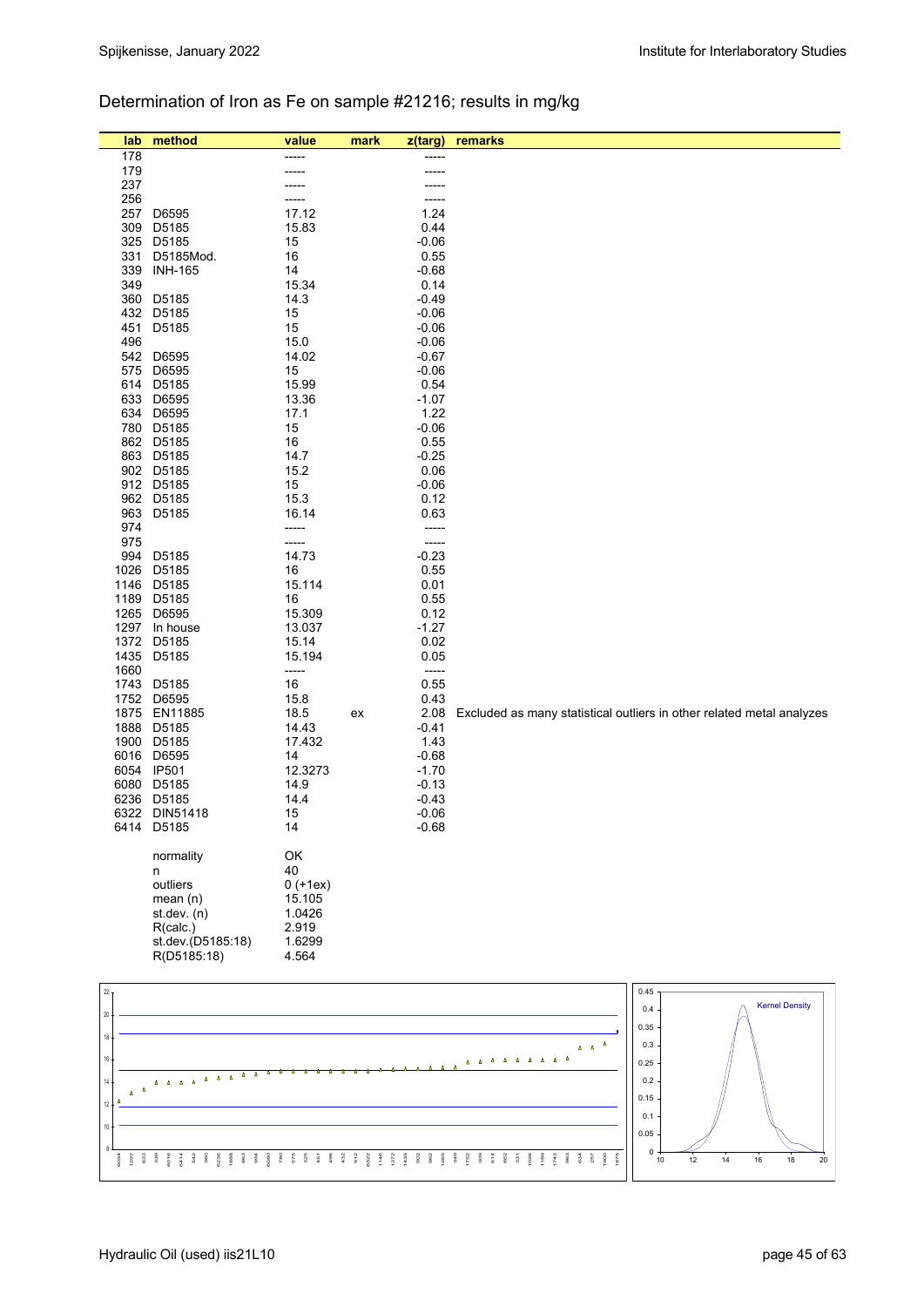## Determination of Iron as Fe on sample #21216; results in mg/kg

| lab             | method                      | value            | mark | z(targ)            | remarks                                                                                     |
|-----------------|-----------------------------|------------------|------|--------------------|---------------------------------------------------------------------------------------------|
| 178             |                             | -----            |      | ----               |                                                                                             |
| 179             |                             |                  |      |                    |                                                                                             |
| 237<br>256      |                             |                  |      | -----              |                                                                                             |
| 257             | D6595                       | 17.12            |      | 1.24               |                                                                                             |
| 309             | D5185                       | 15.83            |      | 0.44               |                                                                                             |
| 325             | D5185                       | 15               |      | $-0.06$            |                                                                                             |
| 331             | D5185Mod.                   | 16               |      | 0.55               |                                                                                             |
| 339             | <b>INH-165</b>              | 14               |      | $-0.68$            |                                                                                             |
| 349             |                             | 15.34            |      | 0.14               |                                                                                             |
| 360             | D5185<br>432 D5185          | 14.3<br>15       |      | $-0.49$<br>$-0.06$ |                                                                                             |
| 451             | D5185                       | 15               |      | $-0.06$            |                                                                                             |
| 496             |                             | 15.0             |      | $-0.06$            |                                                                                             |
| 542             | D6595                       | 14.02            |      | $-0.67$            |                                                                                             |
| 575             | D6595                       | 15               |      | $-0.06$            |                                                                                             |
|                 | 614 D5185                   | 15.99            |      | 0.54               |                                                                                             |
|                 | 633 D6595<br>634 D6595      | 13.36<br>17.1    |      | $-1.07$<br>1.22    |                                                                                             |
|                 | 780 D5185                   | 15               |      | $-0.06$            |                                                                                             |
|                 | 862 D5185                   | 16               |      | 0.55               |                                                                                             |
|                 | 863 D5185                   | 14.7             |      | $-0.25$            |                                                                                             |
|                 | 902 D5185                   | 15.2             |      | 0.06               |                                                                                             |
|                 | 912 D5185                   | 15               |      | $-0.06$            |                                                                                             |
| 963             | 962 D5185<br>D5185          | 15.3<br>16.14    |      | 0.12<br>0.63       |                                                                                             |
| 974             |                             | -----            |      | -----              |                                                                                             |
| 975             |                             | -----            |      | -----              |                                                                                             |
| 994             | D5185                       | 14.73            |      | $-0.23$            |                                                                                             |
| 1026            | D5185                       | 16               |      | 0.55               |                                                                                             |
|                 | 1146 D5185                  | 15.114           |      | 0.01               |                                                                                             |
|                 | 1189 D5185                  | 16               |      | 0.55               |                                                                                             |
|                 | 1265 D6595<br>1297 In house | 15.309<br>13.037 |      | 0.12<br>$-1.27$    |                                                                                             |
|                 | 1372 D5185                  | 15.14            |      | 0.02               |                                                                                             |
|                 | 1435 D5185                  | 15.194           |      | 0.05               |                                                                                             |
| 1660            |                             | -----            |      | -----              |                                                                                             |
|                 | 1743 D5185                  | 16               |      | 0.55               |                                                                                             |
| 1752            | D6595                       | 15.8             |      | 0.43               |                                                                                             |
| 1888            | 1875 EN11885<br>D5185       | 18.5<br>14.43    | ex   | 2.08<br>$-0.41$    | Excluded as many statistical outliers in other related metal analyzes                       |
|                 | 1900 D5185                  | 17.432           |      | 1.43               |                                                                                             |
|                 | 6016 D6595                  | 14               |      | $-0.68$            |                                                                                             |
|                 | 6054 IP501                  | 12.3273          |      | $-1.70$            |                                                                                             |
|                 | 6080 D5185                  | 14.9             |      | $-0.13$            |                                                                                             |
|                 | 6236 D5185                  | 14.4             |      | $-0.43$            |                                                                                             |
|                 | 6322 DIN51418<br>6414 D5185 | 15<br>14         |      | $-0.06$<br>$-0.68$ |                                                                                             |
|                 |                             |                  |      |                    |                                                                                             |
|                 | normality                   | OK               |      |                    |                                                                                             |
|                 | n                           | 40               |      |                    |                                                                                             |
|                 | outliers                    | $0 (+1ex)$       |      |                    |                                                                                             |
|                 | mean(n)                     | 15.105           |      |                    |                                                                                             |
|                 | st.dev. (n)<br>R(calc.)     | 1.0426<br>2.919  |      |                    |                                                                                             |
|                 | st.dev.(D5185:18)           | 1.6299           |      |                    |                                                                                             |
|                 | R(D5185:18)                 | 4.564            |      |                    |                                                                                             |
|                 |                             |                  |      |                    |                                                                                             |
| 22 <sub>1</sub> |                             |                  |      |                    | 0.45                                                                                        |
| $20\,$          |                             |                  |      |                    | <b>Kernel Density</b><br>0.4                                                                |
|                 |                             |                  |      |                    | 0.35                                                                                        |
| 18              |                             |                  |      |                    | $\Delta$<br>0.3<br>$\Delta = \Delta$                                                        |
| $16\,$          |                             |                  |      |                    | $\Delta$ $\Delta$ $\Delta$ $\Delta$<br>$\Delta$<br>$\Delta$<br>$\Delta$<br><b>A</b><br>0.25 |
| 14              |                             |                  |      |                    | 0.2                                                                                         |
| $\Delta$        |                             |                  |      |                    | 0.15                                                                                        |

6054 1297 633 339 6016 6414 542 360 6236 1888 863 994 6080 780 575 325 451 496 432 912 6322 1146 1372 1435 902 962 1265 349 1752 309 614 862 331 1026 1189 1743 963 634 257 1900 1875

<sub>10</sub> 12

10 12 14 16 18 20

 $\frac{0}{0} +$  $0.05 0.1$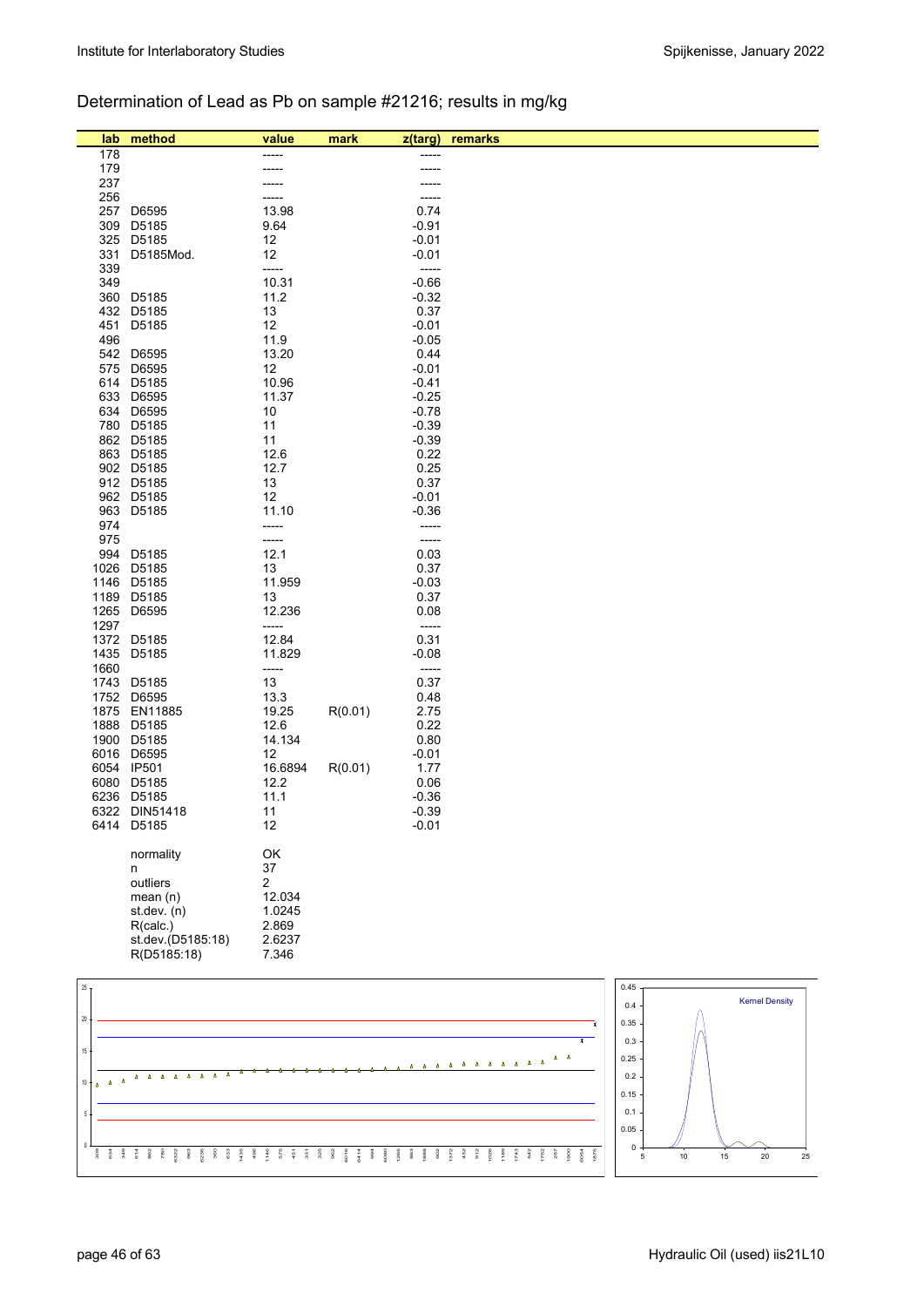## Determination of Lead as Pb on sample #21216; results in mg/kg

| lab             | method                      | value            | mark    | $z$ (targ)               | remarks                           |
|-----------------|-----------------------------|------------------|---------|--------------------------|-----------------------------------|
| 178             |                             |                  |         |                          |                                   |
| 179             |                             |                  |         | -----                    |                                   |
| 237             |                             |                  |         |                          |                                   |
| 256<br>257      | D6595                       | 13.98            |         | 0.74                     |                                   |
| 309             | D5185                       | 9.64             |         | $-0.91$                  |                                   |
| 325             | D5185                       | 12               |         | $-0.01$                  |                                   |
| 331             | D5185Mod.                   | 12               |         | $-0.01$                  |                                   |
| 339             |                             | -----            |         | -----                    |                                   |
| 349<br>360      | D5185                       | 10.31<br>11.2    |         | $-0.66$<br>$-0.32$       |                                   |
| 432             | D5185                       | 13               |         | 0.37                     |                                   |
| 451             | D5185                       | 12               |         | $-0.01$                  |                                   |
| 496             |                             | 11.9             |         | $-0.05$                  |                                   |
| 542             | D6595                       | 13.20            |         | 0.44                     |                                   |
| 575             | D6595                       | 12               |         | $-0.01$                  |                                   |
|                 | 614 D5185<br>633 D6595      | 10.96<br>11.37   |         | $-0.41$<br>$-0.25$       |                                   |
| 634             | D6595                       | 10               |         | $-0.78$                  |                                   |
|                 | 780 D5185                   | 11               |         | $-0.39$                  |                                   |
|                 | 862 D5185                   | 11               |         | $-0.39$                  |                                   |
|                 | 863 D5185                   | 12.6             |         | 0.22                     |                                   |
|                 | 902 D5185                   | 12.7             |         | 0.25                     |                                   |
|                 | 912 D5185<br>962 D5185      | 13<br>12         |         | 0.37<br>$-0.01$          |                                   |
|                 | 963 D5185                   | 11.10            |         | $-0.36$                  |                                   |
| 974             |                             | -----            |         | -----                    |                                   |
| 975             |                             | -----            |         | -----                    |                                   |
|                 | 994 D5185                   | 12.1             |         | 0.03                     |                                   |
|                 | 1026 D5185                  | 13               |         | 0.37                     |                                   |
|                 | 1146 D5185                  | 11.959           |         | $-0.03$                  |                                   |
| 1265            | 1189 D5185<br>D6595         | 13<br>12.236     |         | 0.37<br>0.08             |                                   |
| 1297            |                             | -----            |         | $\overline{\phantom{a}}$ |                                   |
| 1372            | D5185                       | 12.84            |         | 0.31                     |                                   |
| 1435            | D5185                       | 11.829           |         | $-0.08$                  |                                   |
| 1660            |                             | -----            |         | -----                    |                                   |
| 1743            | D5185                       | 13               |         | 0.37                     |                                   |
| 1875            | 1752 D6595<br>EN11885       | 13.3<br>19.25    | R(0.01) | 0.48<br>2.75             |                                   |
| 1888            | D5185                       | 12.6             |         | 0.22                     |                                   |
|                 | 1900 D5185                  | 14.134           |         | 0.80                     |                                   |
|                 | 6016 D6595                  | 12               |         | $-0.01$                  |                                   |
|                 | 6054 IP501                  | 16.6894          | R(0.01) | 1.77                     |                                   |
|                 | 6080 D5185                  | 12.2             |         | 0.06                     |                                   |
|                 | 6236 D5185<br>6322 DIN51418 | 11.1<br>11       |         | $-0.36$<br>$-0.39$       |                                   |
|                 | 6414 D5185                  | 12               |         | $-0.01$                  |                                   |
|                 |                             |                  |         |                          |                                   |
|                 | normality                   | OK               |         |                          |                                   |
|                 | n                           | 37               |         |                          |                                   |
|                 | outliers                    | 2                |         |                          |                                   |
|                 | mean $(n)$<br>st.dev. (n)   | 12.034<br>1.0245 |         |                          |                                   |
|                 | R(calc.)                    | 2.869            |         |                          |                                   |
|                 | st.dev.(D5185:18)           | 2.6237           |         |                          |                                   |
|                 | R(D5185:18)                 | 7.346            |         |                          |                                   |
|                 |                             |                  |         |                          |                                   |
| 25 <sub>1</sub> |                             |                  |         |                          | 0.45                              |
|                 |                             |                  |         |                          | <b>Kernel Density</b><br>0.4      |
| 20              |                             |                  |         |                          | 0.35<br>$\boldsymbol{\mathrm{x}}$ |



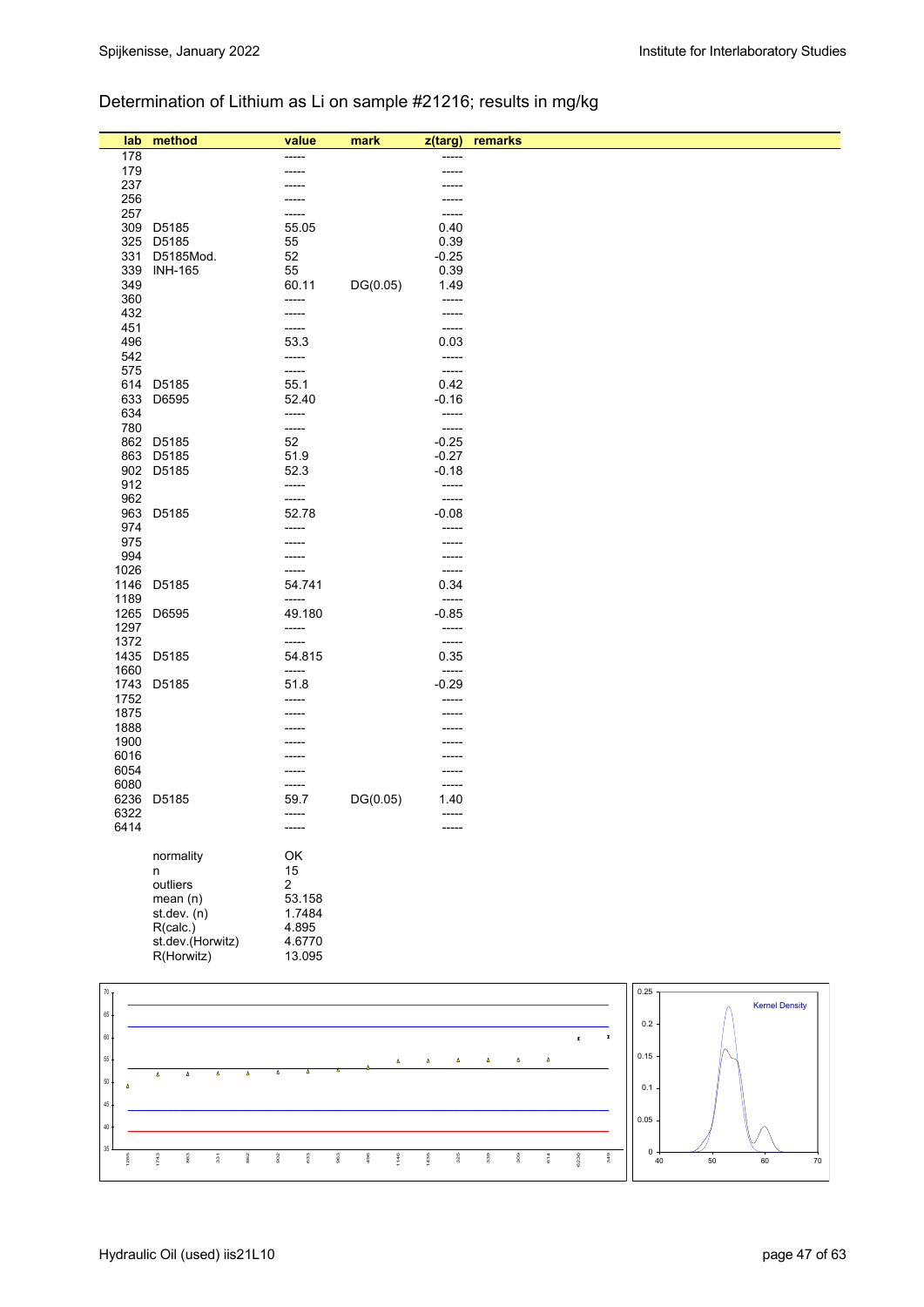### Determination of Lithium as Li on sample #21216; results in mg/kg

| lab                      | method                                                         | value                  | mark        | z(targ)          | remarks                               |                                          |         |                       |
|--------------------------|----------------------------------------------------------------|------------------------|-------------|------------------|---------------------------------------|------------------------------------------|---------|-----------------------|
| 178                      |                                                                | -----                  |             |                  |                                       |                                          |         |                       |
| 179                      |                                                                | -----                  |             | -----            |                                       |                                          |         |                       |
| 237                      |                                                                |                        |             |                  |                                       |                                          |         |                       |
| 256                      |                                                                |                        |             | -----            |                                       |                                          |         |                       |
| 257<br>309               | D5185                                                          | -----<br>55.05         |             | -----<br>0.40    |                                       |                                          |         |                       |
| 325                      | D5185                                                          | 55                     |             | 0.39             |                                       |                                          |         |                       |
| 331                      | D5185Mod.                                                      | 52                     |             | $-0.25$          |                                       |                                          |         |                       |
| 339                      | <b>INH-165</b>                                                 | 55                     |             | 0.39             |                                       |                                          |         |                       |
| 349                      |                                                                | 60.11                  | DG(0.05)    | 1.49             |                                       |                                          |         |                       |
| 360                      |                                                                | -----                  |             | -----            |                                       |                                          |         |                       |
| 432                      |                                                                | -----                  |             | -----            |                                       |                                          |         |                       |
| 451                      |                                                                | -----                  |             | -----            |                                       |                                          |         |                       |
| 496<br>542               |                                                                | 53.3<br>-----          |             | 0.03<br>-----    |                                       |                                          |         |                       |
| 575                      |                                                                | -----                  |             | -----            |                                       |                                          |         |                       |
|                          | 614 D5185                                                      | 55.1                   |             | 0.42             |                                       |                                          |         |                       |
| 633                      | D6595                                                          | 52.40                  |             | $-0.16$          |                                       |                                          |         |                       |
| 634                      |                                                                | -----                  |             | -----            |                                       |                                          |         |                       |
| 780                      |                                                                | -----                  |             | $-----$          |                                       |                                          |         |                       |
|                          | 862 D5185                                                      | 52                     |             | $-0.25$          |                                       |                                          |         |                       |
| 863                      | D5185                                                          | 51.9                   |             | $-0.27$          |                                       |                                          |         |                       |
| 912                      | 902 D5185                                                      | 52.3<br>-----          |             | $-0.18$<br>----- |                                       |                                          |         |                       |
| 962                      |                                                                | -----                  |             | -----            |                                       |                                          |         |                       |
|                          | 963 D5185                                                      | 52.78                  |             | $-0.08$          |                                       |                                          |         |                       |
| 974                      |                                                                | -----                  |             | -----            |                                       |                                          |         |                       |
| 975                      |                                                                |                        |             | -----            |                                       |                                          |         |                       |
| 994                      |                                                                |                        |             | -----            |                                       |                                          |         |                       |
| 1026                     |                                                                | -----                  |             | -----            |                                       |                                          |         |                       |
| 1146<br>1189             | D5185                                                          | 54.741<br>-----        |             | 0.34<br>-----    |                                       |                                          |         |                       |
| 1265                     | D6595                                                          | 49.180                 |             | $-0.85$          |                                       |                                          |         |                       |
| 1297                     |                                                                | -----                  |             | -----            |                                       |                                          |         |                       |
| 1372                     |                                                                | -----                  |             | -----            |                                       |                                          |         |                       |
| 1435                     | D5185                                                          | 54.815                 |             | 0.35             |                                       |                                          |         |                       |
| 1660                     |                                                                | -----                  |             | -----            |                                       |                                          |         |                       |
| 1743                     | D5185                                                          | 51.8                   |             | $-0.29$          |                                       |                                          |         |                       |
| 1752<br>1875             |                                                                | -----                  |             | -----            |                                       |                                          |         |                       |
| 1888                     |                                                                |                        |             |                  |                                       |                                          |         |                       |
| 1900                     |                                                                |                        |             |                  |                                       |                                          |         |                       |
| 6016                     |                                                                |                        |             |                  |                                       |                                          |         |                       |
| 6054                     |                                                                | -----                  |             | -----            |                                       |                                          |         |                       |
| 6080                     |                                                                | -----                  |             | -----            |                                       |                                          |         |                       |
| 6236<br>6322             | D5185                                                          | 59.7                   | DG(0.05)    | 1.40             |                                       |                                          |         |                       |
| 6414                     |                                                                | -----<br>-----         |             | -----<br>-----   |                                       |                                          |         |                       |
|                          |                                                                |                        |             |                  |                                       |                                          |         |                       |
|                          | normality                                                      | OK                     |             |                  |                                       |                                          |         |                       |
|                          | n                                                              | 15                     |             |                  |                                       |                                          |         |                       |
|                          | outliers                                                       | $\overline{c}$         |             |                  |                                       |                                          |         |                       |
|                          | mean(n)                                                        | 53.158                 |             |                  |                                       |                                          |         |                       |
|                          | st. dev. (n)                                                   | 1.7484                 |             |                  |                                       |                                          |         |                       |
|                          | R(calc.)<br>st.dev.(Horwitz)                                   | 4.895<br>4.6770        |             |                  |                                       |                                          |         |                       |
|                          | R(Horwitz)                                                     | 13.095                 |             |                  |                                       |                                          |         |                       |
|                          |                                                                |                        |             |                  |                                       |                                          |         |                       |
| $70\,$                   |                                                                |                        |             |                  |                                       |                                          | 0.25    |                       |
|                          |                                                                |                        |             |                  |                                       |                                          |         | <b>Kernel Density</b> |
| $65 -$                   |                                                                |                        |             |                  |                                       |                                          | 0.2     |                       |
| $60\,$                   |                                                                |                        |             |                  |                                       | $\pmb{\mathsf{x}}$<br>$\pmb{\mathbf{x}}$ |         |                       |
| $55\,$                   |                                                                |                        | Δ           | $\Delta$<br>Δ    | $\pmb{\Delta}$<br>$\pmb{\Delta}$<br>Δ |                                          | 0.15    |                       |
|                          | $\pmb{\Delta}$<br>$\pmb{\Delta}$<br>$\pmb{\Delta}$<br>$\Delta$ | ٨                      |             |                  |                                       |                                          |         |                       |
| $50\,$<br>$\pmb{\Delta}$ |                                                                |                        |             |                  |                                       |                                          | 0.1     |                       |
| $45 -$                   |                                                                |                        |             |                  |                                       |                                          |         |                       |
| $40\,$                   |                                                                |                        |             |                  |                                       |                                          | 0.05    |                       |
|                          |                                                                |                        |             |                  |                                       |                                          |         |                       |
| $35\,$<br>1265           | 1743<br>863<br>$\frac{1}{3}$<br>862                            | 902<br>633<br>$_{963}$ | 1146<br>496 | 1435<br>325      | 339<br>309<br>614                     | 349<br>6236                              | 0<br>40 | 50<br>60<br>$70\,$    |
|                          |                                                                |                        |             |                  |                                       |                                          |         |                       |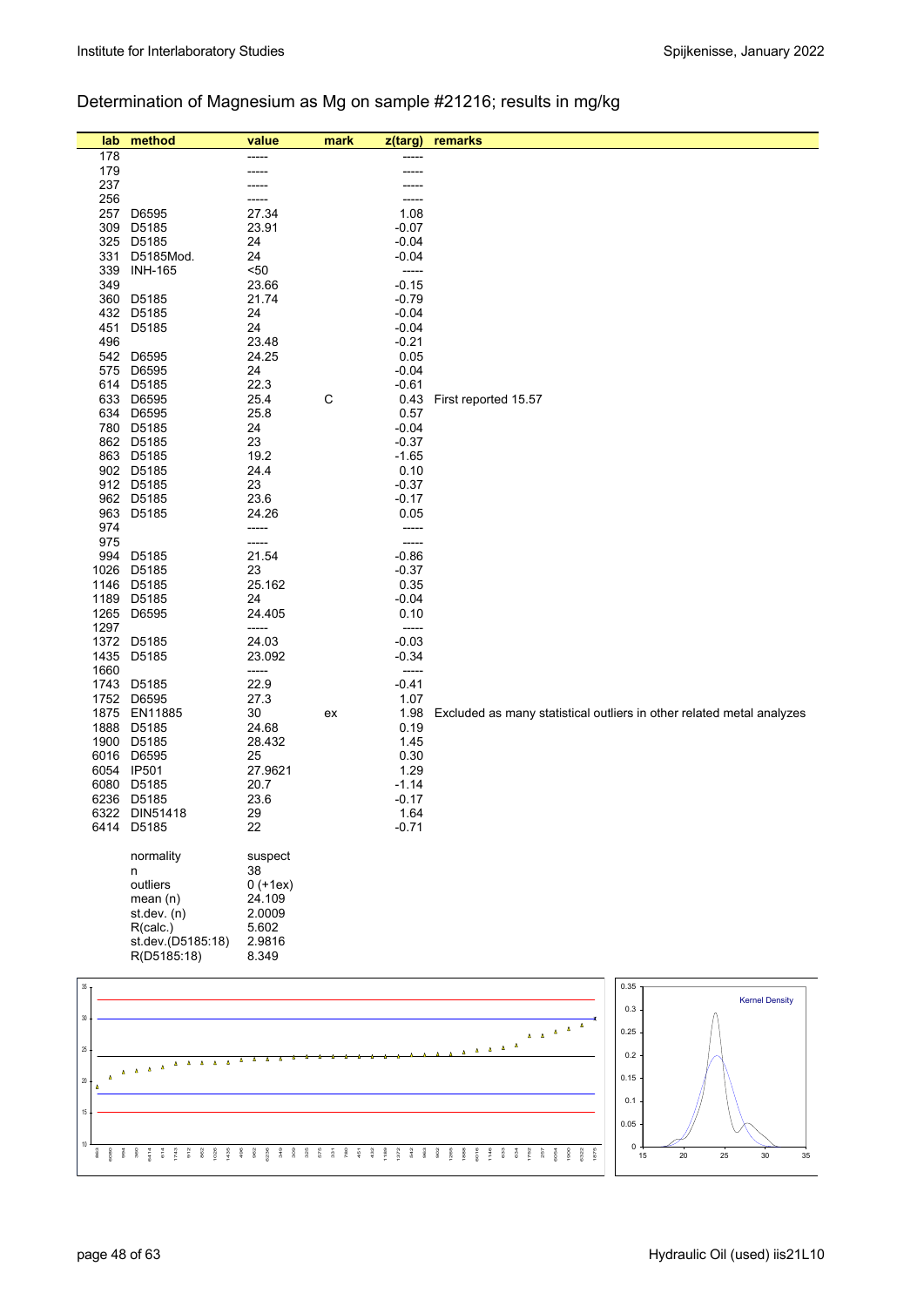## Determination of Magnesium as Mg on sample #21216; results in mg/kg

| lab          | method                              | value            | mark | z(targ)            | remarks                                                               |
|--------------|-------------------------------------|------------------|------|--------------------|-----------------------------------------------------------------------|
| 178          |                                     |                  |      |                    |                                                                       |
| 179          |                                     |                  |      |                    |                                                                       |
| 237          |                                     |                  |      |                    |                                                                       |
| 256          |                                     |                  |      |                    |                                                                       |
| 257<br>309   | D6595<br>D5185                      | 27.34<br>23.91   |      | 1.08<br>$-0.07$    |                                                                       |
| 325          | D5185                               | 24               |      | $-0.04$            |                                                                       |
| 331          | D5185Mod.                           | 24               |      | $-0.04$            |                                                                       |
| 339          | <b>INH-165</b>                      | 50               |      | -----              |                                                                       |
| 349          |                                     | 23.66            |      | $-0.15$            |                                                                       |
| 360          | D5185                               | 21.74            |      | $-0.79$            |                                                                       |
| 432          | D5185                               | 24               |      | $-0.04$            |                                                                       |
| 451          | D5185                               | 24               |      | $-0.04$            |                                                                       |
| 496          |                                     | 23.48            |      | $-0.21$            |                                                                       |
| 542<br>575   | D6595<br>D6595                      | 24.25<br>24      |      | 0.05<br>$-0.04$    |                                                                       |
| 614          | D5185                               | 22.3             |      | $-0.61$            |                                                                       |
| 633          | D6595                               | 25.4             | С    | 0.43               | First reported 15.57                                                  |
| 634          | D6595                               | 25.8             |      | 0.57               |                                                                       |
|              | 780 D5185                           | 24               |      | $-0.04$            |                                                                       |
|              | 862 D5185                           | 23               |      | $-0.37$            |                                                                       |
|              | 863 D5185                           | 19.2             |      | $-1.65$            |                                                                       |
|              | 902 D5185                           | 24.4             |      | 0.10               |                                                                       |
|              | 912 D5185<br>962 D5185              | 23<br>23.6       |      | $-0.37$<br>$-0.17$ |                                                                       |
| 963          | D5185                               | 24.26            |      | 0.05               |                                                                       |
| 974          |                                     | -----            |      | -----              |                                                                       |
| 975          |                                     | -----            |      | -----              |                                                                       |
| 994          | D5185                               | 21.54            |      | $-0.86$            |                                                                       |
| 1026         | D5185                               | 23               |      | $-0.37$            |                                                                       |
| 1146         | D5185                               | 25.162           |      | 0.35               |                                                                       |
| 1189<br>1265 | D5185<br>D6595                      | 24<br>24.405     |      | $-0.04$<br>0.10    |                                                                       |
| 1297         |                                     | -----            |      | -----              |                                                                       |
|              | 1372 D5185                          | 24.03            |      | $-0.03$            |                                                                       |
| 1435         | D5185                               | 23.092           |      | $-0.34$            |                                                                       |
| 1660         |                                     | -----            |      | -----              |                                                                       |
| 1743         | D5185                               | 22.9             |      | $-0.41$            |                                                                       |
| 1752<br>1875 | D6595                               | 27.3             |      | 1.07               |                                                                       |
| 1888         | EN11885<br>D5185                    | 30<br>24.68      | ex   | 1.98<br>0.19       | Excluded as many statistical outliers in other related metal analyzes |
|              | 1900 D5185                          | 28.432           |      | 1.45               |                                                                       |
| 6016         | D6595                               | 25               |      | 0.30               |                                                                       |
| 6054         | <b>IP501</b>                        | 27.9621          |      | 1.29               |                                                                       |
| 6080         | D5185                               | 20.7             |      | $-1.14$            |                                                                       |
|              | 6236 D5185                          | 23.6             |      | $-0.17$            |                                                                       |
|              | 6322 DIN51418<br>6414 D5185         | 29<br>22         |      | 1.64               |                                                                       |
|              |                                     |                  |      | $-0.71$            |                                                                       |
|              | normality                           | suspect          |      |                    |                                                                       |
|              | n                                   | 38               |      |                    |                                                                       |
|              | outliers                            | $0 (+1ex)$       |      |                    |                                                                       |
|              | mean(n)                             | 24.109<br>2.0009 |      |                    |                                                                       |
|              | st.dev. (n)<br>R(calc.)             | 5.602            |      |                    |                                                                       |
|              | st.dev.(D5185:18)                   | 2.9816           |      |                    |                                                                       |
|              | R(D5185:18)                         | 8.349            |      |                    |                                                                       |
|              |                                     |                  |      |                    |                                                                       |
| $35\,$       |                                     |                  |      |                    | 0.35<br><b>Kernel Density</b>                                         |
| 30           |                                     |                  |      |                    | 0.3                                                                   |
|              |                                     |                  |      |                    | 0.25                                                                  |
| $25\,$       |                                     |                  |      |                    | $\Delta$<br>$\Delta$<br>0.2                                           |
|              | $\Delta = \Delta = \Delta = \Delta$ |                  |      |                    |                                                                       |
| 20           |                                     |                  |      |                    | 0.15                                                                  |





 $\overline{10}$ 15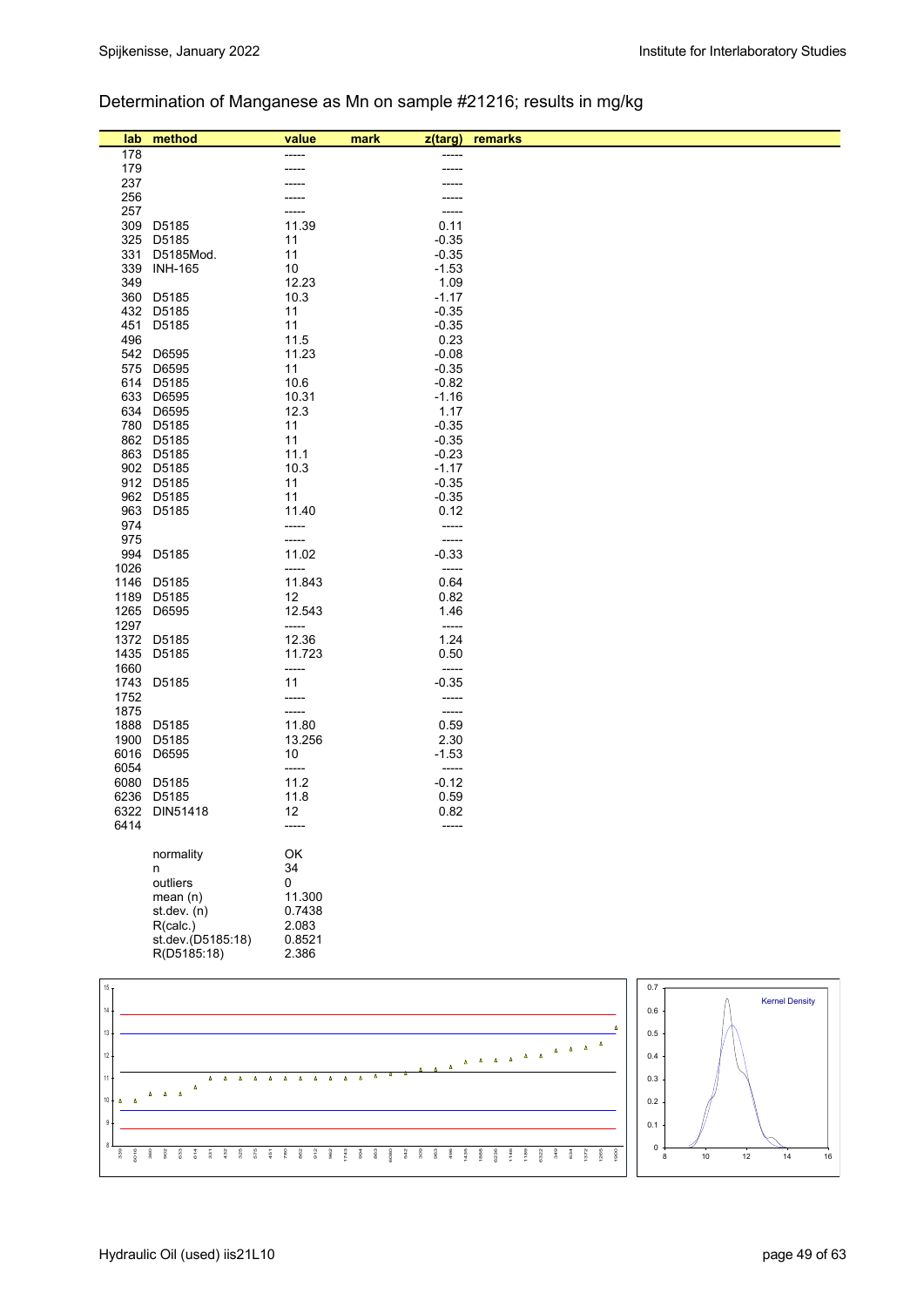## Determination of Manganese as Mn on sample #21216; results in mg/kg

| lab             | method                 | value                    | mark<br>z(targ)     | remarks |     |                       |  |
|-----------------|------------------------|--------------------------|---------------------|---------|-----|-----------------------|--|
| 178             |                        |                          |                     |         |     |                       |  |
| 179             |                        |                          | ----                |         |     |                       |  |
| 237             |                        |                          |                     |         |     |                       |  |
| 256             |                        |                          |                     |         |     |                       |  |
| 257             |                        |                          | -----               |         |     |                       |  |
| 309             | D5185                  | 11.39                    | 0.11                |         |     |                       |  |
|                 | 325 D5185              | 11                       | $-0.35$             |         |     |                       |  |
| 331             | D5185Mod.              | 11                       | $-0.35$             |         |     |                       |  |
|                 | 339 INH-165            | 10                       | $-1.53$             |         |     |                       |  |
| 349             |                        | 12.23                    | 1.09                |         |     |                       |  |
|                 | 360 D5185<br>432 D5185 | 10.3<br>11               | $-1.17$<br>$-0.35$  |         |     |                       |  |
|                 | 451 D5185              | 11                       | $-0.35$             |         |     |                       |  |
| 496             |                        | 11.5                     | 0.23                |         |     |                       |  |
|                 | 542 D6595              | 11.23                    | $-0.08$             |         |     |                       |  |
|                 | 575 D6595              | 11                       | $-0.35$             |         |     |                       |  |
|                 | 614 D5185              | 10.6                     | $-0.82$             |         |     |                       |  |
|                 | 633 D6595              | 10.31                    | $-1.16$             |         |     |                       |  |
|                 | 634 D6595              | 12.3                     | 1.17                |         |     |                       |  |
|                 | 780 D5185              | 11                       | $-0.35$             |         |     |                       |  |
|                 | 862 D5185              | 11                       | $-0.35$             |         |     |                       |  |
|                 | 863 D5185              | 11.1                     | $-0.23$             |         |     |                       |  |
|                 | 902 D5185              | 10.3                     | $-1.17$             |         |     |                       |  |
|                 | 912 D5185              | 11                       | $-0.35$             |         |     |                       |  |
|                 | 962 D5185              | 11                       | $-0.35$             |         |     |                       |  |
|                 | 963 D5185              | 11.40                    | 0.12                |         |     |                       |  |
| 974<br>975      |                        | -----                    | -----<br>-----      |         |     |                       |  |
| 994             | D5185                  | -----<br>11.02           | $-0.33$             |         |     |                       |  |
| 1026            |                        | -----                    | $-----$             |         |     |                       |  |
|                 | 1146 D5185             | 11.843                   | 0.64                |         |     |                       |  |
| 1189            | D5185                  | 12                       | 0.82                |         |     |                       |  |
|                 | 1265 D6595             | 12.543                   | 1.46                |         |     |                       |  |
| 1297            |                        | -----                    | $-----$             |         |     |                       |  |
|                 | 1372 D5185             | 12.36                    | 1.24                |         |     |                       |  |
|                 | 1435 D5185             | 11.723                   | 0.50                |         |     |                       |  |
| 1660            |                        | -----                    | -----               |         |     |                       |  |
|                 | 1743 D5185             | 11                       | $-0.35$             |         |     |                       |  |
| 1752            |                        | -----                    | -----               |         |     |                       |  |
| 1875            |                        | -----                    | $-----1$            |         |     |                       |  |
|                 | 1888 D5185             | 11.80                    | 0.59                |         |     |                       |  |
|                 | 1900 D5185             | 13.256                   | 2.30                |         |     |                       |  |
| 6054            | 6016 D6595             | 10 <sup>°</sup><br>----- | $-1.53$<br>$-----1$ |         |     |                       |  |
|                 | 6080 D5185             | 11.2                     | $-0.12$             |         |     |                       |  |
|                 | 6236 D5185             | 11.8                     | 0.59                |         |     |                       |  |
|                 | 6322 DIN51418          | 12                       | 0.82                |         |     |                       |  |
| 6414            |                        |                          |                     |         |     |                       |  |
|                 |                        |                          |                     |         |     |                       |  |
|                 | normality              | OK                       |                     |         |     |                       |  |
|                 | n                      | 34                       |                     |         |     |                       |  |
|                 | outliers               | 0                        |                     |         |     |                       |  |
|                 | mean(n)                | 11.300                   |                     |         |     |                       |  |
|                 | st.dev. (n)            | 0.7438                   |                     |         |     |                       |  |
|                 | R(calc.)               | 2.083                    |                     |         |     |                       |  |
|                 | st.dev.(D5185:18)      | 0.8521                   |                     |         |     |                       |  |
|                 | R(D5185:18)            | 2.386                    |                     |         |     |                       |  |
|                 |                        |                          |                     |         |     |                       |  |
| 15 <sub>1</sub> |                        |                          |                     |         | 0.7 | <b>Kernel Density</b> |  |
| 14              |                        |                          |                     |         | 0.6 |                       |  |
|                 |                        |                          |                     |         |     |                       |  |
| $13\,$          |                        |                          |                     |         | 0.5 |                       |  |
| $12\,$          |                        |                          |                     |         | 0.4 |                       |  |
|                 |                        |                          |                     |         |     |                       |  |

 614  $\frac{7}{33}$  432 325 575  $\frac{5}{2}$  780 862 요<br>982  $\begin{array}{ccc} \mathbf{7} & \mathbf{3} & \mathbf{6} & \mathbf{3} & \mathbf{6} & \mathbf{3} & \mathbf{6} & \mathbf{6} & \mathbf{6} \\ \mathbf{8} & \mathbf{8} & \mathbf{8} & \mathbf{6} & \mathbf{6} & \mathbf{8} & \mathbf{8} & \mathbf{8} & \mathbf{8} & \mathbf{8} & \mathbf{8} & \mathbf{8} \\ \mathbf{9} & \mathbf{1} & \mathbf{1} & \mathbf{1} & \mathbf{1} & \mathbf{1} & \mathbf{1} & \mathbf{1} & \mathbf{1} & \mathbf$  6236 1146 1189 6322 349 634 1372 1265



1900

90<br>902<br>83

Á  $\Delta$ 

8 9 10

 339 6016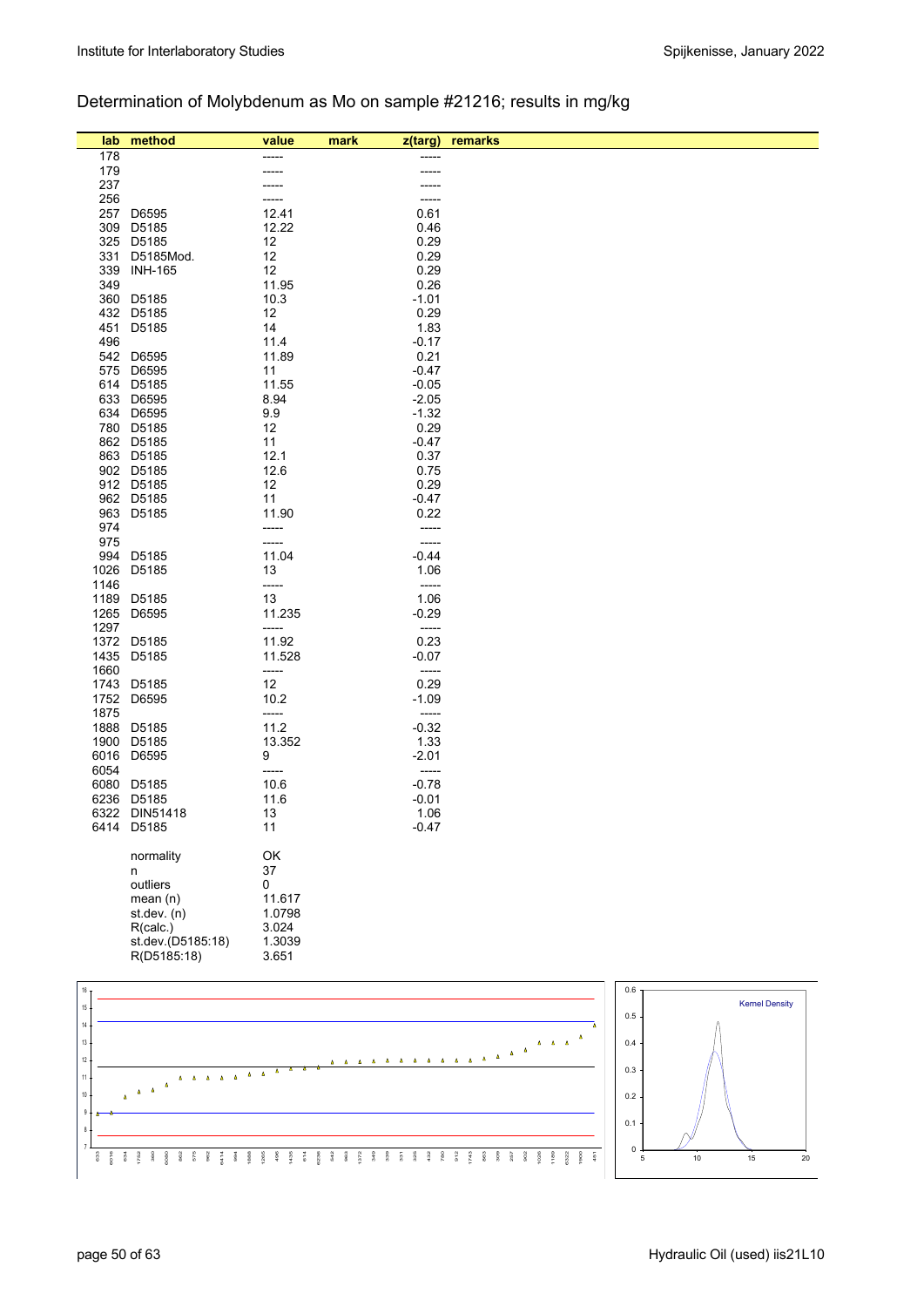## Determination of Molybdenum as Mo on sample #21216; results in mg/kg

| lab.       | method                           | value           | mark<br>z(targ)          | remarks |                       |
|------------|----------------------------------|-----------------|--------------------------|---------|-----------------------|
| 178        |                                  |                 |                          |         |                       |
| 179        |                                  |                 |                          |         |                       |
| 237        |                                  |                 |                          |         |                       |
| 256<br>257 | D6595                            | 12.41           | -----<br>0.61            |         |                       |
|            | 309 D5185                        | 12.22           | 0.46                     |         |                       |
|            | 325 D5185                        | 12              | 0.29                     |         |                       |
| 331        | D5185Mod.                        | 12              | 0.29                     |         |                       |
| 339        | <b>INH-165</b>                   | 12              | 0.29                     |         |                       |
| 349        |                                  | 11.95           | 0.26                     |         |                       |
|            | 360 D5185<br>432 D5185           | 10.3            | $-1.01$                  |         |                       |
| 451        | D5185                            | 12<br>14        | 0.29<br>1.83             |         |                       |
| 496        |                                  | 11.4            | $-0.17$                  |         |                       |
|            | 542 D6595                        | 11.89           | 0.21                     |         |                       |
|            | 575 D6595                        | 11              | $-0.47$                  |         |                       |
|            | 614 D5185                        | 11.55           | $-0.05$                  |         |                       |
|            | 633 D6595                        | 8.94            | $-2.05$                  |         |                       |
|            | 634 D6595<br>780 D5185           | 9.9<br>12       | $-1.32$<br>0.29          |         |                       |
|            | 862 D5185                        | 11              | $-0.47$                  |         |                       |
|            | 863 D5185                        | 12.1            | 0.37                     |         |                       |
|            | 902 D5185                        | 12.6            | 0.75                     |         |                       |
|            | 912 D5185                        | 12              | 0.29                     |         |                       |
|            | 962 D5185                        | 11              | $-0.47$                  |         |                       |
|            | 963 D5185                        | 11.90           | 0.22                     |         |                       |
| 974<br>975 |                                  | -----<br>-----  | -----<br>-----           |         |                       |
|            | 994 D5185                        | 11.04           | $-0.44$                  |         |                       |
| 1026       | D5185                            | 13              | 1.06                     |         |                       |
| 1146       |                                  | -----           | $-----$                  |         |                       |
| 1189       | D5185                            | 13              | 1.06                     |         |                       |
| 1265       | D6595                            | 11.235          | $-0.29$                  |         |                       |
| 1297       | 1372 D5185                       | -----<br>11.92  | -----<br>0.23            |         |                       |
|            | 1435 D5185                       | 11.528          | $-0.07$                  |         |                       |
| 1660       |                                  | -----           | -----                    |         |                       |
|            | 1743 D5185                       | 12              | 0.29                     |         |                       |
|            | 1752 D6595                       | 10.2            | $-1.09$                  |         |                       |
| 1875       |                                  | -----           | $\overline{\phantom{a}}$ |         |                       |
|            | 1888 D5185<br>1900 D5185         | 11.2<br>13.352  | $-0.32$                  |         |                       |
|            | 6016 D6595                       | 9               | 1.33<br>$-2.01$          |         |                       |
| 6054       |                                  | -----           | -----                    |         |                       |
| 6080       | D5185                            | 10.6            | $-0.78$                  |         |                       |
|            | 6236 D5185                       | 11.6            | $-0.01$                  |         |                       |
|            | 6322 DIN51418                    | 13              | 1.06                     |         |                       |
|            | 6414 D5185                       | 11              | $-0.47$                  |         |                       |
|            | normality                        | OK              |                          |         |                       |
|            | n                                | 37              |                          |         |                       |
|            | outliers                         | 0               |                          |         |                       |
|            | mean(n)                          | 11.617          |                          |         |                       |
|            | st.dev. (n)                      | 1.0798          |                          |         |                       |
|            | R(calc.)                         | 3.024           |                          |         |                       |
|            | st.dev.(D5185:18)<br>R(D5185:18) | 1.3039<br>3.651 |                          |         |                       |
|            |                                  |                 |                          |         |                       |
| $16\,$     |                                  |                 |                          | 0.6     |                       |
| $15\,$     |                                  |                 |                          |         | <b>Kernel Density</b> |
|            |                                  |                 |                          | 0.5     |                       |
|            |                                  |                 |                          |         |                       |

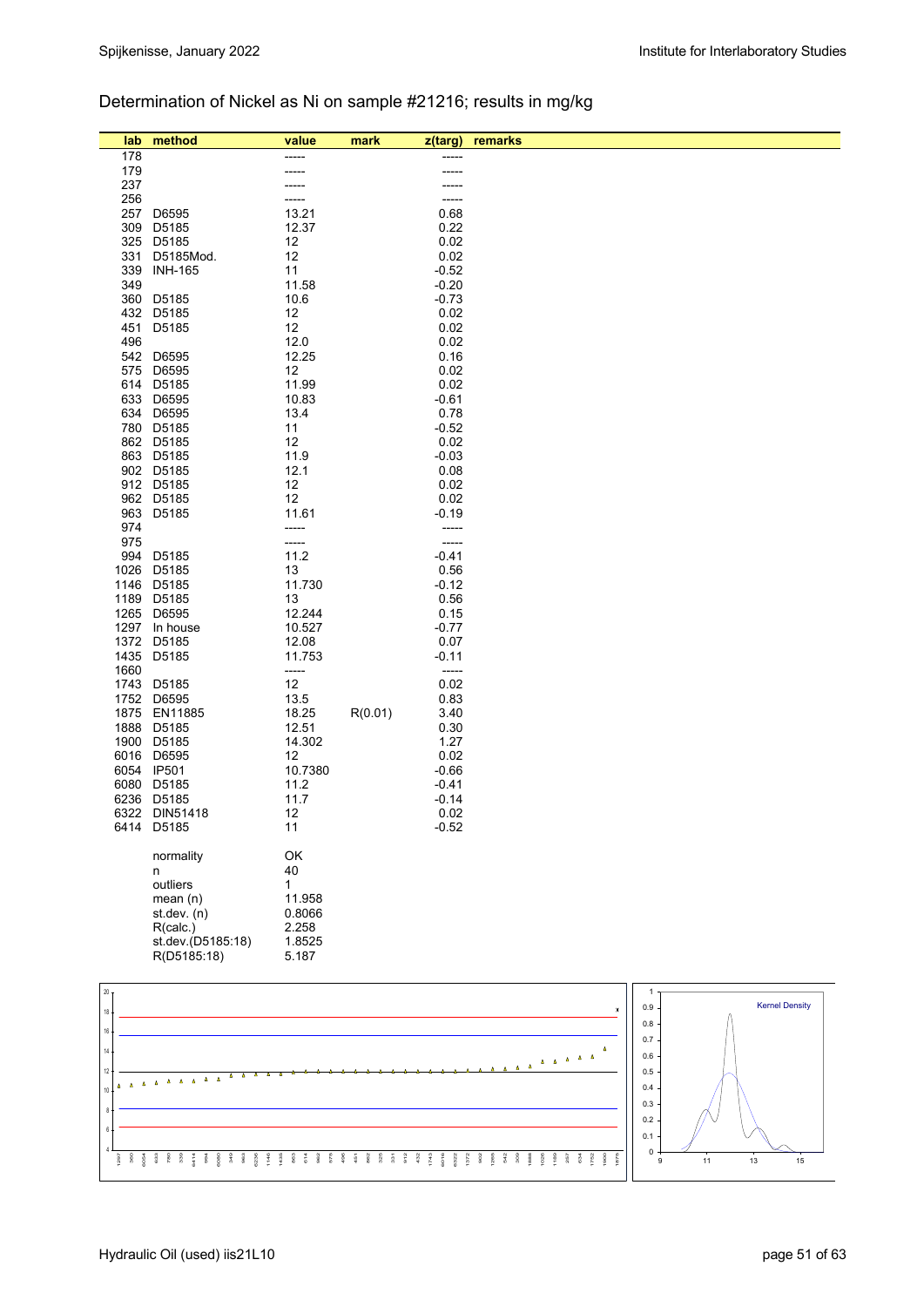### Determination of Nickel as Ni on sample #21216; results in mg/kg

| lab           | method                   | value           | mark    | z(targ)       | remarks                                      |            |                       |
|---------------|--------------------------|-----------------|---------|---------------|----------------------------------------------|------------|-----------------------|
| 178           |                          | -----           |         | -----         |                                              |            |                       |
| 179           |                          |                 |         |               |                                              |            |                       |
| 237           |                          |                 |         |               |                                              |            |                       |
| 256<br>257    | D6595                    | -----<br>13.21  |         | -----<br>0.68 |                                              |            |                       |
| 309           | D5185                    | 12.37           |         | 0.22          |                                              |            |                       |
| 325           | D5185                    | 12              |         | 0.02          |                                              |            |                       |
| 331           | D5185Mod.                | 12              |         | 0.02          |                                              |            |                       |
| 339           | <b>INH-165</b>           | 11              |         | $-0.52$       |                                              |            |                       |
| 349           |                          | 11.58           |         | $-0.20$       |                                              |            |                       |
|               | 360 D5185                | 10.6            |         | $-0.73$       |                                              |            |                       |
| 432           | D5185                    | 12              |         | 0.02          |                                              |            |                       |
|               | 451 D5185                | 12              |         | 0.02          |                                              |            |                       |
| 496           | 542 D6595                | 12.0<br>12.25   |         | 0.02<br>0.16  |                                              |            |                       |
| 575           | D6595                    | 12              |         | 0.02          |                                              |            |                       |
|               | 614 D5185                | 11.99           |         | 0.02          |                                              |            |                       |
|               | 633 D6595                | 10.83           |         | $-0.61$       |                                              |            |                       |
|               | 634 D6595                | 13.4            |         | 0.78          |                                              |            |                       |
|               | 780 D5185                | 11              |         | $-0.52$       |                                              |            |                       |
|               | 862 D5185                | 12              |         | 0.02          |                                              |            |                       |
|               | 863 D5185                | 11.9            |         | $-0.03$       |                                              |            |                       |
|               | 902 D5185<br>912 D5185   | 12.1<br>12      |         | 0.08<br>0.02  |                                              |            |                       |
|               | 962 D5185                | 12              |         | 0.02          |                                              |            |                       |
|               | 963 D5185                | 11.61           |         | $-0.19$       |                                              |            |                       |
| 974           |                          | -----           |         | -----         |                                              |            |                       |
| 975           |                          | -----           |         | -----         |                                              |            |                       |
| 994           | D5185                    | 11.2            |         | $-0.41$       |                                              |            |                       |
|               | 1026 D5185               | 13              |         | 0.56          |                                              |            |                       |
|               | 1146 D5185               | 11.730          |         | $-0.12$       |                                              |            |                       |
|               | 1189 D5185<br>1265 D6595 | 13<br>12.244    |         | 0.56<br>0.15  |                                              |            |                       |
|               | 1297 In house            | 10.527          |         | $-0.77$       |                                              |            |                       |
|               | 1372 D5185               | 12.08           |         | 0.07          |                                              |            |                       |
|               | 1435 D5185               | 11.753          |         | $-0.11$       |                                              |            |                       |
| 1660          |                          | -----           |         | -----         |                                              |            |                       |
|               | 1743 D5185               | 12              |         | 0.02          |                                              |            |                       |
|               | 1752 D6595               | 13.5            |         | 0.83          |                                              |            |                       |
|               | 1875 EN11885             | 18.25           | R(0.01) | 3.40          |                                              |            |                       |
|               | 1888 D5185<br>1900 D5185 | 12.51<br>14.302 |         | 0.30<br>1.27  |                                              |            |                       |
|               | 6016 D6595               | 12              |         | 0.02          |                                              |            |                       |
|               | 6054 IP501               | 10.7380         |         | $-0.66$       |                                              |            |                       |
|               | 6080 D5185               | 11.2            |         | $-0.41$       |                                              |            |                       |
|               | 6236 D5185               | 11.7            |         | $-0.14$       |                                              |            |                       |
|               | 6322 DIN51418            | 12              |         | 0.02          |                                              |            |                       |
|               | 6414 D5185               | 11              |         | $-0.52$       |                                              |            |                       |
|               |                          |                 |         |               |                                              |            |                       |
|               | normality<br>n           | ОΚ<br>40        |         |               |                                              |            |                       |
|               | outliers                 | 1               |         |               |                                              |            |                       |
|               | mean $(n)$               | 11.958          |         |               |                                              |            |                       |
|               | st.dev. (n)              | 0.8066          |         |               |                                              |            |                       |
|               | R(calc.)                 | 2.258           |         |               |                                              |            |                       |
|               | st.dev.(D5185:18)        | 1.8525          |         |               |                                              |            |                       |
|               | R(D5185:18)              | 5.187           |         |               |                                              |            |                       |
|               |                          |                 |         |               |                                              |            |                       |
| $20\,$        |                          |                 |         |               |                                              | 1          | <b>Kernel Density</b> |
| 18            |                          |                 |         |               |                                              | 0.9        |                       |
| $16\,$        |                          |                 |         |               |                                              | 0.8        |                       |
| 14            |                          |                 |         |               |                                              | 0.7        |                       |
| $12 -$        |                          |                 |         |               | $\Delta = \Delta - \Delta - \Delta - \Delta$ | 0.6        |                       |
| $\Delta$<br>Δ | $\Delta$ $\Delta$        |                 |         |               |                                              | 0.5<br>0.4 |                       |
| $10$ .        |                          |                 |         |               |                                              | 0.3        |                       |
| 8             |                          |                 |         |               |                                              | 0.2        |                       |

1297 360 6054 633 780 339 6414 994 6080 349 963 6236 1146 1435 863 614 962 575 496 451 862 325 331 912 432 1743 6016 6322 1372 902 1265 542 309 1888 1026 1189 257 634 1752 1900 1875

4 6

 $\overline{13}$   $\overline{15}$ 

 $\overline{0}$ . 0.1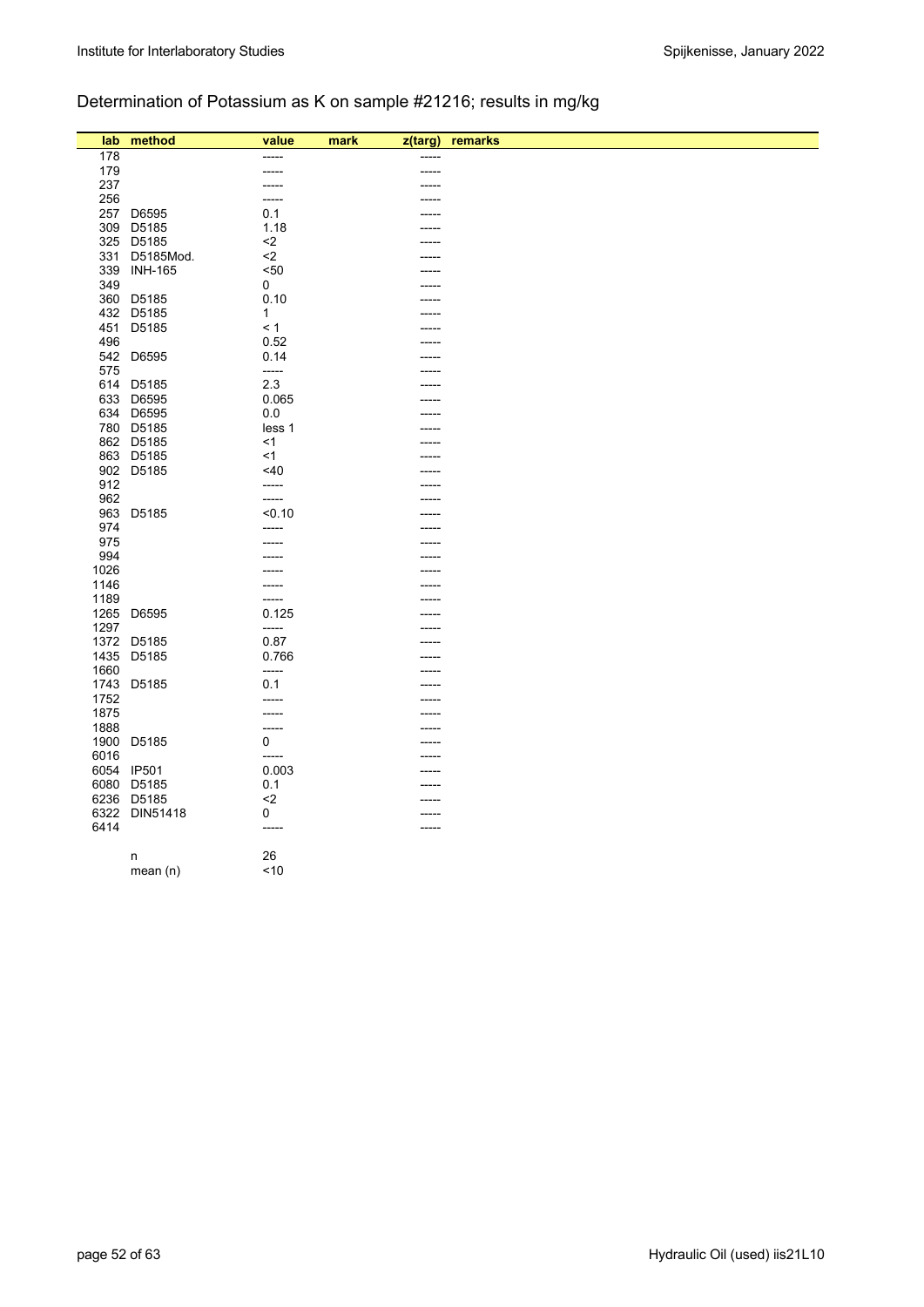## Determination of Potassium as K on sample #21216; results in mg/kg

| lab  | method        | value        | mark<br>$z$ (targ) | remarks |
|------|---------------|--------------|--------------------|---------|
| 178  |               | -----        | -----              |         |
| 179  |               | -----        | -----              |         |
| 237  |               | -----        |                    |         |
| 256  |               | -----        |                    |         |
| 257  | D6595         | 0.1          |                    |         |
| 309  | D5185         | 1.18         |                    |         |
|      | 325 D5185     | $2$          |                    |         |
| 331  | D5185Mod.     | $2$          |                    |         |
|      | 339 INH-165   | < 50         |                    |         |
| 349  |               | 0            |                    |         |
|      | 360 D5185     | 0.10         |                    |         |
|      | 432 D5185     | $\mathbf{1}$ |                    |         |
| 451  | D5185         | < 1          |                    |         |
| 496  |               | 0.52         |                    |         |
| 542  | D6595         | 0.14         |                    |         |
| 575  |               | -----        |                    |         |
|      | 614 D5185     | 2.3          |                    |         |
|      | 633 D6595     | 0.065        |                    |         |
|      | 634 D6595     | 0.0          |                    |         |
|      | 780 D5185     | less 1       | ---                |         |
|      | 862 D5185     | $<$ 1        |                    |         |
|      | 863 D5185     | $<$ 1        |                    |         |
|      | 902 D5185     | $<$ 40       |                    |         |
| 912  |               | -----        |                    |         |
| 962  |               | -----        |                    |         |
| 963  | D5185         | < 0.10       |                    |         |
| 974  |               | -----        |                    |         |
| 975  |               |              |                    |         |
| 994  |               |              |                    |         |
| 1026 |               |              |                    |         |
| 1146 |               | -----        |                    |         |
| 1189 |               | -----        |                    |         |
|      | 1265 D6595    | 0.125        |                    |         |
| 1297 |               | $-----$      |                    |         |
|      | 1372 D5185    | 0.87         |                    |         |
| 1435 | D5185         | 0.766        |                    |         |
| 1660 |               | $-----$      |                    |         |
| 1743 | D5185         | 0.1          |                    |         |
| 1752 |               | -----        |                    |         |
| 1875 |               | -----        |                    |         |
| 1888 |               | -----        |                    |         |
|      | 1900 D5185    | $\mathbf{0}$ | ----               |         |
| 6016 |               | -----        |                    |         |
|      | 6054 IP501    | 0.003        |                    |         |
|      | 6080 D5185    | 0.1          |                    |         |
|      | 6236 D5185    | $2$          |                    |         |
|      | 6322 DIN51418 | 0            |                    |         |
| 6414 |               | $-----$      | -----              |         |
|      |               |              |                    |         |
|      | n             | 26           |                    |         |
|      | mean $(n)$    | ~10          |                    |         |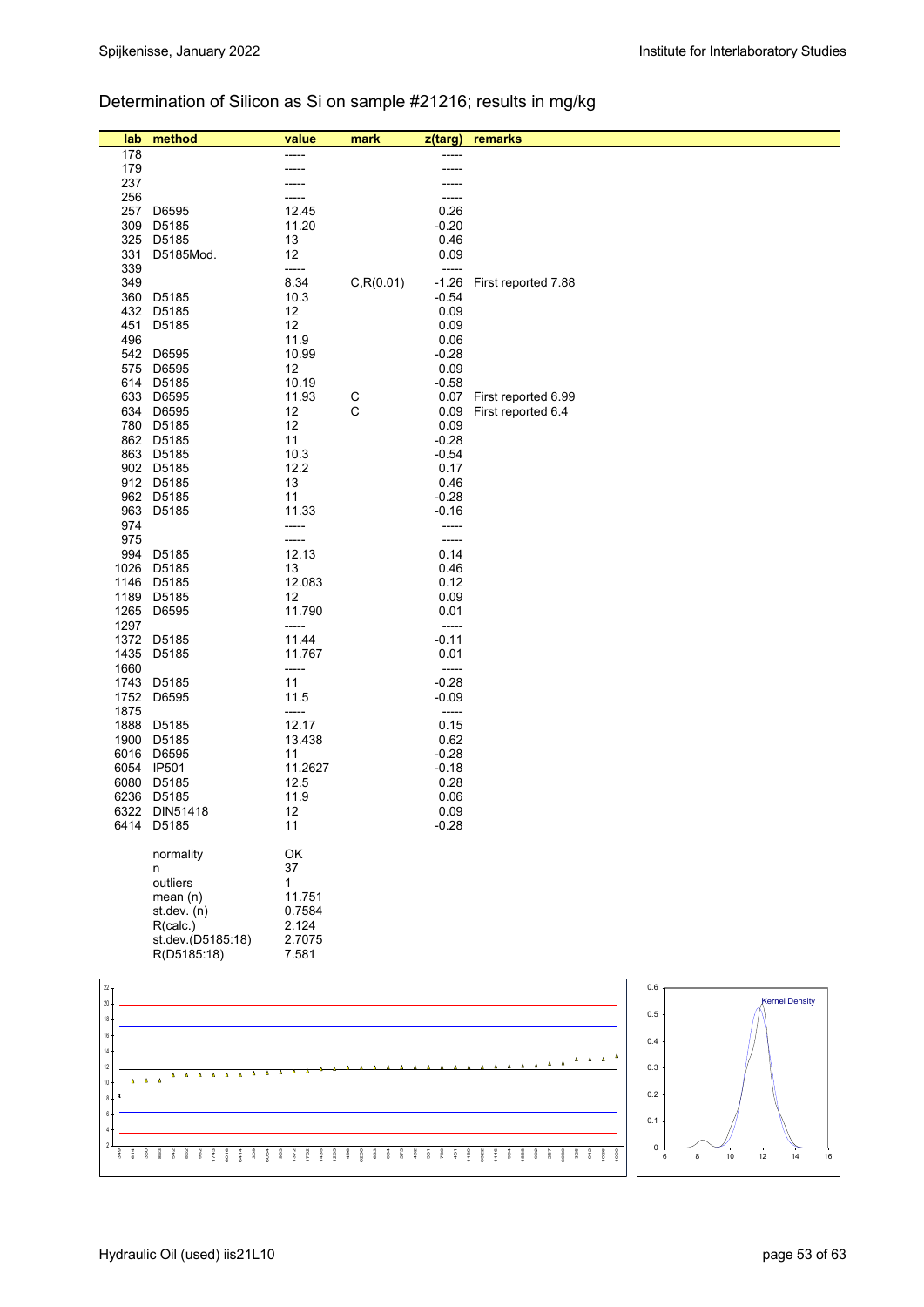## Determination of Silicon as Si on sample #21216; results in mg/kg

| lab             | method                   | value          | mark         | z(targ)       | remarks                              |     |                       |
|-----------------|--------------------------|----------------|--------------|---------------|--------------------------------------|-----|-----------------------|
| 178             |                          | -----          |              | -----         |                                      |     |                       |
| 179             |                          | -----          |              | -----         |                                      |     |                       |
| 237             |                          |                |              |               |                                      |     |                       |
| 256             |                          | -----<br>12.45 |              | -----         |                                      |     |                       |
| 257             | D6595                    |                |              | 0.26          |                                      |     |                       |
| 309             | D5185                    | 11.20          |              | $-0.20$       |                                      |     |                       |
| 325             | D5185                    | 13             |              | 0.46          |                                      |     |                       |
| 331<br>339      | D5185Mod.                | 12<br>-----    |              | 0.09<br>----- |                                      |     |                       |
| 349             |                          | 8.34           | C, R(0.01)   | $-1.26$       | First reported 7.88                  |     |                       |
|                 | 360 D5185                | 10.3           |              | $-0.54$       |                                      |     |                       |
|                 | 432 D5185                | 12             |              | 0.09          |                                      |     |                       |
| 451             | D5185                    | 12             |              | 0.09          |                                      |     |                       |
| 496             |                          | 11.9           |              | 0.06          |                                      |     |                       |
|                 | 542 D6595                | 10.99          |              | $-0.28$       |                                      |     |                       |
| 575             | D6595                    | 12             |              | 0.09          |                                      |     |                       |
|                 | 614 D5185                | 10.19          |              | $-0.58$       |                                      |     |                       |
|                 | 633 D6595                | 11.93          | $\mathsf{C}$ | 0.07          | First reported 6.99                  |     |                       |
|                 | 634 D6595                | 12             | C            | 0.09          | First reported 6.4                   |     |                       |
|                 | 780 D5185                | 12             |              | 0.09          |                                      |     |                       |
|                 | 862 D5185                | 11             |              | $-0.28$       |                                      |     |                       |
|                 | 863 D5185                | 10.3           |              | $-0.54$       |                                      |     |                       |
|                 | 902 D5185                | 12.2           |              | 0.17          |                                      |     |                       |
|                 | 912 D5185                | 13             |              | 0.46          |                                      |     |                       |
|                 | 962 D5185                | 11             |              | $-0.28$       |                                      |     |                       |
|                 | 963 D5185                | 11.33          |              | $-0.16$       |                                      |     |                       |
| 974             |                          | -----          |              | -----         |                                      |     |                       |
| 975             |                          | -----          |              | -----         |                                      |     |                       |
| 994             | D5185                    | 12.13          |              | 0.14          |                                      |     |                       |
|                 | 1026 D5185               | 13             |              | 0.46          |                                      |     |                       |
|                 | 1146 D5185               | 12.083         |              | 0.12          |                                      |     |                       |
|                 | 1189 D5185               | 12             |              | 0.09          |                                      |     |                       |
|                 | 1265 D6595               | 11.790         |              | 0.01          |                                      |     |                       |
| 1297            |                          | -----          |              | -----         |                                      |     |                       |
|                 | 1372 D5185               | 11.44          |              | $-0.11$       |                                      |     |                       |
|                 | 1435 D5185               | 11.767         |              | 0.01          |                                      |     |                       |
| 1660            |                          | -----          |              | -----         |                                      |     |                       |
|                 | 1743 D5185               | 11             |              | $-0.28$       |                                      |     |                       |
|                 | 1752 D6595               | 11.5           |              | $-0.09$       |                                      |     |                       |
| 1875            |                          | -----          |              | -----         |                                      |     |                       |
|                 | 1888 D5185               | 12.17          |              | 0.15          |                                      |     |                       |
| 1900            | D5185                    | 13.438         |              | 0.62          |                                      |     |                       |
|                 | 6016 D6595               | 11<br>11.2627  |              | $-0.28$       |                                      |     |                       |
|                 | 6054 IP501               |                |              | $-0.18$       |                                      |     |                       |
|                 | 6080 D5185<br>6236 D5185 | 12.5<br>11.9   |              | 0.28<br>0.06  |                                      |     |                       |
|                 | 6322 DIN51418            | 12             |              | 0.09          |                                      |     |                       |
|                 | 6414 D5185               | 11             |              | $-0.28$       |                                      |     |                       |
|                 |                          |                |              |               |                                      |     |                       |
|                 | normality                | OK             |              |               |                                      |     |                       |
|                 | n                        | 37             |              |               |                                      |     |                       |
|                 | outliers                 | $\mathbf{1}$   |              |               |                                      |     |                       |
|                 | mean $(n)$               | 11.751         |              |               |                                      |     |                       |
|                 | st.dev. (n)              | 0.7584         |              |               |                                      |     |                       |
|                 | R(calc.)                 | 2.124          |              |               |                                      |     |                       |
|                 | st.dev.(D5185:18)        | 2.7075         |              |               |                                      |     |                       |
|                 | R(D5185:18)              | 7.581          |              |               |                                      |     |                       |
|                 |                          |                |              |               |                                      |     |                       |
| 22 <sub>7</sub> |                          |                |              |               |                                      | 0.6 |                       |
| $20\,$          |                          |                |              |               |                                      | 0.5 | <b>Kernel Density</b> |
| 18              |                          |                |              |               |                                      |     |                       |
| $16\,$          |                          |                |              |               |                                      | 0.4 |                       |
| 14              |                          |                |              |               | $\Delta$                             |     |                       |
| 12              |                          |                |              |               | $\overline{\phantom{a}}$<br>$\Delta$ | 0.3 |                       |





0  $0.1$ 0.2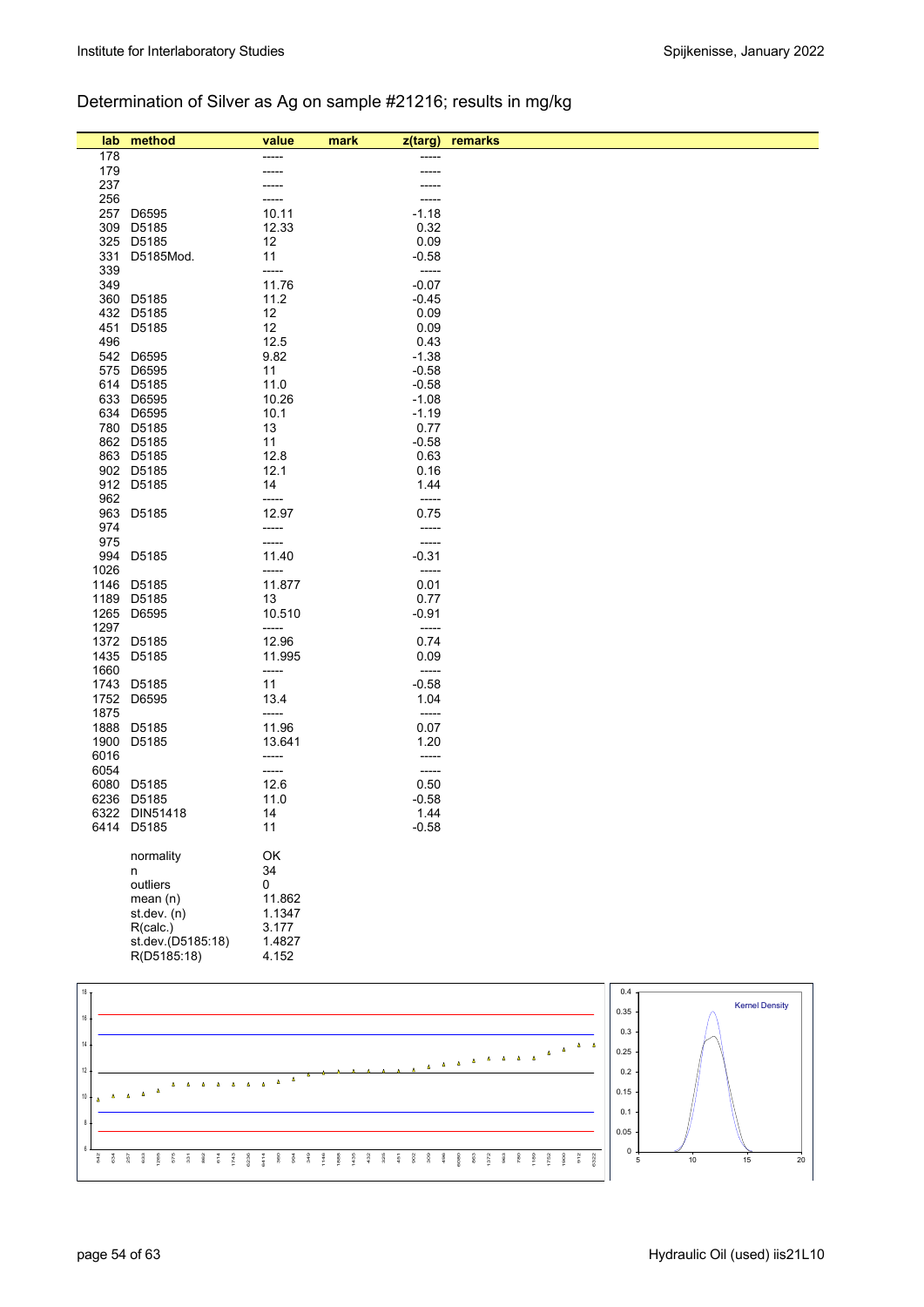## Determination of Silver as Ag on sample #21216; results in mg/kg

| lab             | method                        | value           | mark | z(targ)            | remarks          |
|-----------------|-------------------------------|-----------------|------|--------------------|------------------|
| 178             |                               | -----           |      | -----              |                  |
| 179             |                               |                 |      | -----              |                  |
| 237             |                               |                 |      |                    |                  |
| 256             |                               | -----           |      | -----              |                  |
| 257             | D6595                         | 10.11           |      | $-1.18$            |                  |
| 309<br>325      | D5185<br>D5185                | 12.33           |      | 0.32<br>0.09       |                  |
| 331             | D5185Mod.                     | 12<br>11        |      | $-0.58$            |                  |
| 339             |                               | -----           |      | -----              |                  |
| 349             |                               | 11.76           |      | $-0.07$            |                  |
| 360             | D5185                         | 11.2            |      | $-0.45$            |                  |
|                 | 432 D5185                     | 12              |      | 0.09               |                  |
| 451             | D5185                         | 12              |      | 0.09               |                  |
| 496             | 542 D6595                     | 12.5            |      | 0.43               |                  |
| 575             | D6595                         | 9.82<br>11      |      | $-1.38$<br>$-0.58$ |                  |
|                 | 614 D5185                     | 11.0            |      | $-0.58$            |                  |
|                 | 633 D6595                     | 10.26           |      | $-1.08$            |                  |
|                 | 634 D6595                     | 10.1            |      | $-1.19$            |                  |
|                 | 780 D5185                     | 13              |      | 0.77               |                  |
|                 | 862 D5185                     | 11              |      | $-0.58$            |                  |
|                 | 863 D5185                     | 12.8            |      | 0.63               |                  |
|                 | 902 D5185<br>912 D5185        | 12.1<br>14      |      | 0.16<br>1.44       |                  |
| 962             |                               | -----           |      | -----              |                  |
| 963             | D5185                         | 12.97           |      | 0.75               |                  |
| 974             |                               | -----           |      | -----              |                  |
| 975             |                               | -----           |      | -----              |                  |
| 994             | D5185                         | 11.40           |      | $-0.31$            |                  |
| 1026<br>1146    | D5185                         | -----<br>11.877 |      | -----<br>0.01      |                  |
|                 | 1189 D5185                    | 13              |      | 0.77               |                  |
| 1265            | D6595                         | 10.510          |      | $-0.91$            |                  |
| 1297            |                               | -----           |      | -----              |                  |
| 1372            | D5185                         | 12.96           |      | 0.74               |                  |
| 1435            | D5185                         | 11.995          |      | 0.09               |                  |
| 1660            |                               | -----           |      | -----              |                  |
|                 | 1743 D5185<br>1752 D6595      | 11              |      | $-0.58$<br>1.04    |                  |
| 1875            |                               | 13.4<br>-----   |      | -----              |                  |
| 1888            | D5185                         | 11.96           |      | 0.07               |                  |
| 1900            | D5185                         | 13.641          |      | 1.20               |                  |
| 6016            |                               | -----           |      | -----              |                  |
| 6054            |                               | -----           |      | -----              |                  |
| 6080            | D5185                         | 12.6            |      | 0.50               |                  |
|                 | 6236 D5185                    | 11.0            |      | $-0.58$            |                  |
|                 | 6322 DIN51418<br>6414 D5185   | 14<br>11        |      | 1.44<br>$-0.58$    |                  |
|                 |                               |                 |      |                    |                  |
|                 | normality                     | OK              |      |                    |                  |
|                 | n                             | 34              |      |                    |                  |
|                 | outliers                      | 0               |      |                    |                  |
|                 | mean(n)                       | 11.862          |      |                    |                  |
|                 | st.dev. (n)                   | 1.1347          |      |                    |                  |
|                 | R(calc.)<br>st.dev.(D5185:18) | 3.177<br>1.4827 |      |                    |                  |
|                 | R(D5185:18)                   | 4.152           |      |                    |                  |
|                 |                               |                 |      |                    |                  |
| 18 <sub>T</sub> |                               |                 |      |                    | 0.4 <sub>7</sub> |
|                 |                               |                 |      |                    |                  |

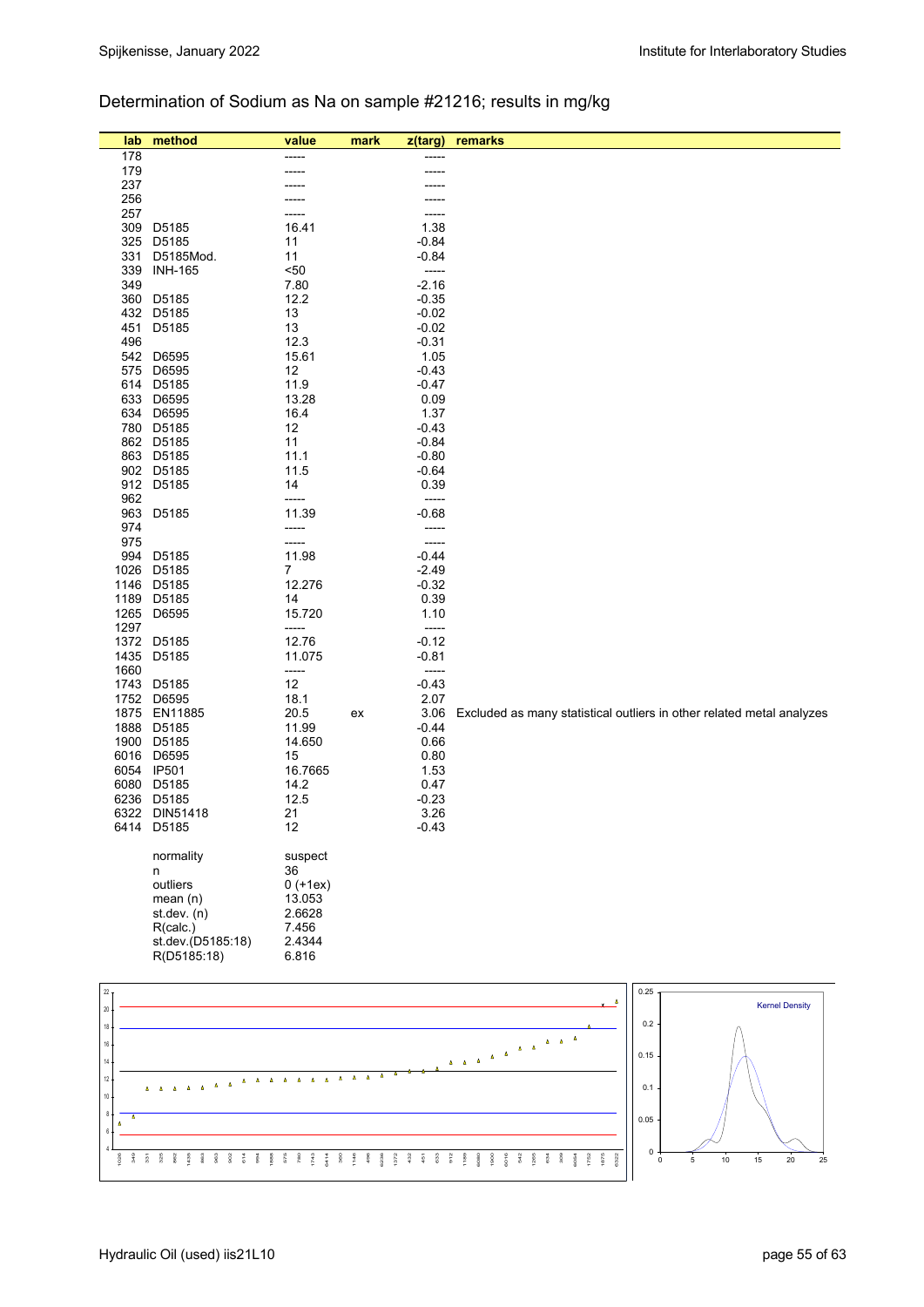### Determination of Sodium as Na on sample #21216; results in mg/kg

| lab             | method                   | value          | mark | z(targ)          | remarks                                                                                             |
|-----------------|--------------------------|----------------|------|------------------|-----------------------------------------------------------------------------------------------------|
| 178             |                          | -----          |      |                  |                                                                                                     |
| 179             |                          |                |      |                  |                                                                                                     |
| 237             |                          |                |      |                  |                                                                                                     |
| 256             |                          |                |      |                  |                                                                                                     |
| 257<br>309      | D5185                    | 16.41          |      | 1.38             |                                                                                                     |
| 325             | D5185                    | 11             |      | $-0.84$          |                                                                                                     |
| 331             | D5185Mod.                | 11             |      | $-0.84$          |                                                                                                     |
| 339             | <b>INH-165</b>           | $50$           |      | -----            |                                                                                                     |
| 349             |                          | 7.80           |      | $-2.16$          |                                                                                                     |
|                 | 360 D5185                | 12.2           |      | $-0.35$          |                                                                                                     |
|                 | 432 D5185                | 13             |      | $-0.02$          |                                                                                                     |
| 451             | D5185                    | 13             |      | $-0.02$          |                                                                                                     |
| 496             |                          | 12.3           |      | $-0.31$          |                                                                                                     |
|                 | 542 D6595                | 15.61          |      | 1.05             |                                                                                                     |
| 575             | D6595                    | 12             |      | $-0.43$          |                                                                                                     |
| 633             | 614 D5185<br>D6595       | 11.9<br>13.28  |      | $-0.47$<br>0.09  |                                                                                                     |
|                 | 634 D6595                | 16.4           |      | 1.37             |                                                                                                     |
|                 | 780 D5185                | 12             |      | $-0.43$          |                                                                                                     |
|                 | 862 D5185                | 11             |      | $-0.84$          |                                                                                                     |
|                 | 863 D5185                | 11.1           |      | $-0.80$          |                                                                                                     |
|                 | 902 D5185                | 11.5           |      | $-0.64$          |                                                                                                     |
|                 | 912 D5185                | 14             |      | 0.39             |                                                                                                     |
| 962             |                          | -----          |      | -----            |                                                                                                     |
|                 | 963 D5185                | 11.39          |      | $-0.68$          |                                                                                                     |
| 974             |                          | -----          |      | -----            |                                                                                                     |
| 975<br>994      | D5185                    | -----<br>11.98 |      | -----<br>$-0.44$ |                                                                                                     |
| 1026            | D5185                    | $\overline{7}$ |      | $-2.49$          |                                                                                                     |
|                 | 1146 D5185               | 12.276         |      | $-0.32$          |                                                                                                     |
| 1189            | D5185                    | 14             |      | 0.39             |                                                                                                     |
| 1265            | D6595                    | 15.720         |      | 1.10             |                                                                                                     |
| 1297            |                          | -----          |      | -----            |                                                                                                     |
|                 | 1372 D5185               | 12.76          |      | $-0.12$          |                                                                                                     |
| 1435            | D5185                    | 11.075         |      | $-0.81$          |                                                                                                     |
| 1660            |                          | -----          |      | -----            |                                                                                                     |
|                 | 1743 D5185<br>1752 D6595 | 12<br>18.1     |      | $-0.43$<br>2.07  |                                                                                                     |
|                 | 1875 EN11885             | 20.5           | ex   | 3.06             | Excluded as many statistical outliers in other related metal analyzes                               |
|                 | 1888 D5185               | 11.99          |      | $-0.44$          |                                                                                                     |
|                 | 1900 D5185               | 14.650         |      | 0.66             |                                                                                                     |
|                 | 6016 D6595               | 15             |      | 0.80             |                                                                                                     |
|                 | 6054 IP501               | 16.7665        |      | 1.53             |                                                                                                     |
|                 | 6080 D5185               | 14.2           |      | 0.47             |                                                                                                     |
| 6236            | D5185                    | 12.5           |      | $-0.23$          |                                                                                                     |
|                 | 6322 DIN51418            | 21             |      | 3.26             |                                                                                                     |
|                 | 6414 D5185               | 12             |      | -0.43            |                                                                                                     |
|                 | normality                | suspect        |      |                  |                                                                                                     |
|                 | n                        | 36             |      |                  |                                                                                                     |
|                 | outliers                 | $0 (+1ex)$     |      |                  |                                                                                                     |
|                 | mean $(n)$               | 13.053         |      |                  |                                                                                                     |
|                 | st. dev. (n)             | 2.6628         |      |                  |                                                                                                     |
|                 | R(calc.)                 | 7.456          |      |                  |                                                                                                     |
|                 | st.dev.(D5185:18)        | 2.4344         |      |                  |                                                                                                     |
|                 | R(D5185:18)              | 6.816          |      |                  |                                                                                                     |
|                 |                          |                |      |                  |                                                                                                     |
| 22 <sub>1</sub> |                          |                |      |                  | 0.25                                                                                                |
| $20\,$          |                          |                |      |                  | <b>Kernel Density</b>                                                                               |
| 18              |                          |                |      |                  | 0.2                                                                                                 |
| 16              |                          |                |      |                  | $\mathbf{A}=\mathbf{A}$                                                                             |
| $14 -$          |                          |                |      |                  | $\begin{array}{ccccccccc}\Delta & & & & & & & \Delta & & \Delta & & \Delta & & \end{array}$<br>0.15 |
| $12\,$          |                          |                |      |                  |                                                                                                     |
| $10 \cdot$      |                          |                |      |                  | 0.1                                                                                                 |
| 8               |                          |                |      |                  |                                                                                                     |
|                 |                          |                |      |                  | 0.05                                                                                                |

1026 349 331 325 862 1435 863 963 902 614 994 1888 575 780 1743 6414 360 1146 496 6236 1372 432 451 633 912 1189 6080 1900 6016 542 1265 634 309 6054 1752 1875 6322

4

 $0 +$ 

 $\frac{1}{10}$  15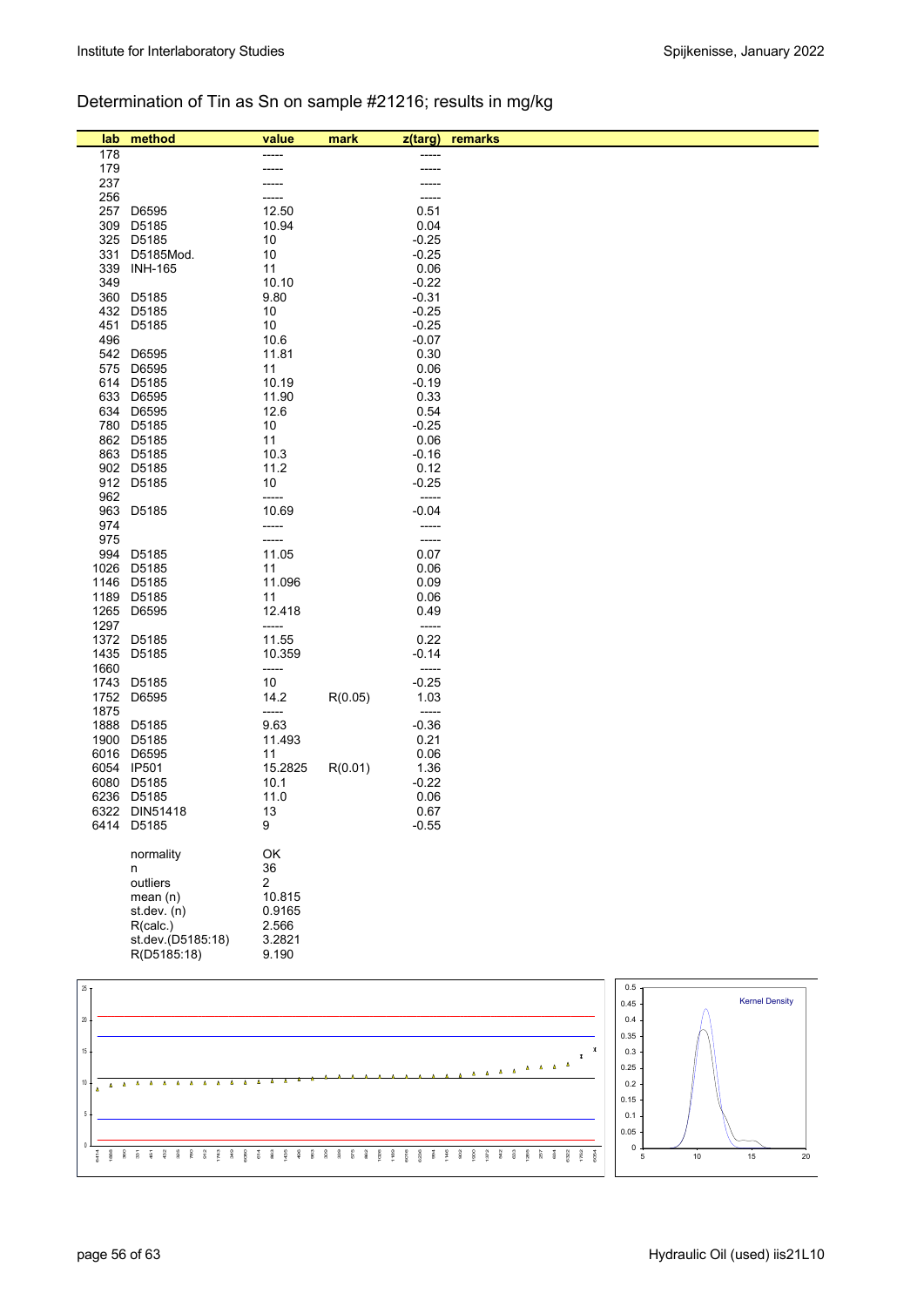## Determination of Tin as Sn on sample #21216; results in mg/kg

| lab.            | method                      | value          | mark    | z(targ)         | remarks |         |  |                       |
|-----------------|-----------------------------|----------------|---------|-----------------|---------|---------|--|-----------------------|
| 178             |                             |                |         | -----           |         |         |  |                       |
| 179             |                             |                |         | -----           |         |         |  |                       |
| 237             |                             |                |         |                 |         |         |  |                       |
| 256             |                             |                |         | -----           |         |         |  |                       |
| 257             | D6595                       | 12.50          |         | 0.51            |         |         |  |                       |
| 309             | D5185                       | 10.94          |         | 0.04            |         |         |  |                       |
|                 | 325 D5185                   | 10             |         | $-0.25$         |         |         |  |                       |
| 331<br>339      | D5185Mod.<br><b>INH-165</b> | 10<br>11       |         | $-0.25$<br>0.06 |         |         |  |                       |
| 349             |                             | 10.10          |         | $-0.22$         |         |         |  |                       |
|                 | 360 D5185                   | 9.80           |         | $-0.31$         |         |         |  |                       |
|                 | 432 D5185                   | 10             |         | $-0.25$         |         |         |  |                       |
| 451             | D5185                       | 10             |         | $-0.25$         |         |         |  |                       |
| 496             |                             | 10.6           |         | $-0.07$         |         |         |  |                       |
|                 | 542 D6595                   | 11.81          |         | 0.30            |         |         |  |                       |
| 575             | D6595                       | 11             |         | 0.06            |         |         |  |                       |
|                 | 614 D5185                   | 10.19          |         | $-0.19$         |         |         |  |                       |
|                 | 633 D6595                   | 11.90          |         | 0.33            |         |         |  |                       |
|                 | 634 D6595                   | 12.6           |         | 0.54            |         |         |  |                       |
|                 | 780 D5185                   | 10             |         | $-0.25$         |         |         |  |                       |
|                 | 862 D5185                   | 11             |         | 0.06            |         |         |  |                       |
|                 | 863 D5185                   | 10.3           |         | $-0.16$         |         |         |  |                       |
|                 | 902 D5185                   | 11.2           |         | 0.12            |         |         |  |                       |
|                 | 912 D5185                   | 10             |         | $-0.25$         |         |         |  |                       |
| 962             |                             | -----          |         | -----           |         |         |  |                       |
| 963             | D5185                       | 10.69          |         | $-0.04$         |         |         |  |                       |
| 974<br>975      |                             | -----<br>----- |         | -----<br>-----  |         |         |  |                       |
| 994             | D5185                       | 11.05          |         | 0.07            |         |         |  |                       |
| 1026            | D5185                       | 11             |         | 0.06            |         |         |  |                       |
|                 | 1146 D5185                  | 11.096         |         | 0.09            |         |         |  |                       |
|                 | 1189 D5185                  | 11             |         | 0.06            |         |         |  |                       |
| 1265            | D6595                       | 12.418         |         | 0.49            |         |         |  |                       |
| 1297            |                             | -----          |         | $-----1$        |         |         |  |                       |
|                 | 1372 D5185                  | 11.55          |         | 0.22            |         |         |  |                       |
|                 | 1435 D5185                  | 10.359         |         | $-0.14$         |         |         |  |                       |
| 1660            |                             | -----          |         | -----           |         |         |  |                       |
|                 | 1743 D5185                  | 10             |         | $-0.25$         |         |         |  |                       |
| 1752            | D6595                       | 14.2           | R(0.05) | 1.03            |         |         |  |                       |
| 1875            |                             | -----          |         | -----           |         |         |  |                       |
| 1888            | D5185                       | 9.63           |         | $-0.36$         |         |         |  |                       |
| 1900            | D5185                       | 11.493         |         | 0.21            |         |         |  |                       |
| 6016            | D6595                       | 11             |         | 0.06            |         |         |  |                       |
|                 | 6054 IP501                  | 15.2825        | R(0.01) | 1.36            |         |         |  |                       |
|                 | 6080 D5185                  | 10.1           |         | $-0.22$         |         |         |  |                       |
|                 | 6236 D5185                  | 11.0           |         | 0.06            |         |         |  |                       |
|                 | 6322 DIN51418<br>6414 D5185 | 13<br>9        |         | 0.67            |         |         |  |                       |
|                 |                             |                |         | $-0.55$         |         |         |  |                       |
|                 | normality                   | OK             |         |                 |         |         |  |                       |
|                 | n                           | 36             |         |                 |         |         |  |                       |
|                 | outliers                    | $\overline{2}$ |         |                 |         |         |  |                       |
|                 | mean(n)                     | 10.815         |         |                 |         |         |  |                       |
|                 | st.dev. (n)                 | 0.9165         |         |                 |         |         |  |                       |
|                 | R(calc.)                    | 2.566          |         |                 |         |         |  |                       |
|                 | st.dev.(D5185:18)           | 3.2821         |         |                 |         |         |  |                       |
|                 | R(D5185:18)                 | 9.190          |         |                 |         |         |  |                       |
|                 |                             |                |         |                 |         |         |  |                       |
| 25 <sub>1</sub> |                             |                |         |                 |         | 0.5     |  |                       |
|                 |                             |                |         |                 |         | 0.45    |  | <b>Kernel Density</b> |
| $20\,$          |                             |                |         |                 |         | $0.4\,$ |  |                       |
|                 |                             |                |         |                 |         |         |  |                       |

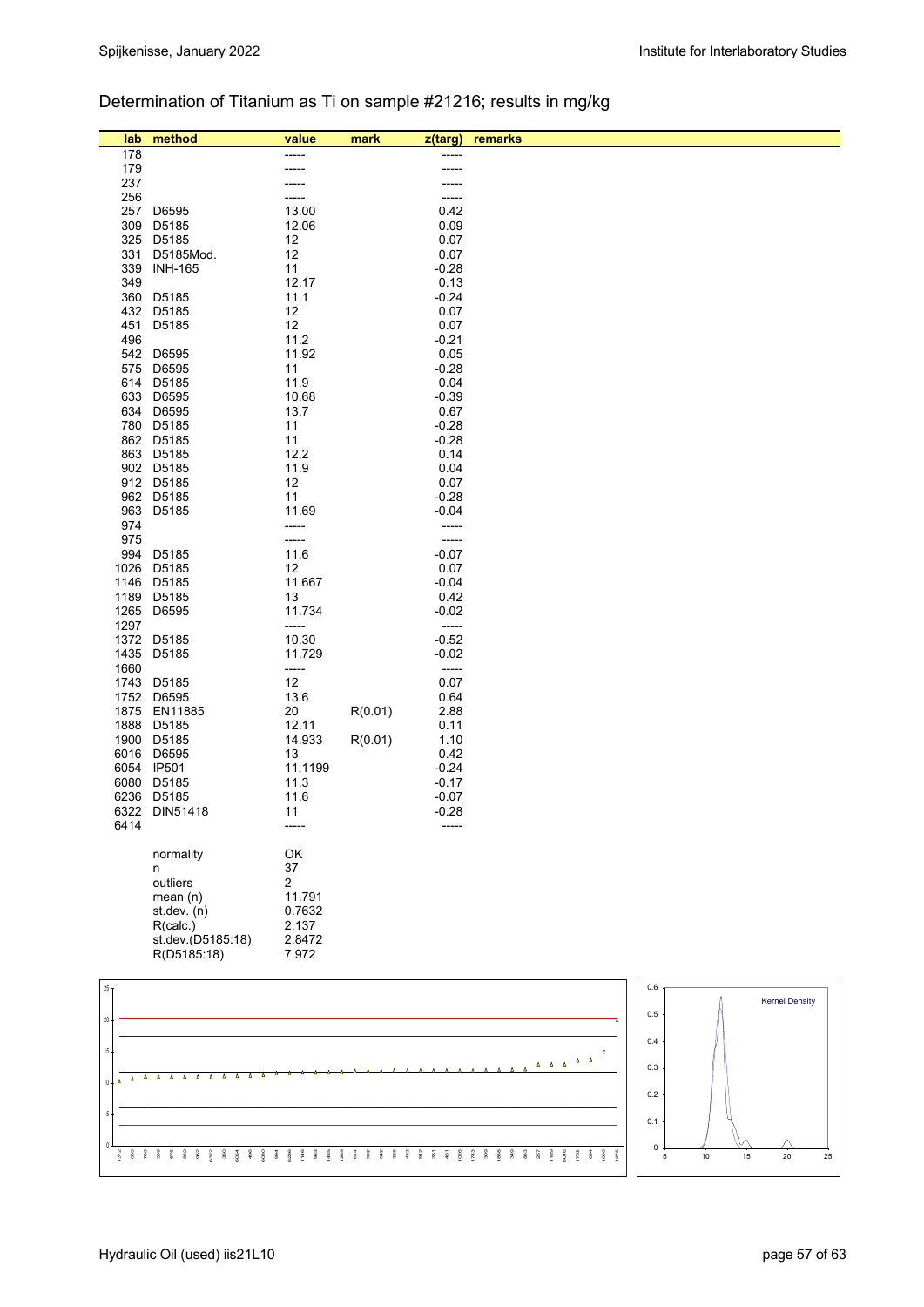## Determination of Titanium as Ti on sample #21216; results in mg/kg

| lab            | method                   | value            | mark    | z(targ)            | remarks                                               |     |                       |
|----------------|--------------------------|------------------|---------|--------------------|-------------------------------------------------------|-----|-----------------------|
| 178            |                          |                  |         |                    |                                                       |     |                       |
| 179            |                          |                  |         |                    |                                                       |     |                       |
| 237            |                          |                  |         |                    |                                                       |     |                       |
| 256            |                          |                  |         |                    |                                                       |     |                       |
| 257            | D6595                    | 13.00            |         | 0.42               |                                                       |     |                       |
| 309            | D5185                    | 12.06            |         | 0.09               |                                                       |     |                       |
| 331            | 325 D5185<br>D5185Mod.   | 12<br>12         |         | 0.07<br>0.07       |                                                       |     |                       |
|                | 339 INH-165              | 11               |         | $-0.28$            |                                                       |     |                       |
| 349            |                          | 12.17            |         | 0.13               |                                                       |     |                       |
|                | 360 D5185                | 11.1             |         | $-0.24$            |                                                       |     |                       |
|                | 432 D5185                | 12               |         | 0.07               |                                                       |     |                       |
|                | 451 D5185                | 12               |         | 0.07               |                                                       |     |                       |
| 496            |                          | 11.2             |         | $-0.21$            |                                                       |     |                       |
|                | 542 D6595                | 11.92            |         | 0.05               |                                                       |     |                       |
|                | 575 D6595<br>614 D5185   | 11<br>11.9       |         | $-0.28$<br>0.04    |                                                       |     |                       |
|                | 633 D6595                | 10.68            |         | $-0.39$            |                                                       |     |                       |
|                | 634 D6595                | 13.7             |         | 0.67               |                                                       |     |                       |
|                | 780 D5185                | 11               |         | $-0.28$            |                                                       |     |                       |
|                | 862 D5185                | 11               |         | $-0.28$            |                                                       |     |                       |
|                | 863 D5185                | 12.2             |         | 0.14               |                                                       |     |                       |
|                | 902 D5185                | 11.9             |         | 0.04               |                                                       |     |                       |
|                | 912 D5185                | 12               |         | 0.07               |                                                       |     |                       |
|                | 962 D5185<br>963 D5185   | 11<br>11.69      |         | $-0.28$<br>$-0.04$ |                                                       |     |                       |
| 974            |                          | -----            |         | -----              |                                                       |     |                       |
| 975            |                          | -----            |         | -----              |                                                       |     |                       |
|                | 994 D5185                | 11.6             |         | $-0.07$            |                                                       |     |                       |
|                | 1026 D5185               | 12               |         | 0.07               |                                                       |     |                       |
|                | 1146 D5185               | 11.667           |         | $-0.04$            |                                                       |     |                       |
|                | 1189 D5185               | 13               |         | 0.42               |                                                       |     |                       |
|                | 1265 D6595               | 11.734           |         | $-0.02$            |                                                       |     |                       |
| 1297           | 1372 D5185               | -----<br>10.30   |         | $-----$<br>$-0.52$ |                                                       |     |                       |
|                | 1435 D5185               | 11.729           |         | $-0.02$            |                                                       |     |                       |
| 1660           |                          | -----            |         | -----              |                                                       |     |                       |
|                | 1743 D5185               | 12               |         | 0.07               |                                                       |     |                       |
|                | 1752 D6595               | 13.6             |         | 0.64               |                                                       |     |                       |
|                | 1875 EN11885             | 20               | R(0.01) | 2.88               |                                                       |     |                       |
|                | 1888 D5185               | 12.11            |         | 0.11               |                                                       |     |                       |
|                | 1900 D5185               | 14.933           | R(0.01) | 1.10               |                                                       |     |                       |
|                | 6016 D6595               | 13               |         | 0.42               |                                                       |     |                       |
|                | 6054 IP501<br>6080 D5185 | 11.1199<br>11.3  |         | $-0.24$<br>$-0.17$ |                                                       |     |                       |
|                | 6236 D5185               | 11.6             |         | $-0.07$            |                                                       |     |                       |
|                | 6322 DIN51418            | 11               |         | $-0.28$            |                                                       |     |                       |
| 6414           |                          |                  |         |                    |                                                       |     |                       |
|                |                          |                  |         |                    |                                                       |     |                       |
|                | normality                | OK               |         |                    |                                                       |     |                       |
|                | n                        | 37               |         |                    |                                                       |     |                       |
|                | outliers<br>mean(n)      | $\overline{2}$   |         |                    |                                                       |     |                       |
|                | st.dev. (n)              | 11.791<br>0.7632 |         |                    |                                                       |     |                       |
|                | R(calc.)                 | 2.137            |         |                    |                                                       |     |                       |
|                | st.dev.(D5185:18)        | 2.8472           |         |                    |                                                       |     |                       |
|                | R(D5185:18)              | 7.972            |         |                    |                                                       |     |                       |
|                |                          |                  |         |                    |                                                       |     |                       |
| $25 -$         |                          |                  |         |                    |                                                       | 0.6 |                       |
|                |                          |                  |         |                    |                                                       |     | <b>Kernel Density</b> |
| $20\,$         |                          |                  |         |                    |                                                       | 0.5 |                       |
|                |                          |                  |         |                    |                                                       | 0.4 |                       |
| $15\,$         |                          |                  |         |                    | $\boldsymbol{x}$                                      |     |                       |
| $\Delta$       |                          |                  |         |                    | $\Delta = \Delta = \Delta = \Delta = \Delta = \Delta$ | 0.3 |                       |
| $\Delta$<br>10 |                          |                  |         |                    |                                                       | 0.2 |                       |
|                |                          |                  |         |                    |                                                       |     |                       |



0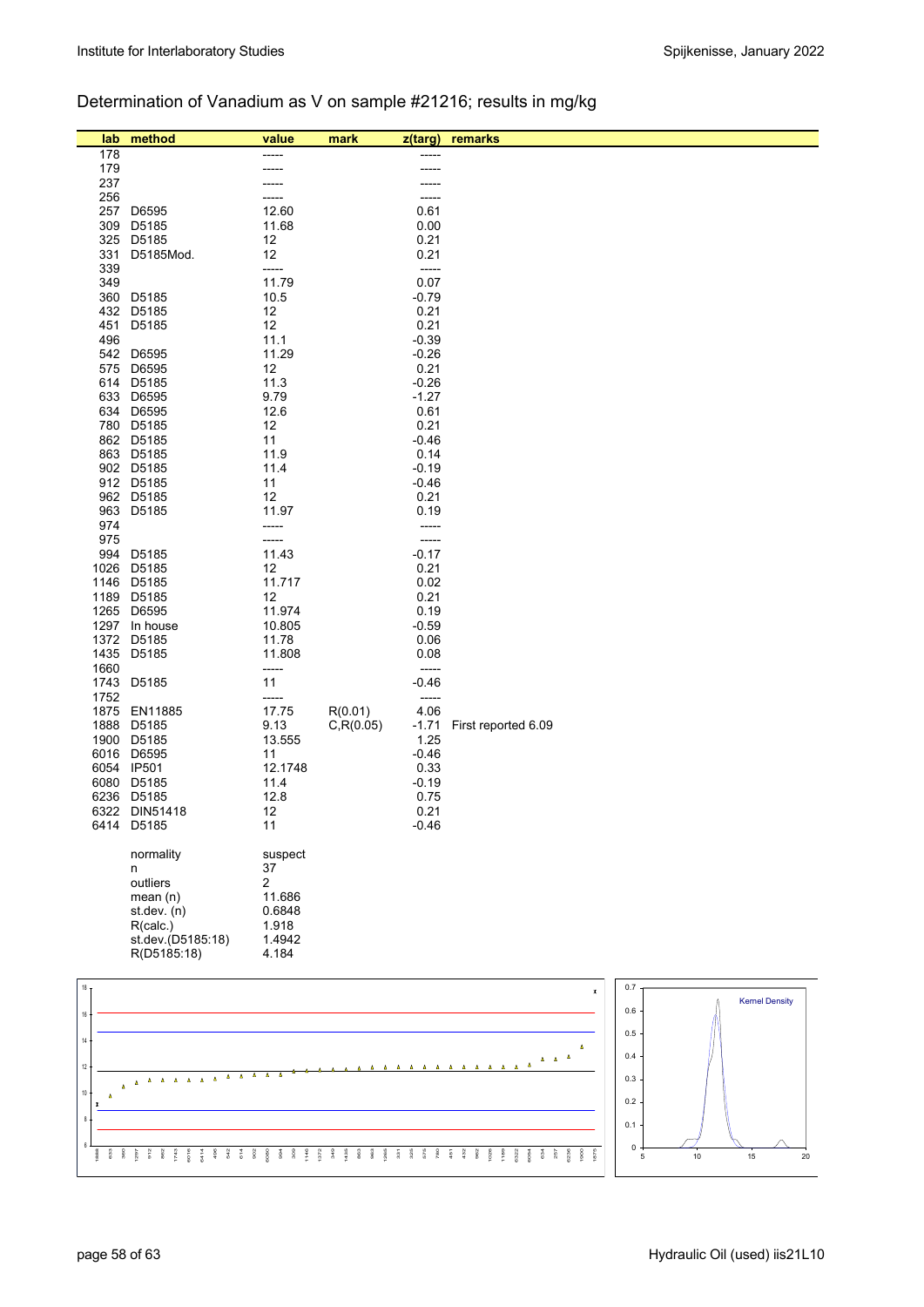## Determination of Vanadium as V on sample #21216; results in mg/kg

| lab          | method                              | value           | mark       | z(targ)         | remarks                                               |
|--------------|-------------------------------------|-----------------|------------|-----------------|-------------------------------------------------------|
| 178          |                                     |                 |            |                 |                                                       |
| 179          |                                     |                 |            | -----           |                                                       |
| 237          |                                     |                 |            |                 |                                                       |
| 256          |                                     |                 |            |                 |                                                       |
| 257          | D6595                               | 12.60<br>11.68  |            | 0.61            |                                                       |
| 309<br>325   | D5185<br>D5185                      | 12              |            | 0.00<br>0.21    |                                                       |
| 331          | D5185Mod.                           | 12              |            | 0.21            |                                                       |
| 339          |                                     | -----           |            | -----           |                                                       |
| 349          |                                     | 11.79           |            | 0.07            |                                                       |
| 360          | D5185                               | 10.5            |            | $-0.79$         |                                                       |
| 432<br>451   | D5185<br>D5185                      | 12              |            | 0.21            |                                                       |
| 496          |                                     | 12<br>11.1      |            | 0.21<br>$-0.39$ |                                                       |
| 542          | D6595                               | 11.29           |            | $-0.26$         |                                                       |
| 575          | D6595                               | 12              |            | 0.21            |                                                       |
|              | 614 D5185                           | 11.3            |            | $-0.26$         |                                                       |
|              | 633 D6595                           | 9.79            |            | $-1.27$         |                                                       |
| 634          | D6595                               | 12.6            |            | 0.61            |                                                       |
|              | 780 D5185<br>862 D5185              | 12<br>11        |            | 0.21<br>$-0.46$ |                                                       |
|              | 863 D5185                           | 11.9            |            | 0.14            |                                                       |
|              | 902 D5185                           | 11.4            |            | $-0.19$         |                                                       |
|              | 912 D5185                           | 11              |            | $-0.46$         |                                                       |
|              | 962 D5185                           | 12              |            | 0.21            |                                                       |
|              | 963 D5185                           | 11.97           |            | 0.19            |                                                       |
| 974<br>975   |                                     | -----<br>-----  |            | -----<br>-----  |                                                       |
| 994          | D5185                               | 11.43           |            | $-0.17$         |                                                       |
|              | 1026 D5185                          | 12              |            | 0.21            |                                                       |
|              | 1146 D5185                          | 11.717          |            | 0.02            |                                                       |
|              | 1189 D5185                          | 12              |            | 0.21            |                                                       |
|              | 1265 D6595                          | 11.974          |            | 0.19            |                                                       |
| 1297<br>1372 | In house<br>D5185                   | 10.805<br>11.78 |            | $-0.59$<br>0.06 |                                                       |
|              | 1435 D5185                          | 11.808          |            | 0.08            |                                                       |
| 1660         |                                     | -----           |            | -----           |                                                       |
| 1743         | D5185                               | 11              |            | $-0.46$         |                                                       |
| 1752         |                                     | -----           |            | -----           |                                                       |
| 1875         | EN11885                             | 17.75           | R(0.01)    | 4.06            |                                                       |
| 1888         | D5185<br>1900 D5185                 | 9.13            | C, R(0.05) | $-1.71$<br>1.25 | First reported 6.09                                   |
|              | 6016 D6595                          | 13.555<br>11    |            | $-0.46$         |                                                       |
|              | 6054 IP501                          | 12.1748         |            | 0.33            |                                                       |
|              | 6080 D5185                          | 11.4            |            | $-0.19$         |                                                       |
|              | 6236 D5185                          | 12.8            |            | 0.75            |                                                       |
|              | 6322 DIN51418                       | 12              |            | 0.21            |                                                       |
|              | 6414 D5185                          | 11              |            | $-0.46$         |                                                       |
|              | normality                           | suspect         |            |                 |                                                       |
|              | n                                   | 37              |            |                 |                                                       |
|              | outliers                            | $\overline{2}$  |            |                 |                                                       |
|              | mean(n)                             | 11.686          |            |                 |                                                       |
|              | st.dev. (n)                         | 0.6848          |            |                 |                                                       |
|              | R(calc.)                            | 1.918           |            |                 |                                                       |
|              | st.dev.(D5185:18)<br>R(D5185:18)    | 1.4942<br>4.184 |            |                 |                                                       |
|              |                                     |                 |            |                 |                                                       |
| $18 -$       |                                     |                 |            |                 | 0.7<br>$\pmb{\mathsf{x}}$                             |
|              |                                     |                 |            |                 | <b>Kernel Density</b>                                 |
| 16           |                                     |                 |            |                 | 0.6                                                   |
| 14           |                                     |                 |            |                 | 0.5                                                   |
|              |                                     |                 |            |                 | Δ<br>0.4<br>$\Delta$<br>$\pmb{\Delta} = \pmb{\Delta}$ |
| 12           |                                     |                 |            |                 |                                                       |
| 10           | $\Delta = \Delta = \Delta = \Delta$ |                 |            |                 | 0.3                                                   |
| $\Delta$     |                                     |                 |            |                 | 0.2                                                   |
|              |                                     |                 |            |                 |                                                       |

1888 633 360 1297 912 862 1743 6016 6414 496 542 614 902 6080 994 309 1146 1372 349 1435 863 963 1265 331 325 575 780 451 432 962 1026 1189 6322 6054 634 257 6236 1900 1875

6

5 10 15 20

 $0 \frac{1}{5}$ 0.1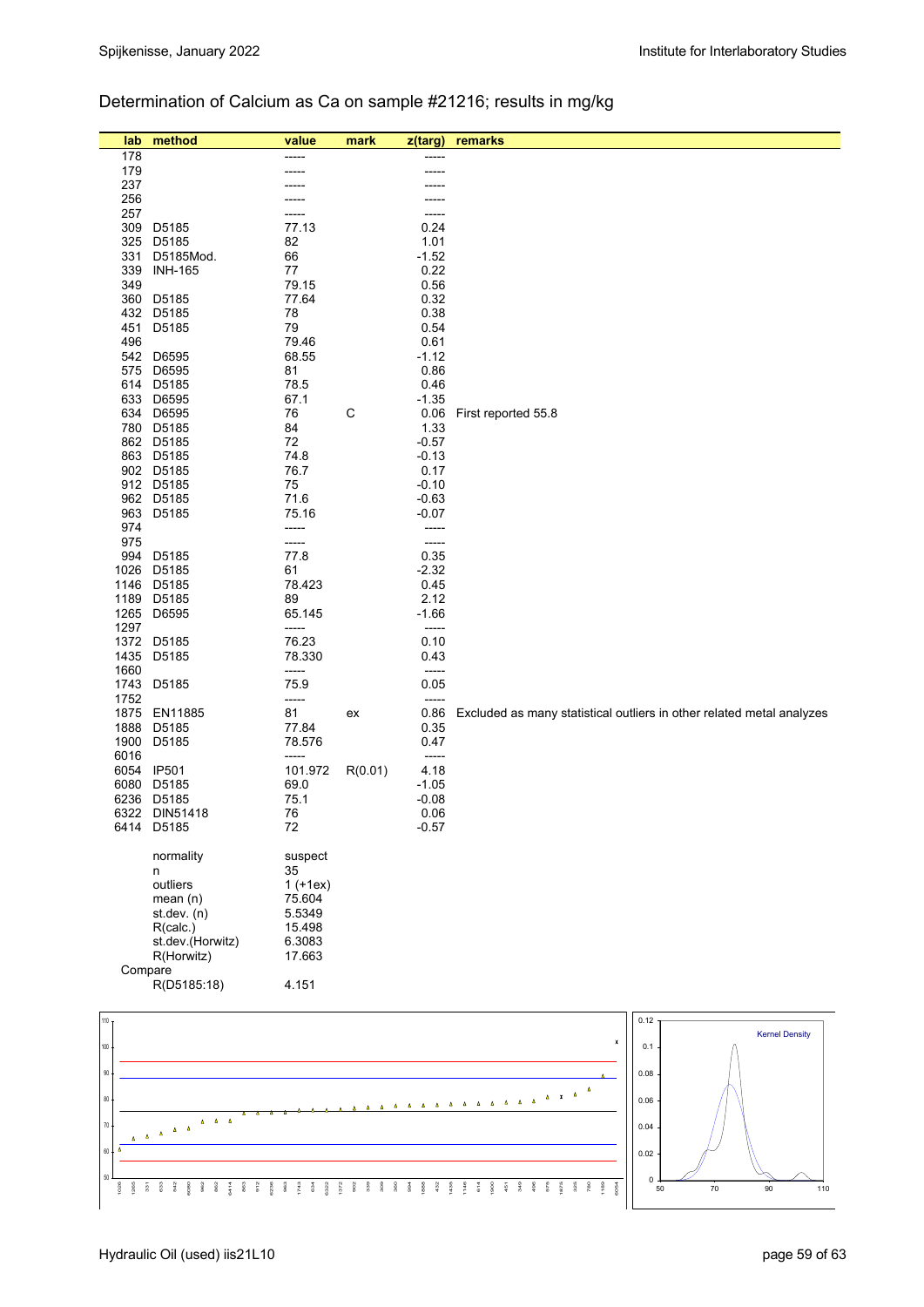## Determination of Calcium as Ca on sample #21216; results in mg/kg

| lab              | method                                       | value      | mark        | z(targ) | remarks                                                                                                                    |
|------------------|----------------------------------------------|------------|-------------|---------|----------------------------------------------------------------------------------------------------------------------------|
| 178              |                                              | -----      |             | -----   |                                                                                                                            |
| 179              |                                              |            |             |         |                                                                                                                            |
| 237              |                                              |            |             |         |                                                                                                                            |
| 256              |                                              |            |             |         |                                                                                                                            |
| 257              |                                              | -----      |             | -----   |                                                                                                                            |
| 309              | D5185                                        | 77.13      |             | 0.24    |                                                                                                                            |
| 325              | D5185                                        | 82         |             | 1.01    |                                                                                                                            |
| 331              | D5185Mod.                                    | 66         |             | $-1.52$ |                                                                                                                            |
| 339              | <b>INH-165</b>                               | 77         |             | 0.22    |                                                                                                                            |
|                  |                                              |            |             |         |                                                                                                                            |
| 349              |                                              | 79.15      |             | 0.56    |                                                                                                                            |
|                  | 360 D5185                                    | 77.64      |             | 0.32    |                                                                                                                            |
| 432              | D5185                                        | 78         |             | 0.38    |                                                                                                                            |
| 451              | D5185                                        | 79         |             | 0.54    |                                                                                                                            |
| 496              |                                              | 79.46      |             | 0.61    |                                                                                                                            |
|                  | 542 D6595                                    | 68.55      |             | $-1.12$ |                                                                                                                            |
|                  | 575 D6595                                    | 81         |             | 0.86    |                                                                                                                            |
|                  | 614 D5185                                    | 78.5       |             | 0.46    |                                                                                                                            |
|                  | 633 D6595                                    | 67.1       |             | $-1.35$ |                                                                                                                            |
|                  | 634 D6595                                    | 76         | $\mathsf C$ | 0.06    | First reported 55.8                                                                                                        |
|                  | 780 D5185                                    | 84         |             | 1.33    |                                                                                                                            |
|                  | 862 D5185                                    | 72         |             | $-0.57$ |                                                                                                                            |
|                  | 863 D5185                                    | 74.8       |             | $-0.13$ |                                                                                                                            |
|                  | 902 D5185                                    | 76.7       |             | 0.17    |                                                                                                                            |
|                  | 912 D5185                                    | 75         |             | $-0.10$ |                                                                                                                            |
|                  | 962 D5185                                    | 71.6       |             | $-0.63$ |                                                                                                                            |
|                  |                                              |            |             |         |                                                                                                                            |
| 963              | D5185                                        | 75.16      |             | $-0.07$ |                                                                                                                            |
| 974              |                                              | -----      |             | -----   |                                                                                                                            |
| 975              |                                              | -----      |             | -----   |                                                                                                                            |
|                  | 994 D5185                                    | 77.8       |             | 0.35    |                                                                                                                            |
| 1026             | D5185                                        | 61         |             | $-2.32$ |                                                                                                                            |
|                  | 1146 D5185                                   | 78.423     |             | 0.45    |                                                                                                                            |
|                  | 1189 D5185                                   | 89         |             | 2.12    |                                                                                                                            |
|                  | 1265 D6595                                   | 65.145     |             | $-1.66$ |                                                                                                                            |
| 1297             |                                              | -----      |             | -----   |                                                                                                                            |
|                  | 1372 D5185                                   | 76.23      |             | 0.10    |                                                                                                                            |
|                  | 1435 D5185                                   | 78.330     |             | 0.43    |                                                                                                                            |
| 1660             |                                              | -----      |             | -----   |                                                                                                                            |
|                  | 1743 D5185                                   | 75.9       |             | 0.05    |                                                                                                                            |
|                  |                                              |            |             | -----   |                                                                                                                            |
| 1752             |                                              | -----      |             |         |                                                                                                                            |
| 1875             | EN11885                                      | 81         | ex          | 0.86    | Excluded as many statistical outliers in other related metal analyzes                                                      |
| 1888             | D5185                                        | 77.84      |             | 0.35    |                                                                                                                            |
|                  | 1900 D5185                                   | 78.576     |             | 0.47    |                                                                                                                            |
| 6016             |                                              | -----      |             | -----   |                                                                                                                            |
|                  | 6054 IP501                                   | 101.972    | R(0.01)     | 4.18    |                                                                                                                            |
|                  | 6080 D5185                                   | 69.0       |             | $-1.05$ |                                                                                                                            |
|                  | 6236 D5185                                   | 75.1       |             | $-0.08$ |                                                                                                                            |
|                  | 6322 DIN51418                                | 76         |             | 0.06    |                                                                                                                            |
|                  | 6414 D5185                                   | 72         |             | $-0.57$ |                                                                                                                            |
|                  |                                              |            |             |         |                                                                                                                            |
|                  | normality                                    | suspect    |             |         |                                                                                                                            |
|                  | n                                            | 35         |             |         |                                                                                                                            |
|                  | outliers                                     | $1 (+1ex)$ |             |         |                                                                                                                            |
|                  | mean $(n)$                                   | 75.604     |             |         |                                                                                                                            |
|                  | st. dev. (n)                                 | 5.5349     |             |         |                                                                                                                            |
|                  |                                              | 15.498     |             |         |                                                                                                                            |
|                  | R(calc.)                                     |            |             |         |                                                                                                                            |
|                  | st.dev.(Horwitz)                             | 6.3083     |             |         |                                                                                                                            |
|                  | R(Horwitz)                                   | 17.663     |             |         |                                                                                                                            |
| Compare          |                                              |            |             |         |                                                                                                                            |
|                  | R(D5185:18)                                  | 4.151      |             |         |                                                                                                                            |
|                  |                                              |            |             |         |                                                                                                                            |
| 110.             |                                              |            |             |         | 0.12                                                                                                                       |
|                  |                                              |            |             |         | <b>Kernel Density</b><br>$\pmb{\mathsf{x}}$                                                                                |
| $100 -$          |                                              |            |             |         | 0.1                                                                                                                        |
|                  |                                              |            |             |         |                                                                                                                            |
| 90               |                                              |            |             |         | 0.08                                                                                                                       |
|                  |                                              |            |             |         | $\Delta$                                                                                                                   |
| 80               |                                              |            |             |         | $\begin{array}{cccccccccc} \Delta & \Delta & \Delta & \Delta & \Delta & \lambda & \lambda \end{array}$<br>0.06<br>$\Delta$ |
|                  | $\Delta \equiv -\Delta \equiv -\Delta$       |            |             |         |                                                                                                                            |
| $70$             | $\Delta = \Delta$<br>$\mathbf{a}=\mathbf{a}$ |            |             |         | 0.04                                                                                                                       |
| Δ<br>Δ<br>$60\,$ |                                              |            |             |         |                                                                                                                            |
|                  |                                              |            |             |         | 0.02                                                                                                                       |

6414 863 912 6236 963 1743 634 6322 1372 902 339 309 360 994 1888 432 1435 1146 614 1900 451 349 496 575 1875 325 780 1189 6054

50

 1026 1265 331 633  $\frac{3}{4}$  6080 962 862

50 70 90 110

 $\begin{array}{c} 0 \\ 50 \end{array}$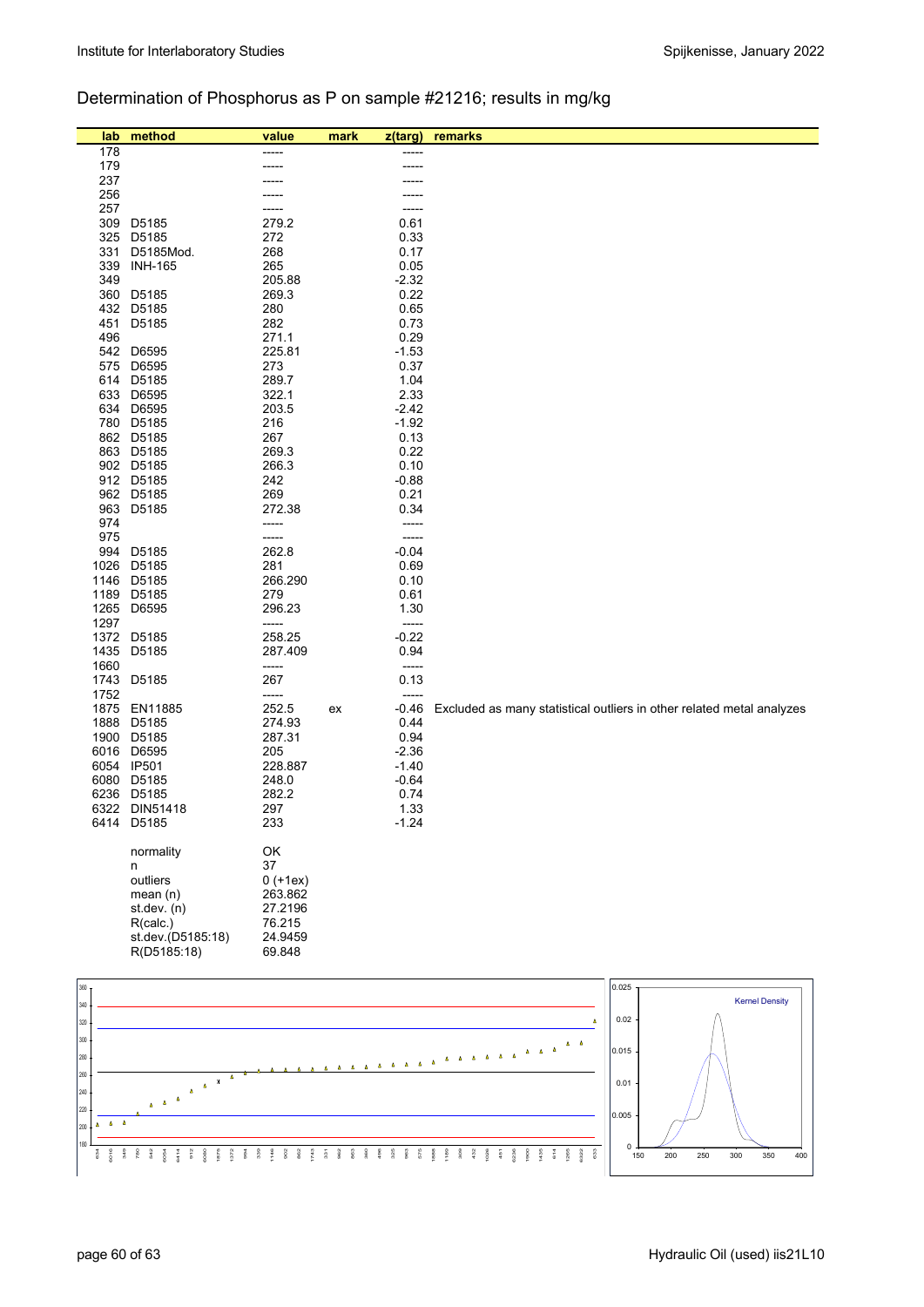### Determination of Phosphorus as P on sample #21216; results in mg/kg

| lab          | method                        | value             | mark | z(targ)                                            | remarks                                                                                               |
|--------------|-------------------------------|-------------------|------|----------------------------------------------------|-------------------------------------------------------------------------------------------------------|
| 178          |                               |                   |      |                                                    |                                                                                                       |
| 179          |                               |                   |      |                                                    |                                                                                                       |
| 237<br>256   |                               |                   |      |                                                    |                                                                                                       |
| 257          |                               |                   |      |                                                    |                                                                                                       |
| 309          | D5185                         | 279.2             |      | 0.61                                               |                                                                                                       |
| 325          | D5185                         | 272               |      | 0.33                                               |                                                                                                       |
| 331          | D5185Mod.                     | 268               |      | 0.17                                               |                                                                                                       |
| 339<br>349   | <b>INH-165</b>                | 265<br>205.88     |      | 0.05<br>$-2.32$                                    |                                                                                                       |
| 360          | D5185                         | 269.3             |      | 0.22                                               |                                                                                                       |
| 432          | D5185                         | 280               |      | 0.65                                               |                                                                                                       |
| 451          | D5185                         | 282               |      | 0.73                                               |                                                                                                       |
| 496          |                               | 271.1             |      | 0.29                                               |                                                                                                       |
| 542<br>575   | D6595<br>D6595                | 225.81<br>273     |      | $-1.53$<br>0.37                                    |                                                                                                       |
| 614          | D5185                         | 289.7             |      | 1.04                                               |                                                                                                       |
| 633          | D6595                         | 322.1             |      | 2.33                                               |                                                                                                       |
| 634          | D6595                         | 203.5             |      | $-2.42$                                            |                                                                                                       |
| 780          | D5185                         | 216               |      | $-1.92$                                            |                                                                                                       |
| 863          | 862 D5185<br>D5185            | 267<br>269.3      |      | 0.13<br>0.22                                       |                                                                                                       |
|              | 902 D5185                     | 266.3             |      | 0.10                                               |                                                                                                       |
|              | 912 D5185                     | 242               |      | $-0.88$                                            |                                                                                                       |
| 962          | D5185                         | 269               |      | 0.21                                               |                                                                                                       |
| 963          | D5185                         | 272.38            |      | 0.34                                               |                                                                                                       |
| 974<br>975   |                               | -----<br>-----    |      | -----<br>-----                                     |                                                                                                       |
| 994          | D5185                         | 262.8             |      | $-0.04$                                            |                                                                                                       |
| 1026         | D5185                         | 281               |      | 0.69                                               |                                                                                                       |
| 1146         | D5185                         | 266.290           |      | 0.10                                               |                                                                                                       |
| 1189         | D5185                         | 279               |      | 0.61                                               |                                                                                                       |
| 1265<br>1297 | D6595                         | 296.23<br>-----   |      | 1.30<br>-----                                      |                                                                                                       |
| 1372         | D5185                         | 258.25            |      | $-0.22$                                            |                                                                                                       |
| 1435         | D5185                         | 287.409           |      | 0.94                                               |                                                                                                       |
| 1660         |                               | -----             |      | -----                                              |                                                                                                       |
| 1743         | D5185                         | 267               |      | 0.13                                               |                                                                                                       |
| 1752<br>1875 | EN11885                       | -----<br>252.5    | ex   | $-0.46$                                            | Excluded as many statistical outliers in other related metal analyzes                                 |
| 1888         | D5185                         | 274.93            |      | 0.44                                               |                                                                                                       |
| 1900         | D5185                         | 287.31            |      | 0.94                                               |                                                                                                       |
| 6016         | D6595                         | 205               |      | $-2.36$                                            |                                                                                                       |
| 6054<br>6080 | <b>IP501</b><br>D5185         | 228.887<br>248.0  |      | $-1.40$<br>$-0.64$                                 |                                                                                                       |
|              | 6236 D5185                    | 282.2             |      | 0.74                                               |                                                                                                       |
|              | 6322 DIN51418                 | 297               |      | 1.33                                               |                                                                                                       |
|              | 6414 D5185                    | 233               |      | $-1.24$                                            |                                                                                                       |
|              | normality                     | OK                |      |                                                    |                                                                                                       |
|              | n                             | 37                |      |                                                    |                                                                                                       |
|              | outliers                      | $0 (+1ex)$        |      |                                                    |                                                                                                       |
|              | mean(n)                       | 263.862           |      |                                                    |                                                                                                       |
|              | st.dev. (n)                   | 27.2196           |      |                                                    |                                                                                                       |
|              | R(calc.)<br>st.dev.(D5185:18) | 76.215<br>24.9459 |      |                                                    |                                                                                                       |
|              | R(D5185:18)                   | 69.848            |      |                                                    |                                                                                                       |
|              |                               |                   |      |                                                    |                                                                                                       |
| 360          |                               |                   |      |                                                    | 0.025                                                                                                 |
| 340          |                               |                   |      |                                                    | <b>Kernel Density</b>                                                                                 |
| 320          |                               |                   |      |                                                    | 0.02<br>$\Delta$                                                                                      |
| 300          |                               |                   |      |                                                    | $\pmb{\Delta} = - \pmb{\Delta}$                                                                       |
| 280          |                               |                   |      | $\Delta \equiv \Delta \equiv \Delta \equiv \Delta$ | 0.015<br>$\Delta \qquad \Delta \qquad \Delta \qquad \Delta \qquad \Delta \qquad \Delta \qquad \Delta$ |
| 260          | $\pmb{\mathsf{x}}$            |                   |      |                                                    | 0.01                                                                                                  |





 $\overline{\mathbf{A}}$ 

 $\Delta = \Delta = \Delta$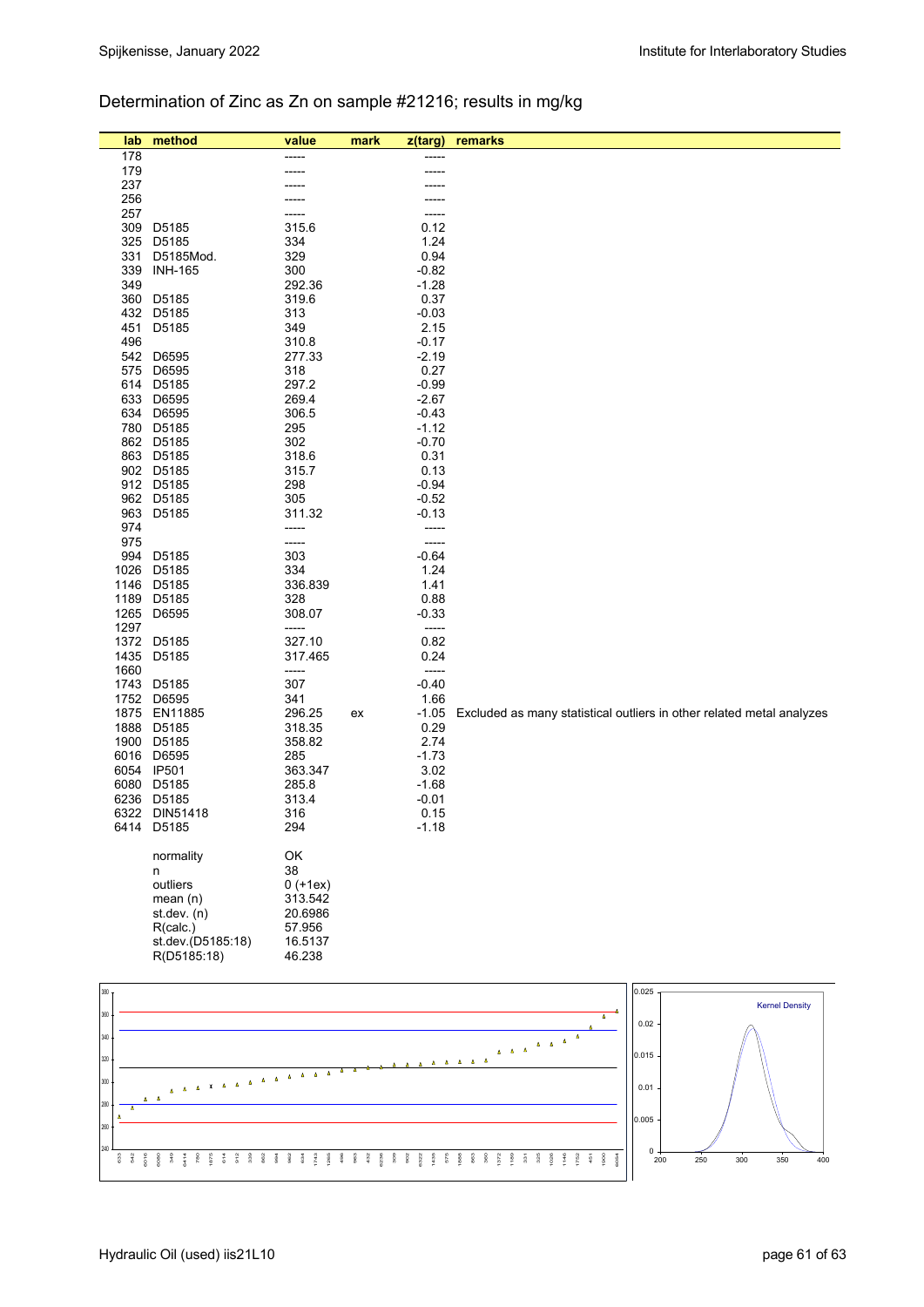## Determination of Zinc as Zn on sample #21216; results in mg/kg

|     | lab          | method                   | value             | mark | z(targ)                  | remarks                                                               |
|-----|--------------|--------------------------|-------------------|------|--------------------------|-----------------------------------------------------------------------|
|     | 178          |                          |                   |      |                          |                                                                       |
|     | 179          |                          |                   |      |                          |                                                                       |
|     | 237<br>256   |                          |                   |      |                          |                                                                       |
|     | 257          |                          |                   |      |                          |                                                                       |
|     | 309          | D5185                    | 315.6             |      | 0.12                     |                                                                       |
|     | 325          | D5185                    | 334               |      | 1.24                     |                                                                       |
|     | 331          | D5185Mod.                | 329               |      | 0.94                     |                                                                       |
|     | 339<br>349   | <b>INH-165</b>           | 300<br>292.36     |      | $-0.82$<br>$-1.28$       |                                                                       |
|     | 360          | D5185                    | 319.6             |      | 0.37                     |                                                                       |
|     | 432          | D5185                    | 313               |      | $-0.03$                  |                                                                       |
|     | 451          | D5185                    | 349               |      | 2.15                     |                                                                       |
|     | 496          |                          | 310.8             |      | $-0.17$                  |                                                                       |
|     | 542          | D6595                    | 277.33            |      | $-2.19$                  |                                                                       |
|     | 575<br>614   | D6595<br>D5185           | 318<br>297.2      |      | 0.27<br>$-0.99$          |                                                                       |
|     | 633          | D6595                    | 269.4             |      | $-2.67$                  |                                                                       |
|     | 634          | D6595                    | 306.5             |      | $-0.43$                  |                                                                       |
|     | 780          | D5185                    | 295               |      | $-1.12$                  |                                                                       |
|     | 862          | D5185                    | 302               |      | $-0.70$                  |                                                                       |
|     | 863          | D5185<br>902 D5185       | 318.6<br>315.7    |      | 0.31<br>0.13             |                                                                       |
|     |              | 912 D5185                | 298               |      | $-0.94$                  |                                                                       |
|     | 962          | D5185                    | 305               |      | $-0.52$                  |                                                                       |
|     | 963          | D5185                    | 311.32            |      | $-0.13$                  |                                                                       |
|     | 974          |                          | -----             |      | -----                    |                                                                       |
|     | 975<br>994   |                          | -----<br>303      |      | -----<br>$-0.64$         |                                                                       |
|     | 1026         | D5185<br>D5185           | 334               |      | 1.24                     |                                                                       |
|     | 1146         | D5185                    | 336.839           |      | 1.41                     |                                                                       |
|     | 1189         | D5185                    | 328               |      | 0.88                     |                                                                       |
|     | 1265         | D6595                    | 308.07            |      | $-0.33$                  |                                                                       |
|     | 1297         |                          | -----             |      | -----                    |                                                                       |
|     | 1435         | 1372 D5185<br>D5185      | 327.10<br>317.465 |      | 0.82<br>0.24             |                                                                       |
|     | 1660         |                          | -----             |      | $\overline{\phantom{a}}$ |                                                                       |
|     | 1743         | D5185                    | 307               |      | $-0.40$                  |                                                                       |
|     | 1752         | D6595                    | 341               |      | 1.66                     |                                                                       |
|     | 1875         | EN11885                  | 296.25            | ex   | $-1.05$                  | Excluded as many statistical outliers in other related metal analyzes |
|     | 1888<br>1900 | D5185<br>D5185           | 318.35<br>358.82  |      | 0.29<br>2.74             |                                                                       |
|     | 6016         | D6595                    | 285               |      | $-1.73$                  |                                                                       |
|     |              | 6054 IP501               | 363.347           |      | 3.02                     |                                                                       |
|     | 6080         | D5185                    | 285.8             |      | $-1.68$                  |                                                                       |
|     | 6236         | D5185                    | 313.4             |      | $-0.01$                  |                                                                       |
|     | 6322         | DIN51418                 | 316               |      | 0.15                     |                                                                       |
|     |              | 6414 D5185               | 294               |      | $-1.18$                  |                                                                       |
|     |              | normality                | OK                |      |                          |                                                                       |
|     |              | n                        | 38                |      |                          |                                                                       |
|     |              | outliers                 | $0 (+1ex)$        |      |                          |                                                                       |
|     |              | mean(n)                  | 313.542           |      |                          |                                                                       |
|     |              | st. dev. (n)<br>R(calc.) | 20.6986<br>57.956 |      |                          |                                                                       |
|     |              | st.dev.(D5185:18)        | 16.5137           |      |                          |                                                                       |
|     |              | R(D5185:18)              | 46.238            |      |                          |                                                                       |
|     |              |                          |                   |      |                          |                                                                       |
| 380 |              |                          |                   |      |                          | 0.025                                                                 |
| 360 |              |                          |                   |      |                          | <b>Kernel Density</b><br>$\blacktriangle$                             |
| 340 |              |                          |                   |      |                          | 0.02                                                                  |
|     |              |                          |                   |      |                          | 0.015                                                                 |

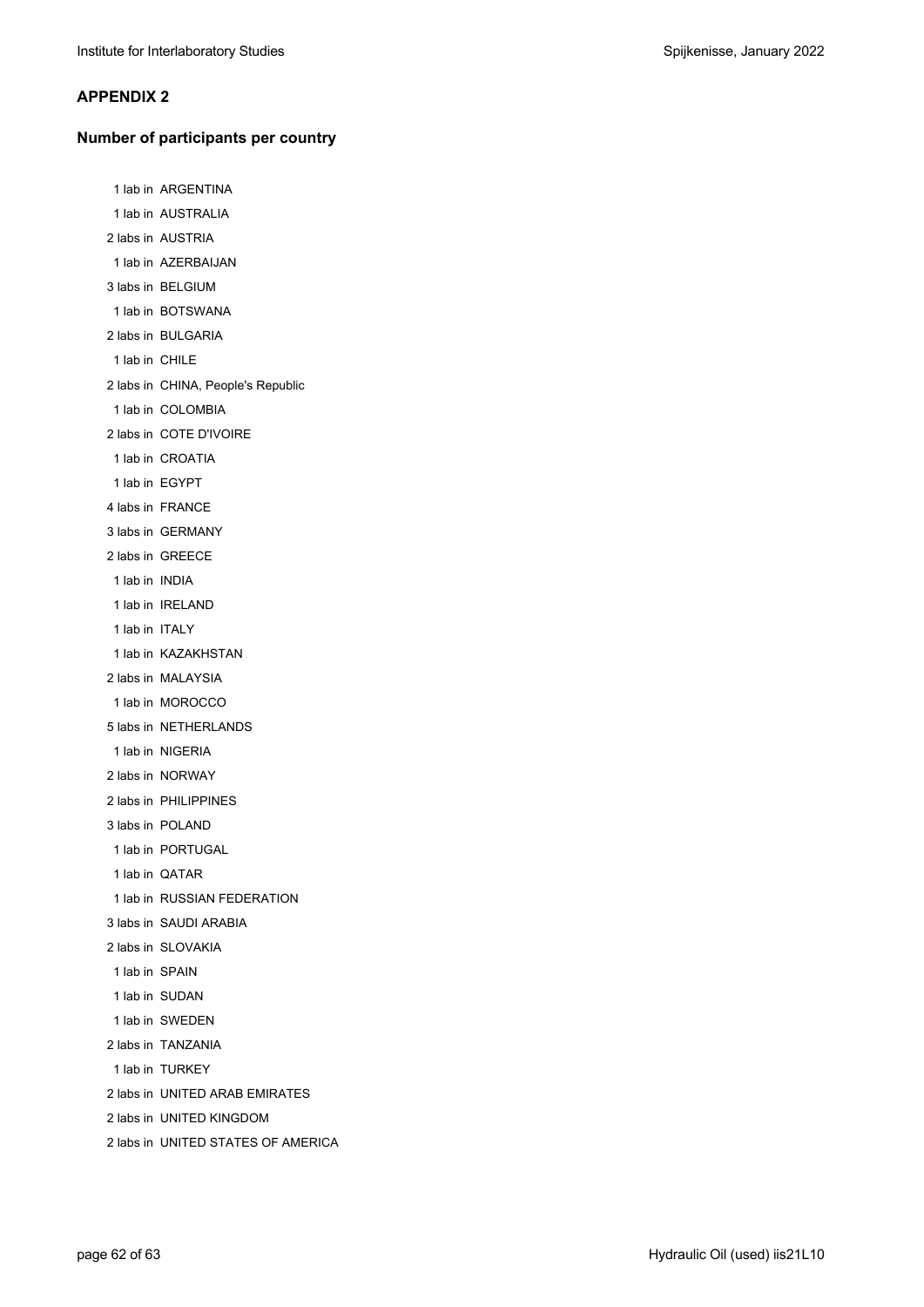#### **APPENDIX 2**

#### **Number of participants per country**

 1 lab in ARGENTINA 1 lab in AUSTRALIA 2 labs in AUSTRIA 1 lab in AZERBAIJAN 3 labs in BELGIUM 1 lab in BOTSWANA 2 labs in BULGARIA 1 lab in CHILE 2 labs in CHINA, People's Republic 1 lab in COLOMBIA 2 labs in COTE D'IVOIRE 1 lab in CROATIA 1 lab in EGYPT 4 labs in FRANCE 3 labs in GERMANY 2 labs in GREECE 1 lab in INDIA 1 lab in IRELAND 1 lab in ITALY 1 lab in KAZAKHSTAN 2 labs in MALAYSIA 1 lab in MOROCCO 5 labs in NETHERLANDS 1 lab in NIGERIA 2 labs in NORWAY 2 labs in PHILIPPINES 3 labs in POLAND 1 lab in PORTUGAL 1 lab in QATAR 1 lab in RUSSIAN FEDERATION 3 labs in SAUDI ARABIA 2 labs in SLOVAKIA 1 lab in SPAIN 1 lab in SUDAN 1 lab in SWEDEN 2 labs in TANZANIA 1 lab in TURKEY 2 labs in UNITED ARAB EMIRATES 2 labs in UNITED KINGDOM 2 labs in UNITED STATES OF AMERICA